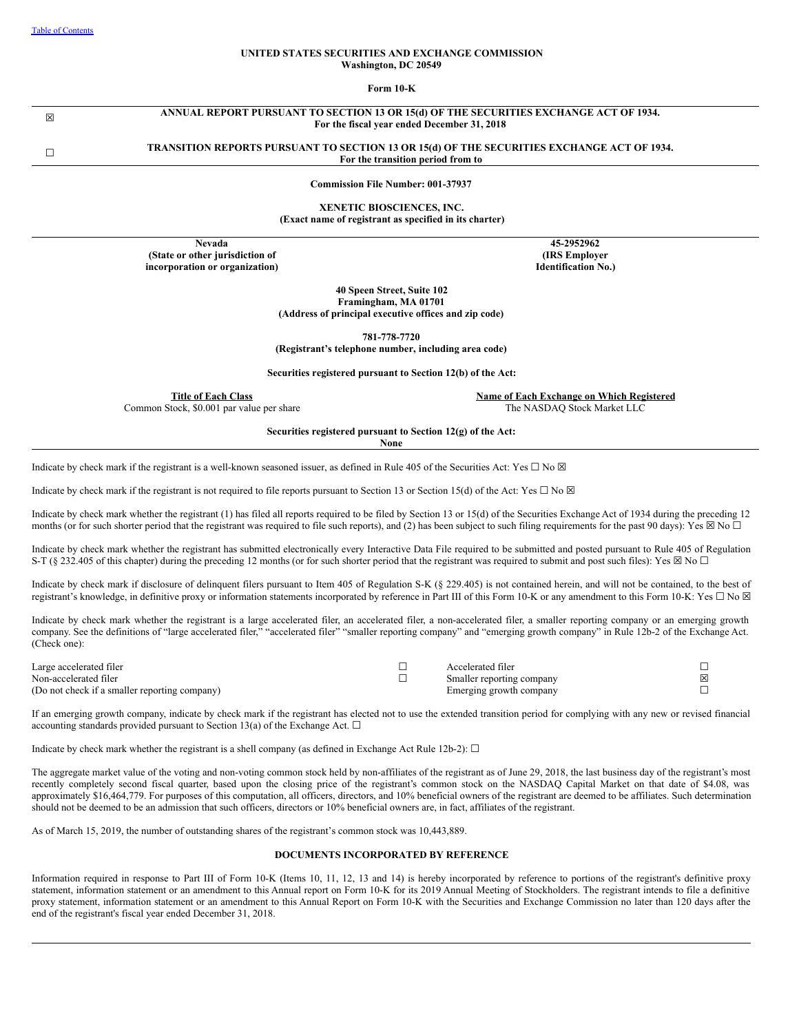#### **UNITED STATES SECURITIES AND EXCHANGE COMMISSION Washington, DC 20549**

# **Form 10-K**  $\boxtimes$ **ANNUAL REPORT PURSUANT TO SECTION 13 OR 15(d) OF THE SECURITIES EXCHANGE ACT OF 1934. For the fiscal year ended December 31, 2018** ☐ **TRANSITION REPORTS PURSUANT TO SECTION 13 OR 15(d) OF THE SECURITIES EXCHANGE ACT OF 1934. For the transition period from to Commission File Number: 001-37937 XENETIC BIOSCIENCES, INC. (Exact name of registrant as specified in its charter) Nevada (State or other jurisdiction of incorporation or organization) 45-2952962 (IRS Employer Identification No.) 40 Speen Street, Suite 102 Framingham, MA 01701 (Address of principal executive offices and zip code) 781-778-7720 (Registrant's telephone number, including area code) Securities registered pursuant to Section 12(b) of the Act: Title of Each Class** Common Stock, \$0.001 par value per share **Name of Each Exchange on Which Registered** The NASDAQ Stock Market LLC **Securities registered pursuant to Section 12(g) of the Act: None** Indicate by check mark whether the registrant (1) has filed all reports required to be filed by Section 13 or 15(d) of the Securities Exchange Act of 1934 during the preceding 12 Indicate by check mark whether the registrant is a large accelerated filer, an accelerated filer, a non-accelerated filer, a smaller reporting company or an emerging growth Large accelerated filer ☐ Accelerated filer ☐ If an emerging growth company, indicate by check mark if the registrant has elected not to use the extended transition period for complying with any new or revised financial The aggregate market value of the voting and non-voting common stock held by non-affiliates of the registrant as of June 29, 2018, the last business day of the registrant's most recently completely second fiscal quarter, based upon the closing price of the registrant's common stock on the NASDAQ Capital Market on that date of \$4.08, was approximately \$16,464,779. For purposes of this computation, all officers, directors, and 10% beneficial owners of the registrant are deemed to be affiliates. Such determination should not be deemed to be an admission that such officers, directors or 10% beneficial owners are, in fact, affiliates of the registrant. **DOCUMENTS INCORPORATED BY REFERENCE**

Information required in response to Part III of Form 10-K (Items 10, 11, 12, 13 and 14) is hereby incorporated by reference to portions of the registrant's definitive proxy statement, information statement or an amendment to this Annual report on Form 10-K for its 2019 Annual Meeting of Stockholders. The registrant intends to file a definitive proxy statement, information statement or an amendment to this Annual Report on Form 10-K with the Securities and Exchange Commission no later than 120 days after the end of the registrant's fiscal year ended December 31, 2018.

Indicate by check mark if the registrant is a well-known seasoned issuer, as defined in Rule 405 of the Securities Act: Yes  $\Box$  No  $\boxtimes$ 

Indicate by check mark if the registrant is not required to file reports pursuant to Section 13 or Section 15(d) of the Act: Yes  $\Box$  No  $\boxtimes$ 

months (or for such shorter period that the registrant was required to file such reports), and (2) has been subject to such filing requirements for the past 90 days): Yes  $\boxtimes$  No  $\Box$ 

Indicate by check mark whether the registrant has submitted electronically every Interactive Data File required to be submitted and posted pursuant to Rule 405 of Regulation S-T (§ 232.405 of this chapter) during the preceding 12 months (or for such shorter period that the registrant was required to submit and post such files): Yes  $\boxtimes$  No  $\Box$ 

Indicate by check mark if disclosure of delinquent filers pursuant to Item 405 of Regulation S-K (§ 229.405) is not contained herein, and will not be contained, to the best of registrant's knowledge, in definitive proxy or information statements incorporated by reference in Part III of this Form 10-K or any amendment to this Form 10-K: Yes  $\Box$  No  $\boxtimes$ 

company. See the definitions of "large accelerated filer," "accelerated filer" "smaller reporting company" and "emerging growth company" in Rule 12b-2 of the Exchange Act. (Check one):

Non-accelerated filer  $\Box$  Smaller reporting company ⊠<br>
(Do not check if a smaller reporting company)  $\Box$  Smaller reporting company Emerging growth company  $\Box$ (Do not check if a smaller reporting company) Emerging growth company Conservation of the state of the state of the state of the state of the state of the state of the state of the state of the state of the state of the st

accounting standards provided pursuant to Section 13(a) of the Exchange Act.  $\square$ 

Indicate by check mark whether the registrant is a shell company (as defined in Exchange Act Rule 12b-2):  $\Box$ 

As of March 15, 2019, the number of outstanding shares of the registrant's common stock was 10,443,889.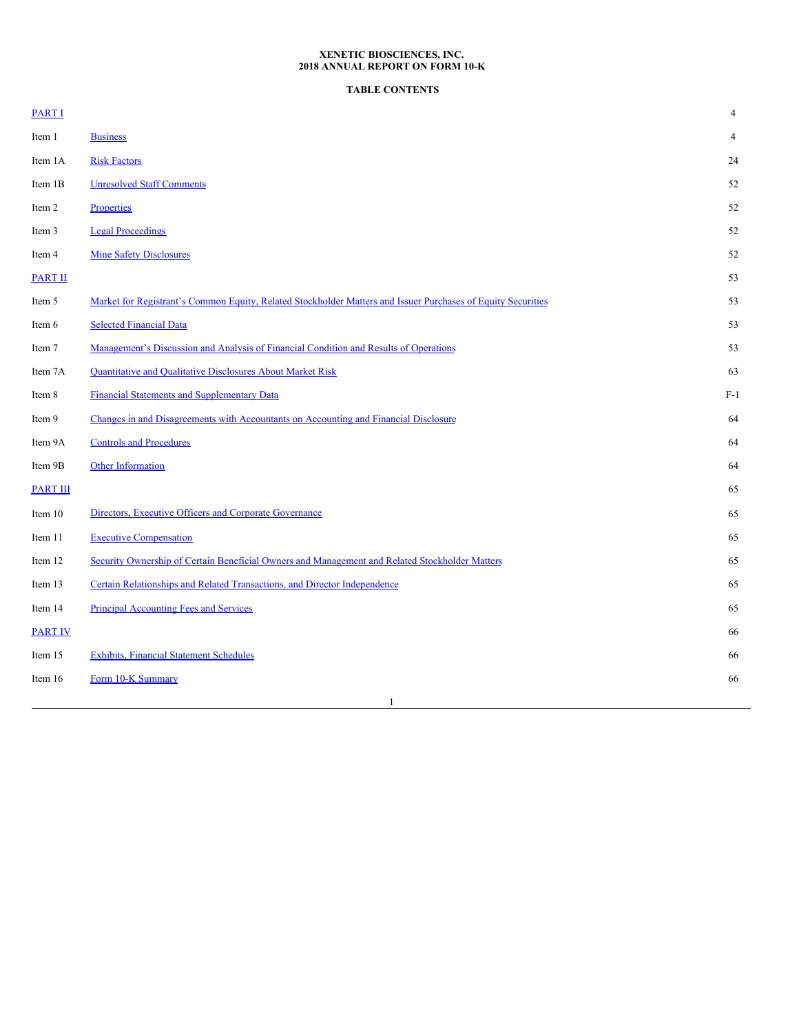## **XENETIC BIOSCIENCES, INC. 2018 ANNUAL REPORT ON FORM 10-K**

# <span id="page-1-0"></span>**TABLE CONTENTS**

| <b>PART I</b>   |                                                                                                              | 4     |
|-----------------|--------------------------------------------------------------------------------------------------------------|-------|
| Item 1          | <b>Business</b>                                                                                              | 4     |
| Item 1A         | <b>Risk Factors</b>                                                                                          | 24    |
| Item 1B         | <b>Unresolved Staff Comments</b>                                                                             | 52    |
| Item 2          | Properties                                                                                                   | 52    |
| Item 3          | <b>Legal Proceedings</b>                                                                                     | 52    |
| Item 4          | <b>Mine Safety Disclosures</b>                                                                               | 52    |
| <b>PART II</b>  |                                                                                                              | 53    |
| Item 5          | Market for Registrant's Common Equity, Related Stockholder Matters and Issuer Purchases of Equity Securities | 53    |
| Item 6          | <b>Selected Financial Data</b>                                                                               | 53    |
| Item 7          | Management's Discussion and Analysis of Financial Condition and Results of Operations                        | 53    |
| Item 7A         | Quantitative and Qualitative Disclosures About Market Risk                                                   | 63    |
| Item 8          | <b>Financial Statements and Supplementary Data</b>                                                           | $F-1$ |
| Item 9          | Changes in and Disagreements with Accountants on Accounting and Financial Disclosure                         | 64    |
| Item 9A         | <b>Controls and Procedures</b>                                                                               | 64    |
| Item 9B         | <b>Other Information</b>                                                                                     | 64    |
| <b>PART III</b> |                                                                                                              | 65    |
| Item 10         | Directors, Executive Officers and Corporate Governance                                                       | 65    |
| Item 11         | <b>Executive Compensation</b>                                                                                | 65    |
| Item 12         | Security Ownership of Certain Beneficial Owners and Management and Related Stockholder Matters               | 65    |
| Item 13         | Certain Relationships and Related Transactions, and Director Independence                                    | 65    |
| Item 14         | <b>Principal Accounting Fees and Services</b>                                                                | 65    |
| <b>PART IV</b>  |                                                                                                              | 66    |
| Item 15         | <b>Exhibits, Financial Statement Schedules</b>                                                               | 66    |
| Item 16         | Form 10-K Summary                                                                                            | 66    |
|                 | $\mathbf{1}$                                                                                                 |       |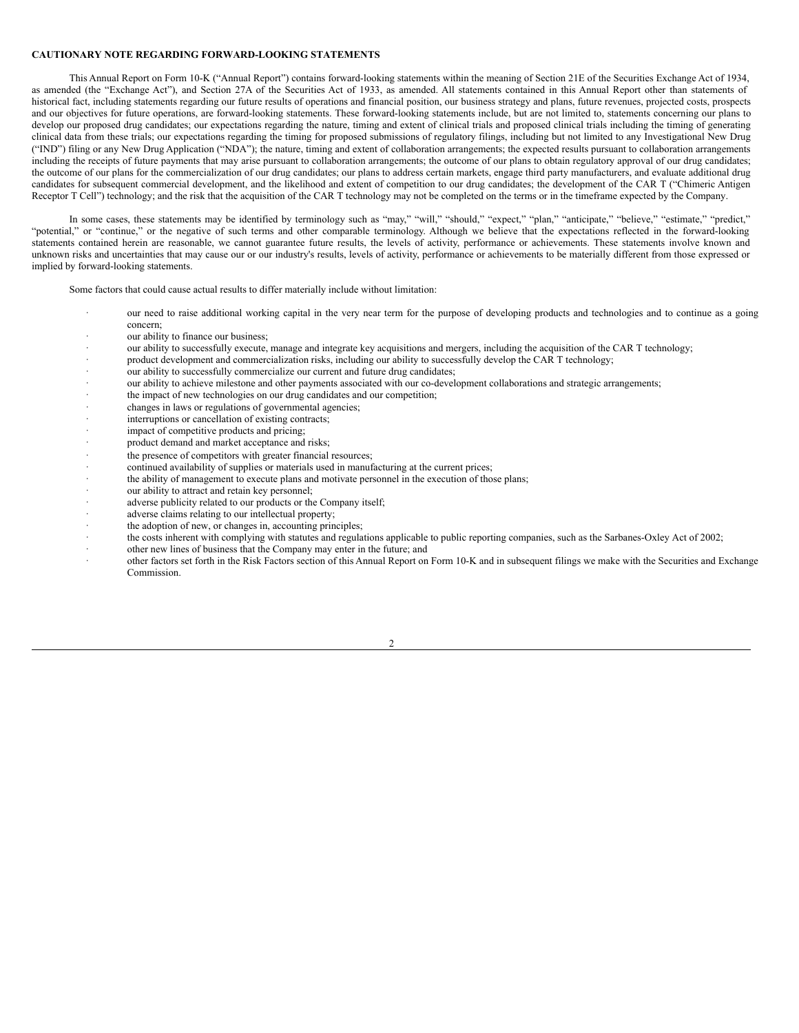### **CAUTIONARY NOTE REGARDING FORWARD-LOOKING STATEMENTS**

This Annual Report on Form 10-K ("Annual Report") contains forward-looking statements within the meaning of Section 21E of the Securities Exchange Act of 1934, as amended (the "Exchange Act"), and Section 27A of the Securities Act of 1933, as amended. All statements contained in this Annual Report other than statements of historical fact, including statements regarding our future results of operations and financial position, our business strategy and plans, future revenues, projected costs, prospects and our objectives for future operations, are forward-looking statements. These forward-looking statements include, but are not limited to, statements concerning our plans to develop our proposed drug candidates; our expectations regarding the nature, timing and extent of clinical trials and proposed clinical trials including the timing of generating clinical data from these trials; our expectations regarding the timing for proposed submissions of regulatory filings, including but not limited to any Investigational New Drug ("IND") filing or any New Drug Application ("NDA"); the nature, timing and extent of collaboration arrangements; the expected results pursuant to collaboration arrangements including the receipts of future payments that may arise pursuant to collaboration arrangements; the outcome of our plans to obtain regulatory approval of our drug candidates; the outcome of our plans for the commercialization of our drug candidates; our plans to address certain markets, engage third party manufacturers, and evaluate additional drug candidates for subsequent commercial development, and the likelihood and extent of competition to our drug candidates; the development of the CAR T ("Chimeric Antigen Receptor T Cell") technology; and the risk that the acquisition of the CAR T technology may not be completed on the terms or in the timeframe expected by the Company.

In some cases, these statements may be identified by terminology such as "may," "will," "should," "expect," "plan," "anticipate," "believe," "estimate," "predict," "potential," or "continue," or the negative of such terms and other comparable terminology. Although we believe that the expectations reflected in the forward-looking statements contained herein are reasonable, we cannot guarantee future results, the levels of activity, performance or achievements. These statements involve known and unknown risks and uncertainties that may cause our or our industry's results, levels of activity, performance or achievements to be materially different from those expressed or implied by forward-looking statements.

Some factors that could cause actual results to differ materially include without limitation:

- our need to raise additional working capital in the very near term for the purpose of developing products and technologies and to continue as a going concern;
- our ability to finance our business;
- · our ability to successfully execute, manage and integrate key acquisitions and mergers, including the acquisition of the CAR T technology;
- product development and commercialization risks, including our ability to successfully develop the CAR T technology;
- our ability to successfully commercialize our current and future drug candidates;
- our ability to achieve milestone and other payments associated with our co-development collaborations and strategic arrangements;
- the impact of new technologies on our drug candidates and our competition;
- changes in laws or regulations of governmental agencies;
- interruptions or cancellation of existing contracts;
- impact of competitive products and pricing;
- product demand and market acceptance and risks;
- the presence of competitors with greater financial resources:
- continued availability of supplies or materials used in manufacturing at the current prices;
- the ability of management to execute plans and motivate personnel in the execution of those plans;
- our ability to attract and retain key personnel;
- adverse publicity related to our products or the Company itself;
- adverse claims relating to our intellectual property;
- the adoption of new, or changes in, accounting principles;
- · the costs inherent with complying with statutes and regulations applicable to public reporting companies, such as the Sarbanes-Oxley Act of 2002;
- other new lines of business that the Company may enter in the future; and
- other factors set forth in the Risk Factors section of this Annual Report on Form 10-K and in subsequent filings we make with the Securities and Exchange **Commission**

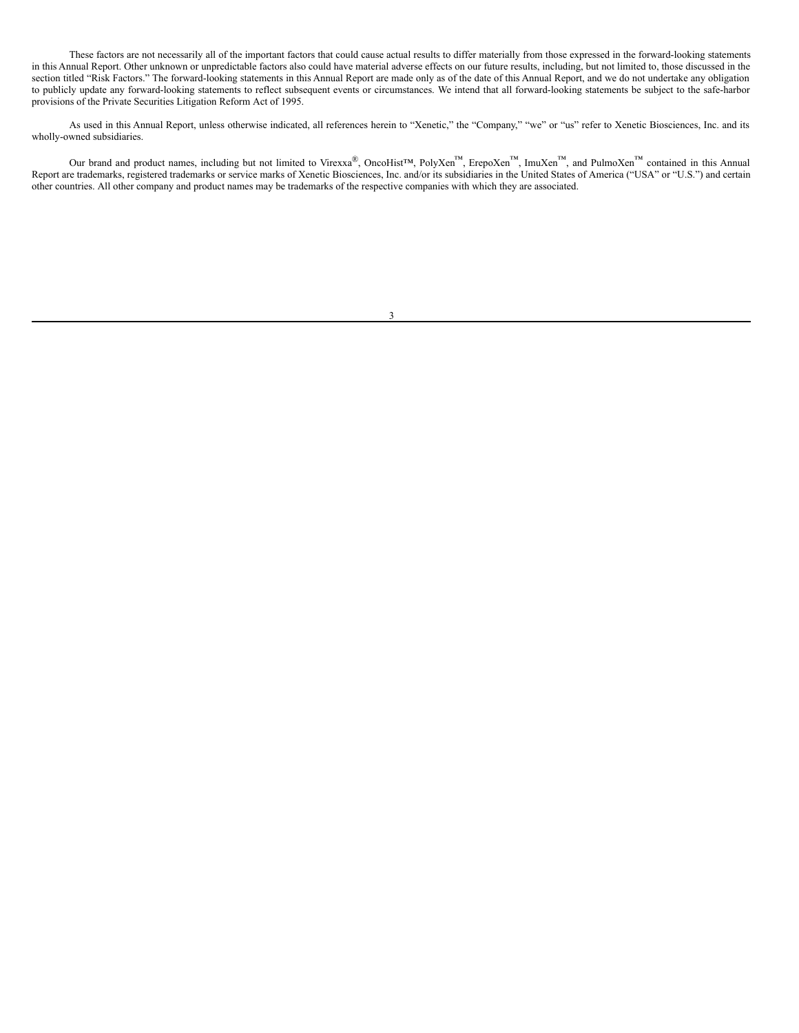These factors are not necessarily all of the important factors that could cause actual results to differ materially from those expressed in the forward-looking statements in this Annual Report. Other unknown or unpredictable factors also could have material adverse effects on our future results, including, but not limited to, those discussed in the section titled "Risk Factors." The forward-looking statements in this Annual Report are made only as of the date of this Annual Report, and we do not undertake any obligation to publicly update any forward-looking statements to reflect subsequent events or circumstances. We intend that all forward-looking statements be subject to the safe-harbor provisions of the Private Securities Litigation Reform Act of 1995.

As used in this Annual Report, unless otherwise indicated, all references herein to "Xenetic," the "Company," "we" or "us" refer to Xenetic Biosciences, Inc. and its wholly-owned subsidiaries.

Our brand and product names, including but not limited to Virexxa®, OncoHist™, PolyXen™, ErepoXen™, ImuXen™, and PulmoXen™ contained in this Annual Report are trademarks, registered trademarks or service marks of Xenetic Biosciences, Inc. and/or its subsidiaries in the United States of America ("USA" or "U.S.") and certain other countries. All other company and product names may be trademarks of the respective companies with which they are associated.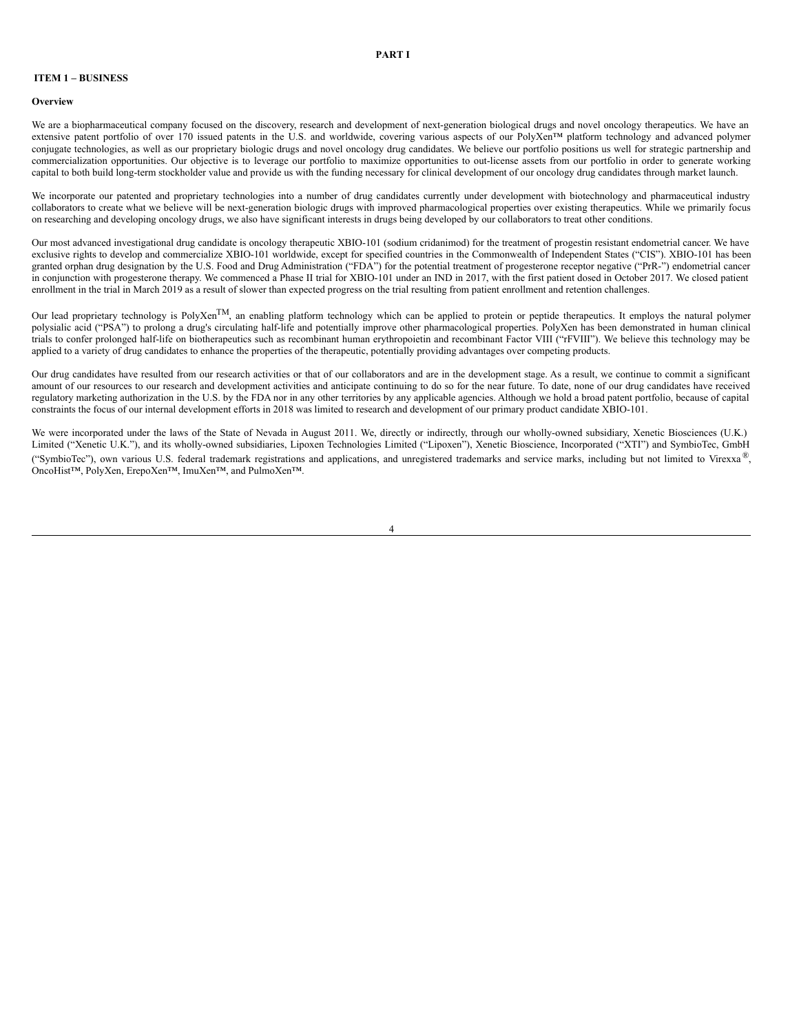## <span id="page-4-0"></span>**PART I**

#### <span id="page-4-1"></span>**ITEM 1 – BUSINESS**

#### **Overview**

We are a biopharmaceutical company focused on the discovery, research and development of next-generation biological drugs and novel oncology therapeutics. We have an extensive patent portfolio of over 170 issued patents in the U.S. and worldwide, covering various aspects of our PolyXen™ platform technology and advanced polymer conjugate technologies, as well as our proprietary biologic drugs and novel oncology drug candidates. We believe our portfolio positions us well for strategic partnership and commercialization opportunities. Our objective is to leverage our portfolio to maximize opportunities to out-license assets from our portfolio in order to generate working capital to both build long-term stockholder value and provide us with the funding necessary for clinical development of our oncology drug candidates through market launch.

We incorporate our patented and proprietary technologies into a number of drug candidates currently under development with biotechnology and pharmaceutical industry collaborators to create what we believe will be next-generation biologic drugs with improved pharmacological properties over existing therapeutics. While we primarily focus on researching and developing oncology drugs, we also have significant interests in drugs being developed by our collaborators to treat other conditions.

Our most advanced investigational drug candidate is oncology therapeutic XBIO-101 (sodium cridanimod) for the treatment of progestin resistant endometrial cancer. We have exclusive rights to develop and commercialize XBIO-101 worldwide, except for specified countries in the Commonwealth of Independent States ("CIS"). XBIO-101 has been granted orphan drug designation by the U.S. Food and Drug Administration ("FDA") for the potential treatment of progesterone receptor negative ("PrR-") endometrial cancer in conjunction with progesterone therapy. We commenced a Phase II trial for XBIO-101 under an IND in 2017, with the first patient dosed in October 2017. We closed patient enrollment in the trial in March 2019 as a result of slower than expected progress on the trial resulting from patient enrollment and retention challenges.

Our lead proprietary technology is PolyXen<sup>TM</sup>, an enabling platform technology which can be applied to protein or peptide therapeutics. It employs the natural polymer polysialic acid ("PSA") to prolong a drug's circulating half-life and potentially improve other pharmacological properties. PolyXen has been demonstrated in human clinical trials to confer prolonged half-life on biotherapeutics such as recombinant human erythropoietin and recombinant Factor VIII ("rFVIII"). We believe this technology may be applied to a variety of drug candidates to enhance the properties of the therapeutic, potentially providing advantages over competing products.

Our drug candidates have resulted from our research activities or that of our collaborators and are in the development stage. As a result, we continue to commit a significant amount of our resources to our research and development activities and anticipate continuing to do so for the near future. To date, none of our drug candidates have received regulatory marketing authorization in the U.S. by the FDA nor in any other territories by any applicable agencies. Although we hold a broad patent portfolio, because of capital constraints the focus of our internal development efforts in 2018 was limited to research and development of our primary product candidate XBIO-101.

We were incorporated under the laws of the State of Nevada in August 2011. We, directly or indirectly, through our wholly-owned subsidiary, Xenetic Biosciences (U.K.) Limited ("Xenetic U.K."), and its wholly-owned subsidiaries, Lipoxen Technologies Limited ("Lipoxen"), Xenetic Bioscience, Incorporated ("XTI") and SymbioTec, GmbH ("SymbioTec"), own various U.S. federal trademark registrations and applications, and unregistered trademarks and service marks, including but not limited to Virexxa<sup>®</sup>, OncoHist™, PolyXen, ErepoXen™, ImuXen™, and PulmoXen™.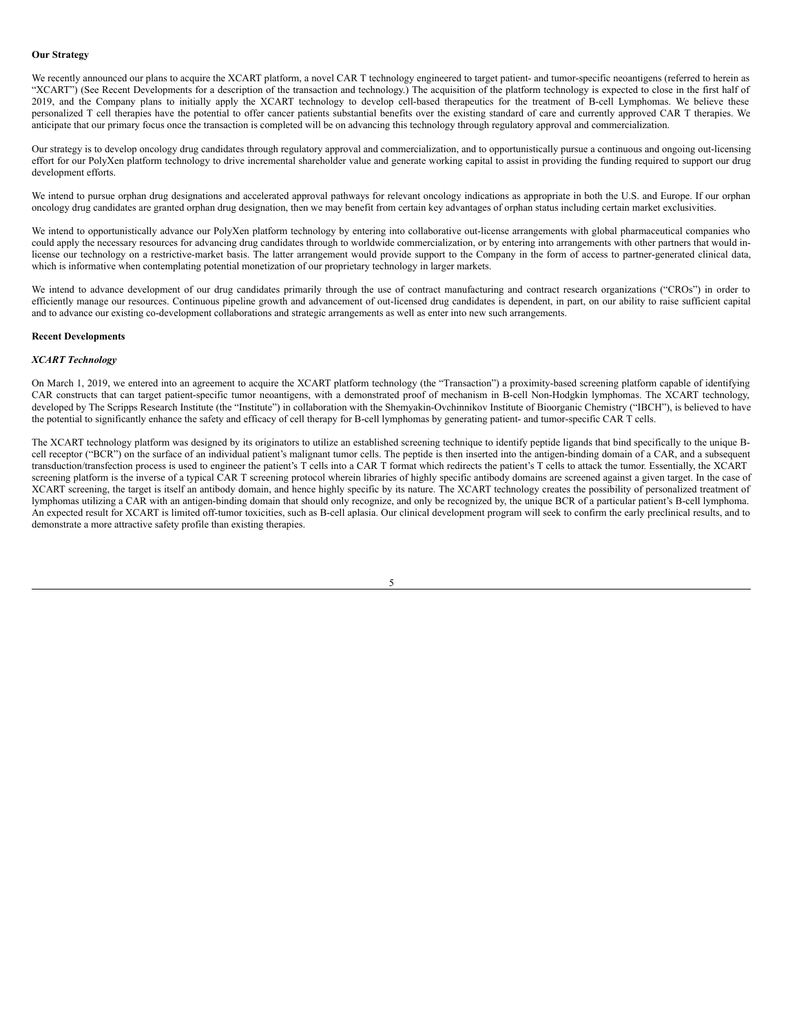#### **Our Strategy**

We recently announced our plans to acquire the XCART platform, a novel CAR T technology engineered to target patient- and tumor-specific neoantigens (referred to herein as "XCART") (See Recent Developments for a description of the transaction and technology.) The acquisition of the platform technology is expected to close in the first half of 2019, and the Company plans to initially apply the XCART technology to develop cell-based therapeutics for the treatment of B-cell Lymphomas. We believe these personalized T cell therapies have the potential to offer cancer patients substantial benefits over the existing standard of care and currently approved CAR T therapies. We anticipate that our primary focus once the transaction is completed will be on advancing this technology through regulatory approval and commercialization.

Our strategy is to develop oncology drug candidates through regulatory approval and commercialization, and to opportunistically pursue a continuous and ongoing out-licensing effort for our PolyXen platform technology to drive incremental shareholder value and generate working capital to assist in providing the funding required to support our drug development efforts.

We intend to pursue orphan drug designations and accelerated approval pathways for relevant oncology indications as appropriate in both the U.S. and Europe. If our orphan oncology drug candidates are granted orphan drug designation, then we may benefit from certain key advantages of orphan status including certain market exclusivities.

We intend to opportunistically advance our PolyXen platform technology by entering into collaborative out-license arrangements with global pharmaceutical companies who could apply the necessary resources for advancing drug candidates through to worldwide commercialization, or by entering into arrangements with other partners that would inlicense our technology on a restrictive-market basis. The latter arrangement would provide support to the Company in the form of access to partner-generated clinical data, which is informative when contemplating potential monetization of our proprietary technology in larger markets.

We intend to advance development of our drug candidates primarily through the use of contract manufacturing and contract research organizations ("CROs") in order to efficiently manage our resources. Continuous pipeline growth and advancement of out-licensed drug candidates is dependent, in part, on our ability to raise sufficient capital and to advance our existing co-development collaborations and strategic arrangements as well as enter into new such arrangements.

# **Recent Developments**

#### *XCART Technology*

On March 1, 2019, we entered into an agreement to acquire the XCART platform technology (the "Transaction") a proximity-based screening platform capable of identifying CAR constructs that can target patient-specific tumor neoantigens, with a demonstrated proof of mechanism in B-cell Non-Hodgkin lymphomas. The XCART technology, developed by The Scripps Research Institute (the "Institute") in collaboration with the Shemyakin-Ovchinnikov Institute of Bioorganic Chemistry ("IBCH"), is believed to have the potential to significantly enhance the safety and efficacy of cell therapy for B-cell lymphomas by generating patient- and tumor-specific CAR T cells.

The XCART technology platform was designed by its originators to utilize an established screening technique to identify peptide ligands that bind specifically to the unique Bcell receptor ("BCR") on the surface of an individual patient's malignant tumor cells. The peptide is then inserted into the antigen-binding domain of a CAR, and a subsequent transduction/transfection process is used to engineer the patient's T cells into a CAR T format which redirects the patient's T cells to attack the tumor. Essentially, the XCART screening platform is the inverse of a typical CAR T screening protocol wherein libraries of highly specific antibody domains are screened against a given target. In the case of XCART screening, the target is itself an antibody domain, and hence highly specific by its nature. The XCART technology creates the possibility of personalized treatment of lymphomas utilizing a CAR with an antigen-binding domain that should only recognize, and only be recognized by, the unique BCR of a particular patient's B-cell lymphoma. An expected result for XCART is limited off-tumor toxicities, such as B-cell aplasia. Our clinical development program will seek to confirm the early preclinical results, and to demonstrate a more attractive safety profile than existing therapies.

| ۰.<br>$\sim$ |  |
|--------------|--|
|              |  |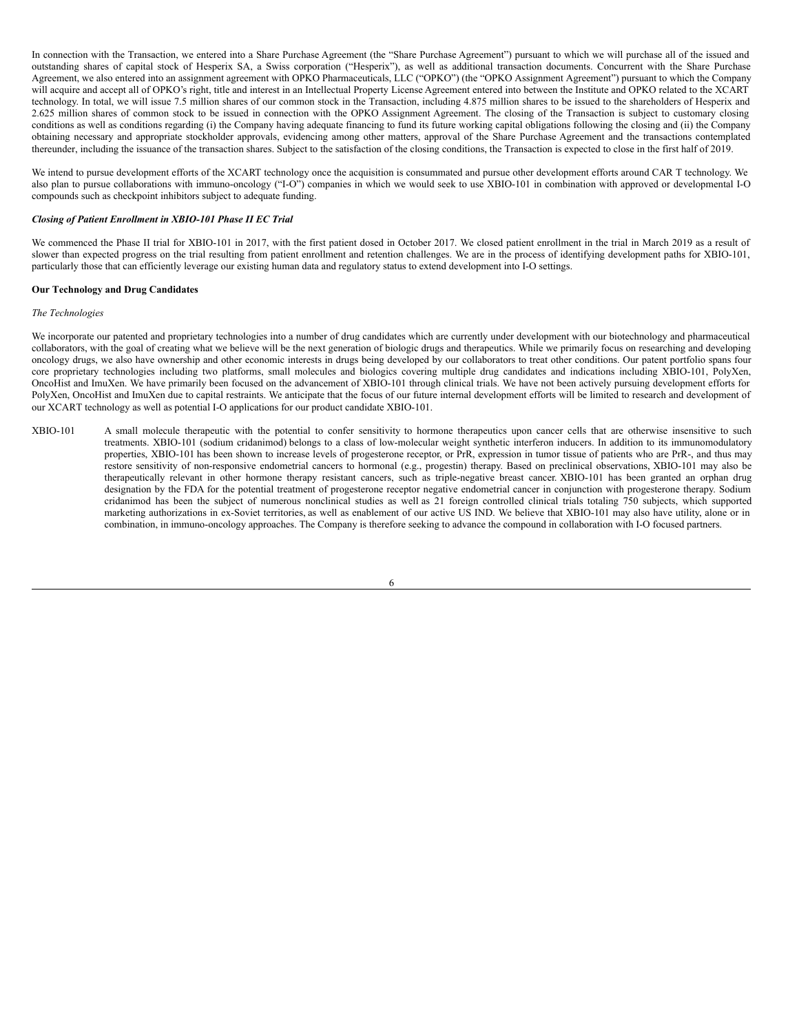In connection with the Transaction, we entered into a Share Purchase Agreement (the "Share Purchase Agreement") pursuant to which we will purchase all of the issued and outstanding shares of capital stock of Hesperix SA, a Swiss corporation ("Hesperix"), as well as additional transaction documents. Concurrent with the Share Purchase Agreement, we also entered into an assignment agreement with OPKO Pharmaceuticals, LLC ("OPKO") (the "OPKO Assignment Agreement") pursuant to which the Company will acquire and accept all of OPKO's right, title and interest in an Intellectual Property License Agreement entered into between the Institute and OPKO related to the XCART technology. In total, we will issue 7.5 million shares of our common stock in the Transaction, including 4.875 million shares to be issued to the shareholders of Hesperix and 2.625 million shares of common stock to be issued in connection with the OPKO Assignment Agreement. The closing of the Transaction is subject to customary closing conditions as well as conditions regarding (i) the Company having adequate financing to fund its future working capital obligations following the closing and (ii) the Company obtaining necessary and appropriate stockholder approvals, evidencing among other matters, approval of the Share Purchase Agreement and the transactions contemplated thereunder, including the issuance of the transaction shares. Subject to the satisfaction of the closing conditions, the Transaction is expected to close in the first half of 2019.

We intend to pursue development efforts of the XCART technology once the acquisition is consummated and pursue other development efforts around CAR T technology. We also plan to pursue collaborations with immuno-oncology ("I-O") companies in which we would seek to use XBIO-101 in combination with approved or developmental I-O compounds such as checkpoint inhibitors subject to adequate funding.

# *Closing of Patient Enrollment in XBIO-101 Phase II EC Trial*

We commenced the Phase II trial for XBIO-101 in 2017, with the first patient dosed in October 2017. We closed patient enrollment in the trial in March 2019 as a result of slower than expected progress on the trial resulting from patient enrollment and retention challenges. We are in the process of identifying development paths for XBIO-101, particularly those that can efficiently leverage our existing human data and regulatory status to extend development into I-O settings.

#### **Our Technology and Drug Candidates**

#### *The Technologies*

We incorporate our patented and proprietary technologies into a number of drug candidates which are currently under development with our biotechnology and pharmaceutical collaborators, with the goal of creating what we believe will be the next generation of biologic drugs and therapeutics. While we primarily focus on researching and developing oncology drugs, we also have ownership and other economic interests in drugs being developed by our collaborators to treat other conditions. Our patent portfolio spans four core proprietary technologies including two platforms, small molecules and biologics covering multiple drug candidates and indications including XBIO-101, PolyXen, OncoHist and ImuXen. We have primarily been focused on the advancement of XBIO-101 through clinical trials. We have not been actively pursuing development efforts for PolyXen, OncoHist and ImuXen due to capital restraints. We anticipate that the focus of our future internal development efforts will be limited to research and development of our XCART technology as well as potential I-O applications for our product candidate XBIO-101.

XBIO-101 A small molecule therapeutic with the potential to confer sensitivity to hormone therapeutics upon cancer cells that are otherwise insensitive to such treatments. XBIO-101 (sodium cridanimod) belongs to a class of low-molecular weight synthetic interferon inducers. In addition to its immunomodulatory properties, XBIO-101 has been shown to increase levels of progesterone receptor, or PrR, expression in tumor tissue of patients who are PrR-, and thus may restore sensitivity of non-responsive endometrial cancers to hormonal (e.g., progestin) therapy. Based on preclinical observations, XBIO-101 may also be therapeutically relevant in other hormone therapy resistant cancers, such as triple-negative breast cancer. XBIO-101 has been granted an orphan drug designation by the FDA for the potential treatment of progesterone receptor negative endometrial cancer in conjunction with progesterone therapy. Sodium cridanimod has been the subject of numerous nonclinical studies as well as 21 foreign controlled clinical trials totaling 750 subjects, which supported marketing authorizations in ex-Soviet territories, as well as enablement of our active US IND. We believe that XBIO-101 may also have utility, alone or in combination, in immuno-oncology approaches. The Company is therefore seeking to advance the compound in collaboration with I-O focused partners.

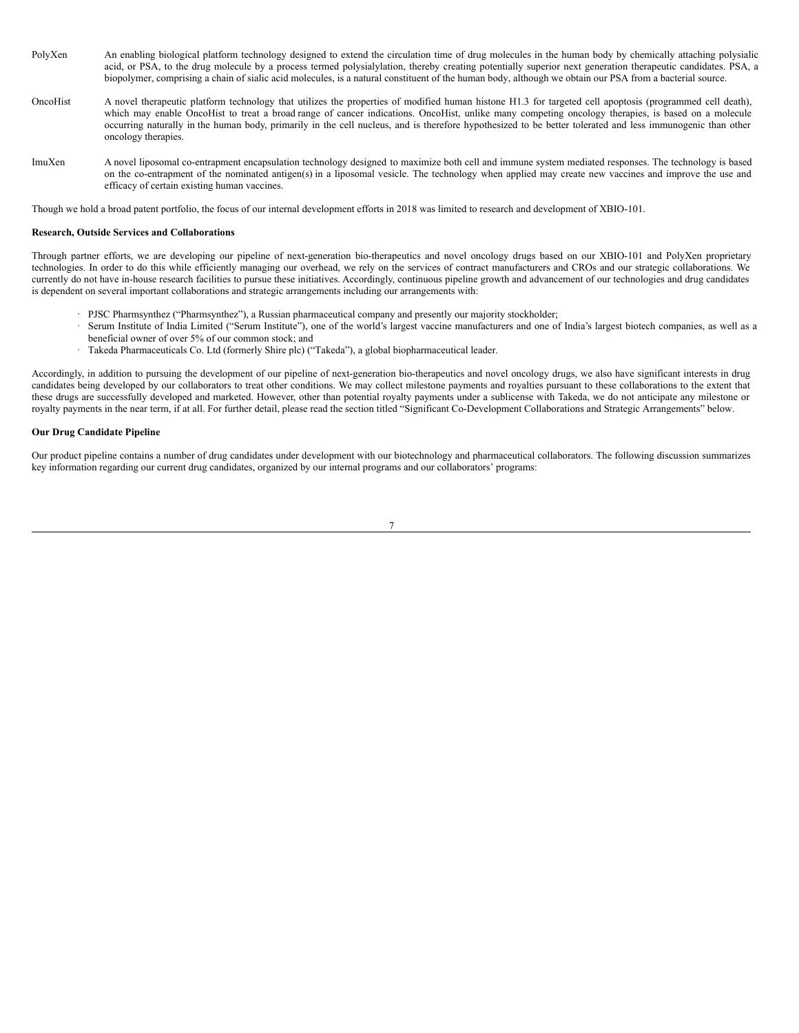- PolyXen An enabling biological platform technology designed to extend the circulation time of drug molecules in the human body by chemically attaching polysialic acid, or PSA, to the drug molecule by a process termed polysialylation, thereby creating potentially superior next generation therapeutic candidates. PSA, a biopolymer, comprising a chain of sialic acid molecules, is a natural constituent of the human body, although we obtain our PSA from a bacterial source.
- OncoHist A novel therapeutic platform technology that utilizes the properties of modified human histone H1.3 for targeted cell apoptosis (programmed cell death), which may enable OncoHist to treat a broad range of cancer indications. OncoHist, unlike many competing oncology therapies, is based on a molecule occurring naturally in the human body, primarily in the cell nucleus, and is therefore hypothesized to be better tolerated and less immunogenic than other oncology therapies.
- ImuXen A novel liposomal co-entrapment encapsulation technology designed to maximize both cell and immune system mediated responses. The technology is based on the co-entrapment of the nominated antigen(s) in a liposomal vesicle. The technology when applied may create new vaccines and improve the use and efficacy of certain existing human vaccines.

Though we hold a broad patent portfolio, the focus of our internal development efforts in 2018 was limited to research and development of XBIO-101.

#### **Research, Outside Services and Collaborations**

Through partner efforts, we are developing our pipeline of next-generation bio-therapeutics and novel oncology drugs based on our XBIO-101 and PolyXen proprietary technologies. In order to do this while efficiently managing our overhead, we rely on the services of contract manufacturers and CROs and our strategic collaborations. We currently do not have in-house research facilities to pursue these initiatives. Accordingly, continuous pipeline growth and advancement of our technologies and drug candidates is dependent on several important collaborations and strategic arrangements including our arrangements with:

- · PJSC Pharmsynthez ("Pharmsynthez"), a Russian pharmaceutical company and presently our majority stockholder;
- · Serum Institute of India Limited ("Serum Institute"), one of the world's largest vaccine manufacturers and one of India's largest biotech companies, as well as a beneficial owner of over 5% of our common stock; and
- · Takeda Pharmaceuticals Co. Ltd (formerly Shire plc) ("Takeda"), a global biopharmaceutical leader.

Accordingly, in addition to pursuing the development of our pipeline of next-generation bio-therapeutics and novel oncology drugs, we also have significant interests in drug candidates being developed by our collaborators to treat other conditions. We may collect milestone payments and royalties pursuant to these collaborations to the extent that these drugs are successfully developed and marketed. However, other than potential royalty payments under a sublicense with Takeda, we do not anticipate any milestone or royalty payments in the near term, if at all. For further detail, please read the section titled "Significant Co-Development Collaborations and Strategic Arrangements" below.

## **Our Drug Candidate Pipeline**

Our product pipeline contains a number of drug candidates under development with our biotechnology and pharmaceutical collaborators. The following discussion summarizes key information regarding our current drug candidates, organized by our internal programs and our collaborators' programs: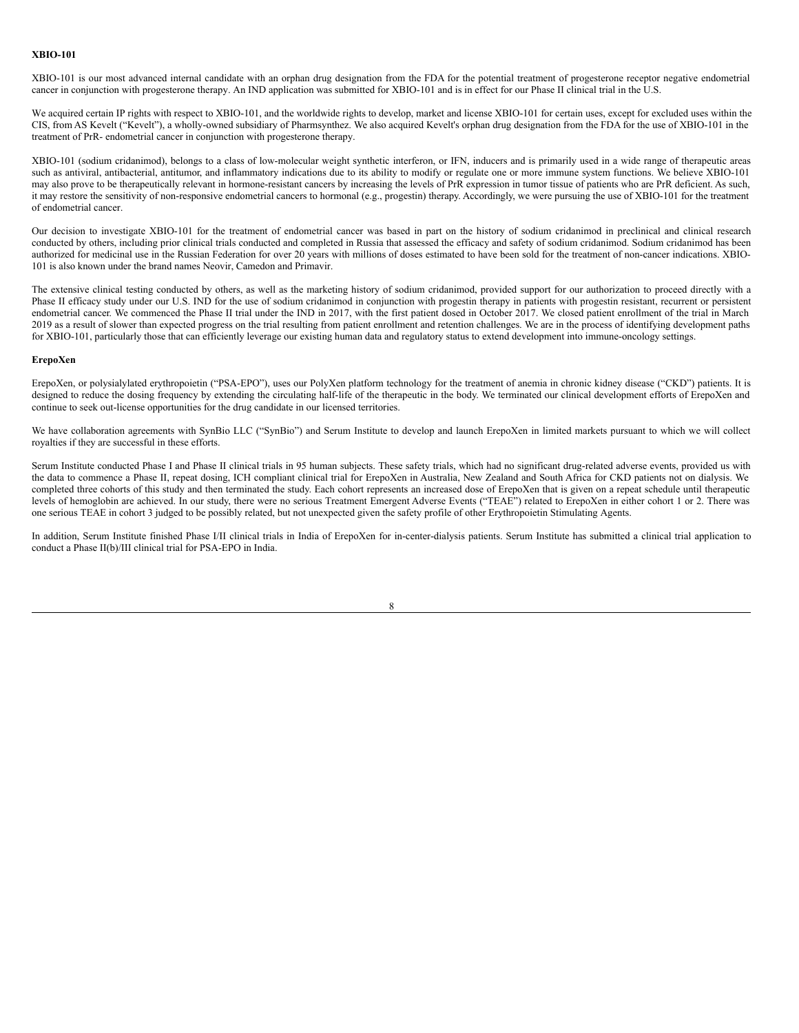#### **XBIO-101**

XBIO-101 is our most advanced internal candidate with an orphan drug designation from the FDA for the potential treatment of progesterone receptor negative endometrial cancer in conjunction with progesterone therapy. An IND application was submitted for XBIO-101 and is in effect for our Phase II clinical trial in the U.S.

We acquired certain IP rights with respect to XBIO-101, and the worldwide rights to develop, market and license XBIO-101 for certain uses, except for excluded uses within the CIS, from AS Kevelt ("Kevelt"), a wholly-owned subsidiary of Pharmsynthez. We also acquired Kevelt's orphan drug designation from the FDA for the use of XBIO-101 in the treatment of PrR- endometrial cancer in conjunction with progesterone therapy.

XBIO-101 (sodium cridanimod), belongs to a class of low-molecular weight synthetic interferon, or IFN, inducers and is primarily used in a wide range of therapeutic areas such as antiviral, antibacterial, antitumor, and inflammatory indications due to its ability to modify or regulate one or more immune system functions. We believe XBIO-101 may also prove to be therapeutically relevant in hormone-resistant cancers by increasing the levels of PrR expression in tumor tissue of patients who are PrR deficient. As such, it may restore the sensitivity of non-responsive endometrial cancers to hormonal (e.g., progestin) therapy. Accordingly, we were pursuing the use of XBIO-101 for the treatment of endometrial cancer.

Our decision to investigate XBIO-101 for the treatment of endometrial cancer was based in part on the history of sodium cridanimod in preclinical and clinical research conducted by others, including prior clinical trials conducted and completed in Russia that assessed the efficacy and safety of sodium cridanimod. Sodium cridanimod has been authorized for medicinal use in the Russian Federation for over 20 years with millions of doses estimated to have been sold for the treatment of non-cancer indications. XBIO-101 is also known under the brand names Neovir, Camedon and Primavir.

The extensive clinical testing conducted by others, as well as the marketing history of sodium cridanimod, provided support for our authorization to proceed directly with a Phase II efficacy study under our U.S. IND for the use of sodium cridanimod in conjunction with progestin therapy in patients with progestin resistant, recurrent or persistent endometrial cancer. We commenced the Phase II trial under the IND in 2017, with the first patient dosed in October 2017. We closed patient enrollment of the trial in March 2019 as a result of slower than expected progress on the trial resulting from patient enrollment and retention challenges. We are in the process of identifying development paths for XBIO-101, particularly those that can efficiently leverage our existing human data and regulatory status to extend development into immune-oncology settings.

#### **ErepoXen**

ErepoXen, or polysialylated erythropoietin ("PSA-EPO"), uses our PolyXen platform technology for the treatment of anemia in chronic kidney disease ("CKD") patients. It is designed to reduce the dosing frequency by extending the circulating half-life of the therapeutic in the body. We terminated our clinical development efforts of ErepoXen and continue to seek out-license opportunities for the drug candidate in our licensed territories.

We have collaboration agreements with SynBio LLC ("SynBio") and Serum Institute to develop and launch ErepoXen in limited markets pursuant to which we will collect royalties if they are successful in these efforts.

Serum Institute conducted Phase I and Phase II clinical trials in 95 human subjects. These safety trials, which had no significant drug-related adverse events, provided us with the data to commence a Phase II, repeat dosing, ICH compliant clinical trial for ErepoXen in Australia, New Zealand and South Africa for CKD patients not on dialysis. We completed three cohorts of this study and then terminated the study. Each cohort represents an increased dose of ErepoXen that is given on a repeat schedule until therapeutic levels of hemoglobin are achieved. In our study, there were no serious Treatment Emergent Adverse Events ("TEAE") related to ErepoXen in either cohort 1 or 2. There was one serious TEAE in cohort 3 judged to be possibly related, but not unexpected given the safety profile of other Erythropoietin Stimulating Agents.

In addition, Serum Institute finished Phase I/II clinical trials in India of ErepoXen for in-center-dialysis patients. Serum Institute has submitted a clinical trial application to conduct a Phase II(b)/III clinical trial for PSA-EPO in India.

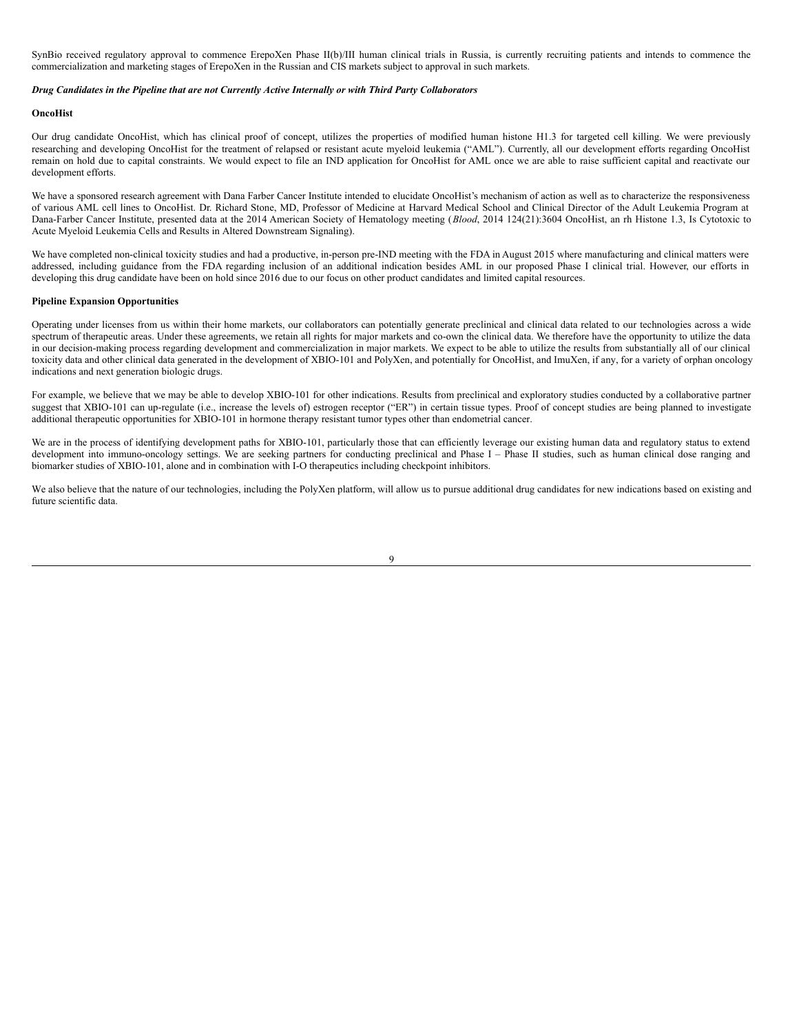SynBio received regulatory approval to commence ErepoXen Phase II(b)/III human clinical trials in Russia, is currently recruiting patients and intends to commence the commercialization and marketing stages of ErepoXen in the Russian and CIS markets subject to approval in such markets.

#### *Drug Candidates in the Pipeline that are not Currently Active Internally or with Third Party Collaborators*

#### **OncoHist**

Our drug candidate OncoHist, which has clinical proof of concept, utilizes the properties of modified human histone H1.3 for targeted cell killing. We were previously researching and developing OncoHist for the treatment of relapsed or resistant acute myeloid leukemia ("AML"). Currently, all our development efforts regarding OncoHist remain on hold due to capital constraints. We would expect to file an IND application for OncoHist for AML once we are able to raise sufficient capital and reactivate our development efforts.

We have a sponsored research agreement with Dana Farber Cancer Institute intended to elucidate OncoHist's mechanism of action as well as to characterize the responsiveness of various AML cell lines to OncoHist. Dr. Richard Stone, MD, Professor of Medicine at Harvard Medical School and Clinical Director of the Adult Leukemia Program at Dana-Farber Cancer Institute, presented data at the 2014 American Society of Hematology meeting (*Blood*, 2014 124(21):3604 OncoHist, an rh Histone 1.3, Is Cytotoxic to Acute Myeloid Leukemia Cells and Results in Altered Downstream Signaling).

We have completed non-clinical toxicity studies and had a productive, in-person pre-IND meeting with the FDA in August 2015 where manufacturing and clinical matters were addressed, including guidance from the FDA regarding inclusion of an additional indication besides AML in our proposed Phase I clinical trial. However, our efforts in developing this drug candidate have been on hold since 2016 due to our focus on other product candidates and limited capital resources.

#### **Pipeline Expansion Opportunities**

Operating under licenses from us within their home markets, our collaborators can potentially generate preclinical and clinical data related to our technologies across a wide spectrum of therapeutic areas. Under these agreements, we retain all rights for major markets and co-own the clinical data. We therefore have the opportunity to utilize the data in our decision-making process regarding development and commercialization in major markets. We expect to be able to utilize the results from substantially all of our clinical toxicity data and other clinical data generated in the development of XBIO-101 and PolyXen, and potentially for OncoHist, and ImuXen, if any, for a variety of orphan oncology indications and next generation biologic drugs.

For example, we believe that we may be able to develop XBIO-101 for other indications. Results from preclinical and exploratory studies conducted by a collaborative partner suggest that XBIO-101 can up-regulate (i.e., increase the levels of) estrogen receptor ("ER") in certain tissue types. Proof of concept studies are being planned to investigate additional therapeutic opportunities for XBIO-101 in hormone therapy resistant tumor types other than endometrial cancer.

We are in the process of identifying development paths for XBIO-101, particularly those that can efficiently leverage our existing human data and regulatory status to extend development into immuno-oncology settings. We are seeking partners for conducting preclinical and Phase I – Phase II studies, such as human clinical dose ranging and biomarker studies of XBIO-101, alone and in combination with I-O therapeutics including checkpoint inhibitors.

We also believe that the nature of our technologies, including the PolyXen platform, will allow us to pursue additional drug candidates for new indications based on existing and future scientific data.

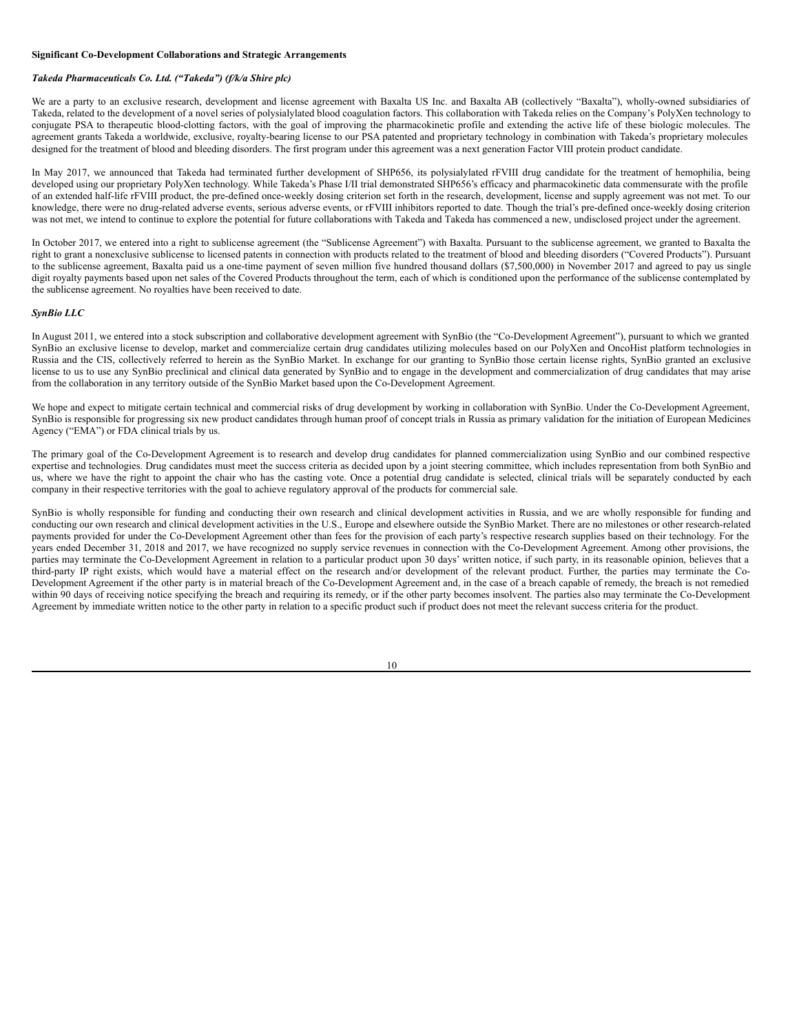## **Significant Co-Development Collaborations and Strategic Arrangements**

## *Takeda Pharmaceuticals Co. Ltd. ("Takeda") (f/k/a Shire plc)*

We are a party to an exclusive research, development and license agreement with Baxalta US Inc. and Baxalta AB (collectively "Baxalta"), wholly-owned subsidiaries of Takeda, related to the development of a novel series of polysialylated blood coagulation factors. This collaboration with Takeda relies on the Company's PolyXen technology to conjugate PSA to therapeutic blood-clotting factors, with the goal of improving the pharmacokinetic profile and extending the active life of these biologic molecules. The agreement grants Takeda a worldwide, exclusive, royalty-bearing license to our PSA patented and proprietary technology in combination with Takeda's proprietary molecules designed for the treatment of blood and bleeding disorders. The first program under this agreement was a next generation Factor VIII protein product candidate.

In May 2017, we announced that Takeda had terminated further development of SHP656, its polysialylated rFVIII drug candidate for the treatment of hemophilia, being developed using our proprietary PolyXen technology. While Takeda's Phase I/II trial demonstrated SHP656's efficacy and pharmacokinetic data commensurate with the profile of an extended half-life rFVIII product, the pre-defined once-weekly dosing criterion set forth in the research, development, license and supply agreement was not met. To our knowledge, there were no drug-related adverse events, serious adverse events, or rFVIII inhibitors reported to date. Though the trial's pre-defined once-weekly dosing criterion was not met, we intend to continue to explore the potential for future collaborations with Takeda and Takeda has commenced a new, undisclosed project under the agreement.

In October 2017, we entered into a right to sublicense agreement (the "Sublicense Agreement") with Baxalta. Pursuant to the sublicense agreement, we granted to Baxalta the right to grant a nonexclusive sublicense to licensed patents in connection with products related to the treatment of blood and bleeding disorders ("Covered Products"). Pursuant to the sublicense agreement, Baxalta paid us a one-time payment of seven million five hundred thousand dollars (\$7,500,000) in November 2017 and agreed to pay us single digit royalty payments based upon net sales of the Covered Products throughout the term, each of which is conditioned upon the performance of the sublicense contemplated by the sublicense agreement. No royalties have been received to date.

#### *SynBio LLC*

In August 2011, we entered into a stock subscription and collaborative development agreement with SynBio (the "Co-Development Agreement"), pursuant to which we granted SynBio an exclusive license to develop, market and commercialize certain drug candidates utilizing molecules based on our PolyXen and OncoHist platform technologies in Russia and the CIS, collectively referred to herein as the SynBio Market. In exchange for our granting to SynBio those certain license rights, SynBio granted an exclusive license to us to use any SynBio preclinical and clinical data generated by SynBio and to engage in the development and commercialization of drug candidates that may arise from the collaboration in any territory outside of the SynBio Market based upon the Co-Development Agreement.

We hope and expect to mitigate certain technical and commercial risks of drug development by working in collaboration with SynBio. Under the Co-Development Agreement, SynBio is responsible for progressing six new product candidates through human proof of concept trials in Russia as primary validation for the initiation of European Medicines Agency ("EMA") or FDA clinical trials by us.

The primary goal of the Co-Development Agreement is to research and develop drug candidates for planned commercialization using SynBio and our combined respective expertise and technologies. Drug candidates must meet the success criteria as decided upon by a joint steering committee, which includes representation from both SynBio and us, where we have the right to appoint the chair who has the casting vote. Once a potential drug candidate is selected, clinical trials will be separately conducted by each company in their respective territories with the goal to achieve regulatory approval of the products for commercial sale.

SynBio is wholly responsible for funding and conducting their own research and clinical development activities in Russia, and we are wholly responsible for funding and conducting our own research and clinical development activities in the U.S., Europe and elsewhere outside the SynBio Market. There are no milestones or other research-related payments provided for under the Co-Development Agreement other than fees for the provision of each party's respective research supplies based on their technology. For the years ended December 31, 2018 and 2017, we have recognized no supply service revenues in connection with the Co-Development Agreement. Among other provisions, the parties may terminate the Co-Development Agreement in relation to a particular product upon 30 days' written notice, if such party, in its reasonable opinion, believes that a third-party IP right exists, which would have a material effect on the research and/or development of the relevant product. Further, the parties may terminate the Co-Development Agreement if the other party is in material breach of the Co-Development Agreement and, in the case of a breach capable of remedy, the breach is not remedied within 90 days of receiving notice specifying the breach and requiring its remedy, or if the other party becomes insolvent. The parties also may terminate the Co-Development Agreement by immediate written notice to the other party in relation to a specific product such if product does not meet the relevant success criteria for the product.

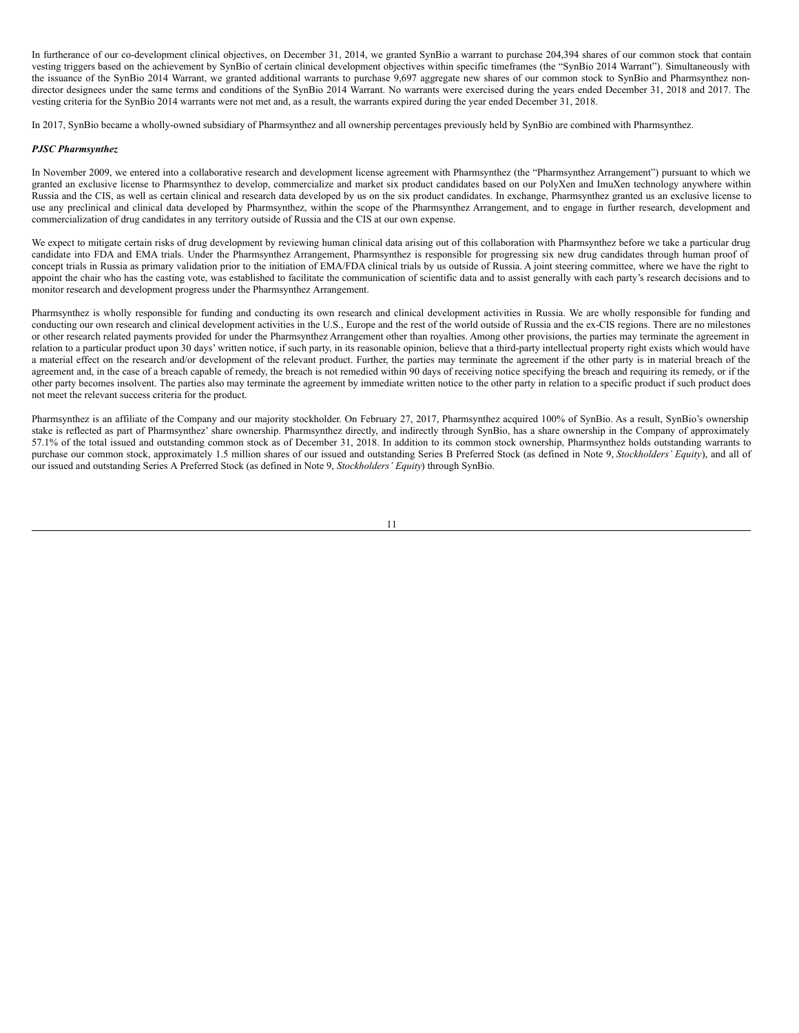In furtherance of our co-development clinical objectives, on December 31, 2014, we granted SynBio a warrant to purchase 204,394 shares of our common stock that contain vesting triggers based on the achievement by SynBio of certain clinical development objectives within specific timeframes (the "SynBio 2014 Warrant"). Simultaneously with the issuance of the SynBio 2014 Warrant, we granted additional warrants to purchase 9,697 aggregate new shares of our common stock to SynBio and Pharmsynthez nondirector designees under the same terms and conditions of the SynBio 2014 Warrant. No warrants were exercised during the years ended December 31, 2018 and 2017. The vesting criteria for the SynBio 2014 warrants were not met and, as a result, the warrants expired during the year ended December 31, 2018.

In 2017, SynBio became a wholly-owned subsidiary of Pharmsynthez and all ownership percentages previously held by SynBio are combined with Pharmsynthez.

#### *PJSC Pharmsynthez*

In November 2009, we entered into a collaborative research and development license agreement with Pharmsynthez (the "Pharmsynthez Arrangement") pursuant to which we granted an exclusive license to Pharmsynthez to develop, commercialize and market six product candidates based on our PolyXen and ImuXen technology anywhere within Russia and the CIS, as well as certain clinical and research data developed by us on the six product candidates. In exchange, Pharmsynthez granted us an exclusive license to use any preclinical and clinical data developed by Pharmsynthez, within the scope of the Pharmsynthez Arrangement, and to engage in further research, development and commercialization of drug candidates in any territory outside of Russia and the CIS at our own expense.

We expect to mitigate certain risks of drug development by reviewing human clinical data arising out of this collaboration with Pharmsynthez before we take a particular drug candidate into FDA and EMA trials. Under the Pharmsynthez Arrangement, Pharmsynthez is responsible for progressing six new drug candidates through human proof of concept trials in Russia as primary validation prior to the initiation of EMA/FDA clinical trials by us outside of Russia. A joint steering committee, where we have the right to appoint the chair who has the casting vote, was established to facilitate the communication of scientific data and to assist generally with each party's research decisions and to monitor research and development progress under the Pharmsynthez Arrangement.

Pharmsynthez is wholly responsible for funding and conducting its own research and clinical development activities in Russia. We are wholly responsible for funding and conducting our own research and clinical development activities in the U.S., Europe and the rest of the world outside of Russia and the ex-CIS regions. There are no milestones or other research related payments provided for under the Pharmsynthez Arrangement other than royalties. Among other provisions, the parties may terminate the agreement in relation to a particular product upon 30 days' written notice, if such party, in its reasonable opinion, believe that a third-party intellectual property right exists which would have a material effect on the research and/or development of the relevant product. Further, the parties may terminate the agreement if the other party is in material breach of the agreement and, in the case of a breach capable of remedy, the breach is not remedied within 90 days of receiving notice specifying the breach and requiring its remedy, or if the other party becomes insolvent. The parties also may terminate the agreement by immediate written notice to the other party in relation to a specific product if such product does not meet the relevant success criteria for the product.

Pharmsynthez is an affiliate of the Company and our majority stockholder. On February 27, 2017, Pharmsynthez acquired 100% of SynBio. As a result, SynBio's ownership stake is reflected as part of Pharmsynthez' share ownership. Pharmsynthez directly, and indirectly through SynBio, has a share ownership in the Company of approximately 57.1% of the total issued and outstanding common stock as of December 31, 2018. In addition to its common stock ownership, Pharmsynthez holds outstanding warrants to purchase our common stock, approximately 1.5 million shares of our issued and outstanding Series B Preferred Stock (as defined in Note 9, *Stockholders' Equity*), and all of our issued and outstanding Series A Preferred Stock (as defined in Note 9, *Stockholders' Equity*) through SynBio.

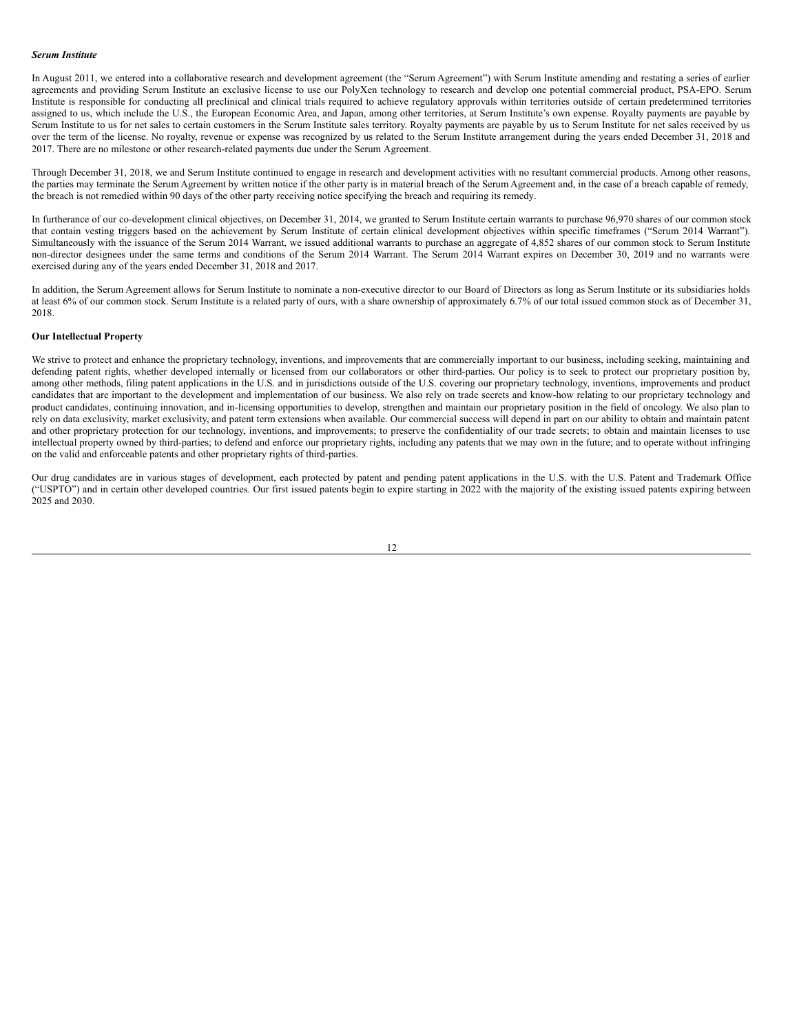#### *Serum Institute*

In August 2011, we entered into a collaborative research and development agreement (the "Serum Agreement") with Serum Institute amending and restating a series of earlier agreements and providing Serum Institute an exclusive license to use our PolyXen technology to research and develop one potential commercial product, PSA-EPO. Serum Institute is responsible for conducting all preclinical and clinical trials required to achieve regulatory approvals within territories outside of certain predetermined territories assigned to us, which include the U.S., the European Economic Area, and Japan, among other territories, at Serum Institute's own expense. Royalty payments are payable by Serum Institute to us for net sales to certain customers in the Serum Institute sales territory. Royalty payments are payable by us to Serum Institute for net sales received by us over the term of the license. No royalty, revenue or expense was recognized by us related to the Serum Institute arrangement during the years ended December 31, 2018 and 2017. There are no milestone or other research-related payments due under the Serum Agreement.

Through December 31, 2018, we and Serum Institute continued to engage in research and development activities with no resultant commercial products. Among other reasons, the parties may terminate the Serum Agreement by written notice if the other party is in material breach of the Serum Agreement and, in the case of a breach capable of remedy, the breach is not remedied within 90 days of the other party receiving notice specifying the breach and requiring its remedy.

In furtherance of our co-development clinical objectives, on December 31, 2014, we granted to Serum Institute certain warrants to purchase 96,970 shares of our common stock that contain vesting triggers based on the achievement by Serum Institute of certain clinical development objectives within specific timeframes ("Serum 2014 Warrant"). Simultaneously with the issuance of the Serum 2014 Warrant, we issued additional warrants to purchase an aggregate of 4,852 shares of our common stock to Serum Institute non-director designees under the same terms and conditions of the Serum 2014 Warrant. The Serum 2014 Warrant expires on December 30, 2019 and no warrants were exercised during any of the years ended December 31, 2018 and 2017.

In addition, the Serum Agreement allows for Serum Institute to nominate a non-executive director to our Board of Directors as long as Serum Institute or its subsidiaries holds at least 6% of our common stock. Serum Institute is a related party of ours, with a share ownership of approximately 6.7% of our total issued common stock as of December 31, 2018.

#### **Our Intellectual Property**

We strive to protect and enhance the proprietary technology, inventions, and improvements that are commercially important to our business, including seeking, maintaining and defending patent rights, whether developed internally or licensed from our collaborators or other third-parties. Our policy is to seek to protect our proprietary position by, among other methods, filing patent applications in the U.S. and in jurisdictions outside of the U.S. covering our proprietary technology, inventions, improvements and product candidates that are important to the development and implementation of our business. We also rely on trade secrets and know-how relating to our proprietary technology and product candidates, continuing innovation, and in-licensing opportunities to develop, strengthen and maintain our proprietary position in the field of oncology. We also plan to rely on data exclusivity, market exclusivity, and patent term extensions when available. Our commercial success will depend in part on our ability to obtain and maintain patent and other proprietary protection for our technology, inventions, and improvements; to preserve the confidentiality of our trade secrets; to obtain and maintain licenses to use intellectual property owned by third-parties; to defend and enforce our proprietary rights, including any patents that we may own in the future; and to operate without infringing on the valid and enforceable patents and other proprietary rights of third-parties.

Our drug candidates are in various stages of development, each protected by patent and pending patent applications in the U.S. with the U.S. Patent and Trademark Office ("USPTO") and in certain other developed countries. Our first issued patents begin to expire starting in 2022 with the majority of the existing issued patents expiring between 2025 and 2030.

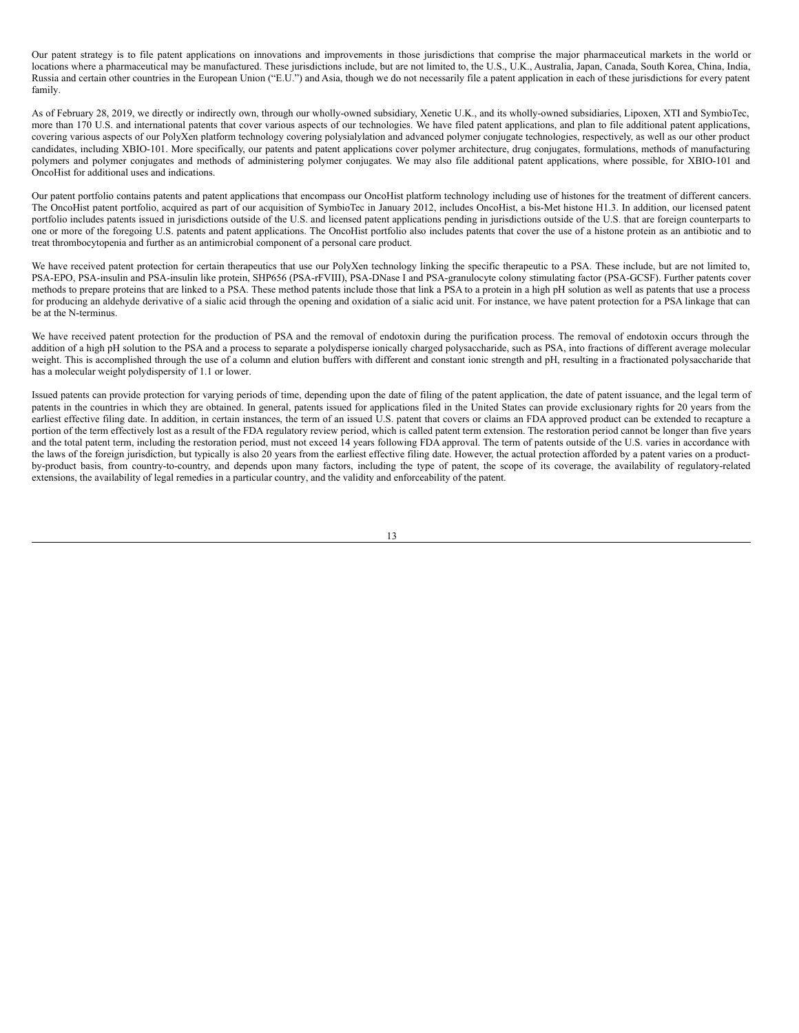Our patent strategy is to file patent applications on innovations and improvements in those jurisdictions that comprise the major pharmaceutical markets in the world or locations where a pharmaceutical may be manufactured. These jurisdictions include, but are not limited to, the U.S., U.K., Australia, Japan, Canada, South Korea, China, India, Russia and certain other countries in the European Union ("E.U.") and Asia, though we do not necessarily file a patent application in each of these jurisdictions for every patent family.

As of February 28, 2019, we directly or indirectly own, through our wholly-owned subsidiary, Xenetic U.K., and its wholly-owned subsidiaries, Lipoxen, XTI and SymbioTec, more than 170 U.S. and international patents that cover various aspects of our technologies. We have filed patent applications, and plan to file additional patent applications, covering various aspects of our PolyXen platform technology covering polysialylation and advanced polymer conjugate technologies, respectively, as well as our other product candidates, including XBIO-101. More specifically, our patents and patent applications cover polymer architecture, drug conjugates, formulations, methods of manufacturing polymers and polymer conjugates and methods of administering polymer conjugates. We may also file additional patent applications, where possible, for XBIO-101 and OncoHist for additional uses and indications.

Our patent portfolio contains patents and patent applications that encompass our OncoHist platform technology including use of histones for the treatment of different cancers. The OncoHist patent portfolio, acquired as part of our acquisition of SymbioTec in January 2012, includes OncoHist, a bis-Met histone H1.3. In addition, our licensed patent portfolio includes patents issued in jurisdictions outside of the U.S. and licensed patent applications pending in jurisdictions outside of the U.S. that are foreign counterparts to one or more of the foregoing U.S. patents and patent applications. The OncoHist portfolio also includes patents that cover the use of a histone protein as an antibiotic and to treat thrombocytopenia and further as an antimicrobial component of a personal care product.

We have received patent protection for certain therapeutics that use our PolyXen technology linking the specific therapeutic to a PSA. These include, but are not limited to, PSA-EPO, PSA-insulin and PSA-insulin like protein, SHP656 (PSA-rFVIII), PSA-DNase I and PSA-granulocyte colony stimulating factor (PSA-GCSF). Further patents cover methods to prepare proteins that are linked to a PSA. These method patents include those that link a PSA to a protein in a high pH solution as well as patents that use a process for producing an aldehyde derivative of a sialic acid through the opening and oxidation of a sialic acid unit. For instance, we have patent protection for a PSA linkage that can be at the N-terminus.

We have received patent protection for the production of PSA and the removal of endotoxin during the purification process. The removal of endotoxin occurs through the addition of a high pH solution to the PSA and a process to separate a polydisperse ionically charged polysaccharide, such as PSA, into fractions of different average molecular weight. This is accomplished through the use of a column and elution buffers with different and constant ionic strength and pH, resulting in a fractionated polysaccharide that has a molecular weight polydispersity of 1.1 or lower.

Issued patents can provide protection for varying periods of time, depending upon the date of filing of the patent application, the date of patent issuance, and the legal term of patents in the countries in which they are obtained. In general, patents issued for applications filed in the United States can provide exclusionary rights for 20 years from the earliest effective filing date. In addition, in certain instances, the term of an issued U.S. patent that covers or claims an FDA approved product can be extended to recapture a portion of the term effectively lost as a result of the FDA regulatory review period, which is called patent term extension. The restoration period cannot be longer than five years and the total patent term, including the restoration period, must not exceed 14 years following FDA approval. The term of patents outside of the U.S. varies in accordance with the laws of the foreign jurisdiction, but typically is also 20 years from the earliest effective filing date. However, the actual protection afforded by a patent varies on a productby-product basis, from country-to-country, and depends upon many factors, including the type of patent, the scope of its coverage, the availability of regulatory-related extensions, the availability of legal remedies in a particular country, and the validity and enforceability of the patent.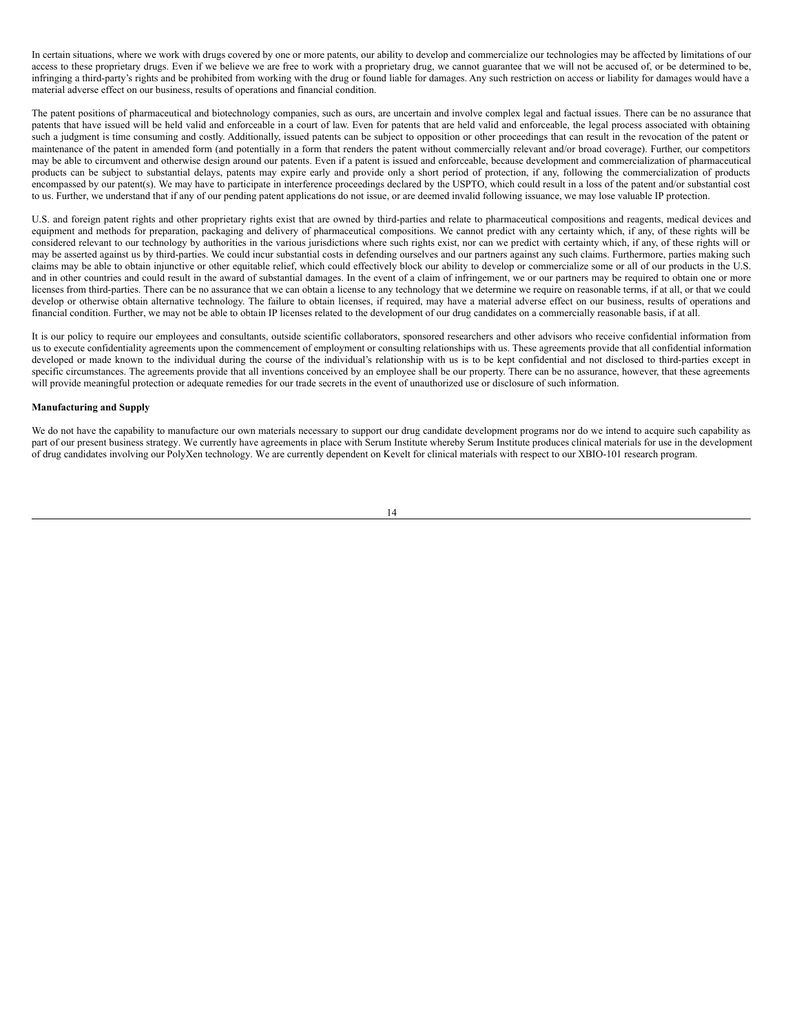In certain situations, where we work with drugs covered by one or more patents, our ability to develop and commercialize our technologies may be affected by limitations of our access to these proprietary drugs. Even if we believe we are free to work with a proprietary drug, we cannot guarantee that we will not be accused of, or be determined to be, infringing a third-party's rights and be prohibited from working with the drug or found liable for damages. Any such restriction on access or liability for damages would have a material adverse effect on our business, results of operations and financial condition.

The patent positions of pharmaceutical and biotechnology companies, such as ours, are uncertain and involve complex legal and factual issues. There can be no assurance that patents that have issued will be held valid and enforceable in a court of law. Even for patents that are held valid and enforceable, the legal process associated with obtaining such a judgment is time consuming and costly. Additionally, issued patents can be subject to opposition or other proceedings that can result in the revocation of the patent or maintenance of the patent in amended form (and potentially in a form that renders the patent without commercially relevant and/or broad coverage). Further, our competitors may be able to circumvent and otherwise design around our patents. Even if a patent is issued and enforceable, because development and commercialization of pharmaceutical products can be subject to substantial delays, patents may expire early and provide only a short period of protection, if any, following the commercialization of products encompassed by our patent(s). We may have to participate in interference proceedings declared by the USPTO, which could result in a loss of the patent and/or substantial cost to us. Further, we understand that if any of our pending patent applications do not issue, or are deemed invalid following issuance, we may lose valuable IP protection.

U.S. and foreign patent rights and other proprietary rights exist that are owned by third-parties and relate to pharmaceutical compositions and reagents, medical devices and equipment and methods for preparation, packaging and delivery of pharmaceutical compositions. We cannot predict with any certainty which, if any, of these rights will be considered relevant to our technology by authorities in the various jurisdictions where such rights exist, nor can we predict with certainty which, if any, of these rights will or may be asserted against us by third-parties. We could incur substantial costs in defending ourselves and our partners against any such claims. Furthermore, parties making such claims may be able to obtain injunctive or other equitable relief, which could effectively block our ability to develop or commercialize some or all of our products in the U.S. and in other countries and could result in the award of substantial damages. In the event of a claim of infringement, we or our partners may be required to obtain one or more licenses from third-parties. There can be no assurance that we can obtain a license to any technology that we determine we require on reasonable terms, if at all, or that we could develop or otherwise obtain alternative technology. The failure to obtain licenses, if required, may have a material adverse effect on our business, results of operations and financial condition. Further, we may not be able to obtain IP licenses related to the development of our drug candidates on a commercially reasonable basis, if at all.

It is our policy to require our employees and consultants, outside scientific collaborators, sponsored researchers and other advisors who receive confidential information from us to execute confidentiality agreements upon the commencement of employment or consulting relationships with us. These agreements provide that all confidential information developed or made known to the individual during the course of the individual's relationship with us is to be kept confidential and not disclosed to third-parties except in specific circumstances. The agreements provide that all inventions conceived by an employee shall be our property. There can be no assurance, however, that these agreements will provide meaningful protection or adequate remedies for our trade secrets in the event of unauthorized use or disclosure of such information.

## **Manufacturing and Supply**

We do not have the capability to manufacture our own materials necessary to support our drug candidate development programs nor do we intend to acquire such capability as part of our present business strategy. We currently have agreements in place with Serum Institute whereby Serum Institute produces clinical materials for use in the development of drug candidates involving our PolyXen technology. We are currently dependent on Kevelt for clinical materials with respect to our XBIO-101 research program.

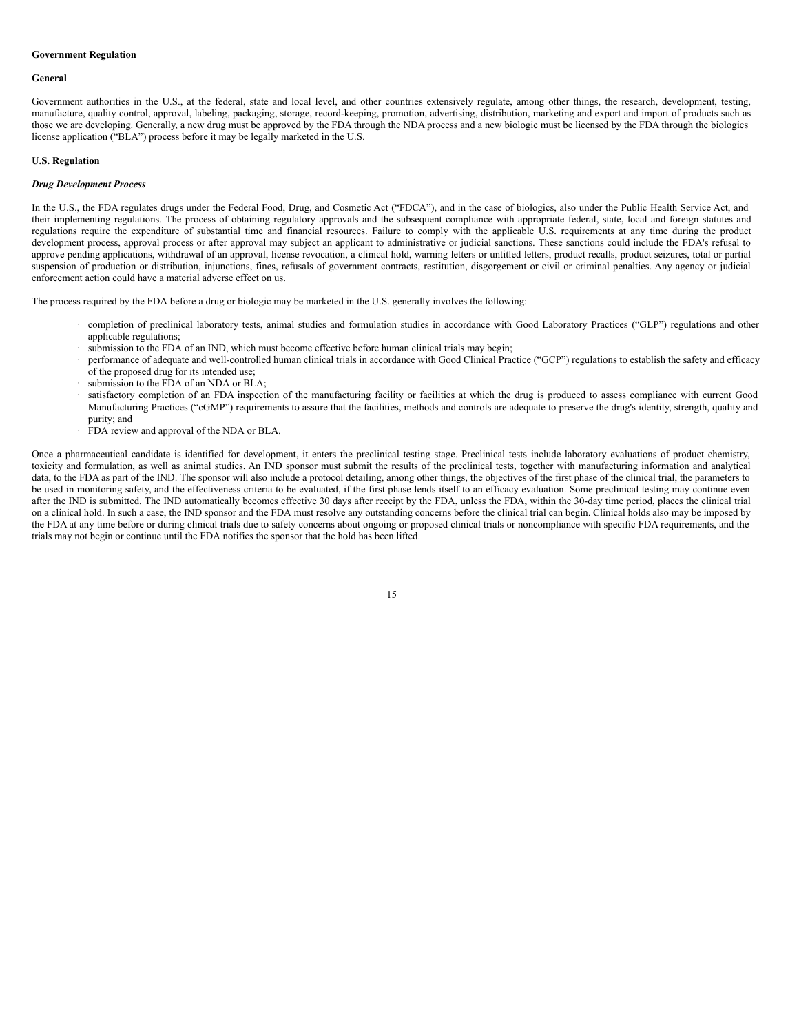# **Government Regulation**

#### **General**

Government authorities in the U.S., at the federal, state and local level, and other countries extensively regulate, among other things, the research, development, testing, manufacture, quality control, approval, labeling, packaging, storage, record-keeping, promotion, advertising, distribution, marketing and export and import of products such as those we are developing. Generally, a new drug must be approved by the FDA through the NDA process and a new biologic must be licensed by the FDA through the biologics license application ("BLA") process before it may be legally marketed in the U.S.

#### **U.S. Regulation**

## *Drug Development Process*

In the U.S., the FDA regulates drugs under the Federal Food, Drug, and Cosmetic Act ("FDCA"), and in the case of biologics, also under the Public Health Service Act, and their implementing regulations. The process of obtaining regulatory approvals and the subsequent compliance with appropriate federal, state, local and foreign statutes and regulations require the expenditure of substantial time and financial resources. Failure to comply with the applicable U.S. requirements at any time during the product development process, approval process or after approval may subject an applicant to administrative or judicial sanctions. These sanctions could include the FDA's refusal to approve pending applications, withdrawal of an approval, license revocation, a clinical hold, warning letters or untitled letters, product recalls, product seizures, total or partial suspension of production or distribution, injunctions, fines, refusals of government contracts, restitution, disgorgement or civil or criminal penalties. Any agency or judicial enforcement action could have a material adverse effect on us.

The process required by the FDA before a drug or biologic may be marketed in the U.S. generally involves the following:

- · completion of preclinical laboratory tests, animal studies and formulation studies in accordance with Good Laboratory Practices ("GLP") regulations and other applicable regulations;
- · submission to the FDA of an IND, which must become effective before human clinical trials may begin;
- · performance of adequate and well-controlled human clinical trials in accordance with Good Clinical Practice ("GCP") regulations to establish the safety and efficacy of the proposed drug for its intended use;
- · submission to the FDA of an NDA or BLA;
- satisfactory completion of an FDA inspection of the manufacturing facility or facilities at which the drug is produced to assess compliance with current Good Manufacturing Practices ("cGMP") requirements to assure that the facilities, methods and controls are adequate to preserve the drug's identity, strength, quality and purity; and
- · FDA review and approval of the NDA or BLA.

Once a pharmaceutical candidate is identified for development, it enters the preclinical testing stage. Preclinical tests include laboratory evaluations of product chemistry, toxicity and formulation, as well as animal studies. An IND sponsor must submit the results of the preclinical tests, together with manufacturing information and analytical data, to the FDA as part of the IND. The sponsor will also include a protocol detailing, among other things, the objectives of the first phase of the clinical trial, the parameters to be used in monitoring safety, and the effectiveness criteria to be evaluated, if the first phase lends itself to an efficacy evaluation. Some preclinical testing may continue even after the IND is submitted. The IND automatically becomes effective 30 days after receipt by the FDA, unless the FDA, within the 30-day time period, places the clinical trial on a clinical hold. In such a case, the IND sponsor and the FDA must resolve any outstanding concerns before the clinical trial can begin. Clinical holds also may be imposed by the FDA at any time before or during clinical trials due to safety concerns about ongoing or proposed clinical trials or noncompliance with specific FDA requirements, and the trials may not begin or continue until the FDA notifies the sponsor that the hold has been lifted.

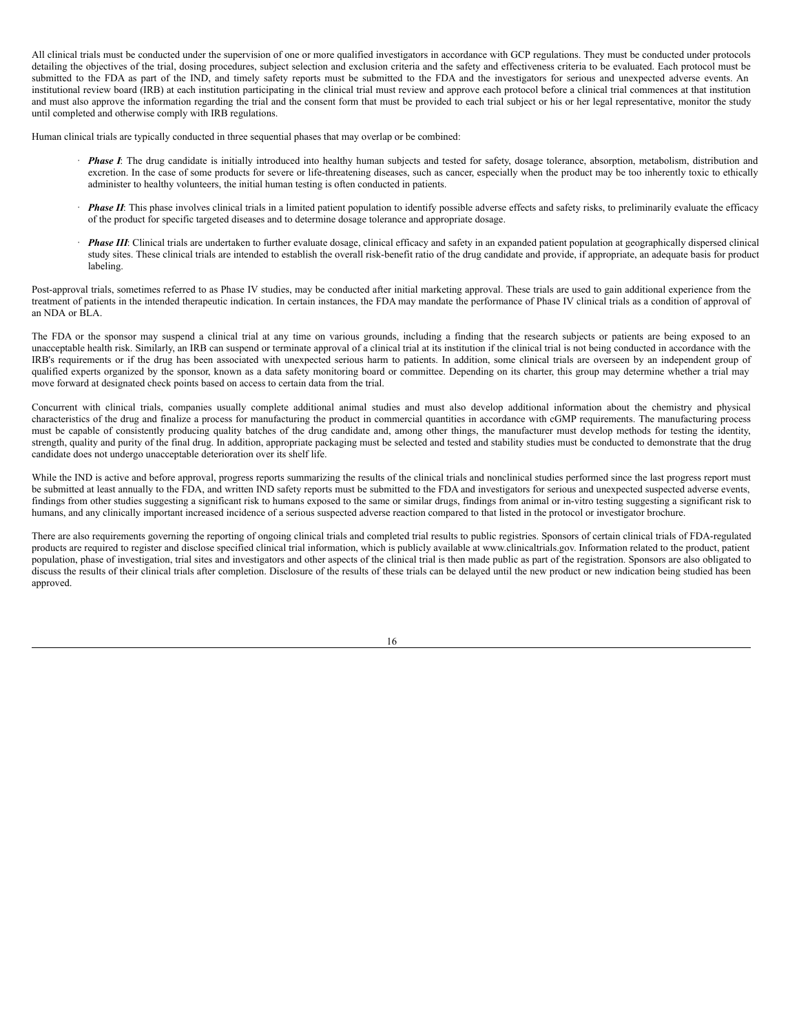All clinical trials must be conducted under the supervision of one or more qualified investigators in accordance with GCP regulations. They must be conducted under protocols detailing the objectives of the trial, dosing procedures, subject selection and exclusion criteria and the safety and effectiveness criteria to be evaluated. Each protocol must be submitted to the FDA as part of the IND, and timely safety reports must be submitted to the FDA and the investigators for serious and unexpected adverse events. An institutional review board (IRB) at each institution participating in the clinical trial must review and approve each protocol before a clinical trial commences at that institution and must also approve the information regarding the trial and the consent form that must be provided to each trial subject or his or her legal representative, monitor the study until completed and otherwise comply with IRB regulations.

Human clinical trials are typically conducted in three sequential phases that may overlap or be combined:

- · *Phase I*: The drug candidate is initially introduced into healthy human subjects and tested for safety, dosage tolerance, absorption, metabolism, distribution and excretion. In the case of some products for severe or life-threatening diseases, such as cancer, especially when the product may be too inherently toxic to ethically administer to healthy volunteers, the initial human testing is often conducted in patients.
- *Phase II*: This phase involves clinical trials in a limited patient population to identify possible adverse effects and safety risks, to preliminarily evaluate the efficacy of the product for specific targeted diseases and to determine dosage tolerance and appropriate dosage.
- · *Phase III*: Clinical trials are undertaken to further evaluate dosage, clinical efficacy and safety in an expanded patient population at geographically dispersed clinical study sites. These clinical trials are intended to establish the overall risk-benefit ratio of the drug candidate and provide, if appropriate, an adequate basis for product labeling.

Post-approval trials, sometimes referred to as Phase IV studies, may be conducted after initial marketing approval. These trials are used to gain additional experience from the treatment of patients in the intended therapeutic indication. In certain instances, the FDA may mandate the performance of Phase IV clinical trials as a condition of approval of an NDA or BLA.

The FDA or the sponsor may suspend a clinical trial at any time on various grounds, including a finding that the research subjects or patients are being exposed to an unacceptable health risk. Similarly, an IRB can suspend or terminate approval of a clinical trial at its institution if the clinical trial is not being conducted in accordance with the IRB's requirements or if the drug has been associated with unexpected serious harm to patients. In addition, some clinical trials are overseen by an independent group of qualified experts organized by the sponsor, known as a data safety monitoring board or committee. Depending on its charter, this group may determine whether a trial may move forward at designated check points based on access to certain data from the trial.

Concurrent with clinical trials, companies usually complete additional animal studies and must also develop additional information about the chemistry and physical characteristics of the drug and finalize a process for manufacturing the product in commercial quantities in accordance with cGMP requirements. The manufacturing process must be capable of consistently producing quality batches of the drug candidate and, among other things, the manufacturer must develop methods for testing the identity, strength, quality and purity of the final drug. In addition, appropriate packaging must be selected and tested and stability studies must be conducted to demonstrate that the drug candidate does not undergo unacceptable deterioration over its shelf life.

While the IND is active and before approval, progress reports summarizing the results of the clinical trials and nonclinical studies performed since the last progress report must be submitted at least annually to the FDA, and written IND safety reports must be submitted to the FDA and investigators for serious and unexpected suspected adverse events, findings from other studies suggesting a significant risk to humans exposed to the same or similar drugs, findings from animal or in-vitro testing suggesting a significant risk to humans, and any clinically important increased incidence of a serious suspected adverse reaction compared to that listed in the protocol or investigator brochure.

There are also requirements governing the reporting of ongoing clinical trials and completed trial results to public registries. Sponsors of certain clinical trials of FDA-regulated products are required to register and disclose specified clinical trial information, which is publicly available at www.clinicaltrials.gov. Information related to the product, patient population, phase of investigation, trial sites and investigators and other aspects of the clinical trial is then made public as part of the registration. Sponsors are also obligated to discuss the results of their clinical trials after completion. Disclosure of the results of these trials can be delayed until the new product or new indication being studied has been approved.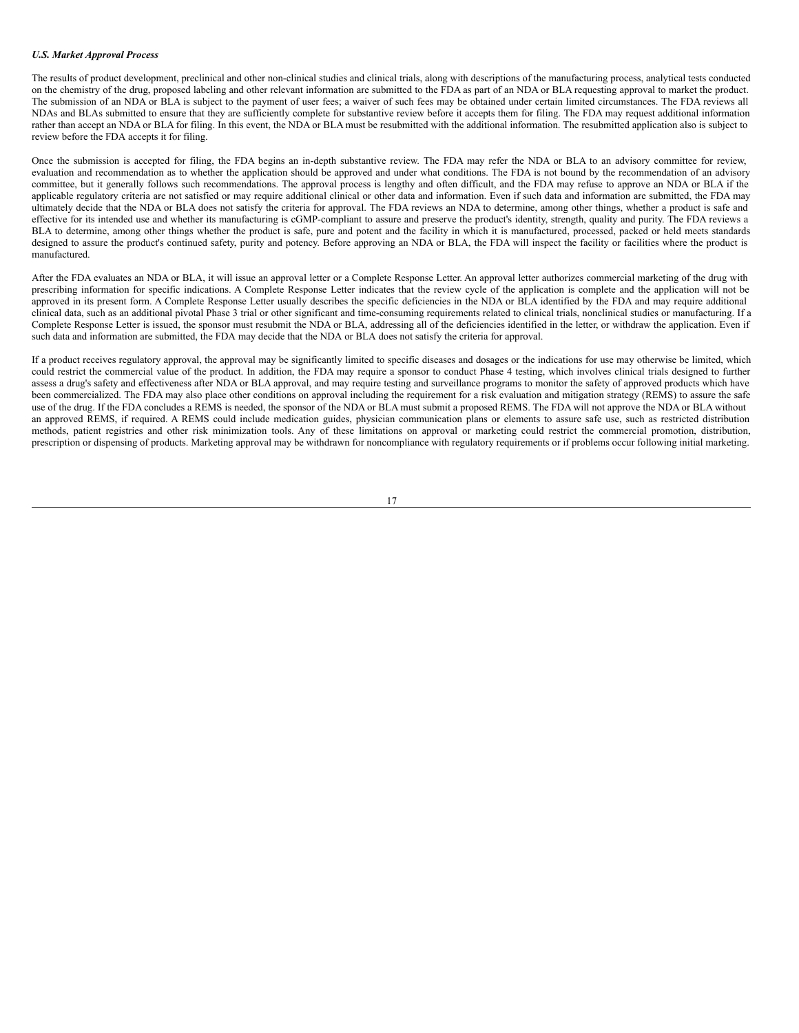### *U.S. Market Approval Process*

The results of product development, preclinical and other non-clinical studies and clinical trials, along with descriptions of the manufacturing process, analytical tests conducted on the chemistry of the drug, proposed labeling and other relevant information are submitted to the FDA as part of an NDA or BLA requesting approval to market the product. The submission of an NDA or BLA is subject to the payment of user fees; a waiver of such fees may be obtained under certain limited circumstances. The FDA reviews all NDAs and BLAs submitted to ensure that they are sufficiently complete for substantive review before it accepts them for filing. The FDA may request additional information rather than accept an NDA or BLA for filing. In this event, the NDA or BLA must be resubmitted with the additional information. The resubmitted application also is subject to review before the FDA accepts it for filing.

Once the submission is accepted for filing, the FDA begins an in-depth substantive review. The FDA may refer the NDA or BLA to an advisory committee for review, evaluation and recommendation as to whether the application should be approved and under what conditions. The FDA is not bound by the recommendation of an advisory committee, but it generally follows such recommendations. The approval process is lengthy and often difficult, and the FDA may refuse to approve an NDA or BLA if the applicable regulatory criteria are not satisfied or may require additional clinical or other data and information. Even if such data and information are submitted, the FDA may ultimately decide that the NDA or BLA does not satisfy the criteria for approval. The FDA reviews an NDA to determine, among other things, whether a product is safe and effective for its intended use and whether its manufacturing is cGMP-compliant to assure and preserve the product's identity, strength, quality and purity. The FDA reviews a BLA to determine, among other things whether the product is safe, pure and potent and the facility in which it is manufactured, processed, packed or held meets standards designed to assure the product's continued safety, purity and potency. Before approving an NDA or BLA, the FDA will inspect the facility or facilities where the product is manufactured.

After the FDA evaluates an NDA or BLA, it will issue an approval letter or a Complete Response Letter. An approval letter authorizes commercial marketing of the drug with prescribing information for specific indications. A Complete Response Letter indicates that the review cycle of the application is complete and the application will not be approved in its present form. A Complete Response Letter usually describes the specific deficiencies in the NDA or BLA identified by the FDA and may require additional clinical data, such as an additional pivotal Phase 3 trial or other significant and time-consuming requirements related to clinical trials, nonclinical studies or manufacturing. If a Complete Response Letter is issued, the sponsor must resubmit the NDA or BLA, addressing all of the deficiencies identified in the letter, or withdraw the application. Even if such data and information are submitted, the FDA may decide that the NDA or BLA does not satisfy the criteria for approval.

If a product receives regulatory approval, the approval may be significantly limited to specific diseases and dosages or the indications for use may otherwise be limited, which could restrict the commercial value of the product. In addition, the FDA may require a sponsor to conduct Phase 4 testing, which involves clinical trials designed to further assess a drug's safety and effectiveness after NDA or BLA approval, and may require testing and surveillance programs to monitor the safety of approved products which have been commercialized. The FDA may also place other conditions on approval including the requirement for a risk evaluation and mitigation strategy (REMS) to assure the safe use of the drug. If the FDA concludes a REMS is needed, the sponsor of the NDA or BLA must submit a proposed REMS. The FDA will not approve the NDA or BLA without an approved REMS, if required. A REMS could include medication guides, physician communication plans or elements to assure safe use, such as restricted distribution methods, patient registries and other risk minimization tools. Any of these limitations on approval or marketing could restrict the commercial promotion, distribution, prescription or dispensing of products. Marketing approval may be withdrawn for noncompliance with regulatory requirements or if problems occur following initial marketing.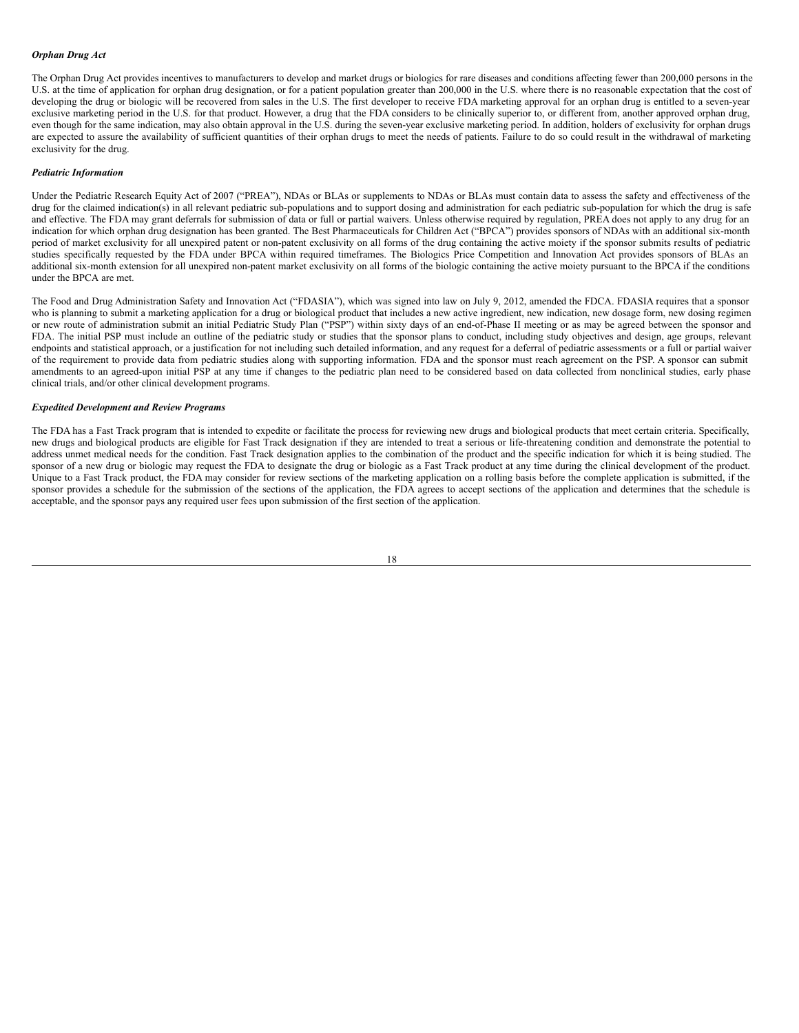## *Orphan Drug Act*

The Orphan Drug Act provides incentives to manufacturers to develop and market drugs or biologics for rare diseases and conditions affecting fewer than 200,000 persons in the U.S. at the time of application for orphan drug designation, or for a patient population greater than 200,000 in the U.S. where there is no reasonable expectation that the cost of developing the drug or biologic will be recovered from sales in the U.S. The first developer to receive FDA marketing approval for an orphan drug is entitled to a seven-year exclusive marketing period in the U.S. for that product. However, a drug that the FDA considers to be clinically superior to, or different from, another approved orphan drug, even though for the same indication, may also obtain approval in the U.S. during the seven-year exclusive marketing period. In addition, holders of exclusivity for orphan drugs are expected to assure the availability of sufficient quantities of their orphan drugs to meet the needs of patients. Failure to do so could result in the withdrawal of marketing exclusivity for the drug.

# *Pediatric Information*

Under the Pediatric Research Equity Act of 2007 ("PREA"), NDAs or BLAs or supplements to NDAs or BLAs must contain data to assess the safety and effectiveness of the drug for the claimed indication(s) in all relevant pediatric sub-populations and to support dosing and administration for each pediatric sub-population for which the drug is safe and effective. The FDA may grant deferrals for submission of data or full or partial waivers. Unless otherwise required by regulation, PREA does not apply to any drug for an indication for which orphan drug designation has been granted. The Best Pharmaceuticals for Children Act ("BPCA") provides sponsors of NDAs with an additional six-month period of market exclusivity for all unexpired patent or non-patent exclusivity on all forms of the drug containing the active moiety if the sponsor submits results of pediatric studies specifically requested by the FDA under BPCA within required timeframes. The Biologics Price Competition and Innovation Act provides sponsors of BLAs an additional six-month extension for all unexpired non-patent market exclusivity on all forms of the biologic containing the active moiety pursuant to the BPCA if the conditions under the BPCA are met.

The Food and Drug Administration Safety and Innovation Act ("FDASIA"), which was signed into law on July 9, 2012, amended the FDCA. FDASIA requires that a sponsor who is planning to submit a marketing application for a drug or biological product that includes a new active ingredient, new indication, new dosage form, new dosing regimen or new route of administration submit an initial Pediatric Study Plan ("PSP") within sixty days of an end-of-Phase II meeting or as may be agreed between the sponsor and FDA. The initial PSP must include an outline of the pediatric study or studies that the sponsor plans to conduct, including study objectives and design, age groups, relevant endpoints and statistical approach, or a justification for not including such detailed information, and any request for a deferral of pediatric assessments or a full or partial waiver of the requirement to provide data from pediatric studies along with supporting information. FDA and the sponsor must reach agreement on the PSP. A sponsor can submit amendments to an agreed-upon initial PSP at any time if changes to the pediatric plan need to be considered based on data collected from nonclinical studies, early phase clinical trials, and/or other clinical development programs.

### *Expedited Development and Review Programs*

The FDA has a Fast Track program that is intended to expedite or facilitate the process for reviewing new drugs and biological products that meet certain criteria. Specifically, new drugs and biological products are eligible for Fast Track designation if they are intended to treat a serious or life-threatening condition and demonstrate the potential to address unmet medical needs for the condition. Fast Track designation applies to the combination of the product and the specific indication for which it is being studied. The sponsor of a new drug or biologic may request the FDA to designate the drug or biologic as a Fast Track product at any time during the clinical development of the product. Unique to a Fast Track product, the FDA may consider for review sections of the marketing application on a rolling basis before the complete application is submitted, if the sponsor provides a schedule for the submission of the sections of the application, the FDA agrees to accept sections of the application and determines that the schedule is acceptable, and the sponsor pays any required user fees upon submission of the first section of the application.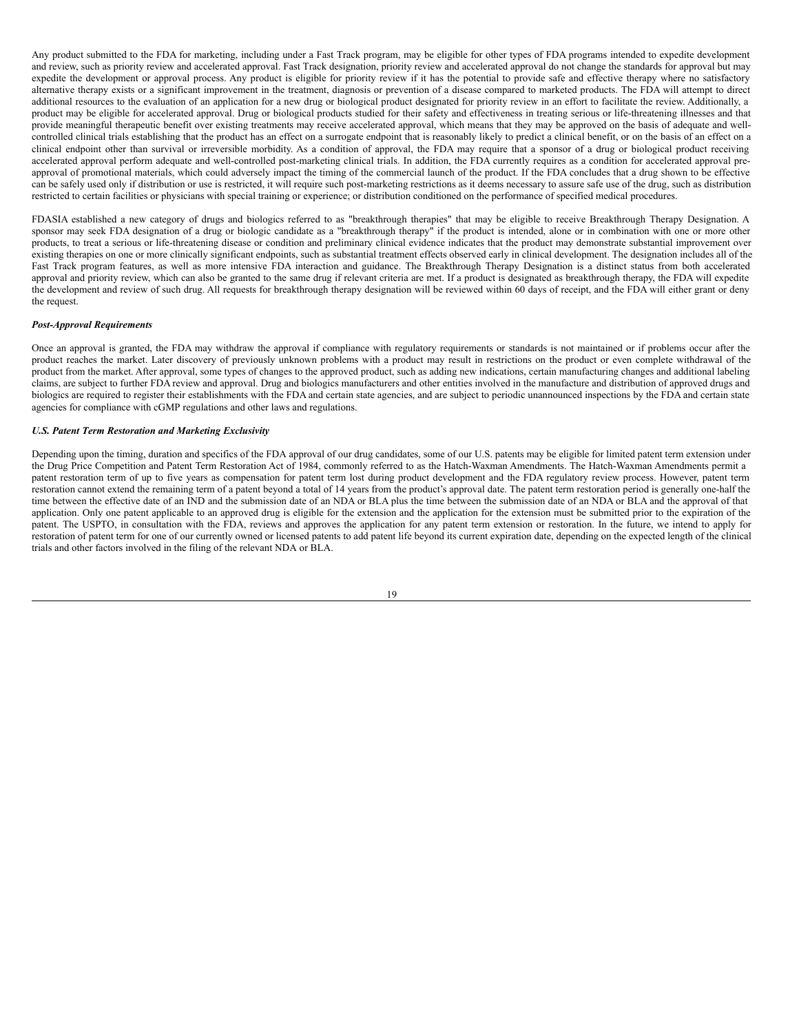Any product submitted to the FDA for marketing, including under a Fast Track program, may be eligible for other types of FDA programs intended to expedite development and review, such as priority review and accelerated approval. Fast Track designation, priority review and accelerated approval do not change the standards for approval but may expedite the development or approval process. Any product is eligible for priority review if it has the potential to provide safe and effective therapy where no satisfactory alternative therapy exists or a significant improvement in the treatment, diagnosis or prevention of a disease compared to marketed products. The FDA will attempt to direct additional resources to the evaluation of an application for a new drug or biological product designated for priority review in an effort to facilitate the review. Additionally, a product may be eligible for accelerated approval. Drug or biological products studied for their safety and effectiveness in treating serious or life-threatening illnesses and that provide meaningful therapeutic benefit over existing treatments may receive accelerated approval, which means that they may be approved on the basis of adequate and wellcontrolled clinical trials establishing that the product has an effect on a surrogate endpoint that is reasonably likely to predict a clinical benefit, or on the basis of an effect on a clinical endpoint other than survival or irreversible morbidity. As a condition of approval, the FDA may require that a sponsor of a drug or biological product receiving accelerated approval perform adequate and well-controlled post-marketing clinical trials. In addition, the FDA currently requires as a condition for accelerated approval preapproval of promotional materials, which could adversely impact the timing of the commercial launch of the product. If the FDA concludes that a drug shown to be effective can be safely used only if distribution or use is restricted, it will require such post-marketing restrictions as it deems necessary to assure safe use of the drug, such as distribution restricted to certain facilities or physicians with special training or experience; or distribution conditioned on the performance of specified medical procedures.

FDASIA established a new category of drugs and biologics referred to as "breakthrough therapies" that may be eligible to receive Breakthrough Therapy Designation. A sponsor may seek FDA designation of a drug or biologic candidate as a "breakthrough therapy" if the product is intended, alone or in combination with one or more other products, to treat a serious or life-threatening disease or condition and preliminary clinical evidence indicates that the product may demonstrate substantial improvement over existing therapies on one or more clinically significant endpoints, such as substantial treatment effects observed early in clinical development. The designation includes all of the Fast Track program features, as well as more intensive FDA interaction and guidance. The Breakthrough Therapy Designation is a distinct status from both accelerated approval and priority review, which can also be granted to the same drug if relevant criteria are met. If a product is designated as breakthrough therapy, the FDA will expedite the development and review of such drug. All requests for breakthrough therapy designation will be reviewed within 60 days of receipt, and the FDA will either grant or deny the request.

# *Post-Approval Requirements*

Once an approval is granted, the FDA may withdraw the approval if compliance with regulatory requirements or standards is not maintained or if problems occur after the product reaches the market. Later discovery of previously unknown problems with a product may result in restrictions on the product or even complete withdrawal of the product from the market. After approval, some types of changes to the approved product, such as adding new indications, certain manufacturing changes and additional labeling claims, are subject to further FDA review and approval. Drug and biologics manufacturers and other entities involved in the manufacture and distribution of approved drugs and biologics are required to register their establishments with the FDA and certain state agencies, and are subject to periodic unannounced inspections by the FDA and certain state agencies for compliance with cGMP regulations and other laws and regulations.

# *U.S. Patent Term Restoration and Marketing Exclusivity*

Depending upon the timing, duration and specifics of the FDA approval of our drug candidates, some of our U.S. patents may be eligible for limited patent term extension under the Drug Price Competition and Patent Term Restoration Act of 1984, commonly referred to as the Hatch-Waxman Amendments. The Hatch-Waxman Amendments permit a patent restoration term of up to five years as compensation for patent term lost during product development and the FDA regulatory review process. However, patent term restoration cannot extend the remaining term of a patent beyond a total of 14 years from the product's approval date. The patent term restoration period is generally one-half the time between the effective date of an IND and the submission date of an NDA or BLA plus the time between the submission date of an NDA or BLA and the approval of that application. Only one patent applicable to an approved drug is eligible for the extension and the application for the extension must be submitted prior to the expiration of the patent. The USPTO, in consultation with the FDA, reviews and approves the application for any patent term extension or restoration. In the future, we intend to apply for restoration of patent term for one of our currently owned or licensed patents to add patent life beyond its current expiration date, depending on the expected length of the clinical trials and other factors involved in the filing of the relevant NDA or BLA.

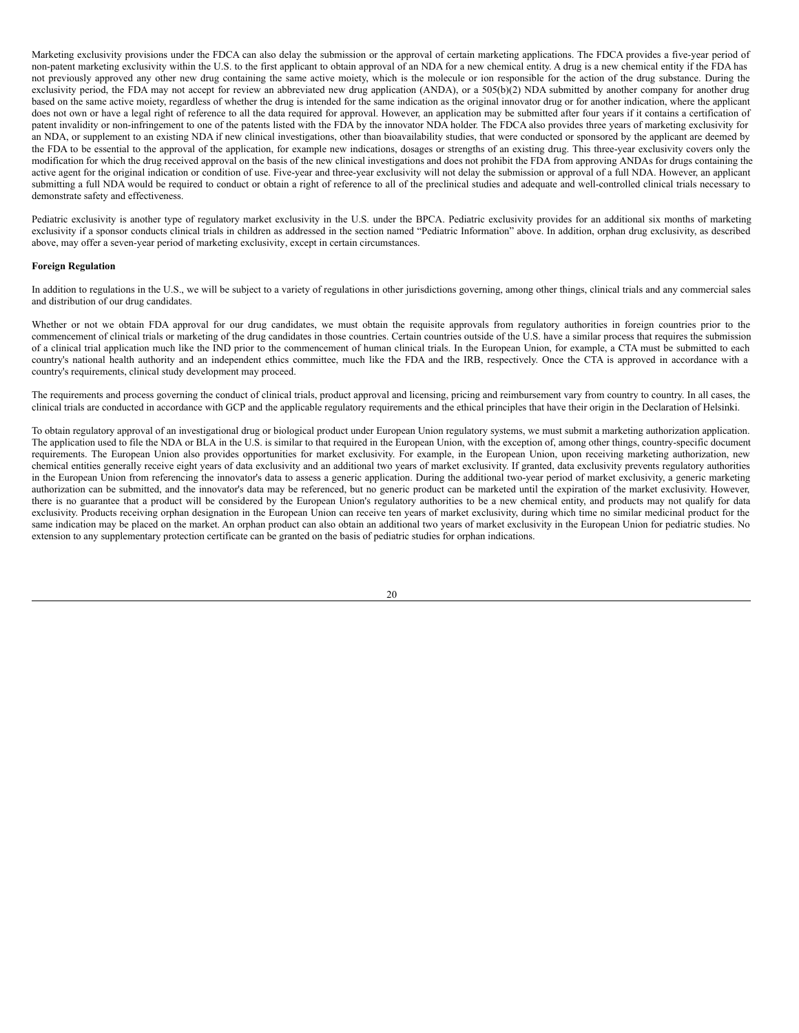Marketing exclusivity provisions under the FDCA can also delay the submission or the approval of certain marketing applications. The FDCA provides a five-year period of non-patent marketing exclusivity within the U.S. to the first applicant to obtain approval of an NDA for a new chemical entity. A drug is a new chemical entity if the FDA has not previously approved any other new drug containing the same active moiety, which is the molecule or ion responsible for the action of the drug substance. During the exclusivity period, the FDA may not accept for review an abbreviated new drug application (ANDA), or a 505(b)(2) NDA submitted by another company for another drug based on the same active moiety, regardless of whether the drug is intended for the same indication as the original innovator drug or for another indication, where the applicant does not own or have a legal right of reference to all the data required for approval. However, an application may be submitted after four years if it contains a certification of patent invalidity or non-infringement to one of the patents listed with the FDA by the innovator NDA holder. The FDCA also provides three years of marketing exclusivity for an NDA, or supplement to an existing NDA if new clinical investigations, other than bioavailability studies, that were conducted or sponsored by the applicant are deemed by the FDA to be essential to the approval of the application, for example new indications, dosages or strengths of an existing drug. This three-year exclusivity covers only the modification for which the drug received approval on the basis of the new clinical investigations and does not prohibit the FDA from approving ANDAs for drugs containing the active agent for the original indication or condition of use. Five-year and three-year exclusivity will not delay the submission or approval of a full NDA. However, an applicant submitting a full NDA would be required to conduct or obtain a right of reference to all of the preclinical studies and adequate and well-controlled clinical trials necessary to demonstrate safety and effectiveness.

Pediatric exclusivity is another type of regulatory market exclusivity in the U.S. under the BPCA. Pediatric exclusivity provides for an additional six months of marketing exclusivity if a sponsor conducts clinical trials in children as addressed in the section named "Pediatric Information" above. In addition, orphan drug exclusivity, as described above, may offer a seven-year period of marketing exclusivity, except in certain circumstances.

# **Foreign Regulation**

In addition to regulations in the U.S., we will be subject to a variety of regulations in other jurisdictions governing, among other things, clinical trials and any commercial sales and distribution of our drug candidates.

Whether or not we obtain FDA approval for our drug candidates, we must obtain the requisite approvals from regulatory authorities in foreign countries prior to the commencement of clinical trials or marketing of the drug candidates in those countries. Certain countries outside of the U.S. have a similar process that requires the submission of a clinical trial application much like the IND prior to the commencement of human clinical trials. In the European Union, for example, a CTA must be submitted to each country's national health authority and an independent ethics committee, much like the FDA and the IRB, respectively. Once the CTA is approved in accordance with a country's requirements, clinical study development may proceed.

The requirements and process governing the conduct of clinical trials, product approval and licensing, pricing and reimbursement vary from country to country. In all cases, the clinical trials are conducted in accordance with GCP and the applicable regulatory requirements and the ethical principles that have their origin in the Declaration of Helsinki.

To obtain regulatory approval of an investigational drug or biological product under European Union regulatory systems, we must submit a marketing authorization application. The application used to file the NDA or BLA in the U.S. is similar to that required in the European Union, with the exception of, among other things, country-specific document requirements. The European Union also provides opportunities for market exclusivity. For example, in the European Union, upon receiving marketing authorization, new chemical entities generally receive eight years of data exclusivity and an additional two years of market exclusivity. If granted, data exclusivity prevents regulatory authorities in the European Union from referencing the innovator's data to assess a generic application. During the additional two-year period of market exclusivity, a generic marketing authorization can be submitted, and the innovator's data may be referenced, but no generic product can be marketed until the expiration of the market exclusivity. However, there is no guarantee that a product will be considered by the European Union's regulatory authorities to be a new chemical entity, and products may not qualify for data exclusivity. Products receiving orphan designation in the European Union can receive ten years of market exclusivity, during which time no similar medicinal product for the same indication may be placed on the market. An orphan product can also obtain an additional two years of market exclusivity in the European Union for pediatric studies. No extension to any supplementary protection certificate can be granted on the basis of pediatric studies for orphan indications.

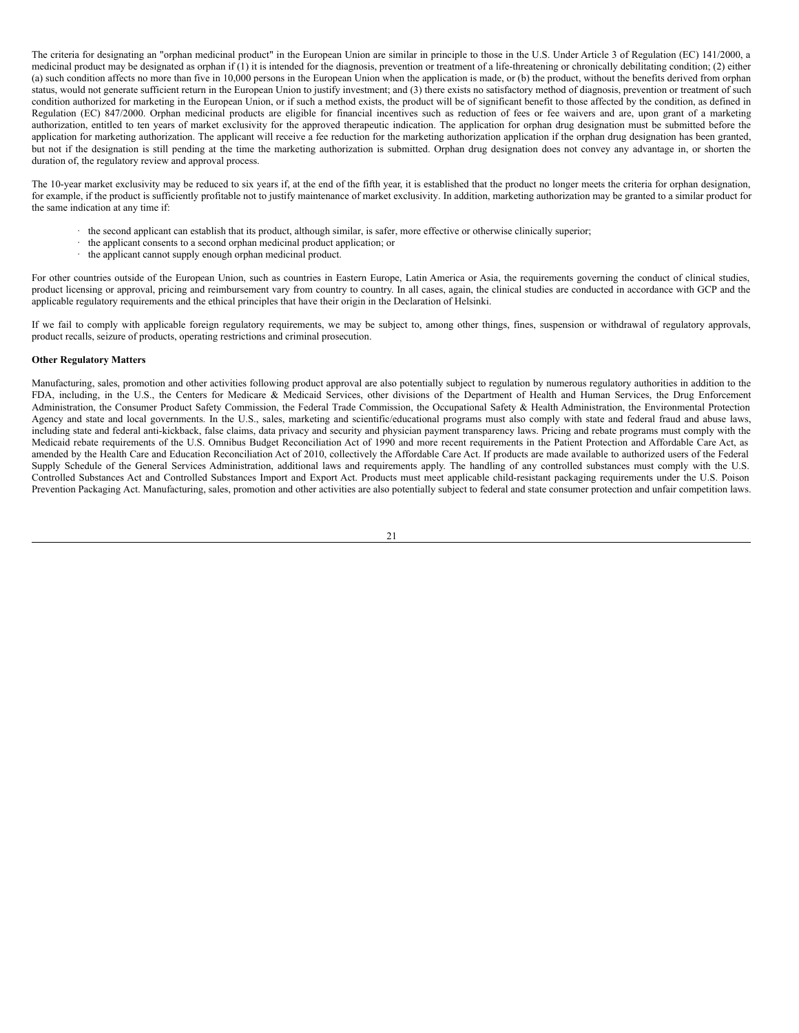The criteria for designating an "orphan medicinal product" in the European Union are similar in principle to those in the U.S. Under Article 3 of Regulation (EC) 141/2000, a medicinal product may be designated as orphan if (1) it is intended for the diagnosis, prevention or treatment of a life-threatening or chronically debilitating condition; (2) either (a) such condition affects no more than five in 10,000 persons in the European Union when the application is made, or (b) the product, without the benefits derived from orphan status, would not generate sufficient return in the European Union to justify investment; and (3) there exists no satisfactory method of diagnosis, prevention or treatment of such condition authorized for marketing in the European Union, or if such a method exists, the product will be of significant benefit to those affected by the condition, as defined in Regulation (EC) 847/2000. Orphan medicinal products are eligible for financial incentives such as reduction of fees or fee waivers and are, upon grant of a marketing authorization, entitled to ten years of market exclusivity for the approved therapeutic indication. The application for orphan drug designation must be submitted before the application for marketing authorization. The applicant will receive a fee reduction for the marketing authorization application if the orphan drug designation has been granted, but not if the designation is still pending at the time the marketing authorization is submitted. Orphan drug designation does not convey any advantage in, or shorten the duration of, the regulatory review and approval process.

The 10-year market exclusivity may be reduced to six years if, at the end of the fifth year, it is established that the product no longer meets the criteria for orphan designation, for example, if the product is sufficiently profitable not to justify maintenance of market exclusivity. In addition, marketing authorization may be granted to a similar product for the same indication at any time if:

- · the second applicant can establish that its product, although similar, is safer, more effective or otherwise clinically superior;
- · the applicant consents to a second orphan medicinal product application; or
- · the applicant cannot supply enough orphan medicinal product.

For other countries outside of the European Union, such as countries in Eastern Europe, Latin America or Asia, the requirements governing the conduct of clinical studies, product licensing or approval, pricing and reimbursement vary from country to country. In all cases, again, the clinical studies are conducted in accordance with GCP and the applicable regulatory requirements and the ethical principles that have their origin in the Declaration of Helsinki.

If we fail to comply with applicable foreign regulatory requirements, we may be subject to, among other things, fines, suspension or withdrawal of regulatory approvals, product recalls, seizure of products, operating restrictions and criminal prosecution.

#### **Other Regulatory Matters**

Manufacturing, sales, promotion and other activities following product approval are also potentially subject to regulation by numerous regulatory authorities in addition to the FDA, including, in the U.S., the Centers for Medicare & Medicaid Services, other divisions of the Department of Health and Human Services, the Drug Enforcement Administration, the Consumer Product Safety Commission, the Federal Trade Commission, the Occupational Safety & Health Administration, the Environmental Protection Agency and state and local governments. In the U.S., sales, marketing and scientific/educational programs must also comply with state and federal fraud and abuse laws, including state and federal anti-kickback, false claims, data privacy and security and physician payment transparency laws. Pricing and rebate programs must comply with the Medicaid rebate requirements of the U.S. Omnibus Budget Reconciliation Act of 1990 and more recent requirements in the Patient Protection and Affordable Care Act, as amended by the Health Care and Education Reconciliation Act of 2010, collectively the Affordable Care Act. If products are made available to authorized users of the Federal Supply Schedule of the General Services Administration, additional laws and requirements apply. The handling of any controlled substances must comply with the U.S. Controlled Substances Act and Controlled Substances Import and Export Act. Products must meet applicable child-resistant packaging requirements under the U.S. Poison Prevention Packaging Act. Manufacturing, sales, promotion and other activities are also potentially subject to federal and state consumer protection and unfair competition laws.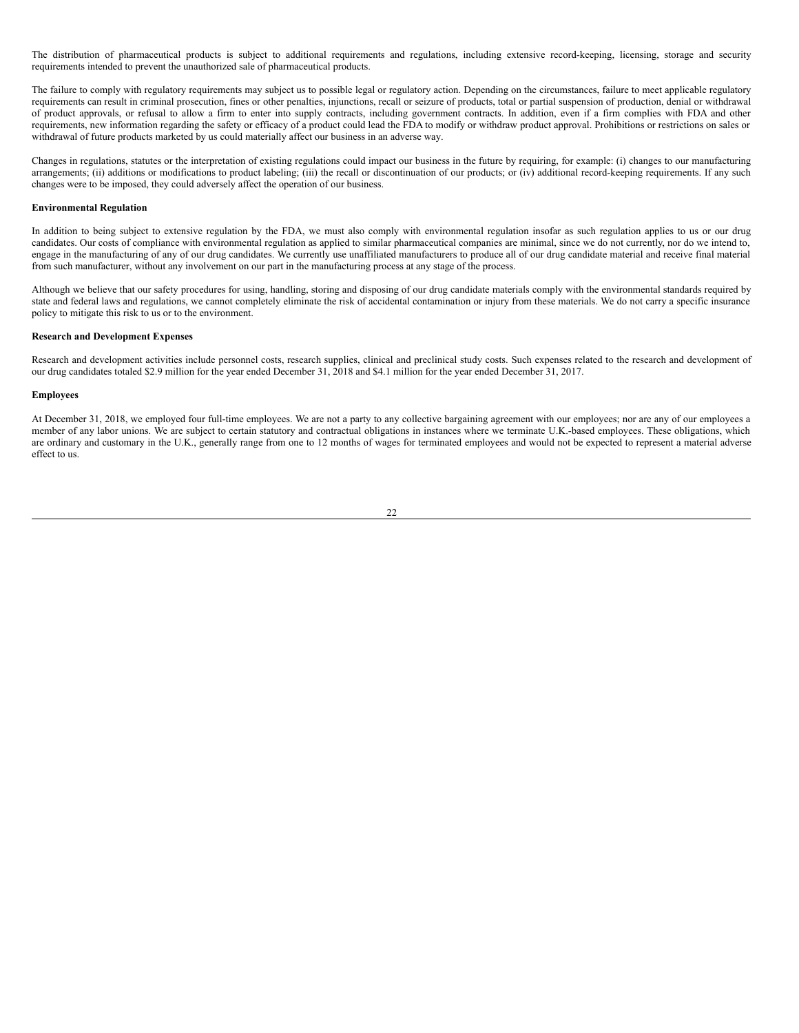The distribution of pharmaceutical products is subject to additional requirements and regulations, including extensive record-keeping, licensing, storage and security requirements intended to prevent the unauthorized sale of pharmaceutical products.

The failure to comply with regulatory requirements may subject us to possible legal or regulatory action. Depending on the circumstances, failure to meet applicable regulatory requirements can result in criminal prosecution, fines or other penalties, injunctions, recall or seizure of products, total or partial suspension of production, denial or withdrawal of product approvals, or refusal to allow a firm to enter into supply contracts, including government contracts. In addition, even if a firm complies with FDA and other requirements, new information regarding the safety or efficacy of a product could lead the FDA to modify or withdraw product approval. Prohibitions or restrictions on sales or withdrawal of future products marketed by us could materially affect our business in an adverse way.

Changes in regulations, statutes or the interpretation of existing regulations could impact our business in the future by requiring, for example: (i) changes to our manufacturing arrangements; (ii) additions or modifications to product labeling; (iii) the recall or discontinuation of our products; or (iv) additional record-keeping requirements. If any such changes were to be imposed, they could adversely affect the operation of our business.

## **Environmental Regulation**

In addition to being subject to extensive regulation by the FDA, we must also comply with environmental regulation insofar as such regulation applies to us or our drug candidates. Our costs of compliance with environmental regulation as applied to similar pharmaceutical companies are minimal, since we do not currently, nor do we intend to, engage in the manufacturing of any of our drug candidates. We currently use unaffiliated manufacturers to produce all of our drug candidate material and receive final material from such manufacturer, without any involvement on our part in the manufacturing process at any stage of the process.

Although we believe that our safety procedures for using, handling, storing and disposing of our drug candidate materials comply with the environmental standards required by state and federal laws and regulations, we cannot completely eliminate the risk of accidental contamination or injury from these materials. We do not carry a specific insurance policy to mitigate this risk to us or to the environment.

#### **Research and Development Expenses**

Research and development activities include personnel costs, research supplies, clinical and preclinical study costs. Such expenses related to the research and development of our drug candidates totaled \$2.9 million for the year ended December 31, 2018 and \$4.1 million for the year ended December 31, 2017.

#### **Employees**

At December 31, 2018, we employed four full-time employees. We are not a party to any collective bargaining agreement with our employees; nor are any of our employees a member of any labor unions. We are subject to certain statutory and contractual obligations in instances where we terminate U.K.-based employees. These obligations, which are ordinary and customary in the U.K., generally range from one to 12 months of wages for terminated employees and would not be expected to represent a material adverse effect to us.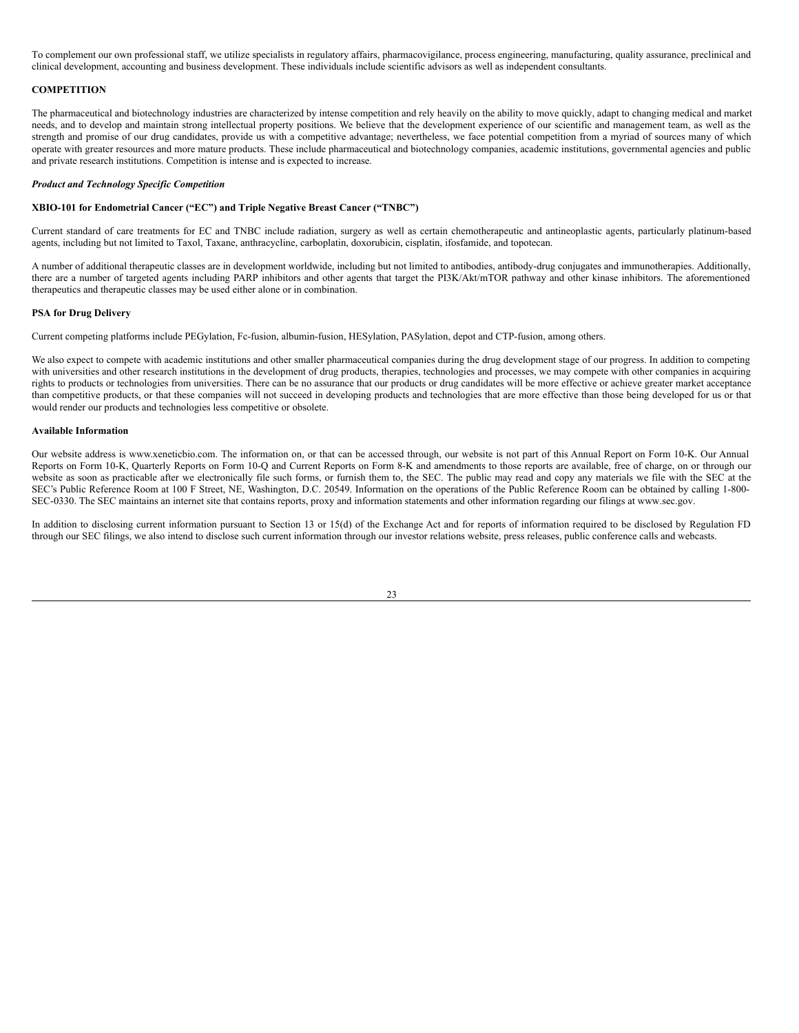To complement our own professional staff, we utilize specialists in regulatory affairs, pharmacovigilance, process engineering, manufacturing, quality assurance, preclinical and clinical development, accounting and business development. These individuals include scientific advisors as well as independent consultants.

# **COMPETITION**

The pharmaceutical and biotechnology industries are characterized by intense competition and rely heavily on the ability to move quickly, adapt to changing medical and market needs, and to develop and maintain strong intellectual property positions. We believe that the development experience of our scientific and management team, as well as the strength and promise of our drug candidates, provide us with a competitive advantage; nevertheless, we face potential competition from a myriad of sources many of which operate with greater resources and more mature products. These include pharmaceutical and biotechnology companies, academic institutions, governmental agencies and public and private research institutions. Competition is intense and is expected to increase.

#### *Product and Technology Specific Competition*

# **XBIO-101 for Endometrial Cancer ("EC") and Triple Negative Breast Cancer ("TNBC")**

Current standard of care treatments for EC and TNBC include radiation, surgery as well as certain chemotherapeutic and antineoplastic agents, particularly platinum-based agents, including but not limited to Taxol, Taxane, anthracycline, carboplatin, doxorubicin, cisplatin, ifosfamide, and topotecan.

A number of additional therapeutic classes are in development worldwide, including but not limited to antibodies, antibody-drug conjugates and immunotherapies. Additionally, there are a number of targeted agents including PARP inhibitors and other agents that target the PI3K/Akt/mTOR pathway and other kinase inhibitors. The aforementioned therapeutics and therapeutic classes may be used either alone or in combination.

## **PSA for Drug Delivery**

Current competing platforms include PEGylation, Fc-fusion, albumin-fusion, HESylation, PASylation, depot and CTP-fusion, among others.

We also expect to compete with academic institutions and other smaller pharmaceutical companies during the drug development stage of our progress. In addition to competing with universities and other research institutions in the development of drug products, therapies, technologies and processes, we may compete with other companies in acquiring rights to products or technologies from universities. There can be no assurance that our products or drug candidates will be more effective or achieve greater market acceptance than competitive products, or that these companies will not succeed in developing products and technologies that are more effective than those being developed for us or that would render our products and technologies less competitive or obsolete.

## **Available Information**

Our website address is www.xeneticbio.com. The information on, or that can be accessed through, our website is not part of this Annual Report on Form 10-K. Our Annual Reports on Form 10-K, Quarterly Reports on Form 10-Q and Current Reports on Form 8-K and amendments to those reports are available, free of charge, on or through our website as soon as practicable after we electronically file such forms, or furnish them to, the SEC. The public may read and copy any materials we file with the SEC at the SEC's Public Reference Room at 100 F Street, NE, Washington, D.C. 20549. Information on the operations of the Public Reference Room can be obtained by calling 1-800- SEC-0330. The SEC maintains an internet site that contains reports, proxy and information statements and other information regarding our filings at www.sec.gov.

In addition to disclosing current information pursuant to Section 13 or 15(d) of the Exchange Act and for reports of information required to be disclosed by Regulation FD through our SEC filings, we also intend to disclose such current information through our investor relations website, press releases, public conference calls and webcasts.

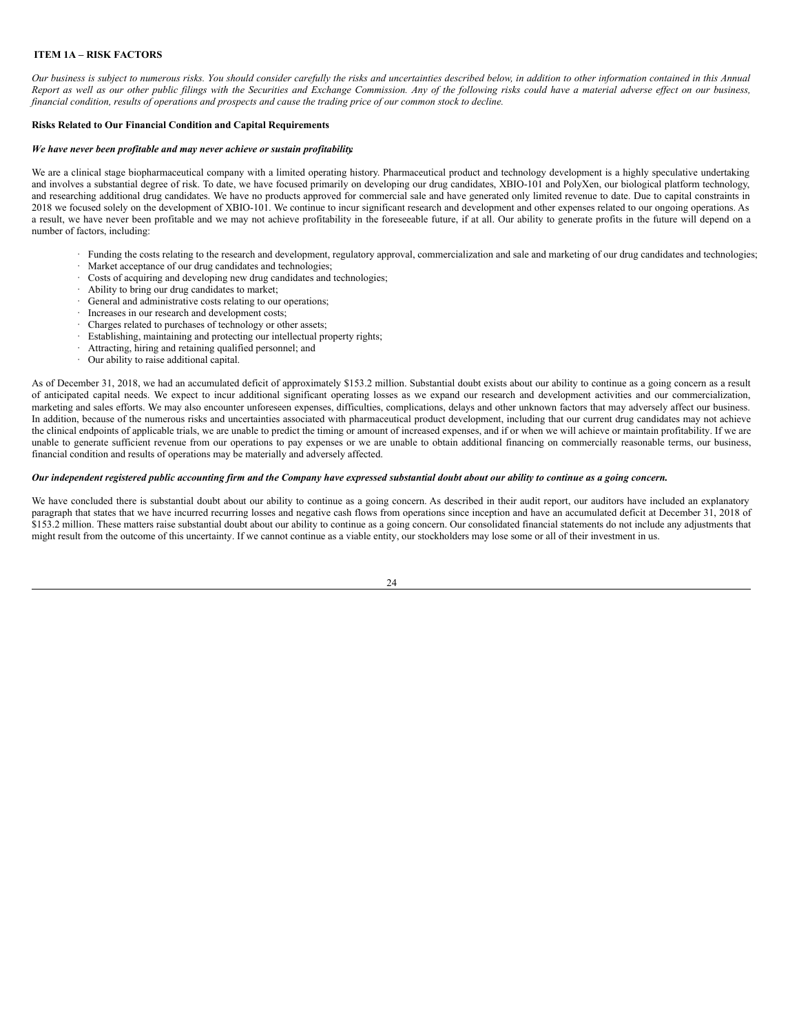# <span id="page-24-0"></span>**ITEM 1A – RISK FACTORS**

Our business is subject to numerous risks. You should consider carefully the risks and uncertainties described below, in addition to other information contained in this Annual Report as well as our other public filings with the Securities and Exchange Commission. Any of the following risks could have a material adverse effect on our business, financial condition, results of operations and prospects and cause the trading price of our common stock to decline.

#### **Risks Related to Our Financial Condition and Capital Requirements**

#### *We have never been profitable and may never achieve or sustain profitability***.**

We are a clinical stage biopharmaceutical company with a limited operating history. Pharmaceutical product and technology development is a highly speculative undertaking and involves a substantial degree of risk. To date, we have focused primarily on developing our drug candidates, XBIO-101 and PolyXen, our biological platform technology, and researching additional drug candidates. We have no products approved for commercial sale and have generated only limited revenue to date. Due to capital constraints in 2018 we focused solely on the development of XBIO-101. We continue to incur significant research and development and other expenses related to our ongoing operations. As a result, we have never been profitable and we may not achieve profitability in the foreseeable future, if at all. Our ability to generate profits in the future will depend on a number of factors, including:

- · Funding the costs relating to the research and development, regulatory approval, commercialization and sale and marketing of our drug candidates and technologies;
- · Market acceptance of our drug candidates and technologies;
- · Costs of acquiring and developing new drug candidates and technologies;
- · Ability to bring our drug candidates to market;
- · General and administrative costs relating to our operations;
- · Increases in our research and development costs;
- · Charges related to purchases of technology or other assets;
- · Establishing, maintaining and protecting our intellectual property rights;
- · Attracting, hiring and retaining qualified personnel; and
- · Our ability to raise additional capital.

As of December 31, 2018, we had an accumulated deficit of approximately \$153.2 million. Substantial doubt exists about our ability to continue as a going concern as a result of anticipated capital needs. We expect to incur additional significant operating losses as we expand our research and development activities and our commercialization, marketing and sales efforts. We may also encounter unforeseen expenses, difficulties, complications, delays and other unknown factors that may adversely affect our business. In addition, because of the numerous risks and uncertainties associated with pharmaceutical product development, including that our current drug candidates may not achieve the clinical endpoints of applicable trials, we are unable to predict the timing or amount of increased expenses, and if or when we will achieve or maintain profitability. If we are unable to generate sufficient revenue from our operations to pay expenses or we are unable to obtain additional financing on commercially reasonable terms, our business, financial condition and results of operations may be materially and adversely affected.

#### Our independent registered public accounting firm and the Company have expressed substantial doubt about our ability to continue as a going concern.

We have concluded there is substantial doubt about our ability to continue as a going concern. As described in their audit report, our auditors have included an explanatory paragraph that states that we have incurred recurring losses and negative cash flows from operations since inception and have an accumulated deficit at December 31, 2018 of \$153.2 million. These matters raise substantial doubt about our ability to continue as a going concern. Our consolidated financial statements do not include any adjustments that might result from the outcome of this uncertainty. If we cannot continue as a viable entity, our stockholders may lose some or all of their investment in us.

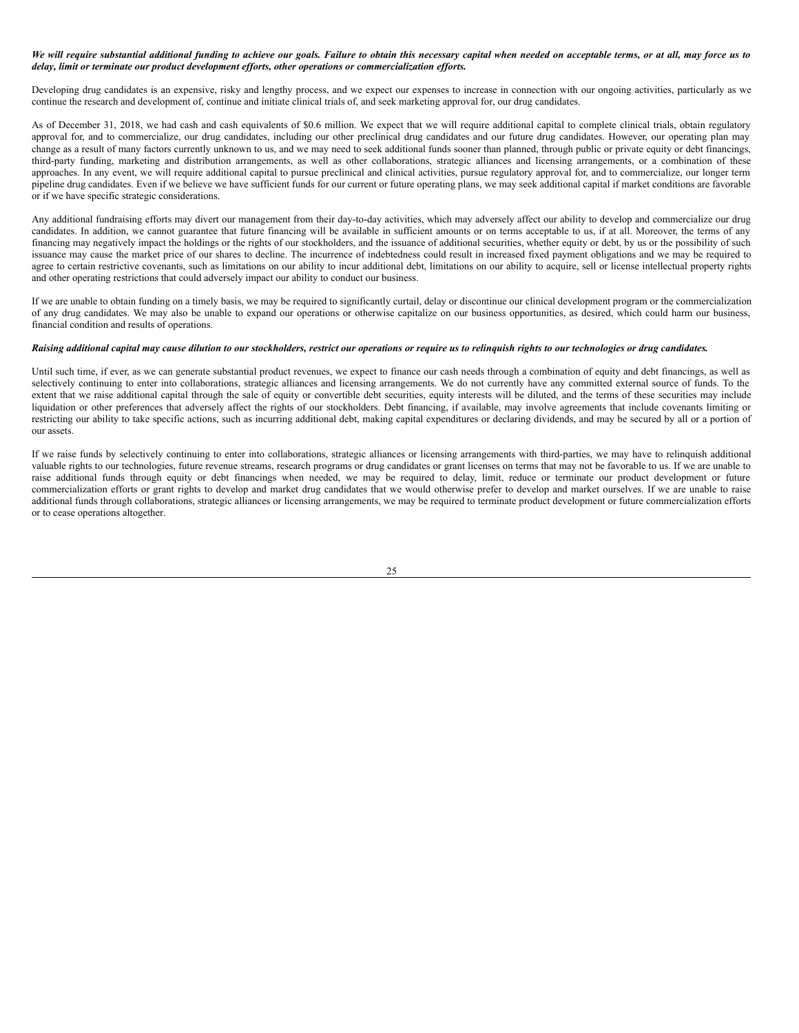## We will require substantial additional funding to achieve our goals. Failure to obtain this necessary capital when needed on acceptable terms, or at all, may force us to *delay, limit or terminate our product development ef orts, other operations or commercialization ef orts.*

Developing drug candidates is an expensive, risky and lengthy process, and we expect our expenses to increase in connection with our ongoing activities, particularly as we continue the research and development of, continue and initiate clinical trials of, and seek marketing approval for, our drug candidates.

As of December 31, 2018, we had cash and cash equivalents of \$0.6 million. We expect that we will require additional capital to complete clinical trials, obtain regulatory approval for, and to commercialize, our drug candidates, including our other preclinical drug candidates and our future drug candidates. However, our operating plan may change as a result of many factors currently unknown to us, and we may need to seek additional funds sooner than planned, through public or private equity or debt financings, third-party funding, marketing and distribution arrangements, as well as other collaborations, strategic alliances and licensing arrangements, or a combination of these approaches. In any event, we will require additional capital to pursue preclinical and clinical activities, pursue regulatory approval for, and to commercialize, our longer term pipeline drug candidates. Even if we believe we have sufficient funds for our current or future operating plans, we may seek additional capital if market conditions are favorable or if we have specific strategic considerations.

Any additional fundraising efforts may divert our management from their day-to-day activities, which may adversely affect our ability to develop and commercialize our drug candidates. In addition, we cannot guarantee that future financing will be available in sufficient amounts or on terms acceptable to us, if at all. Moreover, the terms of any financing may negatively impact the holdings or the rights of our stockholders, and the issuance of additional securities, whether equity or debt, by us or the possibility of such issuance may cause the market price of our shares to decline. The incurrence of indebtedness could result in increased fixed payment obligations and we may be required to agree to certain restrictive covenants, such as limitations on our ability to incur additional debt, limitations on our ability to acquire, sell or license intellectual property rights and other operating restrictions that could adversely impact our ability to conduct our business.

If we are unable to obtain funding on a timely basis, we may be required to significantly curtail, delay or discontinue our clinical development program or the commercialization of any drug candidates. We may also be unable to expand our operations or otherwise capitalize on our business opportunities, as desired, which could harm our business, financial condition and results of operations.

#### Raising additional capital may cause dilution to our stockholders, restrict our operations or require us to relinquish rights to our technologies or drug candidates.

Until such time, if ever, as we can generate substantial product revenues, we expect to finance our cash needs through a combination of equity and debt financings, as well as selectively continuing to enter into collaborations, strategic alliances and licensing arrangements. We do not currently have any committed external source of funds. To the extent that we raise additional capital through the sale of equity or convertible debt securities, equity interests will be diluted, and the terms of these securities may include liquidation or other preferences that adversely affect the rights of our stockholders. Debt financing, if available, may involve agreements that include covenants limiting or restricting our ability to take specific actions, such as incurring additional debt, making capital expenditures or declaring dividends, and may be secured by all or a portion of our assets.

If we raise funds by selectively continuing to enter into collaborations, strategic alliances or licensing arrangements with third-parties, we may have to relinquish additional valuable rights to our technologies, future revenue streams, research programs or drug candidates or grant licenses on terms that may not be favorable to us. If we are unable to raise additional funds through equity or debt financings when needed, we may be required to delay, limit, reduce or terminate our product development or future commercialization efforts or grant rights to develop and market drug candidates that we would otherwise prefer to develop and market ourselves. If we are unable to raise additional funds through collaborations, strategic alliances or licensing arrangements, we may be required to terminate product development or future commercialization efforts or to cease operations altogether.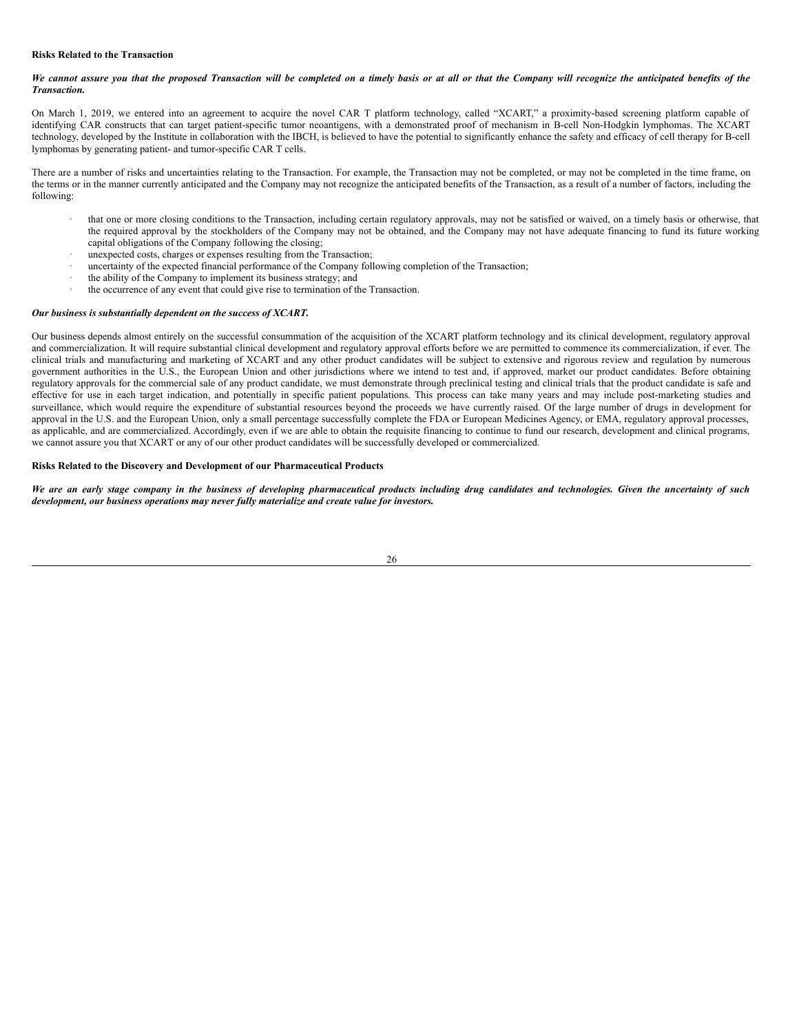## **Risks Related to the Transaction**

## We cannot assure you that the proposed Transaction will be completed on a timely basis or at all or that the Company will recognize the anticipated benefits of the *Transaction.*

On March 1, 2019, we entered into an agreement to acquire the novel CAR T platform technology, called "XCART," a proximity-based screening platform capable of identifying CAR constructs that can target patient-specific tumor neoantigens, with a demonstrated proof of mechanism in B-cell Non-Hodgkin lymphomas. The XCART technology, developed by the Institute in collaboration with the IBCH, is believed to have the potential to significantly enhance the safety and efficacy of cell therapy for B-cell lymphomas by generating patient- and tumor-specific CAR T cells.

There are a number of risks and uncertainties relating to the Transaction. For example, the Transaction may not be completed, or may not be completed in the time frame, on the terms or in the manner currently anticipated and the Company may not recognize the anticipated benefits of the Transaction, as a result of a number of factors, including the following:

- that one or more closing conditions to the Transaction, including certain regulatory approvals, may not be satisfied or waived, on a timely basis or otherwise, that the required approval by the stockholders of the Company may not be obtained, and the Company may not have adequate financing to fund its future working capital obligations of the Company following the closing;
- unexpected costs, charges or expenses resulting from the Transaction;
- uncertainty of the expected financial performance of the Company following completion of the Transaction;
- · the ability of the Company to implement its business strategy; and
- the occurrence of any event that could give rise to termination of the Transaction.

#### *Our business is substantially dependent on the success of XCART.*

Our business depends almost entirely on the successful consummation of the acquisition of the XCART platform technology and its clinical development, regulatory approval and commercialization. It will require substantial clinical development and regulatory approval efforts before we are permitted to commence its commercialization, if ever. The clinical trials and manufacturing and marketing of XCART and any other product candidates will be subject to extensive and rigorous review and regulation by numerous government authorities in the U.S., the European Union and other jurisdictions where we intend to test and, if approved, market our product candidates. Before obtaining regulatory approvals for the commercial sale of any product candidate, we must demonstrate through preclinical testing and clinical trials that the product candidate is safe and effective for use in each target indication, and potentially in specific patient populations. This process can take many years and may include post-marketing studies and surveillance, which would require the expenditure of substantial resources beyond the proceeds we have currently raised. Of the large number of drugs in development for approval in the U.S. and the European Union, only a small percentage successfully complete the FDA or European Medicines Agency, or EMA, regulatory approval processes, as applicable, and are commercialized. Accordingly, even if we are able to obtain the requisite financing to continue to fund our research, development and clinical programs, we cannot assure you that XCART or any of our other product candidates will be successfully developed or commercialized.

#### **Risks Related to the Discovery and Development of our Pharmaceutical Products**

We are an early stage company in the business of developing pharmaceutical products including drug candidates and technologies. Given the uncertainty of such *development, our business operations may never fully materialize and create value for investors.*

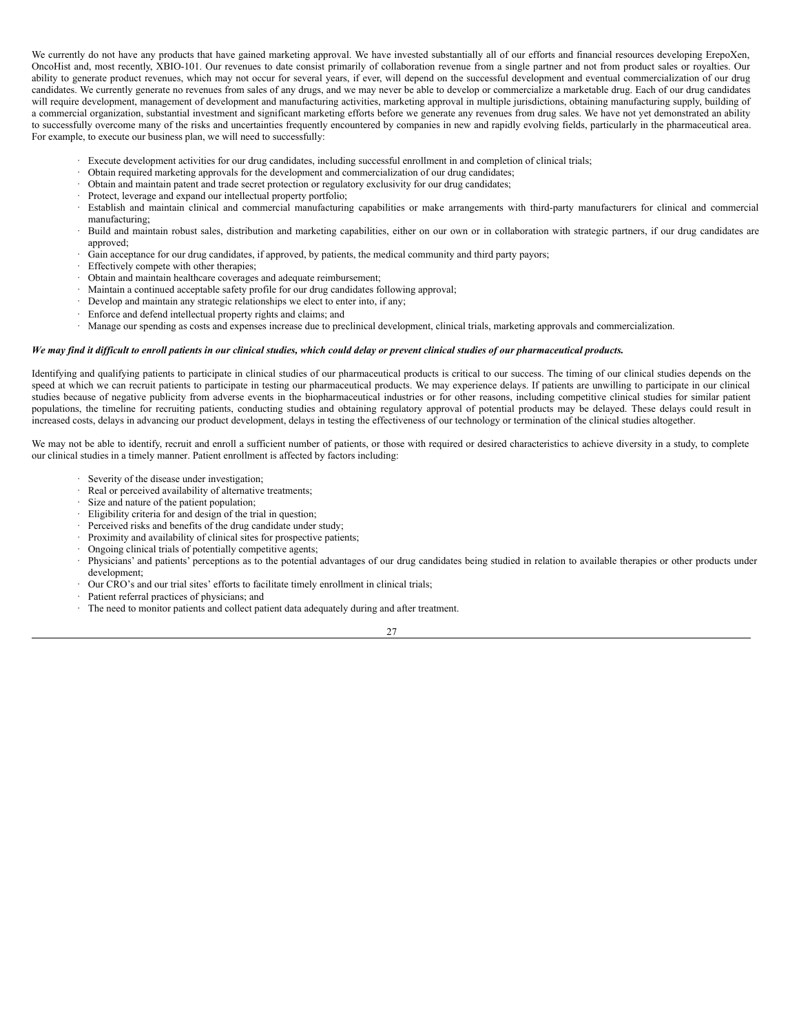We currently do not have any products that have gained marketing approval. We have invested substantially all of our efforts and financial resources developing ErepoXen, OncoHist and, most recently, XBIO-101. Our revenues to date consist primarily of collaboration revenue from a single partner and not from product sales or royalties. Our ability to generate product revenues, which may not occur for several years, if ever, will depend on the successful development and eventual commercialization of our drug candidates. We currently generate no revenues from sales of any drugs, and we may never be able to develop or commercialize a marketable drug. Each of our drug candidates will require development, management of development and manufacturing activities, marketing approval in multiple jurisdictions, obtaining manufacturing supply, building of a commercial organization, substantial investment and significant marketing efforts before we generate any revenues from drug sales. We have not yet demonstrated an ability to successfully overcome many of the risks and uncertainties frequently encountered by companies in new and rapidly evolving fields, particularly in the pharmaceutical area. For example, to execute our business plan, we will need to successfully:

- · Execute development activities for our drug candidates, including successful enrollment in and completion of clinical trials;
- · Obtain required marketing approvals for the development and commercialization of our drug candidates;
- · Obtain and maintain patent and trade secret protection or regulatory exclusivity for our drug candidates;
- · Protect, leverage and expand our intellectual property portfolio;
- · Establish and maintain clinical and commercial manufacturing capabilities or make arrangements with third-party manufacturers for clinical and commercial manufacturing;
- · Build and maintain robust sales, distribution and marketing capabilities, either on our own or in collaboration with strategic partners, if our drug candidates are approved;
- · Gain acceptance for our drug candidates, if approved, by patients, the medical community and third party payors;
- · Effectively compete with other therapies;
- · Obtain and maintain healthcare coverages and adequate reimbursement;
- · Maintain a continued acceptable safety profile for our drug candidates following approval;
- · Develop and maintain any strategic relationships we elect to enter into, if any;
- · Enforce and defend intellectual property rights and claims; and
- · Manage our spending as costs and expenses increase due to preclinical development, clinical trials, marketing approvals and commercialization.

#### We may find it difficult to enroll patients in our clinical studies, which could delay or prevent clinical studies of our pharmaceutical products.

Identifying and qualifying patients to participate in clinical studies of our pharmaceutical products is critical to our success. The timing of our clinical studies depends on the speed at which we can recruit patients to participate in testing our pharmaceutical products. We may experience delays. If patients are unwilling to participate in our clinical studies because of negative publicity from adverse events in the biopharmaceutical industries or for other reasons, including competitive clinical studies for similar patient populations, the timeline for recruiting patients, conducting studies and obtaining regulatory approval of potential products may be delayed. These delays could result in increased costs, delays in advancing our product development, delays in testing the effectiveness of our technology or termination of the clinical studies altogether.

We may not be able to identify, recruit and enroll a sufficient number of patients, or those with required or desired characteristics to achieve diversity in a study, to complete our clinical studies in a timely manner. Patient enrollment is affected by factors including:

- · Severity of the disease under investigation;
- · Real or perceived availability of alternative treatments;
- Size and nature of the patient population;
- · Eligibility criteria for and design of the trial in question;
- · Perceived risks and benefits of the drug candidate under study;
- · Proximity and availability of clinical sites for prospective patients;
- · Ongoing clinical trials of potentially competitive agents;
- · Physicians' and patients' perceptions as to the potential advantages of our drug candidates being studied in relation to available therapies or other products under development;
- · Our CRO's and our trial sites' efforts to facilitate timely enrollment in clinical trials;
- · Patient referral practices of physicians; and
- · The need to monitor patients and collect patient data adequately during and after treatment.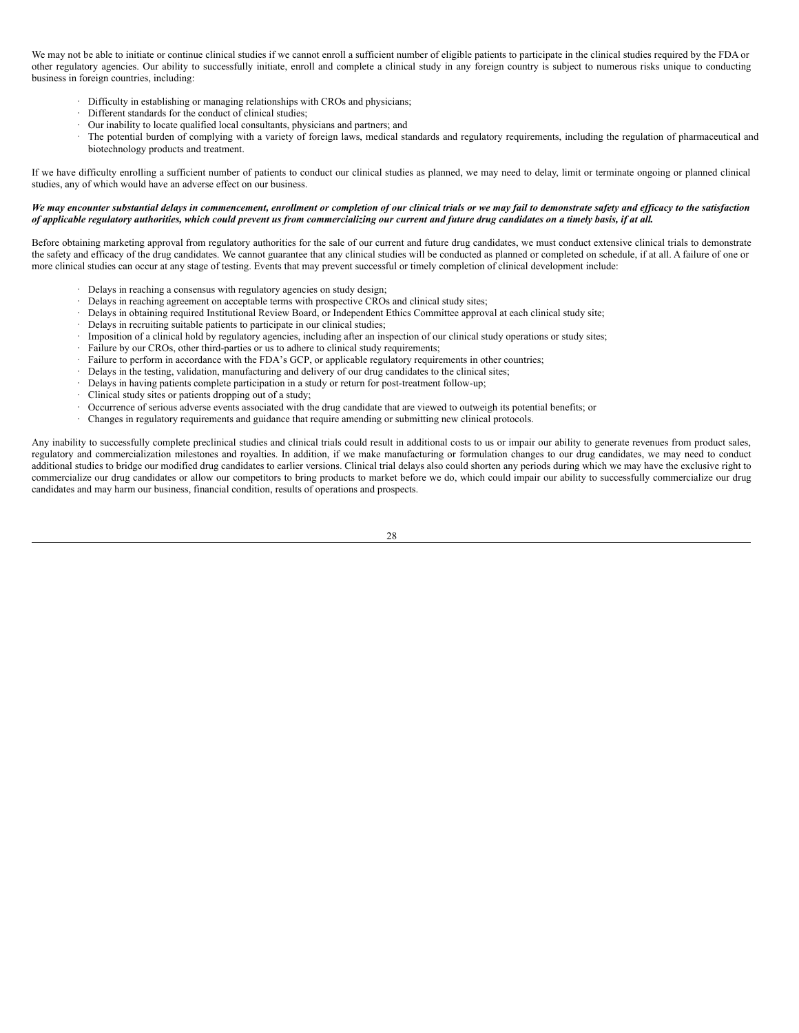We may not be able to initiate or continue clinical studies if we cannot enroll a sufficient number of eligible patients to participate in the clinical studies required by the FDA or other regulatory agencies. Our ability to successfully initiate, enroll and complete a clinical study in any foreign country is subject to numerous risks unique to conducting business in foreign countries, including:

- · Difficulty in establishing or managing relationships with CROs and physicians;
- · Different standards for the conduct of clinical studies;
- · Our inability to locate qualified local consultants, physicians and partners; and
- The potential burden of complying with a variety of foreign laws, medical standards and regulatory requirements, including the regulation of pharmaceutical and biotechnology products and treatment.

If we have difficulty enrolling a sufficient number of patients to conduct our clinical studies as planned, we may need to delay, limit or terminate ongoing or planned clinical studies, any of which would have an adverse effect on our business.

# We may encounter substantial delays in commencement, enrollment or completion of our clinical trials or we may fail to demonstrate safety and efficacy to the satisfaction of applicable regulatory authorities, which could prevent us from commercializing our current and future drug candidates on a timely basis, if at all.

Before obtaining marketing approval from regulatory authorities for the sale of our current and future drug candidates, we must conduct extensive clinical trials to demonstrate the safety and efficacy of the drug candidates. We cannot guarantee that any clinical studies will be conducted as planned or completed on schedule, if at all. A failure of one or more clinical studies can occur at any stage of testing. Events that may prevent successful or timely completion of clinical development include:

- · Delays in reaching a consensus with regulatory agencies on study design;
- Delays in reaching agreement on acceptable terms with prospective CROs and clinical study sites;
- · Delays in obtaining required Institutional Review Board, or Independent Ethics Committee approval at each clinical study site;
- · Delays in recruiting suitable patients to participate in our clinical studies;
- · Imposition of a clinical hold by regulatory agencies, including after an inspection of our clinical study operations or study sites;
- · Failure by our CROs, other third-parties or us to adhere to clinical study requirements;
- · Failure to perform in accordance with the FDA's GCP, or applicable regulatory requirements in other countries;
- Delays in the testing, validation, manufacturing and delivery of our drug candidates to the clinical sites;
- · Delays in having patients complete participation in a study or return for post-treatment follow-up;
- · Clinical study sites or patients dropping out of a study;
- · Occurrence of serious adverse events associated with the drug candidate that are viewed to outweigh its potential benefits; or
- · Changes in regulatory requirements and guidance that require amending or submitting new clinical protocols.

Any inability to successfully complete preclinical studies and clinical trials could result in additional costs to us or impair our ability to generate revenues from product sales, regulatory and commercialization milestones and royalties. In addition, if we make manufacturing or formulation changes to our drug candidates, we may need to conduct additional studies to bridge our modified drug candidates to earlier versions. Clinical trial delays also could shorten any periods during which we may have the exclusive right to commercialize our drug candidates or allow our competitors to bring products to market before we do, which could impair our ability to successfully commercialize our drug candidates and may harm our business, financial condition, results of operations and prospects.

| ×<br>ł |   |
|--------|---|
|        | i |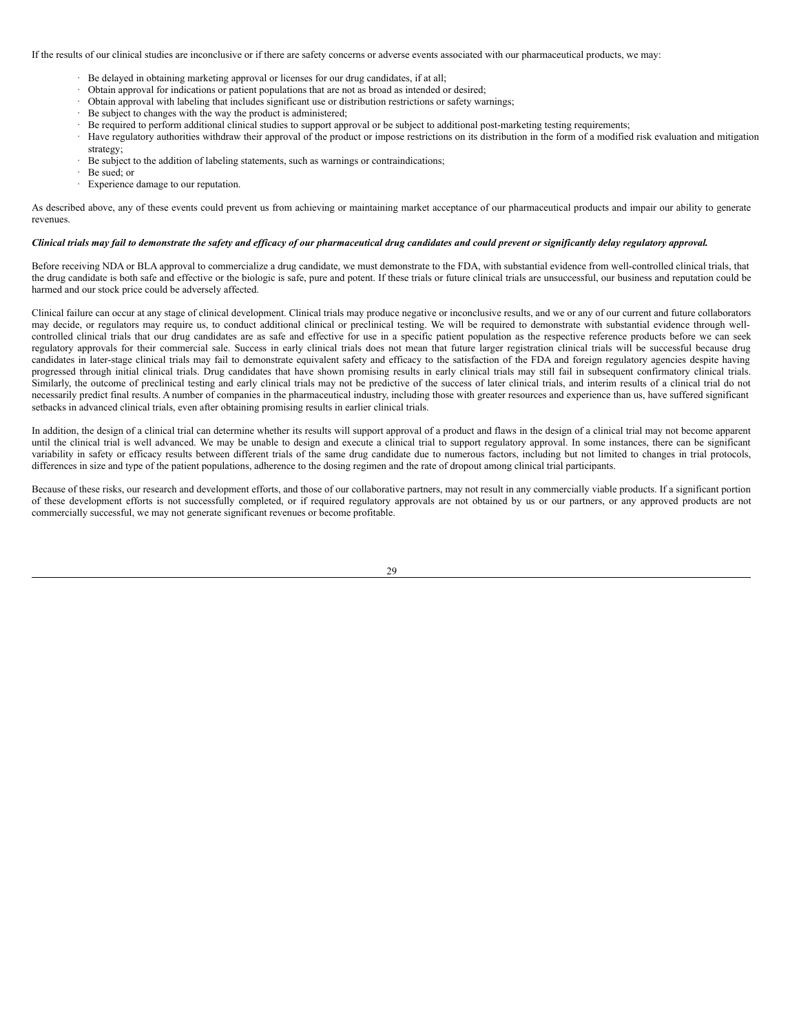If the results of our clinical studies are inconclusive or if there are safety concerns or adverse events associated with our pharmaceutical products, we may:

- · Be delayed in obtaining marketing approval or licenses for our drug candidates, if at all;
- · Obtain approval for indications or patient populations that are not as broad as intended or desired;
- · Obtain approval with labeling that includes significant use or distribution restrictions or safety warnings;
- · Be subject to changes with the way the product is administered;
- · Be required to perform additional clinical studies to support approval or be subject to additional post-marketing testing requirements;
- · Have regulatory authorities withdraw their approval of the product or impose restrictions on its distribution in the form of a modified risk evaluation and mitigation strategy;
- · Be subject to the addition of labeling statements, such as warnings or contraindications;
- · Be sued; or
- · Experience damage to our reputation.

As described above, any of these events could prevent us from achieving or maintaining market acceptance of our pharmaceutical products and impair our ability to generate revenues.

#### Clinical trials may fail to demonstrate the safety and efficacy of our pharmaceutical drug candidates and could prevent or significantly delay regulatory approval.

Before receiving NDA or BLA approval to commercialize a drug candidate, we must demonstrate to the FDA, with substantial evidence from well-controlled clinical trials, that the drug candidate is both safe and effective or the biologic is safe, pure and potent. If these trials or future clinical trials are unsuccessful, our business and reputation could be harmed and our stock price could be adversely affected.

Clinical failure can occur at any stage of clinical development. Clinical trials may produce negative or inconclusive results, and we or any of our current and future collaborators may decide, or regulators may require us, to conduct additional clinical or preclinical testing. We will be required to demonstrate with substantial evidence through wellcontrolled clinical trials that our drug candidates are as safe and effective for use in a specific patient population as the respective reference products before we can seek regulatory approvals for their commercial sale. Success in early clinical trials does not mean that future larger registration clinical trials will be successful because drug candidates in later-stage clinical trials may fail to demonstrate equivalent safety and efficacy to the satisfaction of the FDA and foreign regulatory agencies despite having progressed through initial clinical trials. Drug candidates that have shown promising results in early clinical trials may still fail in subsequent confirmatory clinical trials. Similarly, the outcome of preclinical testing and early clinical trials may not be predictive of the success of later clinical trials, and interim results of a clinical trial do not necessarily predict final results. A number of companies in the pharmaceutical industry, including those with greater resources and experience than us, have suffered significant setbacks in advanced clinical trials, even after obtaining promising results in earlier clinical trials.

In addition, the design of a clinical trial can determine whether its results will support approval of a product and flaws in the design of a clinical trial may not become apparent until the clinical trial is well advanced. We may be unable to design and execute a clinical trial to support regulatory approval. In some instances, there can be significant variability in safety or efficacy results between different trials of the same drug candidate due to numerous factors, including but not limited to changes in trial protocols, differences in size and type of the patient populations, adherence to the dosing regimen and the rate of dropout among clinical trial participants.

Because of these risks, our research and development efforts, and those of our collaborative partners, may not result in any commercially viable products. If a significant portion of these development efforts is not successfully completed, or if required regulatory approvals are not obtained by us or our partners, or any approved products are not commercially successful, we may not generate significant revenues or become profitable.

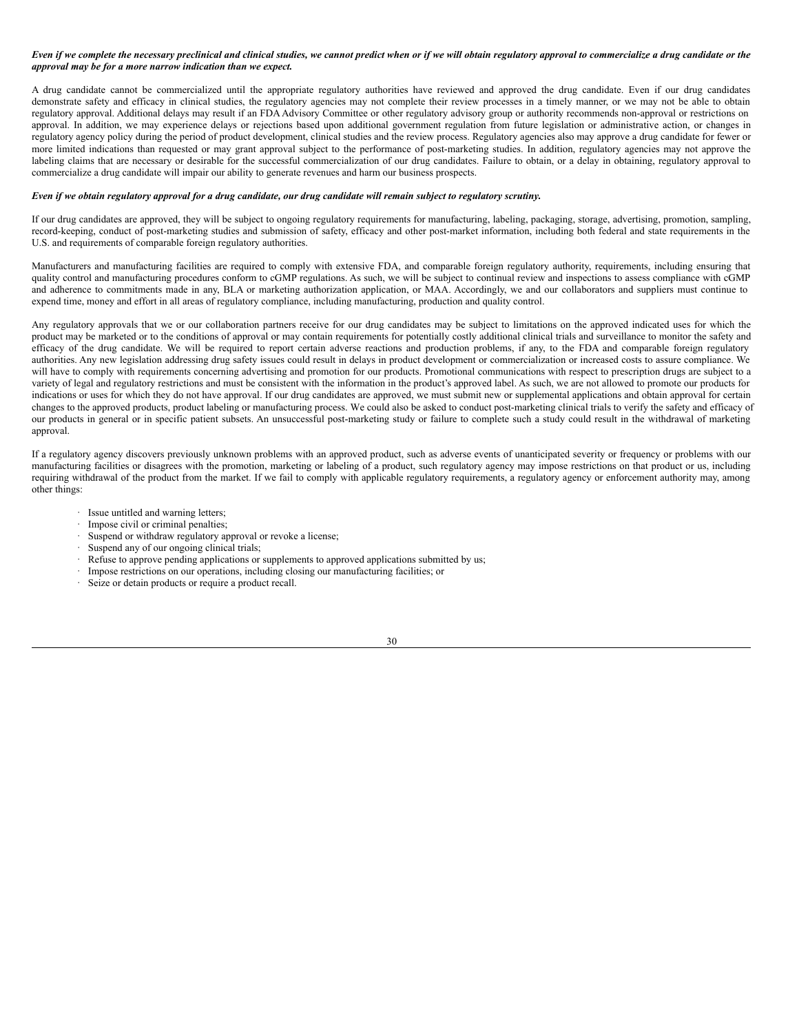#### Even if we complete the necessary preclinical and clinical studies, we cannot predict when or if we will obtain regulatory approval to commercialize a drug candidate or the *approval may be for a more narrow indication than we expect.*

A drug candidate cannot be commercialized until the appropriate regulatory authorities have reviewed and approved the drug candidate. Even if our drug candidates demonstrate safety and efficacy in clinical studies, the regulatory agencies may not complete their review processes in a timely manner, or we may not be able to obtain regulatory approval. Additional delays may result if an FDA Advisory Committee or other regulatory advisory group or authority recommends non-approval or restrictions on approval. In addition, we may experience delays or rejections based upon additional government regulation from future legislation or administrative action, or changes in regulatory agency policy during the period of product development, clinical studies and the review process. Regulatory agencies also may approve a drug candidate for fewer or more limited indications than requested or may grant approval subject to the performance of post-marketing studies. In addition, regulatory agencies may not approve the labeling claims that are necessary or desirable for the successful commercialization of our drug candidates. Failure to obtain, or a delay in obtaining, regulatory approval to commercialize a drug candidate will impair our ability to generate revenues and harm our business prospects.

#### Even if we obtain regulatory approval for a drug candidate, our drug candidate will remain subject to regulatory scrutiny.

If our drug candidates are approved, they will be subject to ongoing regulatory requirements for manufacturing, labeling, packaging, storage, advertising, promotion, sampling, record-keeping, conduct of post-marketing studies and submission of safety, efficacy and other post-market information, including both federal and state requirements in the U.S. and requirements of comparable foreign regulatory authorities.

Manufacturers and manufacturing facilities are required to comply with extensive FDA, and comparable foreign regulatory authority, requirements, including ensuring that quality control and manufacturing procedures conform to cGMP regulations. As such, we will be subject to continual review and inspections to assess compliance with cGMP and adherence to commitments made in any, BLA or marketing authorization application, or MAA. Accordingly, we and our collaborators and suppliers must continue to expend time, money and effort in all areas of regulatory compliance, including manufacturing, production and quality control.

Any regulatory approvals that we or our collaboration partners receive for our drug candidates may be subject to limitations on the approved indicated uses for which the product may be marketed or to the conditions of approval or may contain requirements for potentially costly additional clinical trials and surveillance to monitor the safety and efficacy of the drug candidate. We will be required to report certain adverse reactions and production problems, if any, to the FDA and comparable foreign regulatory authorities. Any new legislation addressing drug safety issues could result in delays in product development or commercialization or increased costs to assure compliance. We will have to comply with requirements concerning advertising and promotion for our products. Promotional communications with respect to prescription drugs are subject to a variety of legal and regulatory restrictions and must be consistent with the information in the product's approved label. As such, we are not allowed to promote our products for indications or uses for which they do not have approval. If our drug candidates are approved, we must submit new or supplemental applications and obtain approval for certain changes to the approved products, product labeling or manufacturing process. We could also be asked to conduct post-marketing clinical trials to verify the safety and efficacy of our products in general or in specific patient subsets. An unsuccessful post-marketing study or failure to complete such a study could result in the withdrawal of marketing approval.

If a regulatory agency discovers previously unknown problems with an approved product, such as adverse events of unanticipated severity or frequency or problems with our manufacturing facilities or disagrees with the promotion, marketing or labeling of a product, such regulatory agency may impose restrictions on that product or us, including requiring withdrawal of the product from the market. If we fail to comply with applicable regulatory requirements, a regulatory agency or enforcement authority may, among other things:

- · Issue untitled and warning letters;
- · Impose civil or criminal penalties;
- Suspend or withdraw regulatory approval or revoke a license;
- · Suspend any of our ongoing clinical trials;
- · Refuse to approve pending applications or supplements to approved applications submitted by us;
- · Impose restrictions on our operations, including closing our manufacturing facilities; or
- · Seize or detain products or require a product recall.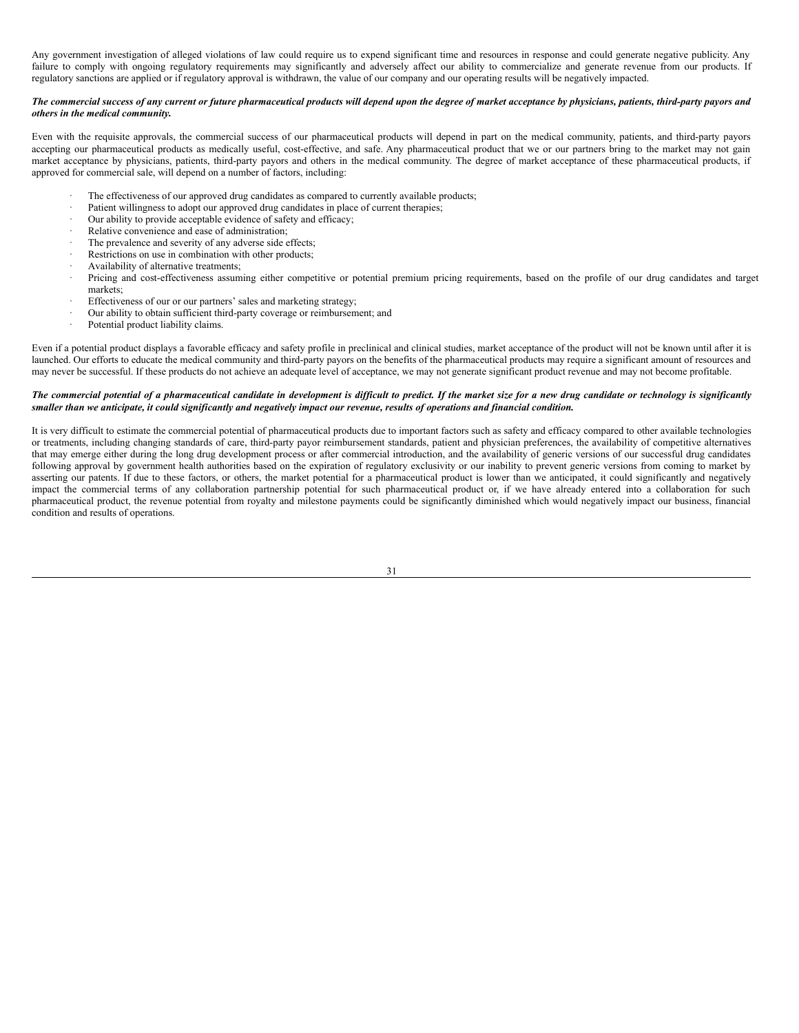Any government investigation of alleged violations of law could require us to expend significant time and resources in response and could generate negative publicity. Any failure to comply with ongoing regulatory requirements may significantly and adversely affect our ability to commercialize and generate revenue from our products. If regulatory sanctions are applied or if regulatory approval is withdrawn, the value of our company and our operating results will be negatively impacted.

## The commercial success of any current or future pharmaceutical products will depend upon the degree of market acceptance by physicians, patients, third-party payors and *others in the medical community.*

Even with the requisite approvals, the commercial success of our pharmaceutical products will depend in part on the medical community, patients, and third-party payors accepting our pharmaceutical products as medically useful, cost-effective, and safe. Any pharmaceutical product that we or our partners bring to the market may not gain market acceptance by physicians, patients, third-party payors and others in the medical community. The degree of market acceptance of these pharmaceutical products, if approved for commercial sale, will depend on a number of factors, including:

- The effectiveness of our approved drug candidates as compared to currently available products;
- Patient willingness to adopt our approved drug candidates in place of current therapies;
- · Our ability to provide acceptable evidence of safety and efficacy;
- Relative convenience and ease of administration;
- The prevalence and severity of any adverse side effects;
- Restrictions on use in combination with other products;
- Availability of alternative treatments;
- · Pricing and cost-effectiveness assuming either competitive or potential premium pricing requirements, based on the profile of our drug candidates and target markets;
- Effectiveness of our or our partners' sales and marketing strategy;
- Our ability to obtain sufficient third-party coverage or reimbursement; and
- Potential product liability claims.

Even if a potential product displays a favorable efficacy and safety profile in preclinical and clinical studies, market acceptance of the product will not be known until after it is launched. Our efforts to educate the medical community and third-party payors on the benefits of the pharmaceutical products may require a significant amount of resources and may never be successful. If these products do not achieve an adequate level of acceptance, we may not generate significant product revenue and may not become profitable.

### The commercial potential of a pharmaceutical candidate in development is difficult to predict. If the market size for a new drug candidate or technology is significantly smaller than we anticipate, it could significantly and negatively impact our revenue, results of operations and financial condition.

It is very difficult to estimate the commercial potential of pharmaceutical products due to important factors such as safety and efficacy compared to other available technologies or treatments, including changing standards of care, third-party payor reimbursement standards, patient and physician preferences, the availability of competitive alternatives that may emerge either during the long drug development process or after commercial introduction, and the availability of generic versions of our successful drug candidates following approval by government health authorities based on the expiration of regulatory exclusivity or our inability to prevent generic versions from coming to market by asserting our patents. If due to these factors, or others, the market potential for a pharmaceutical product is lower than we anticipated, it could significantly and negatively impact the commercial terms of any collaboration partnership potential for such pharmaceutical product or, if we have already entered into a collaboration for such pharmaceutical product, the revenue potential from royalty and milestone payments could be significantly diminished which would negatively impact our business, financial condition and results of operations.

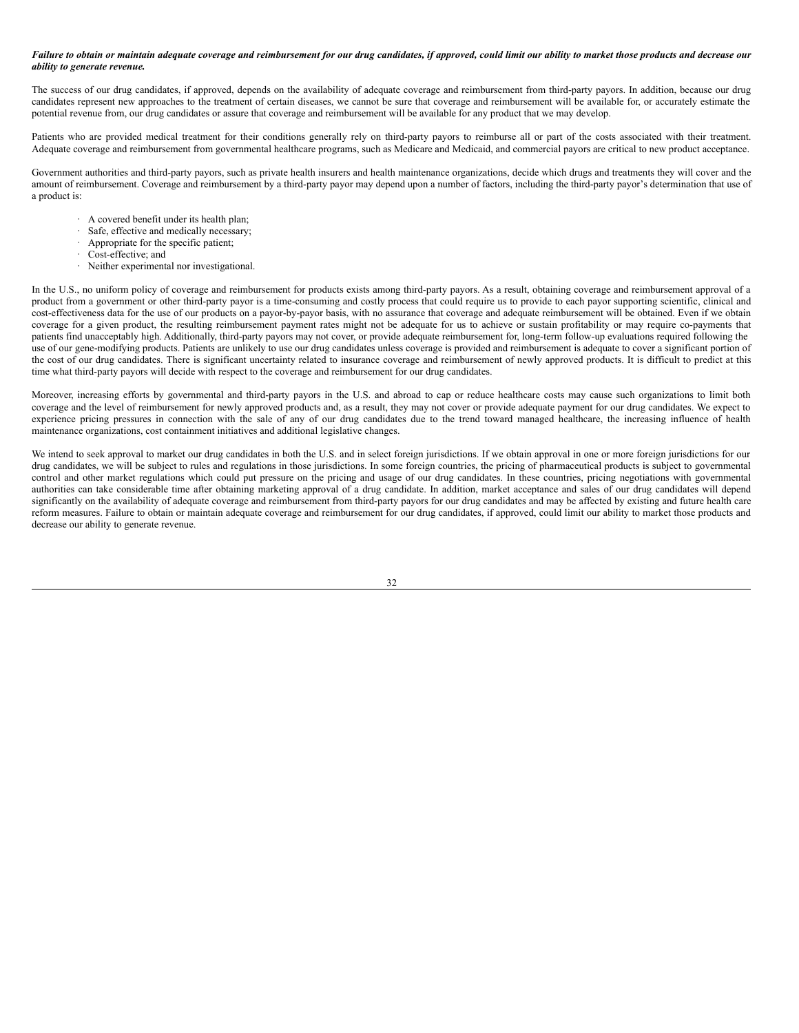### Failure to obtain or maintain adequate coverage and reimbursement for our drug candidates, if approved, could limit our ability to market those products and decrease our *ability to generate revenue.*

The success of our drug candidates, if approved, depends on the availability of adequate coverage and reimbursement from third-party payors. In addition, because our drug candidates represent new approaches to the treatment of certain diseases, we cannot be sure that coverage and reimbursement will be available for, or accurately estimate the potential revenue from, our drug candidates or assure that coverage and reimbursement will be available for any product that we may develop.

Patients who are provided medical treatment for their conditions generally rely on third-party payors to reimburse all or part of the costs associated with their treatment. Adequate coverage and reimbursement from governmental healthcare programs, such as Medicare and Medicaid, and commercial payors are critical to new product acceptance.

Government authorities and third-party payors, such as private health insurers and health maintenance organizations, decide which drugs and treatments they will cover and the amount of reimbursement. Coverage and reimbursement by a third-party payor may depend upon a number of factors, including the third-party payor's determination that use of a product is:

- · A covered benefit under its health plan;
- · Safe, effective and medically necessary;
- · Appropriate for the specific patient;
- · Cost-effective; and
- · Neither experimental nor investigational.

In the U.S., no uniform policy of coverage and reimbursement for products exists among third-party payors. As a result, obtaining coverage and reimbursement approval of a product from a government or other third-party payor is a time-consuming and costly process that could require us to provide to each payor supporting scientific, clinical and cost-effectiveness data for the use of our products on a payor-by-payor basis, with no assurance that coverage and adequate reimbursement will be obtained. Even if we obtain coverage for a given product, the resulting reimbursement payment rates might not be adequate for us to achieve or sustain profitability or may require co-payments that patients find unacceptably high. Additionally, third-party payors may not cover, or provide adequate reimbursement for, long-term follow-up evaluations required following the use of our gene-modifying products. Patients are unlikely to use our drug candidates unless coverage is provided and reimbursement is adequate to cover a significant portion of the cost of our drug candidates. There is significant uncertainty related to insurance coverage and reimbursement of newly approved products. It is difficult to predict at this time what third-party payors will decide with respect to the coverage and reimbursement for our drug candidates.

Moreover, increasing efforts by governmental and third-party payors in the U.S. and abroad to cap or reduce healthcare costs may cause such organizations to limit both coverage and the level of reimbursement for newly approved products and, as a result, they may not cover or provide adequate payment for our drug candidates. We expect to experience pricing pressures in connection with the sale of any of our drug candidates due to the trend toward managed healthcare, the increasing influence of health maintenance organizations, cost containment initiatives and additional legislative changes.

We intend to seek approval to market our drug candidates in both the U.S. and in select foreign jurisdictions. If we obtain approval in one or more foreign jurisdictions for our drug candidates, we will be subject to rules and regulations in those jurisdictions. In some foreign countries, the pricing of pharmaceutical products is subject to governmental control and other market regulations which could put pressure on the pricing and usage of our drug candidates. In these countries, pricing negotiations with governmental authorities can take considerable time after obtaining marketing approval of a drug candidate. In addition, market acceptance and sales of our drug candidates will depend significantly on the availability of adequate coverage and reimbursement from third-party payors for our drug candidates and may be affected by existing and future health care reform measures. Failure to obtain or maintain adequate coverage and reimbursement for our drug candidates, if approved, could limit our ability to market those products and decrease our ability to generate revenue.

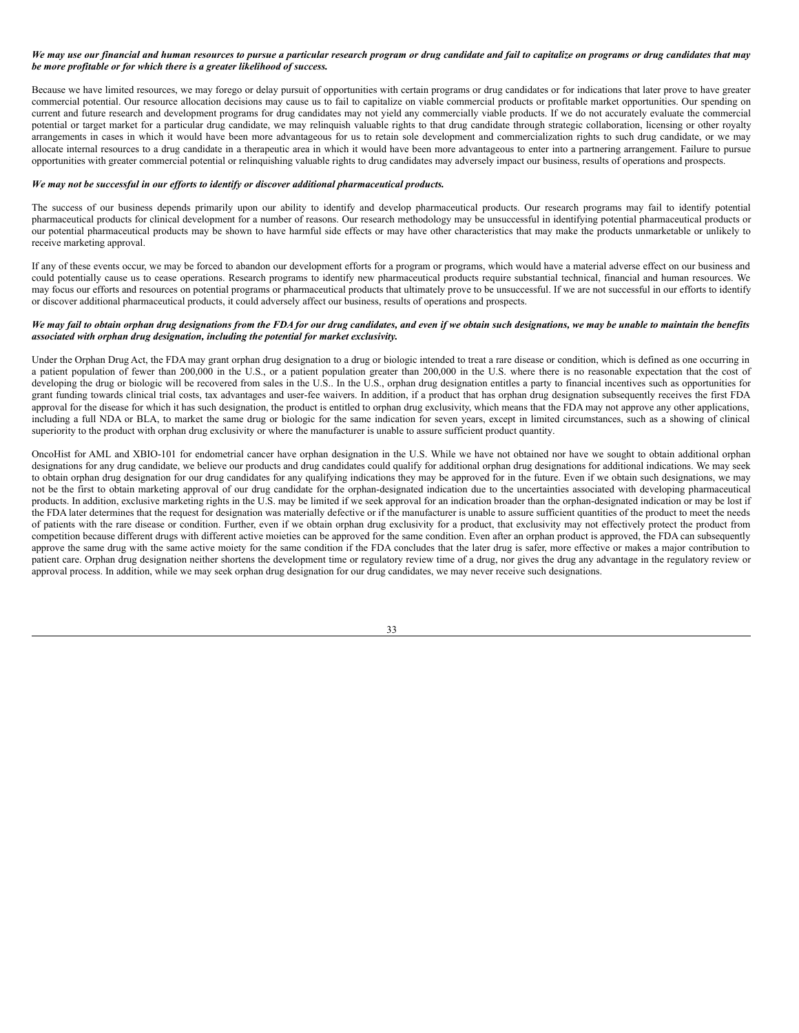### We may use our financial and human resources to pursue a particular research program or drug candidate and fail to capitalize on programs or drug candidates that may *be more profitable or for which there is a greater likelihood of success.*

Because we have limited resources, we may forego or delay pursuit of opportunities with certain programs or drug candidates or for indications that later prove to have greater commercial potential. Our resource allocation decisions may cause us to fail to capitalize on viable commercial products or profitable market opportunities. Our spending on current and future research and development programs for drug candidates may not yield any commercially viable products. If we do not accurately evaluate the commercial potential or target market for a particular drug candidate, we may relinquish valuable rights to that drug candidate through strategic collaboration, licensing or other royalty arrangements in cases in which it would have been more advantageous for us to retain sole development and commercialization rights to such drug candidate, or we may allocate internal resources to a drug candidate in a therapeutic area in which it would have been more advantageous to enter into a partnering arrangement. Failure to pursue opportunities with greater commercial potential or relinquishing valuable rights to drug candidates may adversely impact our business, results of operations and prospects.

#### *We may not be successful in our ef orts to identify or discover additional pharmaceutical products.*

The success of our business depends primarily upon our ability to identify and develop pharmaceutical products. Our research programs may fail to identify potential pharmaceutical products for clinical development for a number of reasons. Our research methodology may be unsuccessful in identifying potential pharmaceutical products or our potential pharmaceutical products may be shown to have harmful side effects or may have other characteristics that may make the products unmarketable or unlikely to receive marketing approval.

If any of these events occur, we may be forced to abandon our development efforts for a program or programs, which would have a material adverse effect on our business and could potentially cause us to cease operations. Research programs to identify new pharmaceutical products require substantial technical, financial and human resources. We may focus our efforts and resources on potential programs or pharmaceutical products that ultimately prove to be unsuccessful. If we are not successful in our efforts to identify or discover additional pharmaceutical products, it could adversely affect our business, results of operations and prospects.

#### We may fail to obtain orphan drug designations from the FDA for our drug candidates, and even if we obtain such designations, we may be unable to maintain the benefits *associated with orphan drug designation, including the potential for market exclusivity.*

Under the Orphan Drug Act, the FDA may grant orphan drug designation to a drug or biologic intended to treat a rare disease or condition, which is defined as one occurring in a patient population of fewer than 200,000 in the U.S., or a patient population greater than 200,000 in the U.S. where there is no reasonable expectation that the cost of developing the drug or biologic will be recovered from sales in the U.S.. In the U.S., orphan drug designation entitles a party to financial incentives such as opportunities for grant funding towards clinical trial costs, tax advantages and user-fee waivers. In addition, if a product that has orphan drug designation subsequently receives the first FDA approval for the disease for which it has such designation, the product is entitled to orphan drug exclusivity, which means that the FDA may not approve any other applications, including a full NDA or BLA, to market the same drug or biologic for the same indication for seven years, except in limited circumstances, such as a showing of clinical superiority to the product with orphan drug exclusivity or where the manufacturer is unable to assure sufficient product quantity.

OncoHist for AML and XBIO-101 for endometrial cancer have orphan designation in the U.S. While we have not obtained nor have we sought to obtain additional orphan designations for any drug candidate, we believe our products and drug candidates could qualify for additional orphan drug designations for additional indications. We may seek to obtain orphan drug designation for our drug candidates for any qualifying indications they may be approved for in the future. Even if we obtain such designations, we may not be the first to obtain marketing approval of our drug candidate for the orphan-designated indication due to the uncertainties associated with developing pharmaceutical products. In addition, exclusive marketing rights in the U.S. may be limited if we seek approval for an indication broader than the orphan-designated indication or may be lost if the FDA later determines that the request for designation was materially defective or if the manufacturer is unable to assure sufficient quantities of the product to meet the needs of patients with the rare disease or condition. Further, even if we obtain orphan drug exclusivity for a product, that exclusivity may not effectively protect the product from competition because different drugs with different active moieties can be approved for the same condition. Even after an orphan product is approved, the FDA can subsequently approve the same drug with the same active moiety for the same condition if the FDA concludes that the later drug is safer, more effective or makes a major contribution to patient care. Orphan drug designation neither shortens the development time or regulatory review time of a drug, nor gives the drug any advantage in the regulatory review or approval process. In addition, while we may seek orphan drug designation for our drug candidates, we may never receive such designations.

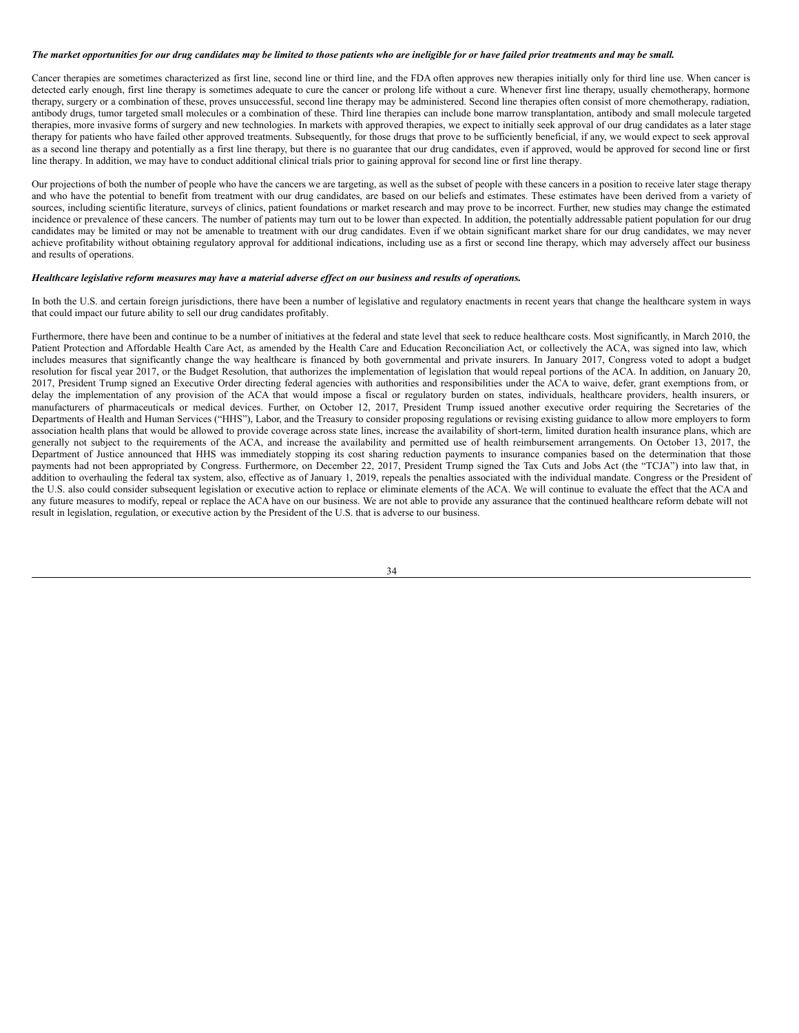#### The market opportunities for our drug candidates may be limited to those patients who are ineligible for or have failed prior treatments and may be small.

Cancer therapies are sometimes characterized as first line, second line or third line, and the FDA often approves new therapies initially only for third line use. When cancer is detected early enough, first line therapy is sometimes adequate to cure the cancer or prolong life without a cure. Whenever first line therapy, usually chemotherapy, hormone therapy, surgery or a combination of these, proves unsuccessful, second line therapy may be administered. Second line therapies often consist of more chemotherapy, radiation, antibody drugs, tumor targeted small molecules or a combination of these. Third line therapies can include bone marrow transplantation, antibody and small molecule targeted therapies, more invasive forms of surgery and new technologies. In markets with approved therapies, we expect to initially seek approval of our drug candidates as a later stage therapy for patients who have failed other approved treatments. Subsequently, for those drugs that prove to be sufficiently beneficial, if any, we would expect to seek approval as a second line therapy and potentially as a first line therapy, but there is no guarantee that our drug candidates, even if approved, would be approved for second line or first line therapy. In addition, we may have to conduct additional clinical trials prior to gaining approval for second line or first line therapy.

Our projections of both the number of people who have the cancers we are targeting, as well as the subset of people with these cancers in a position to receive later stage therapy and who have the potential to benefit from treatment with our drug candidates, are based on our beliefs and estimates. These estimates have been derived from a variety of sources, including scientific literature, surveys of clinics, patient foundations or market research and may prove to be incorrect. Further, new studies may change the estimated incidence or prevalence of these cancers. The number of patients may turn out to be lower than expected. In addition, the potentially addressable patient population for our drug candidates may be limited or may not be amenable to treatment with our drug candidates. Even if we obtain significant market share for our drug candidates, we may never achieve profitability without obtaining regulatory approval for additional indications, including use as a first or second line therapy, which may adversely affect our business and results of operations.

## Healthcare legislative reform measures may have a material adverse effect on our business and results of operations.

In both the U.S. and certain foreign jurisdictions, there have been a number of legislative and regulatory enactments in recent years that change the healthcare system in ways that could impact our future ability to sell our drug candidates profitably.

Furthermore, there have been and continue to be a number of initiatives at the federal and state level that seek to reduce healthcare costs. Most significantly, in March 2010, the Patient Protection and Affordable Health Care Act, as amended by the Health Care and Education Reconciliation Act, or collectively the ACA, was signed into law, which includes measures that significantly change the way healthcare is financed by both governmental and private insurers. In January 2017, Congress voted to adopt a budget resolution for fiscal year 2017, or the Budget Resolution, that authorizes the implementation of legislation that would repeal portions of the ACA. In addition, on January 20, 2017, President Trump signed an Executive Order directing federal agencies with authorities and responsibilities under the ACA to waive, defer, grant exemptions from, or delay the implementation of any provision of the ACA that would impose a fiscal or regulatory burden on states, individuals, healthcare providers, health insurers, or manufacturers of pharmaceuticals or medical devices. Further, on October 12, 2017, President Trump issued another executive order requiring the Secretaries of the Departments of Health and Human Services ("HHS"), Labor, and the Treasury to consider proposing regulations or revising existing guidance to allow more employers to form association health plans that would be allowed to provide coverage across state lines, increase the availability of short-term, limited duration health insurance plans, which are generally not subject to the requirements of the ACA, and increase the availability and permitted use of health reimbursement arrangements. On October 13, 2017, the Department of Justice announced that HHS was immediately stopping its cost sharing reduction payments to insurance companies based on the determination that those payments had not been appropriated by Congress. Furthermore, on December 22, 2017, President Trump signed the Tax Cuts and Jobs Act (the "TCJA") into law that, in addition to overhauling the federal tax system, also, effective as of January 1, 2019, repeals the penalties associated with the individual mandate. Congress or the President of the U.S. also could consider subsequent legislation or executive action to replace or eliminate elements of the ACA. We will continue to evaluate the effect that the ACA and any future measures to modify, repeal or replace the ACA have on our business. We are not able to provide any assurance that the continued healthcare reform debate will not result in legislation, regulation, or executive action by the President of the U.S. that is adverse to our business.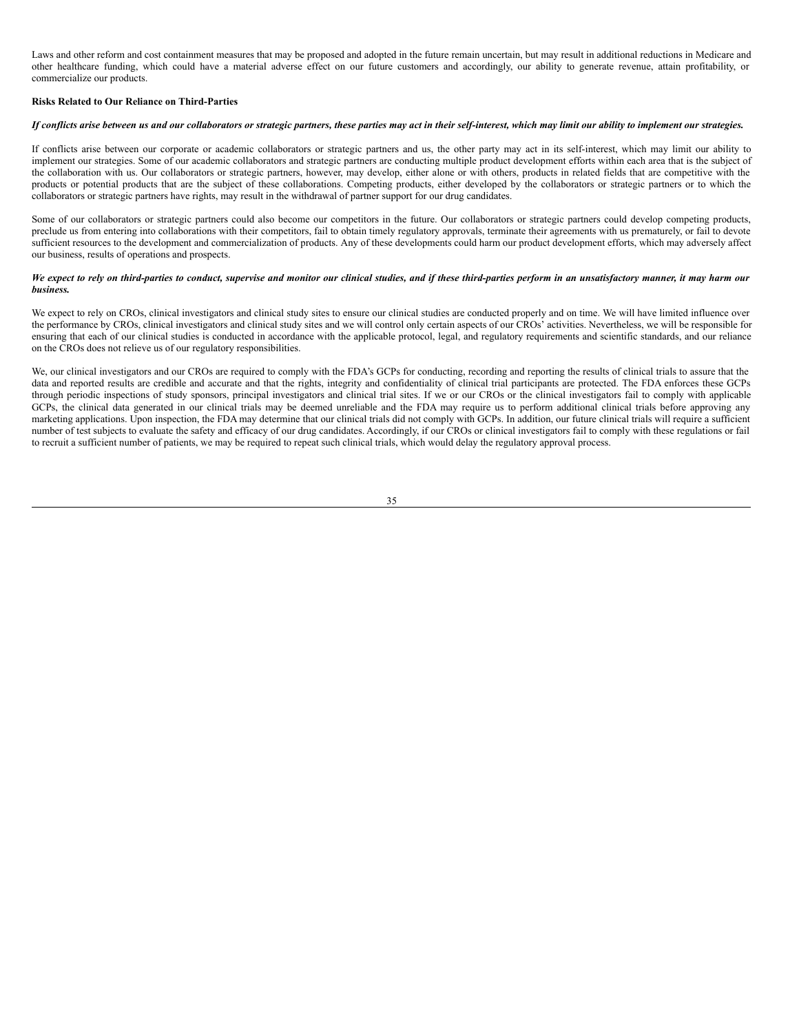Laws and other reform and cost containment measures that may be proposed and adopted in the future remain uncertain, but may result in additional reductions in Medicare and other healthcare funding, which could have a material adverse effect on our future customers and accordingly, our ability to generate revenue, attain profitability, or commercialize our products.

#### **Risks Related to Our Reliance on Third-Parties**

#### If conflicts arise between us and our collaborators or strategic partners, these parties may act in their self-interest, which may limit our ability to implement our strategies.

If conflicts arise between our corporate or academic collaborators or strategic partners and us, the other party may act in its self-interest, which may limit our ability to implement our strategies. Some of our academic collaborators and strategic partners are conducting multiple product development efforts within each area that is the subject of the collaboration with us. Our collaborators or strategic partners, however, may develop, either alone or with others, products in related fields that are competitive with the products or potential products that are the subject of these collaborations. Competing products, either developed by the collaborators or strategic partners or to which the collaborators or strategic partners have rights, may result in the withdrawal of partner support for our drug candidates.

Some of our collaborators or strategic partners could also become our competitors in the future. Our collaborators or strategic partners could develop competing products, preclude us from entering into collaborations with their competitors, fail to obtain timely regulatory approvals, terminate their agreements with us prematurely, or fail to devote sufficient resources to the development and commercialization of products. Any of these developments could harm our product development efforts, which may adversely affect our business, results of operations and prospects.

## We expect to rely on third-parties to conduct, supervise and monitor our clinical studies, and if these third-parties perform in an unsatisfactory manner, it may harm our *business.*

We expect to rely on CROs, clinical investigators and clinical study sites to ensure our clinical studies are conducted properly and on time. We will have limited influence over the performance by CROs, clinical investigators and clinical study sites and we will control only certain aspects of our CROs' activities. Nevertheless, we will be responsible for ensuring that each of our clinical studies is conducted in accordance with the applicable protocol, legal, and regulatory requirements and scientific standards, and our reliance on the CROs does not relieve us of our regulatory responsibilities.

We, our clinical investigators and our CROs are required to comply with the FDA's GCPs for conducting, recording and reporting the results of clinical trials to assure that the data and reported results are credible and accurate and that the rights, integrity and confidentiality of clinical trial participants are protected. The FDA enforces these GCPs through periodic inspections of study sponsors, principal investigators and clinical trial sites. If we or our CROs or the clinical investigators fail to comply with applicable GCPs, the clinical data generated in our clinical trials may be deemed unreliable and the FDA may require us to perform additional clinical trials before approving any marketing applications. Upon inspection, the FDA may determine that our clinical trials did not comply with GCPs. In addition, our future clinical trials will require a sufficient number of test subjects to evaluate the safety and efficacy of our drug candidates. Accordingly, if our CROs or clinical investigators fail to comply with these regulations or fail to recruit a sufficient number of patients, we may be required to repeat such clinical trials, which would delay the regulatory approval process.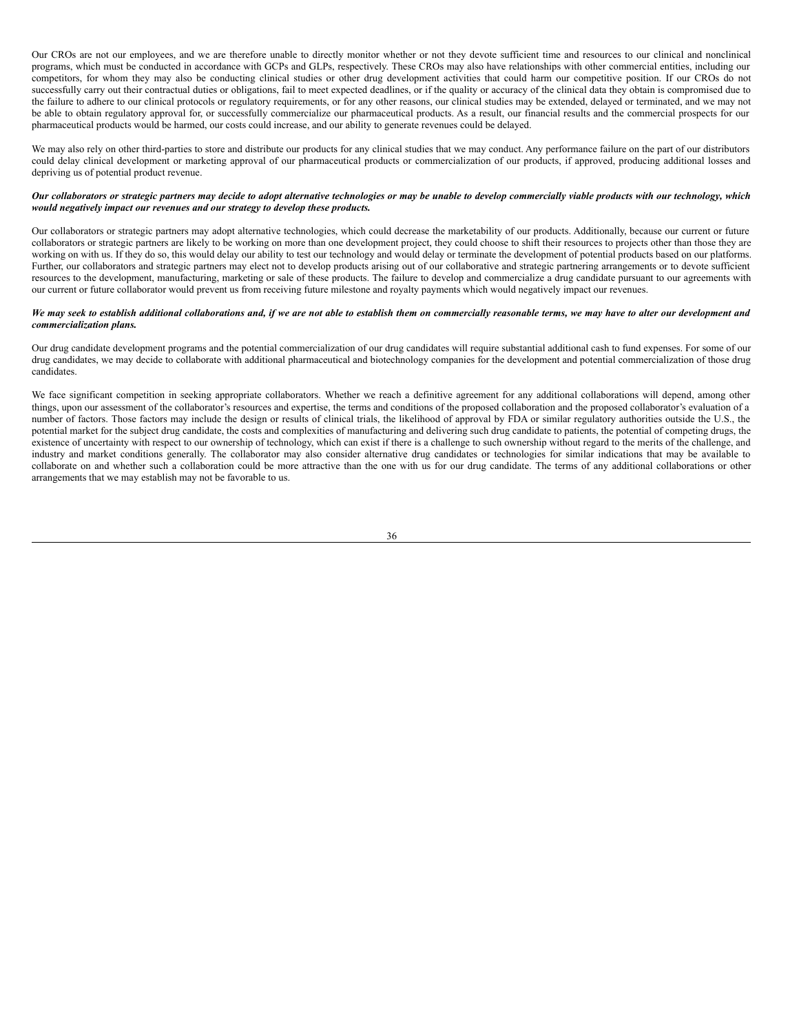Our CROs are not our employees, and we are therefore unable to directly monitor whether or not they devote sufficient time and resources to our clinical and nonclinical programs, which must be conducted in accordance with GCPs and GLPs, respectively. These CROs may also have relationships with other commercial entities, including our competitors, for whom they may also be conducting clinical studies or other drug development activities that could harm our competitive position. If our CROs do not successfully carry out their contractual duties or obligations, fail to meet expected deadlines, or if the quality or accuracy of the clinical data they obtain is compromised due to the failure to adhere to our clinical protocols or regulatory requirements, or for any other reasons, our clinical studies may be extended, delayed or terminated, and we may not be able to obtain regulatory approval for, or successfully commercialize our pharmaceutical products. As a result, our financial results and the commercial prospects for our pharmaceutical products would be harmed, our costs could increase, and our ability to generate revenues could be delayed.

We may also rely on other third-parties to store and distribute our products for any clinical studies that we may conduct. Any performance failure on the part of our distributors could delay clinical development or marketing approval of our pharmaceutical products or commercialization of our products, if approved, producing additional losses and depriving us of potential product revenue.

## Our collaborators or strategic partners may decide to adopt alternative technologies or may be unable to develop commercially viable products with our technology, which *would negatively impact our revenues and our strategy to develop these products.*

Our collaborators or strategic partners may adopt alternative technologies, which could decrease the marketability of our products. Additionally, because our current or future collaborators or strategic partners are likely to be working on more than one development project, they could choose to shift their resources to projects other than those they are working on with us. If they do so, this would delay our ability to test our technology and would delay or terminate the development of potential products based on our platforms. Further, our collaborators and strategic partners may elect not to develop products arising out of our collaborative and strategic partnering arrangements or to devote sufficient resources to the development, manufacturing, marketing or sale of these products. The failure to develop and commercialize a drug candidate pursuant to our agreements with our current or future collaborator would prevent us from receiving future milestone and royalty payments which would negatively impact our revenues.

## We may seek to establish additional collaborations and, if we are not able to establish them on commercially reasonable terms, we may have to alter our development and *commercialization plans.*

Our drug candidate development programs and the potential commercialization of our drug candidates will require substantial additional cash to fund expenses. For some of our drug candidates, we may decide to collaborate with additional pharmaceutical and biotechnology companies for the development and potential commercialization of those drug candidates.

We face significant competition in seeking appropriate collaborators. Whether we reach a definitive agreement for any additional collaborations will depend, among other things, upon our assessment of the collaborator's resources and expertise, the terms and conditions of the proposed collaboration and the proposed collaborator's evaluation of a number of factors. Those factors may include the design or results of clinical trials, the likelihood of approval by FDA or similar regulatory authorities outside the U.S., the potential market for the subject drug candidate, the costs and complexities of manufacturing and delivering such drug candidate to patients, the potential of competing drugs, the existence of uncertainty with respect to our ownership of technology, which can exist if there is a challenge to such ownership without regard to the merits of the challenge, and industry and market conditions generally. The collaborator may also consider alternative drug candidates or technologies for similar indications that may be available to collaborate on and whether such a collaboration could be more attractive than the one with us for our drug candidate. The terms of any additional collaborations or other arrangements that we may establish may not be favorable to us.

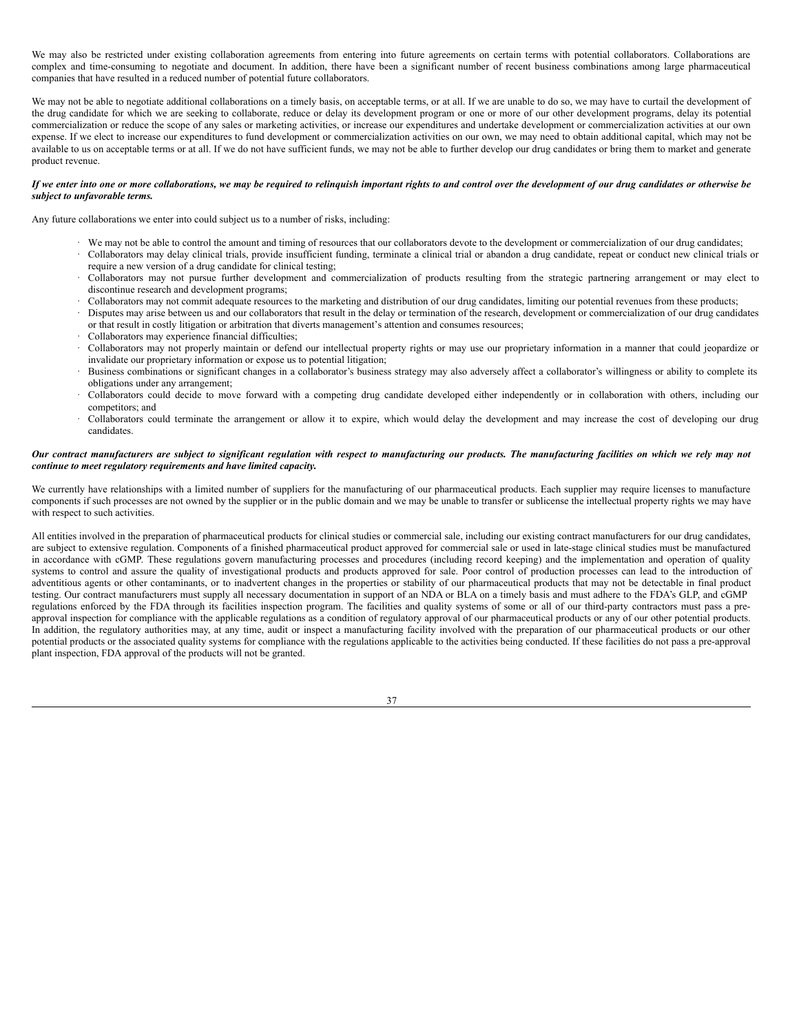We may also be restricted under existing collaboration agreements from entering into future agreements on certain terms with potential collaborators. Collaborations are complex and time-consuming to negotiate and document. In addition, there have been a significant number of recent business combinations among large pharmaceutical companies that have resulted in a reduced number of potential future collaborators.

We may not be able to negotiate additional collaborations on a timely basis, on acceptable terms, or at all. If we are unable to do so, we may have to curtail the development of the drug candidate for which we are seeking to collaborate, reduce or delay its development program or one or more of our other development programs, delay its potential commercialization or reduce the scope of any sales or marketing activities, or increase our expenditures and undertake development or commercialization activities at our own expense. If we elect to increase our expenditures to fund development or commercialization activities on our own, we may need to obtain additional capital, which may not be available to us on acceptable terms or at all. If we do not have sufficient funds, we may not be able to further develop our drug candidates or bring them to market and generate product revenue.

#### If we enter into one or more collaborations, we may be required to relinquish important rights to and control over the development of our drug candidates or otherwise be *subject to unfavorable terms.*

Any future collaborations we enter into could subject us to a number of risks, including:

- · We may not be able to control the amount and timing of resources that our collaborators devote to the development or commercialization of our drug candidates;
- · Collaborators may delay clinical trials, provide insufficient funding, terminate a clinical trial or abandon a drug candidate, repeat or conduct new clinical trials or require a new version of a drug candidate for clinical testing;
- · Collaborators may not pursue further development and commercialization of products resulting from the strategic partnering arrangement or may elect to discontinue research and development programs;
- · Collaborators may not commit adequate resources to the marketing and distribution of our drug candidates, limiting our potential revenues from these products;
- · Disputes may arise between us and our collaborators that result in the delay or termination of the research, development or commercialization of our drug candidates or that result in costly litigation or arbitration that diverts management's attention and consumes resources;
- Collaborators may experience financial difficulties;
- · Collaborators may not properly maintain or defend our intellectual property rights or may use our proprietary information in a manner that could jeopardize or invalidate our proprietary information or expose us to potential litigation;
- · Business combinations or significant changes in a collaborator's business strategy may also adversely affect a collaborator's willingness or ability to complete its obligations under any arrangement;
- · Collaborators could decide to move forward with a competing drug candidate developed either independently or in collaboration with others, including our competitors; and
- · Collaborators could terminate the arrangement or allow it to expire, which would delay the development and may increase the cost of developing our drug candidates.

# Our contract manufacturers are subject to significant regulation with respect to manufacturing our products. The manufacturing facilities on which we rely may not *continue to meet regulatory requirements and have limited capacity.*

We currently have relationships with a limited number of suppliers for the manufacturing of our pharmaceutical products. Each supplier may require licenses to manufacture components if such processes are not owned by the supplier or in the public domain and we may be unable to transfer or sublicense the intellectual property rights we may have with respect to such activities.

All entities involved in the preparation of pharmaceutical products for clinical studies or commercial sale, including our existing contract manufacturers for our drug candidates, are subject to extensive regulation. Components of a finished pharmaceutical product approved for commercial sale or used in late-stage clinical studies must be manufactured in accordance with cGMP. These regulations govern manufacturing processes and procedures (including record keeping) and the implementation and operation of quality systems to control and assure the quality of investigational products and products approved for sale. Poor control of production processes can lead to the introduction of adventitious agents or other contaminants, or to inadvertent changes in the properties or stability of our pharmaceutical products that may not be detectable in final product testing. Our contract manufacturers must supply all necessary documentation in support of an NDA or BLA on a timely basis and must adhere to the FDA's GLP, and cGMP regulations enforced by the FDA through its facilities inspection program. The facilities and quality systems of some or all of our third-party contractors must pass a preapproval inspection for compliance with the applicable regulations as a condition of regulatory approval of our pharmaceutical products or any of our other potential products. In addition, the regulatory authorities may, at any time, audit or inspect a manufacturing facility involved with the preparation of our pharmaceutical products or our other potential products or the associated quality systems for compliance with the regulations applicable to the activities being conducted. If these facilities do not pass a pre-approval plant inspection, FDA approval of the products will not be granted.

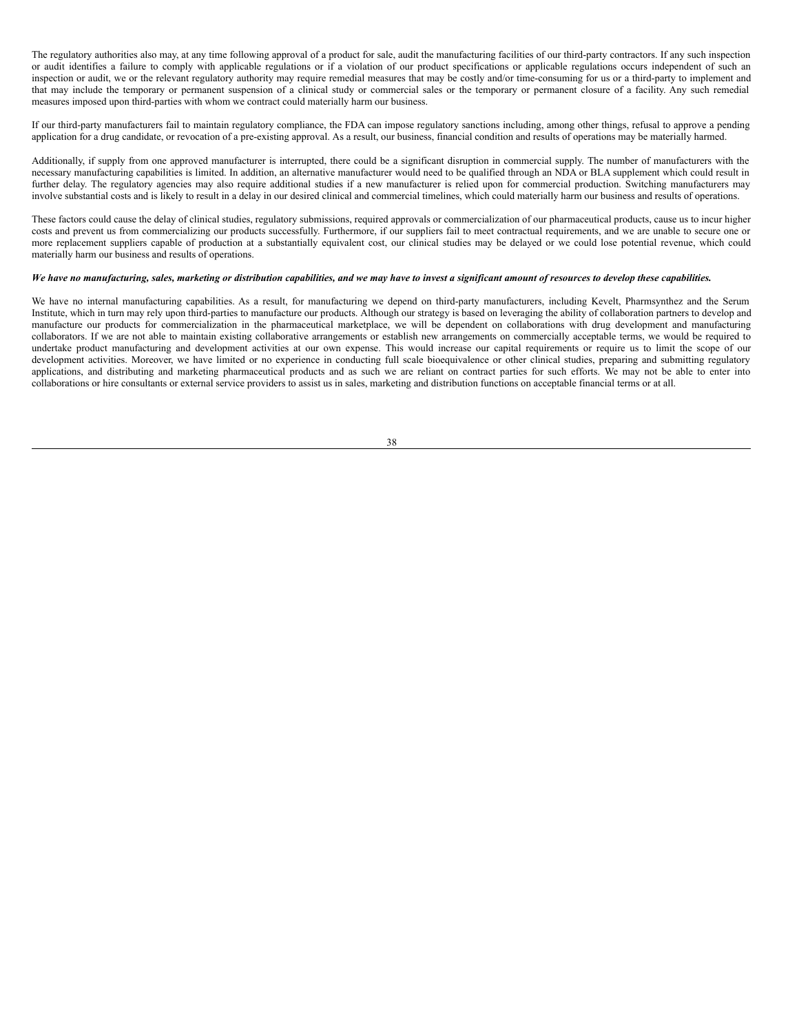The regulatory authorities also may, at any time following approval of a product for sale, audit the manufacturing facilities of our third-party contractors. If any such inspection or audit identifies a failure to comply with applicable regulations or if a violation of our product specifications or applicable regulations occurs independent of such an inspection or audit, we or the relevant regulatory authority may require remedial measures that may be costly and/or time-consuming for us or a third-party to implement and that may include the temporary or permanent suspension of a clinical study or commercial sales or the temporary or permanent closure of a facility. Any such remedial measures imposed upon third-parties with whom we contract could materially harm our business.

If our third-party manufacturers fail to maintain regulatory compliance, the FDA can impose regulatory sanctions including, among other things, refusal to approve a pending application for a drug candidate, or revocation of a pre-existing approval. As a result, our business, financial condition and results of operations may be materially harmed.

Additionally, if supply from one approved manufacturer is interrupted, there could be a significant disruption in commercial supply. The number of manufacturers with the necessary manufacturing capabilities is limited. In addition, an alternative manufacturer would need to be qualified through an NDA or BLA supplement which could result in further delay. The regulatory agencies may also require additional studies if a new manufacturer is relied upon for commercial production. Switching manufacturers may involve substantial costs and is likely to result in a delay in our desired clinical and commercial timelines, which could materially harm our business and results of operations.

These factors could cause the delay of clinical studies, regulatory submissions, required approvals or commercialization of our pharmaceutical products, cause us to incur higher costs and prevent us from commercializing our products successfully. Furthermore, if our suppliers fail to meet contractual requirements, and we are unable to secure one or more replacement suppliers capable of production at a substantially equivalent cost, our clinical studies may be delayed or we could lose potential revenue, which could materially harm our business and results of operations.

# We have no manufacturing, sales, marketing or distribution capabilities, and we may have to invest a significant amount of resources to develop these capabilities.

We have no internal manufacturing capabilities. As a result, for manufacturing we depend on third-party manufacturers, including Kevelt, Pharmsynthez and the Serum Institute, which in turn may rely upon third-parties to manufacture our products. Although our strategy is based on leveraging the ability of collaboration partners to develop and manufacture our products for commercialization in the pharmaceutical marketplace, we will be dependent on collaborations with drug development and manufacturing collaborators. If we are not able to maintain existing collaborative arrangements or establish new arrangements on commercially acceptable terms, we would be required to undertake product manufacturing and development activities at our own expense. This would increase our capital requirements or require us to limit the scope of our development activities. Moreover, we have limited or no experience in conducting full scale bioequivalence or other clinical studies, preparing and submitting regulatory applications, and distributing and marketing pharmaceutical products and as such we are reliant on contract parties for such efforts. We may not be able to enter into collaborations or hire consultants or external service providers to assist us in sales, marketing and distribution functions on acceptable financial terms or at all.

38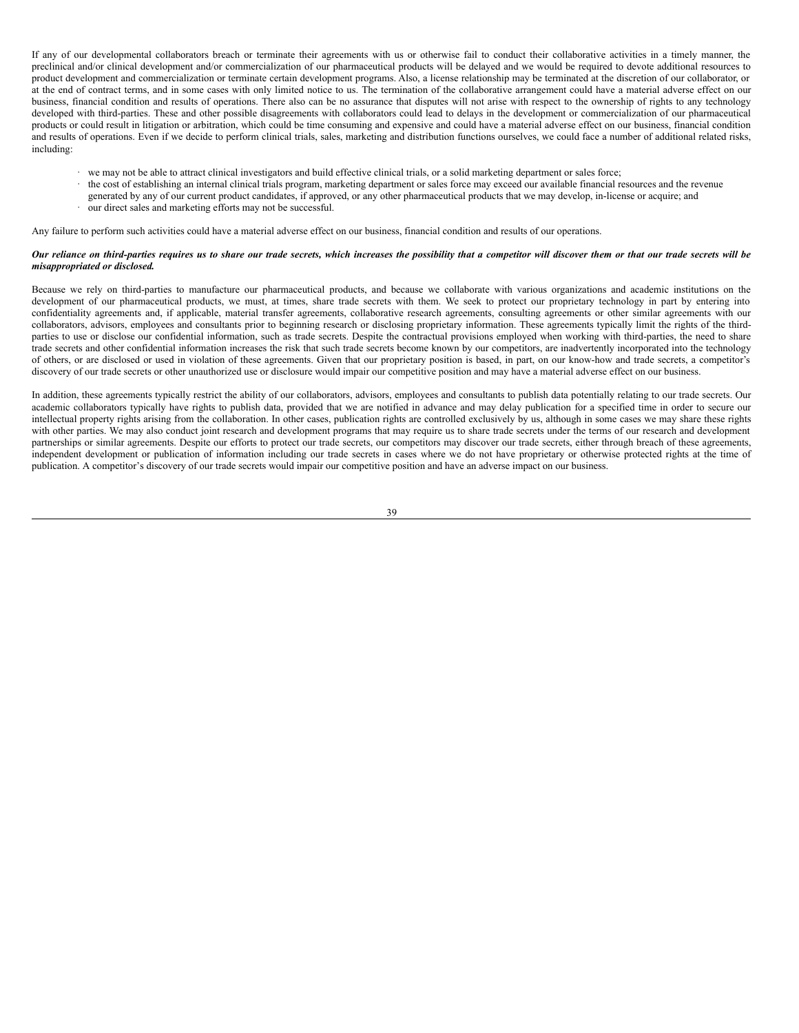If any of our developmental collaborators breach or terminate their agreements with us or otherwise fail to conduct their collaborative activities in a timely manner, the preclinical and/or clinical development and/or commercialization of our pharmaceutical products will be delayed and we would be required to devote additional resources to product development and commercialization or terminate certain development programs. Also, a license relationship may be terminated at the discretion of our collaborator, or at the end of contract terms, and in some cases with only limited notice to us. The termination of the collaborative arrangement could have a material adverse effect on our business, financial condition and results of operations. There also can be no assurance that disputes will not arise with respect to the ownership of rights to any technology developed with third-parties. These and other possible disagreements with collaborators could lead to delays in the development or commercialization of our pharmaceutical products or could result in litigation or arbitration, which could be time consuming and expensive and could have a material adverse effect on our business, financial condition and results of operations. Even if we decide to perform clinical trials, sales, marketing and distribution functions ourselves, we could face a number of additional related risks, including:

- · we may not be able to attract clinical investigators and build effective clinical trials, or a solid marketing department or sales force;
- · the cost of establishing an internal clinical trials program, marketing department or sales force may exceed our available financial resources and the revenue
- generated by any of our current product candidates, if approved, or any other pharmaceutical products that we may develop, in-license or acquire; and
- · our direct sales and marketing efforts may not be successful.

Any failure to perform such activities could have a material adverse effect on our business, financial condition and results of our operations.

# Our reliance on third-parties requires us to share our trade secrets, which increases the possibility that a competitor will discover them or that our trade secrets will be *misappropriated or disclosed.*

Because we rely on third-parties to manufacture our pharmaceutical products, and because we collaborate with various organizations and academic institutions on the development of our pharmaceutical products, we must, at times, share trade secrets with them. We seek to protect our proprietary technology in part by entering into confidentiality agreements and, if applicable, material transfer agreements, collaborative research agreements, consulting agreements or other similar agreements with our collaborators, advisors, employees and consultants prior to beginning research or disclosing proprietary information. These agreements typically limit the rights of the thirdparties to use or disclose our confidential information, such as trade secrets. Despite the contractual provisions employed when working with third-parties, the need to share trade secrets and other confidential information increases the risk that such trade secrets become known by our competitors, are inadvertently incorporated into the technology of others, or are disclosed or used in violation of these agreements. Given that our proprietary position is based, in part, on our know-how and trade secrets, a competitor's discovery of our trade secrets or other unauthorized use or disclosure would impair our competitive position and may have a material adverse effect on our business.

In addition, these agreements typically restrict the ability of our collaborators, advisors, employees and consultants to publish data potentially relating to our trade secrets. Our academic collaborators typically have rights to publish data, provided that we are notified in advance and may delay publication for a specified time in order to secure our intellectual property rights arising from the collaboration. In other cases, publication rights are controlled exclusively by us, although in some cases we may share these rights with other parties. We may also conduct joint research and development programs that may require us to share trade secrets under the terms of our research and development partnerships or similar agreements. Despite our efforts to protect our trade secrets, our competitors may discover our trade secrets, either through breach of these agreements, independent development or publication of information including our trade secrets in cases where we do not have proprietary or otherwise protected rights at the time of publication. A competitor's discovery of our trade secrets would impair our competitive position and have an adverse impact on our business.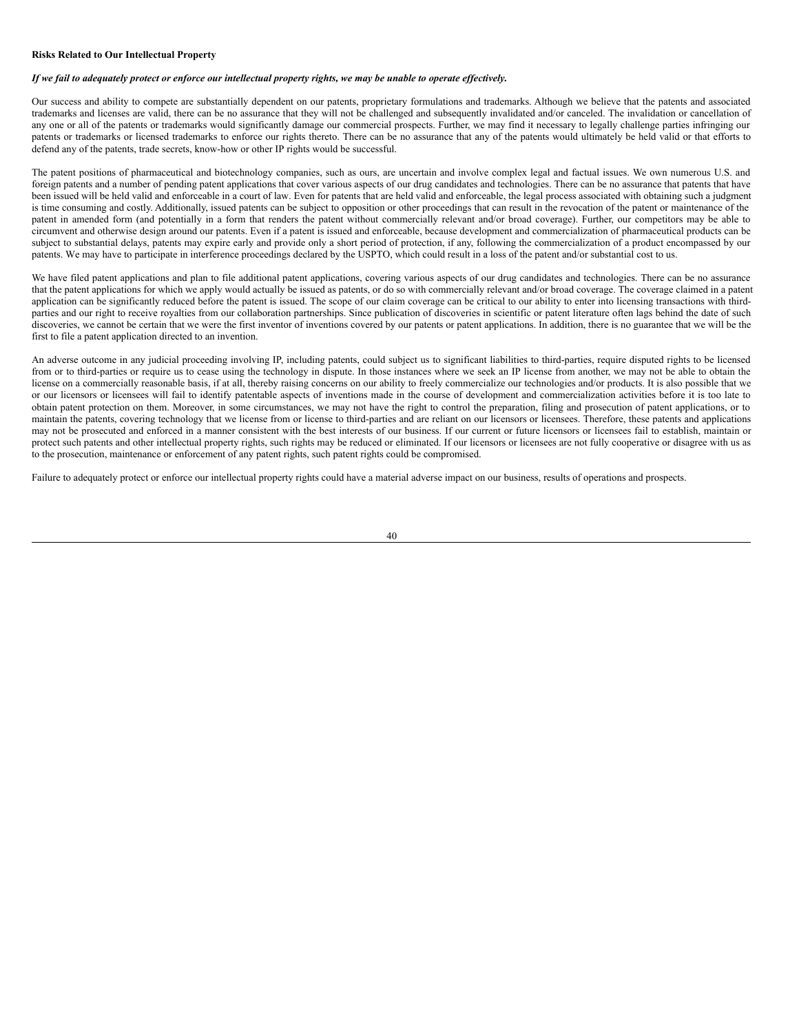## **Risks Related to Our Intellectual Property**

#### If we fail to adequately protect or enforce our intellectual property rights, we may be unable to operate effectively.

Our success and ability to compete are substantially dependent on our patents, proprietary formulations and trademarks. Although we believe that the patents and associated trademarks and licenses are valid, there can be no assurance that they will not be challenged and subsequently invalidated and/or canceled. The invalidation or cancellation of any one or all of the patents or trademarks would significantly damage our commercial prospects. Further, we may find it necessary to legally challenge parties infringing our patents or trademarks or licensed trademarks to enforce our rights thereto. There can be no assurance that any of the patents would ultimately be held valid or that efforts to defend any of the patents, trade secrets, know-how or other IP rights would be successful.

The patent positions of pharmaceutical and biotechnology companies, such as ours, are uncertain and involve complex legal and factual issues. We own numerous U.S. and foreign patents and a number of pending patent applications that cover various aspects of our drug candidates and technologies. There can be no assurance that patents that have been issued will be held valid and enforceable in a court of law. Even for patents that are held valid and enforceable, the legal process associated with obtaining such a judgment is time consuming and costly. Additionally, issued patents can be subject to opposition or other proceedings that can result in the revocation of the patent or maintenance of the patent in amended form (and potentially in a form that renders the patent without commercially relevant and/or broad coverage). Further, our competitors may be able to circumvent and otherwise design around our patents. Even if a patent is issued and enforceable, because development and commercialization of pharmaceutical products can be subject to substantial delays, patents may expire early and provide only a short period of protection, if any, following the commercialization of a product encompassed by our patents. We may have to participate in interference proceedings declared by the USPTO, which could result in a loss of the patent and/or substantial cost to us.

We have filed patent applications and plan to file additional patent applications, covering various aspects of our drug candidates and technologies. There can be no assurance that the patent applications for which we apply would actually be issued as patents, or do so with commercially relevant and/or broad coverage. The coverage claimed in a patent application can be significantly reduced before the patent is issued. The scope of our claim coverage can be critical to our ability to enter into licensing transactions with thirdparties and our right to receive royalties from our collaboration partnerships. Since publication of discoveries in scientific or patent literature often lags behind the date of such discoveries, we cannot be certain that we were the first inventor of inventions covered by our patents or patent applications. In addition, there is no guarantee that we will be the first to file a patent application directed to an invention.

An adverse outcome in any judicial proceeding involving IP, including patents, could subject us to significant liabilities to third-parties, require disputed rights to be licensed from or to third-parties or require us to cease using the technology in dispute. In those instances where we seek an IP license from another, we may not be able to obtain the license on a commercially reasonable basis, if at all, thereby raising concerns on our ability to freely commercialize our technologies and/or products. It is also possible that we or our licensors or licensees will fail to identify patentable aspects of inventions made in the course of development and commercialization activities before it is too late to obtain patent protection on them. Moreover, in some circumstances, we may not have the right to control the preparation, filing and prosecution of patent applications, or to maintain the patents, covering technology that we license from or license to third-parties and are reliant on our licensors or licensees. Therefore, these patents and applications may not be prosecuted and enforced in a manner consistent with the best interests of our business. If our current or future licensors or licensees fail to establish, maintain or protect such patents and other intellectual property rights, such rights may be reduced or eliminated. If our licensors or licensees are not fully cooperative or disagree with us as to the prosecution, maintenance or enforcement of any patent rights, such patent rights could be compromised.

Failure to adequately protect or enforce our intellectual property rights could have a material adverse impact on our business, results of operations and prospects.

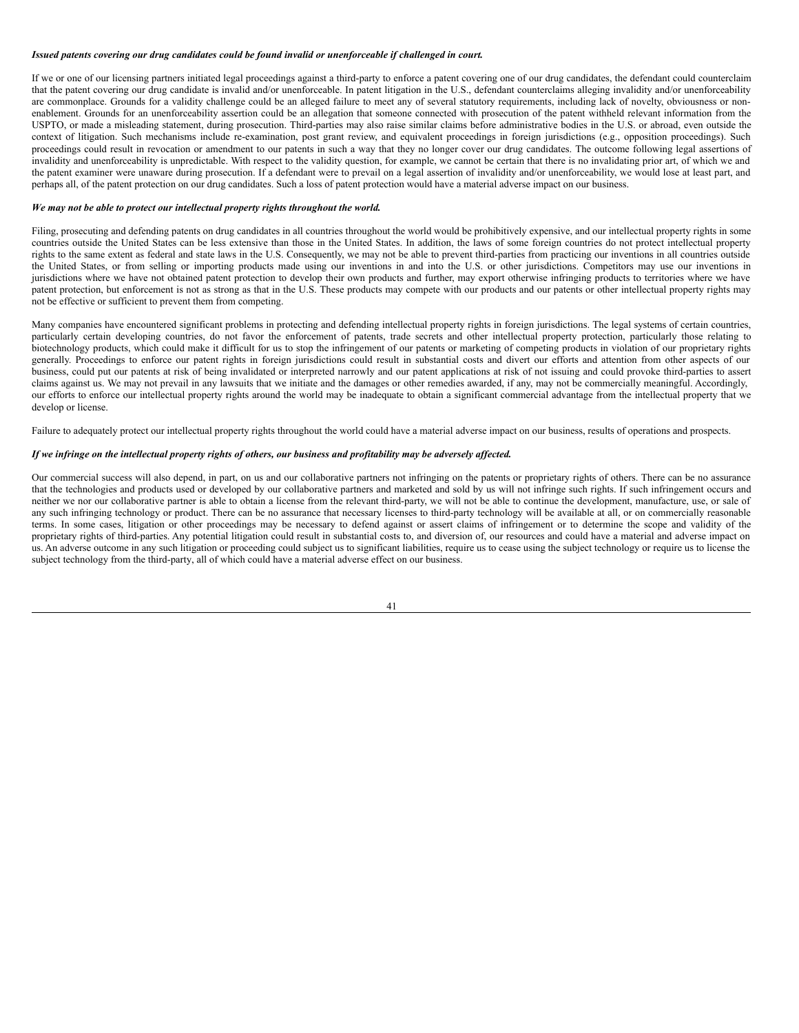# *Issued patents covering our drug candidates could be found invalid or unenforceable if challenged in court.*

If we or one of our licensing partners initiated legal proceedings against a third-party to enforce a patent covering one of our drug candidates, the defendant could counterclaim that the patent covering our drug candidate is invalid and/or unenforceable. In patent litigation in the U.S., defendant counterclaims alleging invalidity and/or unenforceability are commonplace. Grounds for a validity challenge could be an alleged failure to meet any of several statutory requirements, including lack of novelty, obviousness or nonenablement. Grounds for an unenforceability assertion could be an allegation that someone connected with prosecution of the patent withheld relevant information from the USPTO, or made a misleading statement, during prosecution. Third-parties may also raise similar claims before administrative bodies in the U.S. or abroad, even outside the context of litigation. Such mechanisms include re-examination, post grant review, and equivalent proceedings in foreign jurisdictions (e.g., opposition proceedings). Such proceedings could result in revocation or amendment to our patents in such a way that they no longer cover our drug candidates. The outcome following legal assertions of invalidity and unenforceability is unpredictable. With respect to the validity question, for example, we cannot be certain that there is no invalidating prior art, of which we and the patent examiner were unaware during prosecution. If a defendant were to prevail on a legal assertion of invalidity and/or unenforceability, we would lose at least part, and perhaps all, of the patent protection on our drug candidates. Such a loss of patent protection would have a material adverse impact on our business.

#### *We may not be able to protect our intellectual property rights throughout the world.*

Filing, prosecuting and defending patents on drug candidates in all countries throughout the world would be prohibitively expensive, and our intellectual property rights in some countries outside the United States can be less extensive than those in the United States. In addition, the laws of some foreign countries do not protect intellectual property rights to the same extent as federal and state laws in the U.S. Consequently, we may not be able to prevent third-parties from practicing our inventions in all countries outside the United States, or from selling or importing products made using our inventions in and into the U.S. or other jurisdictions. Competitors may use our inventions in jurisdictions where we have not obtained patent protection to develop their own products and further, may export otherwise infringing products to territories where we have patent protection, but enforcement is not as strong as that in the U.S. These products may compete with our products and our patents or other intellectual property rights may not be effective or sufficient to prevent them from competing.

Many companies have encountered significant problems in protecting and defending intellectual property rights in foreign jurisdictions. The legal systems of certain countries, particularly certain developing countries, do not favor the enforcement of patents, trade secrets and other intellectual property protection, particularly those relating to biotechnology products, which could make it difficult for us to stop the infringement of our patents or marketing of competing products in violation of our proprietary rights generally. Proceedings to enforce our patent rights in foreign jurisdictions could result in substantial costs and divert our efforts and attention from other aspects of our business, could put our patents at risk of being invalidated or interpreted narrowly and our patent applications at risk of not issuing and could provoke third-parties to assert claims against us. We may not prevail in any lawsuits that we initiate and the damages or other remedies awarded, if any, may not be commercially meaningful. Accordingly, our efforts to enforce our intellectual property rights around the world may be inadequate to obtain a significant commercial advantage from the intellectual property that we develop or license.

Failure to adequately protect our intellectual property rights throughout the world could have a material adverse impact on our business, results of operations and prospects.

### If we infringe on the intellectual property rights of others, our business and profitability may be adversely affected.

Our commercial success will also depend, in part, on us and our collaborative partners not infringing on the patents or proprietary rights of others. There can be no assurance that the technologies and products used or developed by our collaborative partners and marketed and sold by us will not infringe such rights. If such infringement occurs and neither we nor our collaborative partner is able to obtain a license from the relevant third-party, we will not be able to continue the development, manufacture, use, or sale of any such infringing technology or product. There can be no assurance that necessary licenses to third-party technology will be available at all, or on commercially reasonable terms. In some cases, litigation or other proceedings may be necessary to defend against or assert claims of infringement or to determine the scope and validity of the proprietary rights of third-parties. Any potential litigation could result in substantial costs to, and diversion of, our resources and could have a material and adverse impact on us. An adverse outcome in any such litigation or proceeding could subject us to significant liabilities, require us to cease using the subject technology or require us to license the subject technology from the third-party, all of which could have a material adverse effect on our business.

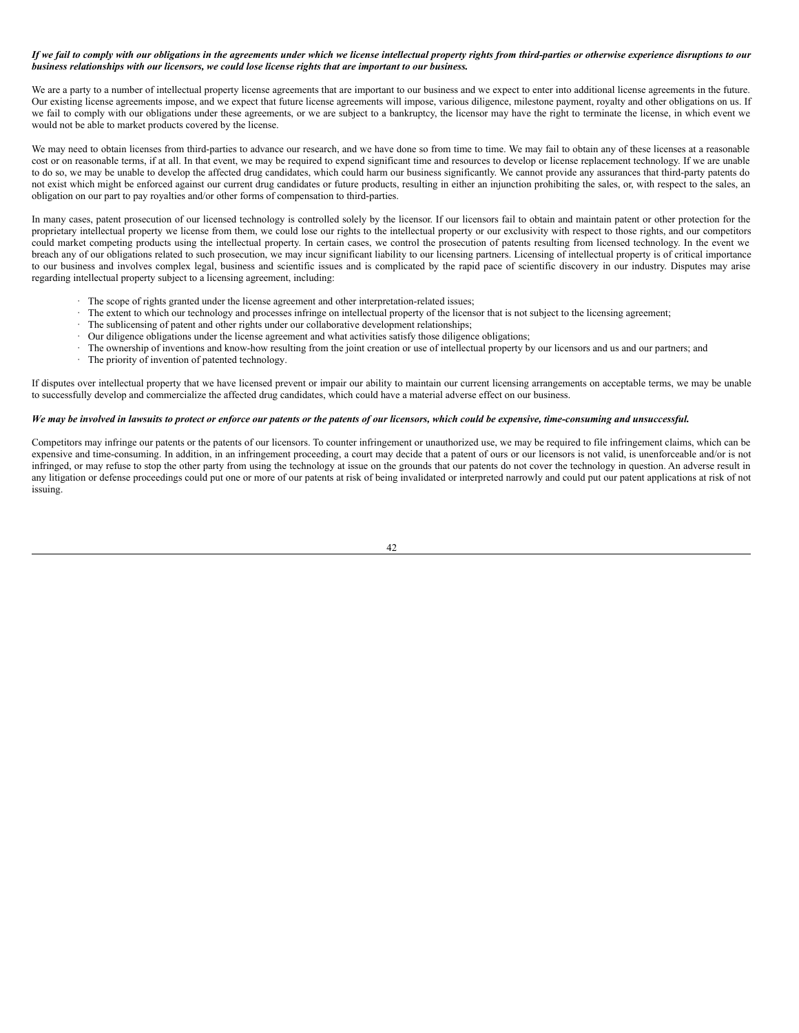### If we fail to comply with our obligations in the agreements under which we license intellectual property rights from third-parties or otherwise experience disruptions to our *business relationships with our licensors, we could lose license rights that are important to our business.*

We are a party to a number of intellectual property license agreements that are important to our business and we expect to enter into additional license agreements in the future. Our existing license agreements impose, and we expect that future license agreements will impose, various diligence, milestone payment, royalty and other obligations on us. If we fail to comply with our obligations under these agreements, or we are subject to a bankruptcy, the licensor may have the right to terminate the license, in which event we would not be able to market products covered by the license.

We may need to obtain licenses from third-parties to advance our research, and we have done so from time to time. We may fail to obtain any of these licenses at a reasonable cost or on reasonable terms, if at all. In that event, we may be required to expend significant time and resources to develop or license replacement technology. If we are unable to do so, we may be unable to develop the affected drug candidates, which could harm our business significantly. We cannot provide any assurances that third-party patents do not exist which might be enforced against our current drug candidates or future products, resulting in either an injunction prohibiting the sales, or, with respect to the sales, an obligation on our part to pay royalties and/or other forms of compensation to third-parties.

In many cases, patent prosecution of our licensed technology is controlled solely by the licensor. If our licensors fail to obtain and maintain patent or other protection for the proprietary intellectual property we license from them, we could lose our rights to the intellectual property or our exclusivity with respect to those rights, and our competitors could market competing products using the intellectual property. In certain cases, we control the prosecution of patents resulting from licensed technology. In the event we breach any of our obligations related to such prosecution, we may incur significant liability to our licensing partners. Licensing of intellectual property is of critical importance to our business and involves complex legal, business and scientific issues and is complicated by the rapid pace of scientific discovery in our industry. Disputes may arise regarding intellectual property subject to a licensing agreement, including:

- · The scope of rights granted under the license agreement and other interpretation-related issues;
- · The extent to which our technology and processes infringe on intellectual property of the licensor that is not subject to the licensing agreement;
- · The sublicensing of patent and other rights under our collaborative development relationships;
- · Our diligence obligations under the license agreement and what activities satisfy those diligence obligations;
- · The ownership of inventions and know-how resulting from the joint creation or use of intellectual property by our licensors and us and our partners; and
- · The priority of invention of patented technology.

If disputes over intellectual property that we have licensed prevent or impair our ability to maintain our current licensing arrangements on acceptable terms, we may be unable to successfully develop and commercialize the affected drug candidates, which could have a material adverse effect on our business.

#### We may be involved in lawsuits to protect or enforce our patents or the patents of our licensors, which could be expensive, time-consuming and unsuccessful.

Competitors may infringe our patents or the patents of our licensors. To counter infringement or unauthorized use, we may be required to file infringement claims, which can be expensive and time-consuming. In addition, in an infringement proceeding, a court may decide that a patent of ours or our licensors is not valid, is unenforceable and/or is not infringed, or may refuse to stop the other party from using the technology at issue on the grounds that our patents do not cover the technology in question. An adverse result in any litigation or defense proceedings could put one or more of our patents at risk of being invalidated or interpreted narrowly and could put our patent applications at risk of not issuing.

42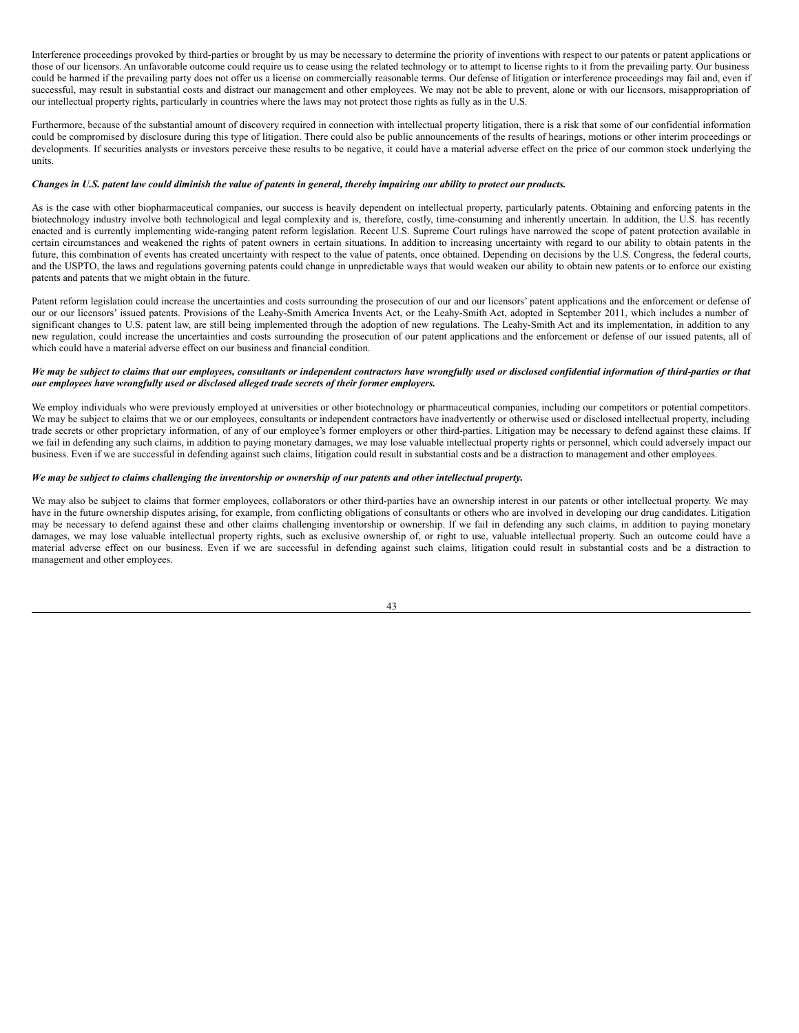Interference proceedings provoked by third-parties or brought by us may be necessary to determine the priority of inventions with respect to our patents or patent applications or those of our licensors. An unfavorable outcome could require us to cease using the related technology or to attempt to license rights to it from the prevailing party. Our business could be harmed if the prevailing party does not offer us a license on commercially reasonable terms. Our defense of litigation or interference proceedings may fail and, even if successful, may result in substantial costs and distract our management and other employees. We may not be able to prevent, alone or with our licensors, misappropriation of our intellectual property rights, particularly in countries where the laws may not protect those rights as fully as in the U.S.

Furthermore, because of the substantial amount of discovery required in connection with intellectual property litigation, there is a risk that some of our confidential information could be compromised by disclosure during this type of litigation. There could also be public announcements of the results of hearings, motions or other interim proceedings or developments. If securities analysts or investors perceive these results to be negative, it could have a material adverse effect on the price of our common stock underlying the units.

# Changes in U.S. patent law could diminish the value of patents in general, thereby impairing our ability to protect our products.

As is the case with other biopharmaceutical companies, our success is heavily dependent on intellectual property, particularly patents. Obtaining and enforcing patents in the biotechnology industry involve both technological and legal complexity and is, therefore, costly, time-consuming and inherently uncertain. In addition, the U.S. has recently enacted and is currently implementing wide-ranging patent reform legislation. Recent U.S. Supreme Court rulings have narrowed the scope of patent protection available in certain circumstances and weakened the rights of patent owners in certain situations. In addition to increasing uncertainty with regard to our ability to obtain patents in the future, this combination of events has created uncertainty with respect to the value of patents, once obtained. Depending on decisions by the U.S. Congress, the federal courts, and the USPTO, the laws and regulations governing patents could change in unpredictable ways that would weaken our ability to obtain new patents or to enforce our existing patents and patents that we might obtain in the future.

Patent reform legislation could increase the uncertainties and costs surrounding the prosecution of our and our licensors' patent applications and the enforcement or defense of our or our licensors' issued patents. Provisions of the Leahy-Smith America Invents Act, or the Leahy-Smith Act, adopted in September 2011, which includes a number of significant changes to U.S. patent law, are still being implemented through the adoption of new regulations. The Leahy-Smith Act and its implementation, in addition to any new regulation, could increase the uncertainties and costs surrounding the prosecution of our patent applications and the enforcement or defense of our issued patents, all of which could have a material adverse effect on our business and financial condition.

#### We may be subject to claims that our employees, consultants or independent contractors have wrongfully used or disclosed confidential information of third-parties or that *our employees have wrongfully used or disclosed alleged trade secrets of their former employers.*

We employ individuals who were previously employed at universities or other biotechnology or pharmaceutical companies, including our competitors or potential competitors. We may be subject to claims that we or our employees, consultants or independent contractors have inadvertently or otherwise used or disclosed intellectual property, including trade secrets or other proprietary information, of any of our employee's former employers or other third-parties. Litigation may be necessary to defend against these claims. If we fail in defending any such claims, in addition to paying monetary damages, we may lose valuable intellectual property rights or personnel, which could adversely impact our business. Even if we are successful in defending against such claims, litigation could result in substantial costs and be a distraction to management and other employees.

#### We may be subject to claims challenging the inventorship or ownership of our patents and other intellectual property.

We may also be subject to claims that former employees, collaborators or other third-parties have an ownership interest in our patents or other intellectual property. We may have in the future ownership disputes arising, for example, from conflicting obligations of consultants or others who are involved in developing our drug candidates. Litigation may be necessary to defend against these and other claims challenging inventorship or ownership. If we fail in defending any such claims, in addition to paying monetary damages, we may lose valuable intellectual property rights, such as exclusive ownership of, or right to use, valuable intellectual property. Such an outcome could have a material adverse effect on our business. Even if we are successful in defending against such claims, litigation could result in substantial costs and be a distraction to management and other employees.

| ٦ | ۰.      |
|---|---------|
|   | ×<br>۰. |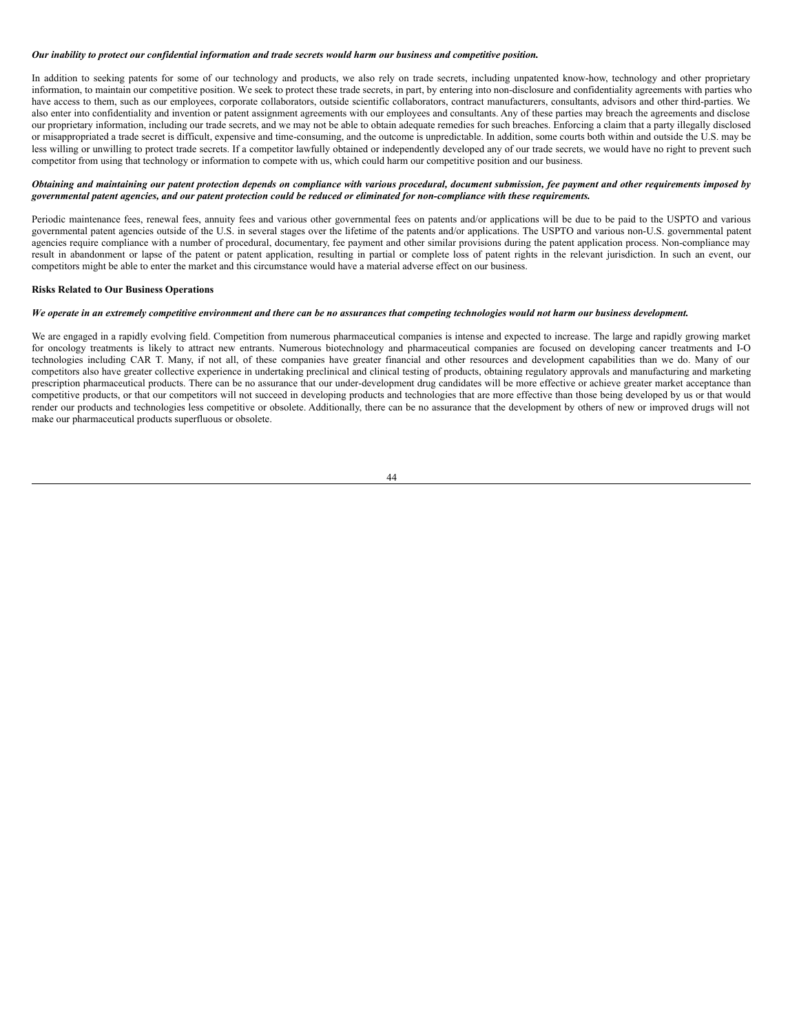### Our inability to protect our confidential information and trade secrets would harm our business and competitive position.

In addition to seeking patents for some of our technology and products, we also rely on trade secrets, including unpatented know-how, technology and other proprietary information, to maintain our competitive position. We seek to protect these trade secrets, in part, by entering into non-disclosure and confidentiality agreements with parties who have access to them, such as our employees, corporate collaborators, outside scientific collaborators, contract manufacturers, consultants, advisors and other third-parties. We also enter into confidentiality and invention or patent assignment agreements with our employees and consultants. Any of these parties may breach the agreements and disclose our proprietary information, including our trade secrets, and we may not be able to obtain adequate remedies for such breaches. Enforcing a claim that a party illegally disclosed or misappropriated a trade secret is difficult, expensive and time-consuming, and the outcome is unpredictable. In addition, some courts both within and outside the U.S. may be less willing or unwilling to protect trade secrets. If a competitor lawfully obtained or independently developed any of our trade secrets, we would have no right to prevent such competitor from using that technology or information to compete with us, which could harm our competitive position and our business.

#### Obtaining and maintaining our patent protection depends on compliance with various procedural, document submission, fee payment and other requirements imposed by governmental patent agencies, and our patent protection could be reduced or eliminated for non-compliance with these requirements.

Periodic maintenance fees, renewal fees, annuity fees and various other governmental fees on patents and/or applications will be due to be paid to the USPTO and various governmental patent agencies outside of the U.S. in several stages over the lifetime of the patents and/or applications. The USPTO and various non-U.S. governmental patent agencies require compliance with a number of procedural, documentary, fee payment and other similar provisions during the patent application process. Non-compliance may result in abandonment or lapse of the patent or patent application, resulting in partial or complete loss of patent rights in the relevant jurisdiction. In such an event, our competitors might be able to enter the market and this circumstance would have a material adverse effect on our business.

#### **Risks Related to Our Business Operations**

# We operate in an extremely competitive environment and there can be no assurances that competing technologies would not harm our business development.

We are engaged in a rapidly evolving field. Competition from numerous pharmaceutical companies is intense and expected to increase. The large and rapidly growing market for oncology treatments is likely to attract new entrants. Numerous biotechnology and pharmaceutical companies are focused on developing cancer treatments and I-O technologies including CAR T. Many, if not all, of these companies have greater financial and other resources and development capabilities than we do. Many of our competitors also have greater collective experience in undertaking preclinical and clinical testing of products, obtaining regulatory approvals and manufacturing and marketing prescription pharmaceutical products. There can be no assurance that our under-development drug candidates will be more effective or achieve greater market acceptance than competitive products, or that our competitors will not succeed in developing products and technologies that are more effective than those being developed by us or that would render our products and technologies less competitive or obsolete. Additionally, there can be no assurance that the development by others of new or improved drugs will not make our pharmaceutical products superfluous or obsolete.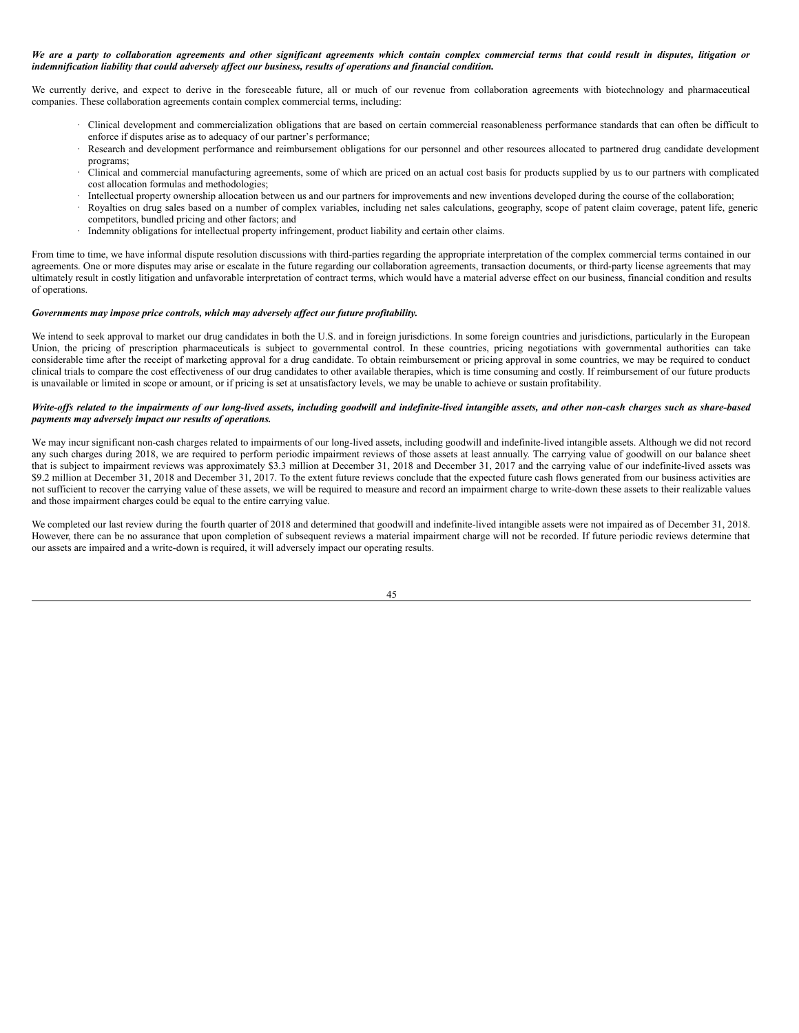### We are a party to collaboration agreements and other significant agreements which contain complex commercial terms that could result in disputes, litigation or *indemnification liability that could adversely af ect our business, results of operations and financial condition.*

We currently derive, and expect to derive in the foreseeable future, all or much of our revenue from collaboration agreements with biotechnology and pharmaceutical companies. These collaboration agreements contain complex commercial terms, including:

- · Clinical development and commercialization obligations that are based on certain commercial reasonableness performance standards that can often be difficult to enforce if disputes arise as to adequacy of our partner's performance;
- Research and development performance and reimbursement obligations for our personnel and other resources allocated to partnered drug candidate development programs;
- · Clinical and commercial manufacturing agreements, some of which are priced on an actual cost basis for products supplied by us to our partners with complicated cost allocation formulas and methodologies;
- · Intellectual property ownership allocation between us and our partners for improvements and new inventions developed during the course of the collaboration;
- · Royalties on drug sales based on a number of complex variables, including net sales calculations, geography, scope of patent claim coverage, patent life, generic
- competitors, bundled pricing and other factors; and
- Indemnity obligations for intellectual property infringement, product liability and certain other claims.

From time to time, we have informal dispute resolution discussions with third-parties regarding the appropriate interpretation of the complex commercial terms contained in our agreements. One or more disputes may arise or escalate in the future regarding our collaboration agreements, transaction documents, or third-party license agreements that may ultimately result in costly litigation and unfavorable interpretation of contract terms, which would have a material adverse effect on our business, financial condition and results of operations.

# *Governments may impose price controls, which may adversely af ect our future profitability.*

We intend to seek approval to market our drug candidates in both the U.S. and in foreign jurisdictions. In some foreign countries and jurisdictions, particularly in the European Union, the pricing of prescription pharmaceuticals is subject to governmental control. In these countries, pricing negotiations with governmental authorities can take considerable time after the receipt of marketing approval for a drug candidate. To obtain reimbursement or pricing approval in some countries, we may be required to conduct clinical trials to compare the cost effectiveness of our drug candidates to other available therapies, which is time consuming and costly. If reimbursement of our future products is unavailable or limited in scope or amount, or if pricing is set at unsatisfactory levels, we may be unable to achieve or sustain profitability.

# Write-offs related to the impairments of our long-lived assets, including goodwill and indefinite-lived intangible assets, and other non-cash charges such as share-based *payments may adversely impact our results of operations.*

We may incur significant non-cash charges related to impairments of our long-lived assets, including goodwill and indefinite-lived intangible assets. Although we did not record any such charges during 2018, we are required to perform periodic impairment reviews of those assets at least annually. The carrying value of goodwill on our balance sheet that is subject to impairment reviews was approximately \$3.3 million at December 31, 2018 and December 31, 2017 and the carrying value of our indefinite-lived assets was \$9.2 million at December 31, 2018 and December 31, 2017. To the extent future reviews conclude that the expected future cash flows generated from our business activities are not sufficient to recover the carrying value of these assets, we will be required to measure and record an impairment charge to write-down these assets to their realizable values and those impairment charges could be equal to the entire carrying value.

We completed our last review during the fourth quarter of 2018 and determined that goodwill and indefinite-lived intangible assets were not impaired as of December 31, 2018. However, there can be no assurance that upon completion of subsequent reviews a material impairment charge will not be recorded. If future periodic reviews determine that our assets are impaired and a write-down is required, it will adversely impact our operating results.

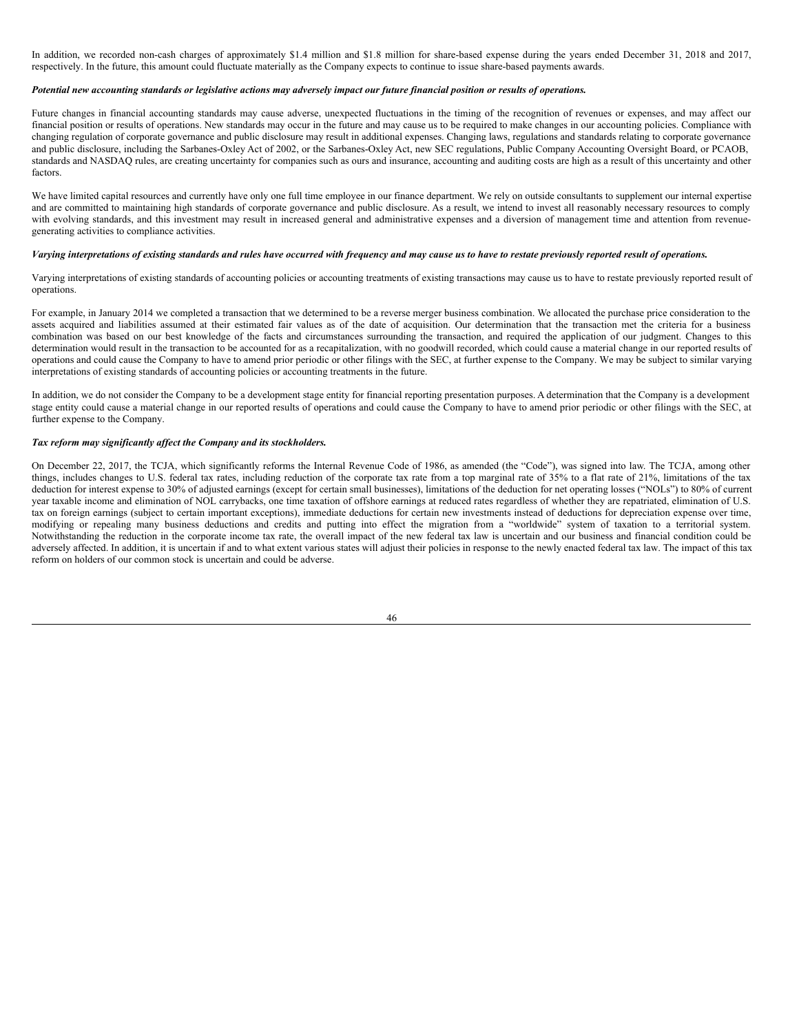In addition, we recorded non-cash charges of approximately \$1.4 million and \$1.8 million for share-based expense during the years ended December 31, 2018 and 2017, respectively. In the future, this amount could fluctuate materially as the Company expects to continue to issue share-based payments awards.

# Potential new accounting standards or legislative actions may adversely impact our future financial position or results of operations.

Future changes in financial accounting standards may cause adverse, unexpected fluctuations in the timing of the recognition of revenues or expenses, and may affect our financial position or results of operations. New standards may occur in the future and may cause us to be required to make changes in our accounting policies. Compliance with changing regulation of corporate governance and public disclosure may result in additional expenses. Changing laws, regulations and standards relating to corporate governance and public disclosure, including the Sarbanes-Oxley Act of 2002, or the Sarbanes-Oxley Act, new SEC regulations, Public Company Accounting Oversight Board, or PCAOB, standards and NASDAQ rules, are creating uncertainty for companies such as ours and insurance, accounting and auditing costs are high as a result of this uncertainty and other factors.

We have limited capital resources and currently have only one full time employee in our finance department. We rely on outside consultants to supplement our internal expertise and are committed to maintaining high standards of corporate governance and public disclosure. As a result, we intend to invest all reasonably necessary resources to comply with evolving standards, and this investment may result in increased general and administrative expenses and a diversion of management time and attention from revenuegenerating activities to compliance activities.

# Varying interpretations of existing standards and rules have occurred with frequency and may cause us to have to restate previously reported result of operations.

Varying interpretations of existing standards of accounting policies or accounting treatments of existing transactions may cause us to have to restate previously reported result of operations.

For example, in January 2014 we completed a transaction that we determined to be a reverse merger business combination. We allocated the purchase price consideration to the assets acquired and liabilities assumed at their estimated fair values as of the date of acquisition. Our determination that the transaction met the criteria for a business combination was based on our best knowledge of the facts and circumstances surrounding the transaction, and required the application of our judgment. Changes to this determination would result in the transaction to be accounted for as a recapitalization, with no goodwill recorded, which could cause a material change in our reported results of operations and could cause the Company to have to amend prior periodic or other filings with the SEC, at further expense to the Company. We may be subject to similar varying interpretations of existing standards of accounting policies or accounting treatments in the future.

In addition, we do not consider the Company to be a development stage entity for financial reporting presentation purposes. A determination that the Company is a development stage entity could cause a material change in our reported results of operations and could cause the Company to have to amend prior periodic or other filings with the SEC, at further expense to the Company.

## *Tax reform may significantly af ect the Company and its stockholders.*

On December 22, 2017, the TCJA, which significantly reforms the Internal Revenue Code of 1986, as amended (the "Code"), was signed into law. The TCJA, among other things, includes changes to U.S. federal tax rates, including reduction of the corporate tax rate from a top marginal rate of 35% to a flat rate of 21%, limitations of the tax deduction for interest expense to 30% of adjusted earnings (except for certain small businesses), limitations of the deduction for net operating losses ("NOLs") to 80% of current year taxable income and elimination of NOL carrybacks, one time taxation of offshore earnings at reduced rates regardless of whether they are repatriated, elimination of U.S. tax on foreign earnings (subject to certain important exceptions), immediate deductions for certain new investments instead of deductions for depreciation expense over time, modifying or repealing many business deductions and credits and putting into effect the migration from a "worldwide" system of taxation to a territorial system. Notwithstanding the reduction in the corporate income tax rate, the overall impact of the new federal tax law is uncertain and our business and financial condition could be adversely affected. In addition, it is uncertain if and to what extent various states will adjust their policies in response to the newly enacted federal tax law. The impact of this tax reform on holders of our common stock is uncertain and could be adverse.

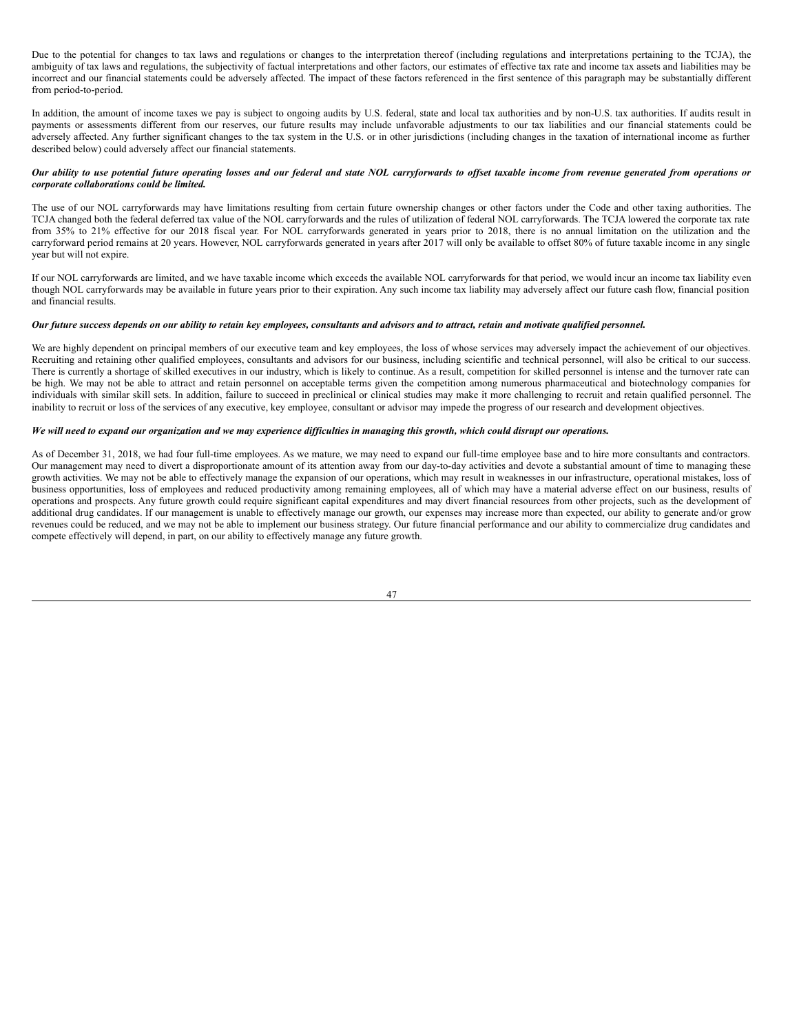Due to the potential for changes to tax laws and regulations or changes to the interpretation thereof (including regulations and interpretations pertaining to the TCJA), the ambiguity of tax laws and regulations, the subjectivity of factual interpretations and other factors, our estimates of effective tax rate and income tax assets and liabilities may be incorrect and our financial statements could be adversely affected. The impact of these factors referenced in the first sentence of this paragraph may be substantially different from period-to-period.

In addition, the amount of income taxes we pay is subject to ongoing audits by U.S. federal, state and local tax authorities and by non-U.S. tax authorities. If audits result in payments or assessments different from our reserves, our future results may include unfavorable adjustments to our tax liabilities and our financial statements could be adversely affected. Any further significant changes to the tax system in the U.S. or in other jurisdictions (including changes in the taxation of international income as further described below) could adversely affect our financial statements.

## Our ability to use potential future operating losses and our federal and state NOL carryforwards to offset taxable income from revenue generated from operations or *corporate collaborations could be limited.*

The use of our NOL carryforwards may have limitations resulting from certain future ownership changes or other factors under the Code and other taxing authorities. The TCJA changed both the federal deferred tax value of the NOL carryforwards and the rules of utilization of federal NOL carryforwards. The TCJA lowered the corporate tax rate from 35% to 21% effective for our 2018 fiscal year. For NOL carryforwards generated in years prior to 2018, there is no annual limitation on the utilization and the carryforward period remains at 20 years. However, NOL carryforwards generated in years after 2017 will only be available to offset 80% of future taxable income in any single year but will not expire.

If our NOL carryforwards are limited, and we have taxable income which exceeds the available NOL carryforwards for that period, we would incur an income tax liability even though NOL carryforwards may be available in future years prior to their expiration. Any such income tax liability may adversely affect our future cash flow, financial position and financial results.

# Our future success depends on our ability to retain key employees, consultants and advisors and to attract, retain and motivate qualified personnel.

We are highly dependent on principal members of our executive team and key employees, the loss of whose services may adversely impact the achievement of our objectives. Recruiting and retaining other qualified employees, consultants and advisors for our business, including scientific and technical personnel, will also be critical to our success. There is currently a shortage of skilled executives in our industry, which is likely to continue. As a result, competition for skilled personnel is intense and the turnover rate can be high. We may not be able to attract and retain personnel on acceptable terms given the competition among numerous pharmaceutical and biotechnology companies for individuals with similar skill sets. In addition, failure to succeed in preclinical or clinical studies may make it more challenging to recruit and retain qualified personnel. The inability to recruit or loss of the services of any executive, key employee, consultant or advisor may impede the progress of our research and development objectives.

# We will need to expand our organization and we may experience difficulties in managing this growth, which could disrupt our operations.

As of December 31, 2018, we had four full-time employees. As we mature, we may need to expand our full-time employee base and to hire more consultants and contractors. Our management may need to divert a disproportionate amount of its attention away from our day-to-day activities and devote a substantial amount of time to managing these growth activities. We may not be able to effectively manage the expansion of our operations, which may result in weaknesses in our infrastructure, operational mistakes, loss of business opportunities, loss of employees and reduced productivity among remaining employees, all of which may have a material adverse effect on our business, results of operations and prospects. Any future growth could require significant capital expenditures and may divert financial resources from other projects, such as the development of additional drug candidates. If our management is unable to effectively manage our growth, our expenses may increase more than expected, our ability to generate and/or grow revenues could be reduced, and we may not be able to implement our business strategy. Our future financial performance and our ability to commercialize drug candidates and compete effectively will depend, in part, on our ability to effectively manage any future growth.

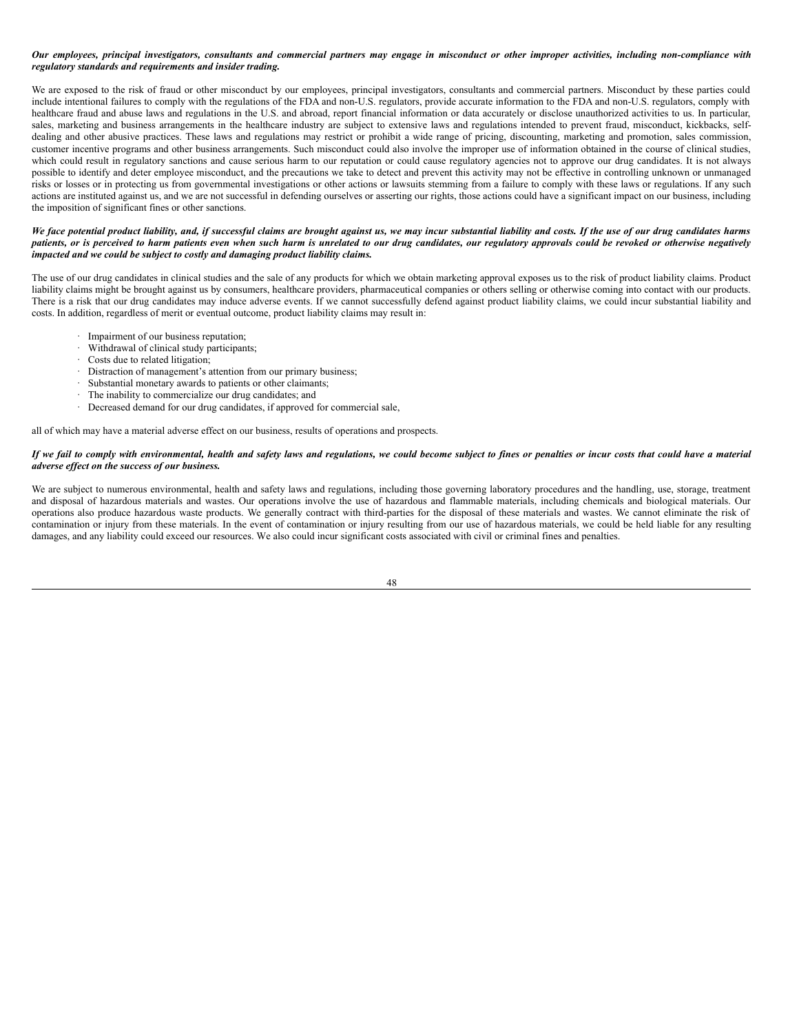### Our employees, principal investigators, consultants and commercial partners may engage in misconduct or other improper activities, including non-compliance with *regulatory standards and requirements and insider trading.*

We are exposed to the risk of fraud or other misconduct by our employees, principal investigators, consultants and commercial partners. Misconduct by these parties could include intentional failures to comply with the regulations of the FDA and non-U.S. regulators, provide accurate information to the FDA and non-U.S. regulators, comply with healthcare fraud and abuse laws and regulations in the U.S. and abroad, report financial information or data accurately or disclose unauthorized activities to us. In particular, sales, marketing and business arrangements in the healthcare industry are subject to extensive laws and regulations intended to prevent fraud, misconduct, kickbacks, selfdealing and other abusive practices. These laws and regulations may restrict or prohibit a wide range of pricing, discounting, marketing and promotion, sales commission, customer incentive programs and other business arrangements. Such misconduct could also involve the improper use of information obtained in the course of clinical studies, which could result in regulatory sanctions and cause serious harm to our reputation or could cause regulatory agencies not to approve our drug candidates. It is not always possible to identify and deter employee misconduct, and the precautions we take to detect and prevent this activity may not be effective in controlling unknown or unmanaged risks or losses or in protecting us from governmental investigations or other actions or lawsuits stemming from a failure to comply with these laws or regulations. If any such actions are instituted against us, and we are not successful in defending ourselves or asserting our rights, those actions could have a significant impact on our business, including the imposition of significant fines or other sanctions.

#### We face potential product liability, and, if successful claims are brought against us, we may incur substantial liability and costs. If the use of our drug candidates harms patients, or is perceived to harm patients even when such harm is unrelated to our drug candidates, our regulatory approvals could be revoked or otherwise negatively *impacted and we could be subject to costly and damaging product liability claims.*

The use of our drug candidates in clinical studies and the sale of any products for which we obtain marketing approval exposes us to the risk of product liability claims. Product liability claims might be brought against us by consumers, healthcare providers, pharmaceutical companies or others selling or otherwise coming into contact with our products. There is a risk that our drug candidates may induce adverse events. If we cannot successfully defend against product liability claims, we could incur substantial liability and costs. In addition, regardless of merit or eventual outcome, product liability claims may result in:

- · Impairment of our business reputation;
- · Withdrawal of clinical study participants;
- · Costs due to related litigation;
- · Distraction of management's attention from our primary business;
- · Substantial monetary awards to patients or other claimants;
- · The inability to commercialize our drug candidates; and
- · Decreased demand for our drug candidates, if approved for commercial sale,

all of which may have a material adverse effect on our business, results of operations and prospects.

### If we fail to comply with environmental, health and safety laws and regulations, we could become subject to fines or penalties or incur costs that could have a material *adverse ef ect on the success of our business.*

We are subject to numerous environmental, health and safety laws and regulations, including those governing laboratory procedures and the handling, use, storage, treatment and disposal of hazardous materials and wastes. Our operations involve the use of hazardous and flammable materials, including chemicals and biological materials. Our operations also produce hazardous waste products. We generally contract with third-parties for the disposal of these materials and wastes. We cannot eliminate the risk of contamination or injury from these materials. In the event of contamination or injury resulting from our use of hazardous materials, we could be held liable for any resulting damages, and any liability could exceed our resources. We also could incur significant costs associated with civil or criminal fines and penalties.

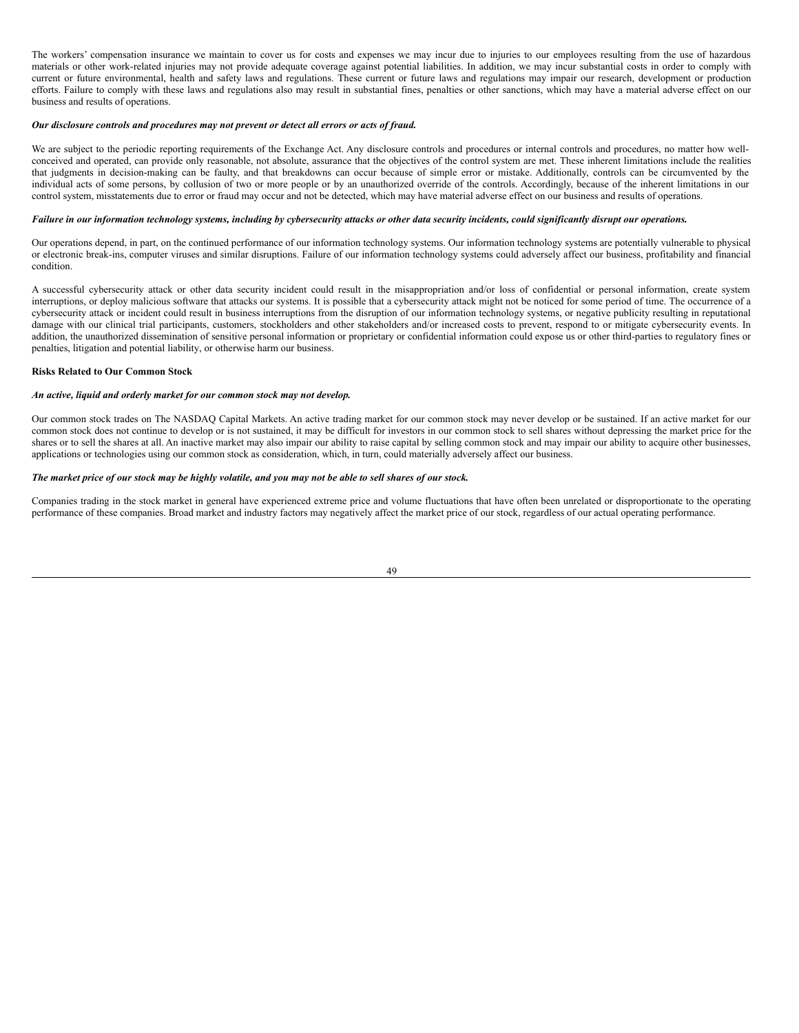The workers' compensation insurance we maintain to cover us for costs and expenses we may incur due to injuries to our employees resulting from the use of hazardous materials or other work-related injuries may not provide adequate coverage against potential liabilities. In addition, we may incur substantial costs in order to comply with current or future environmental, health and safety laws and regulations. These current or future laws and regulations may impair our research, development or production efforts. Failure to comply with these laws and regulations also may result in substantial fines, penalties or other sanctions, which may have a material adverse effect on our business and results of operations.

#### *Our disclosure controls and procedures may not prevent or detect all errors or acts of fraud.*

We are subject to the periodic reporting requirements of the Exchange Act. Any disclosure controls and procedures or internal controls and procedures, no matter how wellconceived and operated, can provide only reasonable, not absolute, assurance that the objectives of the control system are met. These inherent limitations include the realities that judgments in decision-making can be faulty, and that breakdowns can occur because of simple error or mistake. Additionally, controls can be circumvented by the individual acts of some persons, by collusion of two or more people or by an unauthorized override of the controls. Accordingly, because of the inherent limitations in our control system, misstatements due to error or fraud may occur and not be detected, which may have material adverse effect on our business and results of operations.

#### Failure in our information technology systems, including by cybersecurity attacks or other data security incidents, could significantly disrupt our operations.

Our operations depend, in part, on the continued performance of our information technology systems. Our information technology systems are potentially vulnerable to physical or electronic break-ins, computer viruses and similar disruptions. Failure of our information technology systems could adversely affect our business, profitability and financial condition.

A successful cybersecurity attack or other data security incident could result in the misappropriation and/or loss of confidential or personal information, create system interruptions, or deploy malicious software that attacks our systems. It is possible that a cybersecurity attack might not be noticed for some period of time. The occurrence of a cybersecurity attack or incident could result in business interruptions from the disruption of our information technology systems, or negative publicity resulting in reputational damage with our clinical trial participants, customers, stockholders and other stakeholders and/or increased costs to prevent, respond to or mitigate cybersecurity events. In addition, the unauthorized dissemination of sensitive personal information or proprietary or confidential information could expose us or other third-parties to regulatory fines or penalties, litigation and potential liability, or otherwise harm our business.

#### **Risks Related to Our Common Stock**

# *An active, liquid and orderly market for our common stock may not develop.*

Our common stock trades on The NASDAQ Capital Markets. An active trading market for our common stock may never develop or be sustained. If an active market for our common stock does not continue to develop or is not sustained, it may be difficult for investors in our common stock to sell shares without depressing the market price for the shares or to sell the shares at all. An inactive market may also impair our ability to raise capital by selling common stock and may impair our ability to acquire other businesses, applications or technologies using our common stock as consideration, which, in turn, could materially adversely affect our business.

#### The market price of our stock may be highly volatile, and you may not be able to sell shares of our stock.

Companies trading in the stock market in general have experienced extreme price and volume fluctuations that have often been unrelated or disproportionate to the operating performance of these companies. Broad market and industry factors may negatively affect the market price of our stock, regardless of our actual operating performance.

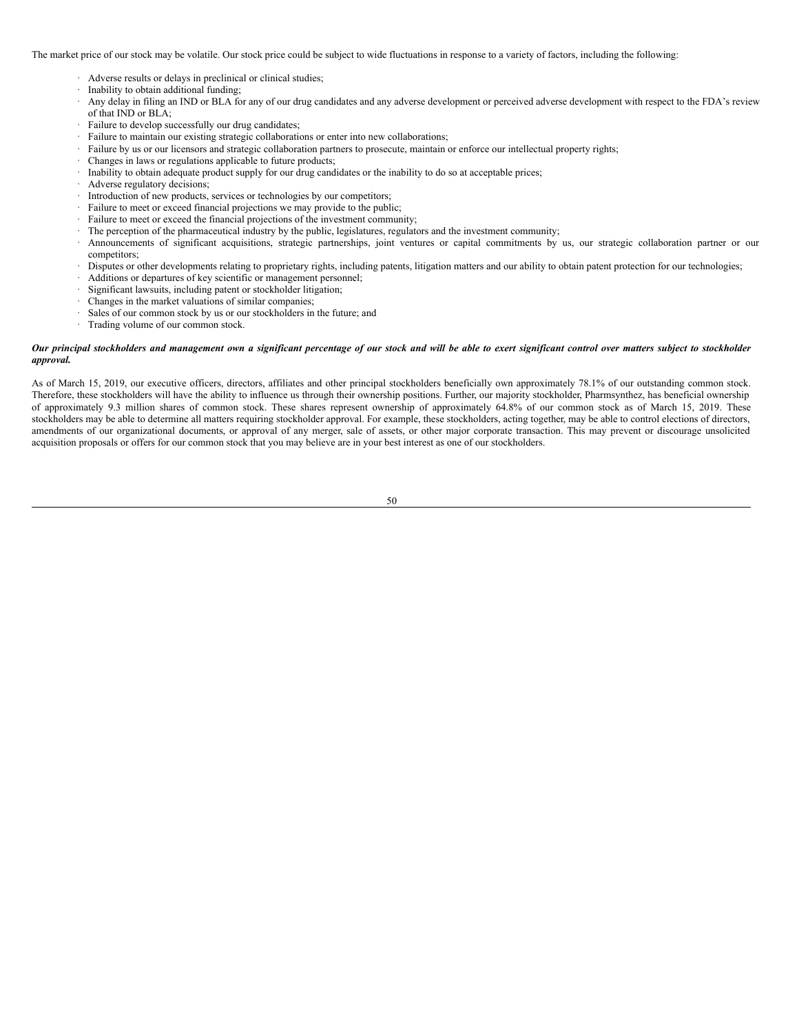The market price of our stock may be volatile. Our stock price could be subject to wide fluctuations in response to a variety of factors, including the following:

- · Adverse results or delays in preclinical or clinical studies;
- · Inability to obtain additional funding;
- · Any delay in filing an IND or BLA for any of our drug candidates and any adverse development or perceived adverse development with respect to the FDA's review of that IND or BLA;
- · Failure to develop successfully our drug candidates;
- · Failure to maintain our existing strategic collaborations or enter into new collaborations;
- · Failure by us or our licensors and strategic collaboration partners to prosecute, maintain or enforce our intellectual property rights;
- · Changes in laws or regulations applicable to future products;
- · Inability to obtain adequate product supply for our drug candidates or the inability to do so at acceptable prices;
- · Adverse regulatory decisions;
- · Introduction of new products, services or technologies by our competitors;
- · Failure to meet or exceed financial projections we may provide to the public;
- · Failure to meet or exceed the financial projections of the investment community;
- · The perception of the pharmaceutical industry by the public, legislatures, regulators and the investment community;
- · Announcements of significant acquisitions, strategic partnerships, joint ventures or capital commitments by us, our strategic collaboration partner or our competitors;
- · Disputes or other developments relating to proprietary rights, including patents, litigation matters and our ability to obtain patent protection for our technologies;
- · Additions or departures of key scientific or management personnel;
- · Significant lawsuits, including patent or stockholder litigation;
- · Changes in the market valuations of similar companies;
- · Sales of our common stock by us or our stockholders in the future; and
- · Trading volume of our common stock.

#### Our principal stockholders and management own a significant percentage of our stock and will be able to exert significant control over matters subject to stockholder *approval.*

As of March 15, 2019, our executive officers, directors, affiliates and other principal stockholders beneficially own approximately 78.1% of our outstanding common stock. Therefore, these stockholders will have the ability to influence us through their ownership positions. Further, our majority stockholder, Pharmsynthez, has beneficial ownership of approximately 9.3 million shares of common stock. These shares represent ownership of approximately 64.8% of our common stock as of March 15, 2019. These stockholders may be able to determine all matters requiring stockholder approval. For example, these stockholders, acting together, may be able to control elections of directors, amendments of our organizational documents, or approval of any merger, sale of assets, or other major corporate transaction. This may prevent or discourage unsolicited acquisition proposals or offers for our common stock that you may believe are in your best interest as one of our stockholders.

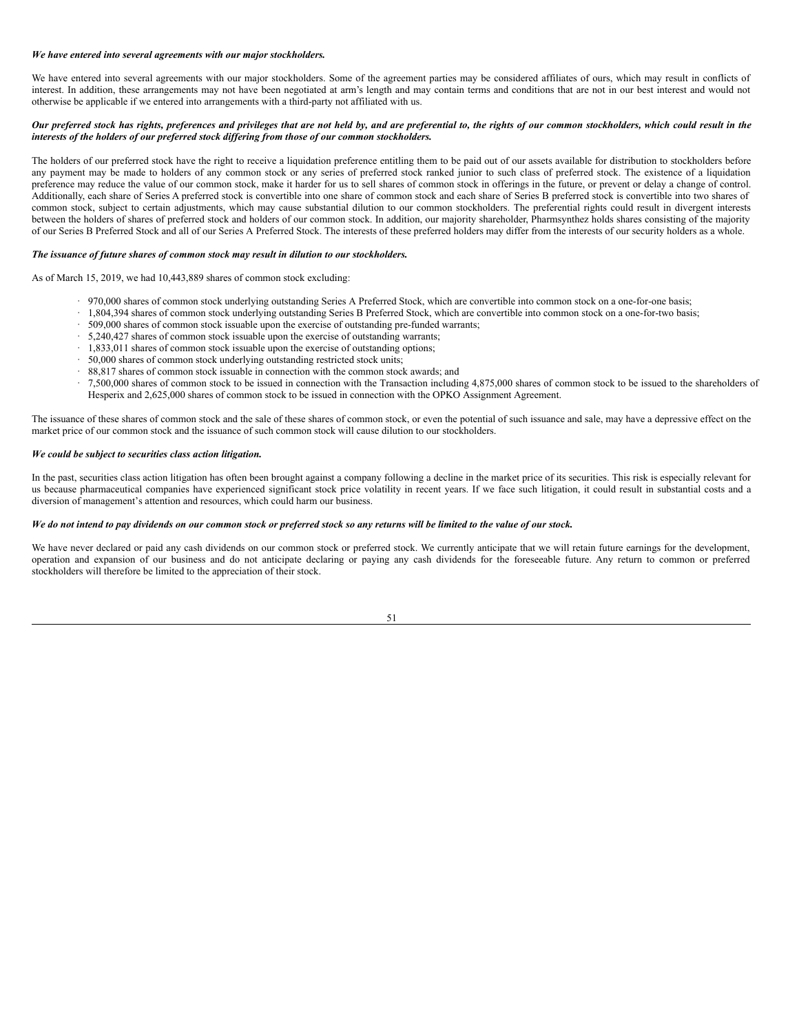### *We have entered into several agreements with our major stockholders.*

We have entered into several agreements with our major stockholders. Some of the agreement parties may be considered affiliates of ours, which may result in conflicts of interest. In addition, these arrangements may not have been negotiated at arm's length and may contain terms and conditions that are not in our best interest and would not otherwise be applicable if we entered into arrangements with a third-party not affiliated with us.

### Our preferred stock has rights, preferences and privileges that are not held by, and are preferential to, the rights of our common stockholders, which could result in the *interests of the holders of our preferred stock dif ering from those of our common stockholders.*

The holders of our preferred stock have the right to receive a liquidation preference entitling them to be paid out of our assets available for distribution to stockholders before any payment may be made to holders of any common stock or any series of preferred stock ranked junior to such class of preferred stock. The existence of a liquidation preference may reduce the value of our common stock, make it harder for us to sell shares of common stock in offerings in the future, or prevent or delay a change of control. Additionally, each share of Series A preferred stock is convertible into one share of common stock and each share of Series B preferred stock is convertible into two shares of common stock, subject to certain adjustments, which may cause substantial dilution to our common stockholders. The preferential rights could result in divergent interests between the holders of shares of preferred stock and holders of our common stock. In addition, our majority shareholder, Pharmsynthez holds shares consisting of the majority of our Series B Preferred Stock and all of our Series A Preferred Stock. The interests of these preferred holders may differ from the interests of our security holders as a whole.

#### *The issuance of future shares of common stock may result in dilution to our stockholders.*

As of March 15, 2019, we had 10,443,889 shares of common stock excluding:

- · 970,000 shares of common stock underlying outstanding Series A Preferred Stock, which are convertible into common stock on a one-for-one basis;
- · 1,804,394 shares of common stock underlying outstanding Series B Preferred Stock, which are convertible into common stock on a one-for-two basis;
- · 509,000 shares of common stock issuable upon the exercise of outstanding pre-funded warrants;
- · 5,240,427 shares of common stock issuable upon the exercise of outstanding warrants;
- · 1,833,011 shares of common stock issuable upon the exercise of outstanding options;
- · 50,000 shares of common stock underlying outstanding restricted stock units;
- · 88,817 shares of common stock issuable in connection with the common stock awards; and
- · 7,500,000 shares of common stock to be issued in connection with the Transaction including 4,875,000 shares of common stock to be issued to the shareholders of Hesperix and 2,625,000 shares of common stock to be issued in connection with the OPKO Assignment Agreement.

The issuance of these shares of common stock and the sale of these shares of common stock, or even the potential of such issuance and sale, may have a depressive effect on the market price of our common stock and the issuance of such common stock will cause dilution to our stockholders.

#### *We could be subject to securities class action litigation.*

In the past, securities class action litigation has often been brought against a company following a decline in the market price of its securities. This risk is especially relevant for us because pharmaceutical companies have experienced significant stock price volatility in recent years. If we face such litigation, it could result in substantial costs and a diversion of management's attention and resources, which could harm our business.

#### We do not intend to pay dividends on our common stock or preferred stock so any returns will be limited to the value of our stock.

We have never declared or paid any cash dividends on our common stock or preferred stock. We currently anticipate that we will retain future earnings for the development, operation and expansion of our business and do not anticipate declaring or paying any cash dividends for the foreseeable future. Any return to common or preferred stockholders will therefore be limited to the appreciation of their stock.

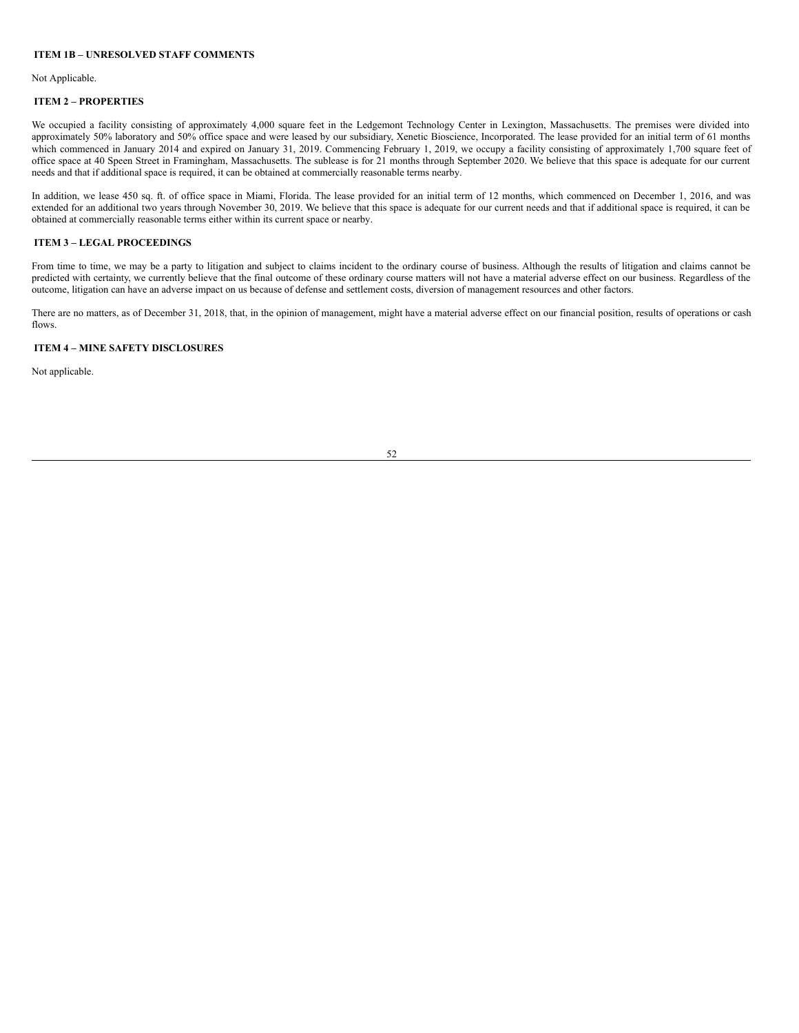# **ITEM 1B – UNRESOLVED STAFF COMMENTS**

Not Applicable.

### **ITEM 2 – PROPERTIES**

We occupied a facility consisting of approximately 4,000 square feet in the Ledgemont Technology Center in Lexington, Massachusetts. The premises were divided into approximately 50% laboratory and 50% office space and were leased by our subsidiary, Xenetic Bioscience, Incorporated. The lease provided for an initial term of 61 months which commenced in January 2014 and expired on January 31, 2019. Commencing February 1, 2019, we occupy a facility consisting of approximately 1,700 square feet of office space at 40 Speen Street in Framingham, Massachusetts. The sublease is for 21 months through September 2020. We believe that this space is adequate for our current needs and that if additional space is required, it can be obtained at commercially reasonable terms nearby.

In addition, we lease 450 sq. ft. of office space in Miami, Florida. The lease provided for an initial term of 12 months, which commenced on December 1, 2016, and was extended for an additional two years through November 30, 2019. We believe that this space is adequate for our current needs and that if additional space is required, it can be obtained at commercially reasonable terms either within its current space or nearby.

# **ITEM 3 – LEGAL PROCEEDINGS**

From time to time, we may be a party to litigation and subject to claims incident to the ordinary course of business. Although the results of litigation and claims cannot be predicted with certainty, we currently believe that the final outcome of these ordinary course matters will not have a material adverse effect on our business. Regardless of the outcome, litigation can have an adverse impact on us because of defense and settlement costs, diversion of management resources and other factors.

There are no matters, as of December 31, 2018, that, in the opinion of management, might have a material adverse effect on our financial position, results of operations or cash flows.

# **ITEM 4 – MINE SAFETY DISCLOSURES**

Not applicable.

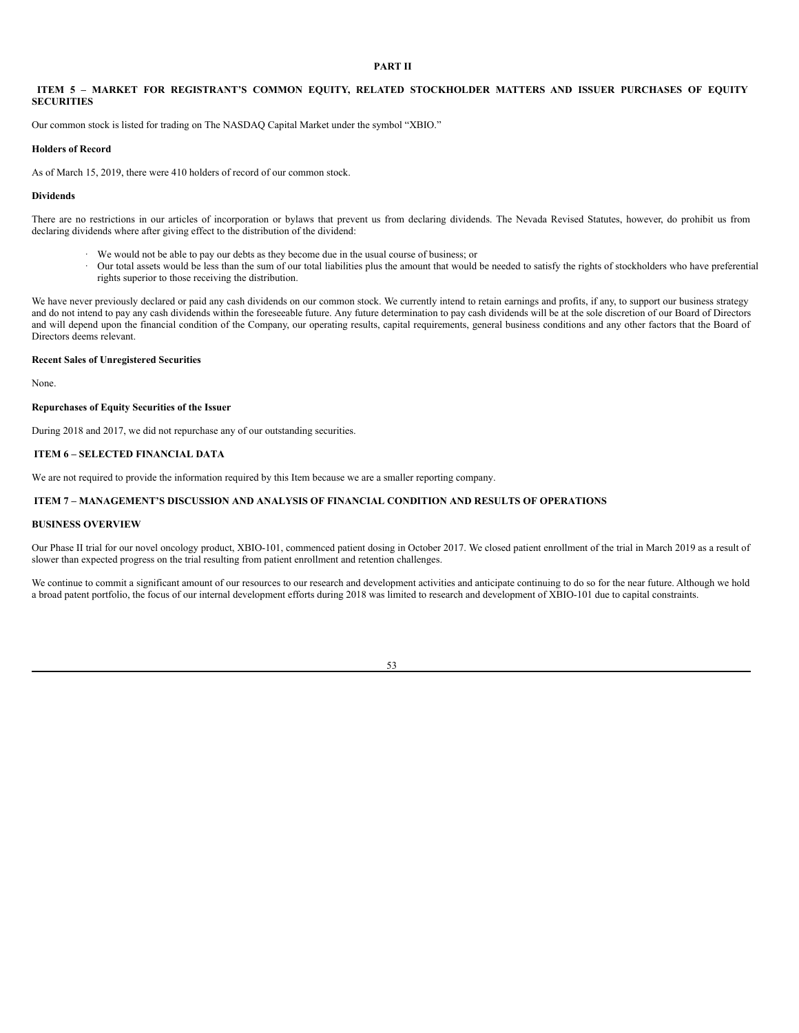# **PART II**

# **ITEM 5 – MARKET FOR REGISTRANT'S COMMON EQUITY, RELATED STOCKHOLDER MATTERS AND ISSUER PURCHASES OF EQUITY SECURITIES**

Our common stock is listed for trading on The NASDAQ Capital Market under the symbol "XBIO."

# **Holders of Record**

As of March 15, 2019, there were 410 holders of record of our common stock.

#### **Dividends**

There are no restrictions in our articles of incorporation or bylaws that prevent us from declaring dividends. The Nevada Revised Statutes, however, do prohibit us from declaring dividends where after giving effect to the distribution of the dividend:

- We would not be able to pay our debts as they become due in the usual course of business; or
- · Our total assets would be less than the sum of our total liabilities plus the amount that would be needed to satisfy the rights of stockholders who have preferential rights superior to those receiving the distribution.

We have never previously declared or paid any cash dividends on our common stock. We currently intend to retain earnings and profits, if any, to support our business strategy and do not intend to pay any cash dividends within the foreseeable future. Any future determination to pay cash dividends will be at the sole discretion of our Board of Directors and will depend upon the financial condition of the Company, our operating results, capital requirements, general business conditions and any other factors that the Board of Directors deems relevant.

#### **Recent Sales of Unregistered Securities**

None.

# **Repurchases of Equity Securities of the Issuer**

During 2018 and 2017, we did not repurchase any of our outstanding securities.

# **ITEM 6 – SELECTED FINANCIAL DATA**

We are not required to provide the information required by this Item because we are a smaller reporting company.

# **ITEM 7 – MANAGEMENT'S DISCUSSION AND ANALYSIS OF FINANCIAL CONDITION AND RESULTS OF OPERATIONS**

# **BUSINESS OVERVIEW**

Our Phase II trial for our novel oncology product, XBIO-101, commenced patient dosing in October 2017. We closed patient enrollment of the trial in March 2019 as a result of slower than expected progress on the trial resulting from patient enrollment and retention challenges.

We continue to commit a significant amount of our resources to our research and development activities and anticipate continuing to do so for the near future. Although we hold a broad patent portfolio, the focus of our internal development efforts during 2018 was limited to research and development of XBIO-101 due to capital constraints.

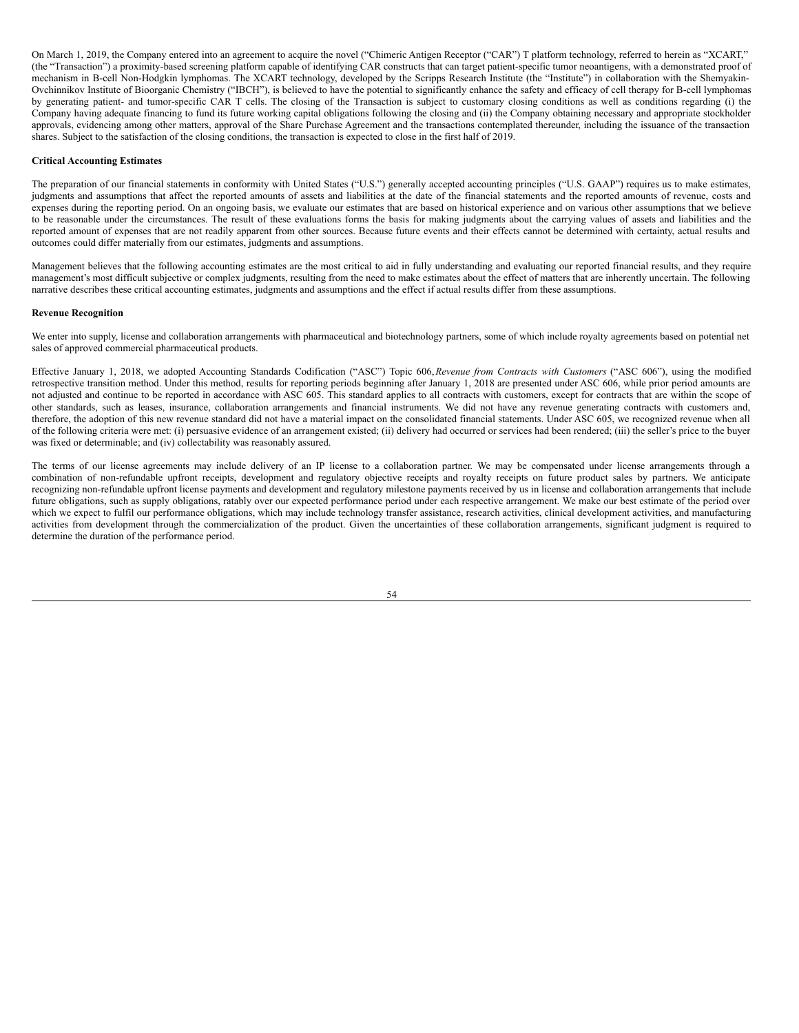On March 1, 2019, the Company entered into an agreement to acquire the novel ("Chimeric Antigen Receptor ("CAR") T platform technology, referred to herein as "XCART," (the "Transaction") a proximity-based screening platform capable of identifying CAR constructs that can target patient-specific tumor neoantigens, with a demonstrated proof of mechanism in B-cell Non-Hodgkin lymphomas. The XCART technology, developed by the Scripps Research Institute (the "Institute") in collaboration with the Shemyakin-Ovchinnikov Institute of Bioorganic Chemistry ("IBCH"), is believed to have the potential to significantly enhance the safety and efficacy of cell therapy for B-cell lymphomas by generating patient- and tumor-specific CAR T cells. The closing of the Transaction is subject to customary closing conditions as well as conditions regarding (i) the Company having adequate financing to fund its future working capital obligations following the closing and (ii) the Company obtaining necessary and appropriate stockholder approvals, evidencing among other matters, approval of the Share Purchase Agreement and the transactions contemplated thereunder, including the issuance of the transaction shares. Subject to the satisfaction of the closing conditions, the transaction is expected to close in the first half of 2019.

#### **Critical Accounting Estimates**

The preparation of our financial statements in conformity with United States ("U.S.") generally accepted accounting principles ("U.S. GAAP") requires us to make estimates, judgments and assumptions that affect the reported amounts of assets and liabilities at the date of the financial statements and the reported amounts of revenue, costs and expenses during the reporting period. On an ongoing basis, we evaluate our estimates that are based on historical experience and on various other assumptions that we believe to be reasonable under the circumstances. The result of these evaluations forms the basis for making judgments about the carrying values of assets and liabilities and the reported amount of expenses that are not readily apparent from other sources. Because future events and their effects cannot be determined with certainty, actual results and outcomes could differ materially from our estimates, judgments and assumptions.

Management believes that the following accounting estimates are the most critical to aid in fully understanding and evaluating our reported financial results, and they require management's most difficult subjective or complex judgments, resulting from the need to make estimates about the effect of matters that are inherently uncertain. The following narrative describes these critical accounting estimates, judgments and assumptions and the effect if actual results differ from these assumptions.

#### **Revenue Recognition**

We enter into supply, license and collaboration arrangements with pharmaceutical and biotechnology partners, some of which include royalty agreements based on potential net sales of approved commercial pharmaceutical products.

Effective January 1, 2018, we adopted Accounting Standards Codification ("ASC") Topic 606,*Revenue from Contracts with Customers* ("ASC 606"), using the modified retrospective transition method. Under this method, results for reporting periods beginning after January 1, 2018 are presented under ASC 606, while prior period amounts are not adjusted and continue to be reported in accordance with ASC 605. This standard applies to all contracts with customers, except for contracts that are within the scope of other standards, such as leases, insurance, collaboration arrangements and financial instruments. We did not have any revenue generating contracts with customers and, therefore, the adoption of this new revenue standard did not have a material impact on the consolidated financial statements. Under ASC 605, we recognized revenue when all of the following criteria were met: (i) persuasive evidence of an arrangement existed; (ii) delivery had occurred or services had been rendered; (iii) the seller's price to the buyer was fixed or determinable; and (iv) collectability was reasonably assured.

The terms of our license agreements may include delivery of an IP license to a collaboration partner. We may be compensated under license arrangements through a combination of non-refundable upfront receipts, development and regulatory objective receipts and royalty receipts on future product sales by partners. We anticipate recognizing non-refundable upfront license payments and development and regulatory milestone payments received by us in license and collaboration arrangements that include future obligations, such as supply obligations, ratably over our expected performance period under each respective arrangement. We make our best estimate of the period over which we expect to fulfil our performance obligations, which may include technology transfer assistance, research activities, clinical development activities, and manufacturing activities from development through the commercialization of the product. Given the uncertainties of these collaboration arrangements, significant judgment is required to determine the duration of the performance period.

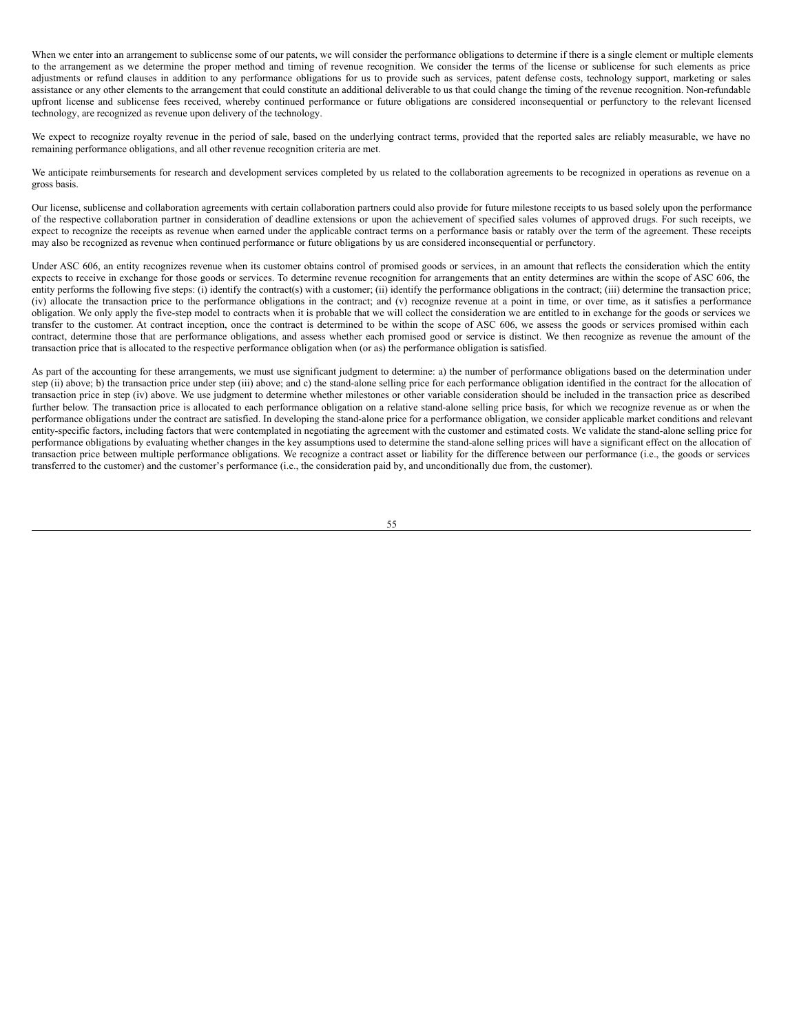When we enter into an arrangement to sublicense some of our patents, we will consider the performance obligations to determine if there is a single element or multiple elements to the arrangement as we determine the proper method and timing of revenue recognition. We consider the terms of the license or sublicense for such elements as price adjustments or refund clauses in addition to any performance obligations for us to provide such as services, patent defense costs, technology support, marketing or sales assistance or any other elements to the arrangement that could constitute an additional deliverable to us that could change the timing of the revenue recognition. Non-refundable upfront license and sublicense fees received, whereby continued performance or future obligations are considered inconsequential or perfunctory to the relevant licensed technology, are recognized as revenue upon delivery of the technology.

We expect to recognize royalty revenue in the period of sale, based on the underlying contract terms, provided that the reported sales are reliably measurable, we have no remaining performance obligations, and all other revenue recognition criteria are met.

We anticipate reimbursements for research and development services completed by us related to the collaboration agreements to be recognized in operations as revenue on a gross basis.

Our license, sublicense and collaboration agreements with certain collaboration partners could also provide for future milestone receipts to us based solely upon the performance of the respective collaboration partner in consideration of deadline extensions or upon the achievement of specified sales volumes of approved drugs. For such receipts, we expect to recognize the receipts as revenue when earned under the applicable contract terms on a performance basis or ratably over the term of the agreement. These receipts may also be recognized as revenue when continued performance or future obligations by us are considered inconsequential or perfunctory.

Under ASC 606, an entity recognizes revenue when its customer obtains control of promised goods or services, in an amount that reflects the consideration which the entity expects to receive in exchange for those goods or services. To determine revenue recognition for arrangements that an entity determines are within the scope of ASC 606, the entity performs the following five steps: (i) identify the contract(s) with a customer; (ii) identify the performance obligations in the contract; (iii) determine the transaction price; (iv) allocate the transaction price to the performance obligations in the contract; and (v) recognize revenue at a point in time, or over time, as it satisfies a performance obligation. We only apply the five-step model to contracts when it is probable that we will collect the consideration we are entitled to in exchange for the goods or services we transfer to the customer. At contract inception, once the contract is determined to be within the scope of ASC 606, we assess the goods or services promised within each contract, determine those that are performance obligations, and assess whether each promised good or service is distinct. We then recognize as revenue the amount of the transaction price that is allocated to the respective performance obligation when (or as) the performance obligation is satisfied.

As part of the accounting for these arrangements, we must use significant judgment to determine: a) the number of performance obligations based on the determination under step (ii) above; b) the transaction price under step (iii) above; and c) the stand-alone selling price for each performance obligation identified in the contract for the allocation of transaction price in step (iv) above. We use judgment to determine whether milestones or other variable consideration should be included in the transaction price as described further below. The transaction price is allocated to each performance obligation on a relative stand-alone selling price basis, for which we recognize revenue as or when the performance obligations under the contract are satisfied. In developing the stand-alone price for a performance obligation, we consider applicable market conditions and relevant entity-specific factors, including factors that were contemplated in negotiating the agreement with the customer and estimated costs. We validate the stand-alone selling price for performance obligations by evaluating whether changes in the key assumptions used to determine the stand-alone selling prices will have a significant effect on the allocation of transaction price between multiple performance obligations. We recognize a contract asset or liability for the difference between our performance (i.e., the goods or services transferred to the customer) and the customer's performance (i.e., the consideration paid by, and unconditionally due from, the customer).

55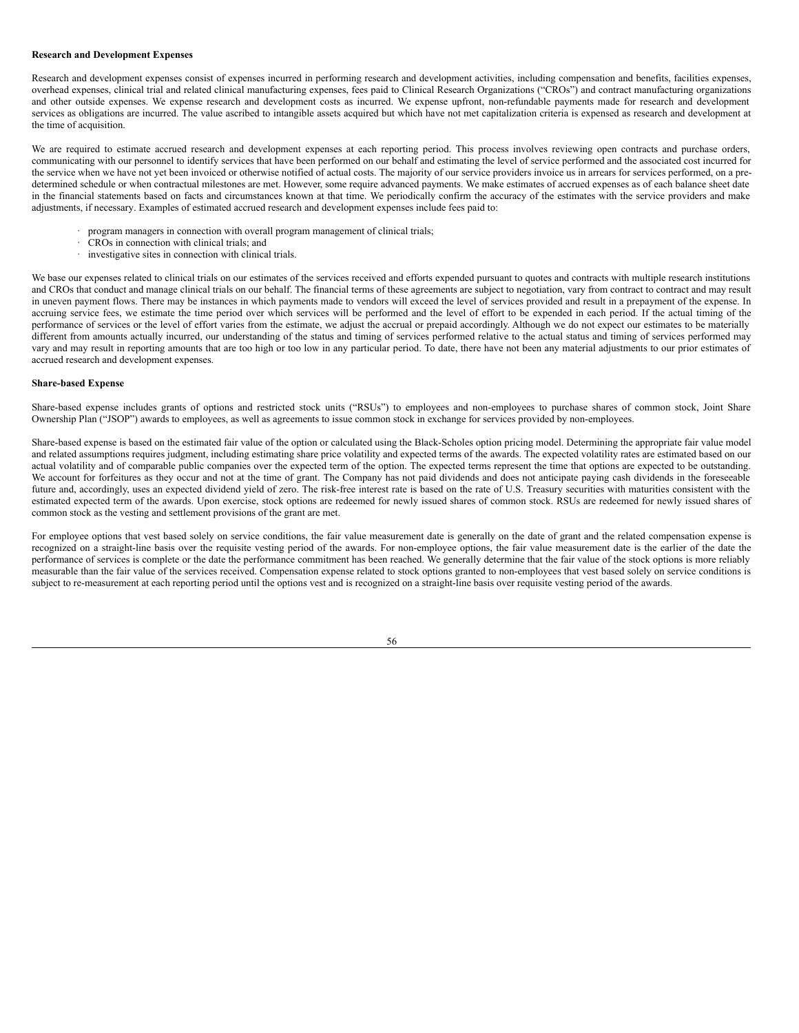### **Research and Development Expenses**

Research and development expenses consist of expenses incurred in performing research and development activities, including compensation and benefits, facilities expenses, overhead expenses, clinical trial and related clinical manufacturing expenses, fees paid to Clinical Research Organizations ("CROs") and contract manufacturing organizations and other outside expenses. We expense research and development costs as incurred. We expense upfront, non-refundable payments made for research and development services as obligations are incurred. The value ascribed to intangible assets acquired but which have not met capitalization criteria is expensed as research and development at the time of acquisition.

We are required to estimate accrued research and development expenses at each reporting period. This process involves reviewing open contracts and purchase orders, communicating with our personnel to identify services that have been performed on our behalf and estimating the level of service performed and the associated cost incurred for the service when we have not yet been invoiced or otherwise notified of actual costs. The majority of our service providers invoice us in arrears for services performed, on a predetermined schedule or when contractual milestones are met. However, some require advanced payments. We make estimates of accrued expenses as of each balance sheet date in the financial statements based on facts and circumstances known at that time. We periodically confirm the accuracy of the estimates with the service providers and make adjustments, if necessary. Examples of estimated accrued research and development expenses include fees paid to:

- · program managers in connection with overall program management of clinical trials;
- · CROs in connection with clinical trials; and
- investigative sites in connection with clinical trials.

We base our expenses related to clinical trials on our estimates of the services received and efforts expended pursuant to quotes and contracts with multiple research institutions and CROs that conduct and manage clinical trials on our behalf. The financial terms of these agreements are subject to negotiation, vary from contract to contract and may result in uneven payment flows. There may be instances in which payments made to vendors will exceed the level of services provided and result in a prepayment of the expense. In accruing service fees, we estimate the time period over which services will be performed and the level of effort to be expended in each period. If the actual timing of the performance of services or the level of effort varies from the estimate, we adjust the accrual or prepaid accordingly. Although we do not expect our estimates to be materially different from amounts actually incurred, our understanding of the status and timing of services performed relative to the actual status and timing of services performed may vary and may result in reporting amounts that are too high or too low in any particular period. To date, there have not been any material adjustments to our prior estimates of accrued research and development expenses.

#### **Share-based Expense**

Share-based expense includes grants of options and restricted stock units ("RSUs") to employees and non-employees to purchase shares of common stock, Joint Share Ownership Plan ("JSOP") awards to employees, as well as agreements to issue common stock in exchange for services provided by non-employees.

Share-based expense is based on the estimated fair value of the option or calculated using the Black-Scholes option pricing model. Determining the appropriate fair value model and related assumptions requires judgment, including estimating share price volatility and expected terms of the awards. The expected volatility rates are estimated based on our actual volatility and of comparable public companies over the expected term of the option. The expected terms represent the time that options are expected to be outstanding. We account for forfeitures as they occur and not at the time of grant. The Company has not paid dividends and does not anticipate paying cash dividends in the foreseeable future and, accordingly, uses an expected dividend yield of zero. The risk-free interest rate is based on the rate of U.S. Treasury securities with maturities consistent with the estimated expected term of the awards. Upon exercise, stock options are redeemed for newly issued shares of common stock. RSUs are redeemed for newly issued shares of common stock as the vesting and settlement provisions of the grant are met.

For employee options that vest based solely on service conditions, the fair value measurement date is generally on the date of grant and the related compensation expense is recognized on a straight-line basis over the requisite vesting period of the awards. For non-employee options, the fair value measurement date is the earlier of the date the performance of services is complete or the date the performance commitment has been reached. We generally determine that the fair value of the stock options is more reliably measurable than the fair value of the services received. Compensation expense related to stock options granted to non-employees that vest based solely on service conditions is subject to re-measurement at each reporting period until the options vest and is recognized on a straight-line basis over requisite vesting period of the awards.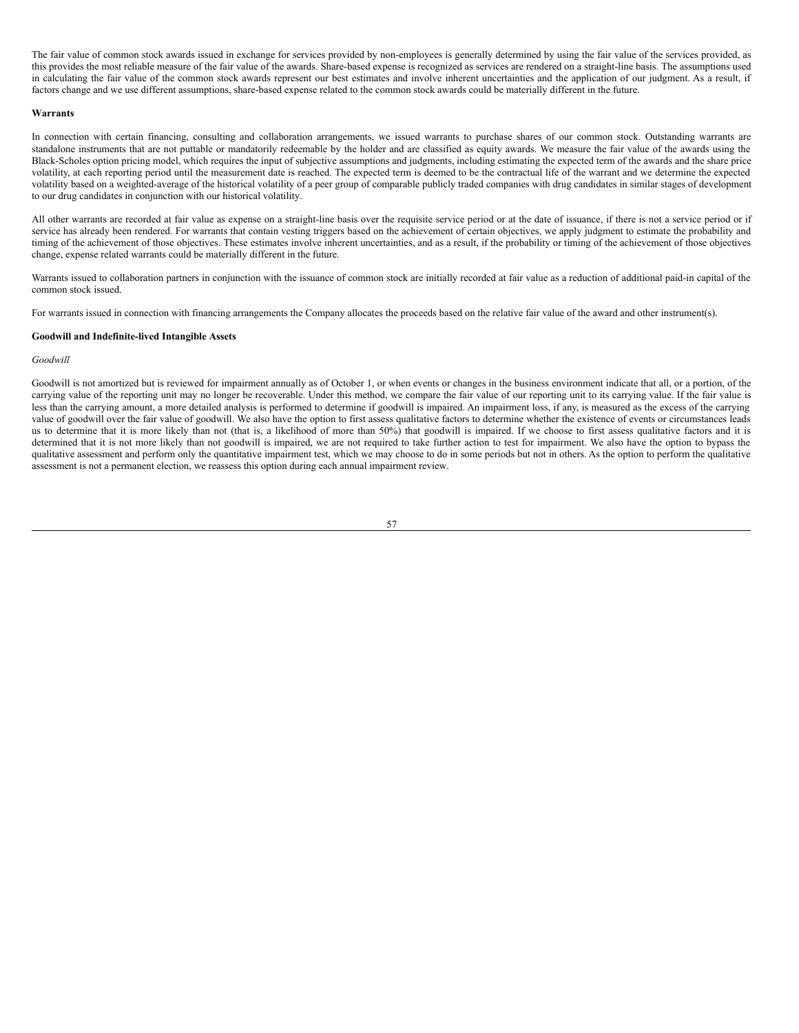The fair value of common stock awards issued in exchange for services provided by non-employees is generally determined by using the fair value of the services provided, as this provides the most reliable measure of the fair value of the awards. Share-based expense is recognized as services are rendered on a straight-line basis. The assumptions used in calculating the fair value of the common stock awards represent our best estimates and involve inherent uncertainties and the application of our judgment. As a result, if factors change and we use different assumptions, share-based expense related to the common stock awards could be materially different in the future.

#### **Warrants**

In connection with certain financing, consulting and collaboration arrangements, we issued warrants to purchase shares of our common stock. Outstanding warrants are standalone instruments that are not puttable or mandatorily redeemable by the holder and are classified as equity awards. We measure the fair value of the awards using the Black-Scholes option pricing model, which requires the input of subjective assumptions and judgments, including estimating the expected term of the awards and the share price volatility, at each reporting period until the measurement date is reached. The expected term is deemed to be the contractual life of the warrant and we determine the expected volatility based on a weighted-average of the historical volatility of a peer group of comparable publicly traded companies with drug candidates in similar stages of development to our drug candidates in conjunction with our historical volatility.

All other warrants are recorded at fair value as expense on a straight-line basis over the requisite service period or at the date of issuance, if there is not a service period or if service has already been rendered. For warrants that contain vesting triggers based on the achievement of certain objectives, we apply judgment to estimate the probability and timing of the achievement of those objectives. These estimates involve inherent uncertainties, and as a result, if the probability or timing of the achievement of those objectives change, expense related warrants could be materially different in the future.

Warrants issued to collaboration partners in conjunction with the issuance of common stock are initially recorded at fair value as a reduction of additional paid-in capital of the common stock issued.

For warrants issued in connection with financing arrangements the Company allocates the proceeds based on the relative fair value of the award and other instrument(s).

# **Goodwill and Indefinite-lived Intangible Assets**

#### *Goodwill*

Goodwill is not amortized but is reviewed for impairment annually as of October 1, or when events or changes in the business environment indicate that all, or a portion, of the carrying value of the reporting unit may no longer be recoverable. Under this method, we compare the fair value of our reporting unit to its carrying value. If the fair value is less than the carrying amount, a more detailed analysis is performed to determine if goodwill is impaired. An impairment loss, if any, is measured as the excess of the carrying value of goodwill over the fair value of goodwill. We also have the option to first assess qualitative factors to determine whether the existence of events or circumstances leads us to determine that it is more likely than not (that is, a likelihood of more than 50%) that goodwill is impaired. If we choose to first assess qualitative factors and it is determined that it is not more likely than not goodwill is impaired, we are not required to take further action to test for impairment. We also have the option to bypass the qualitative assessment and perform only the quantitative impairment test, which we may choose to do in some periods but not in others. As the option to perform the qualitative assessment is not a permanent election, we reassess this option during each annual impairment review.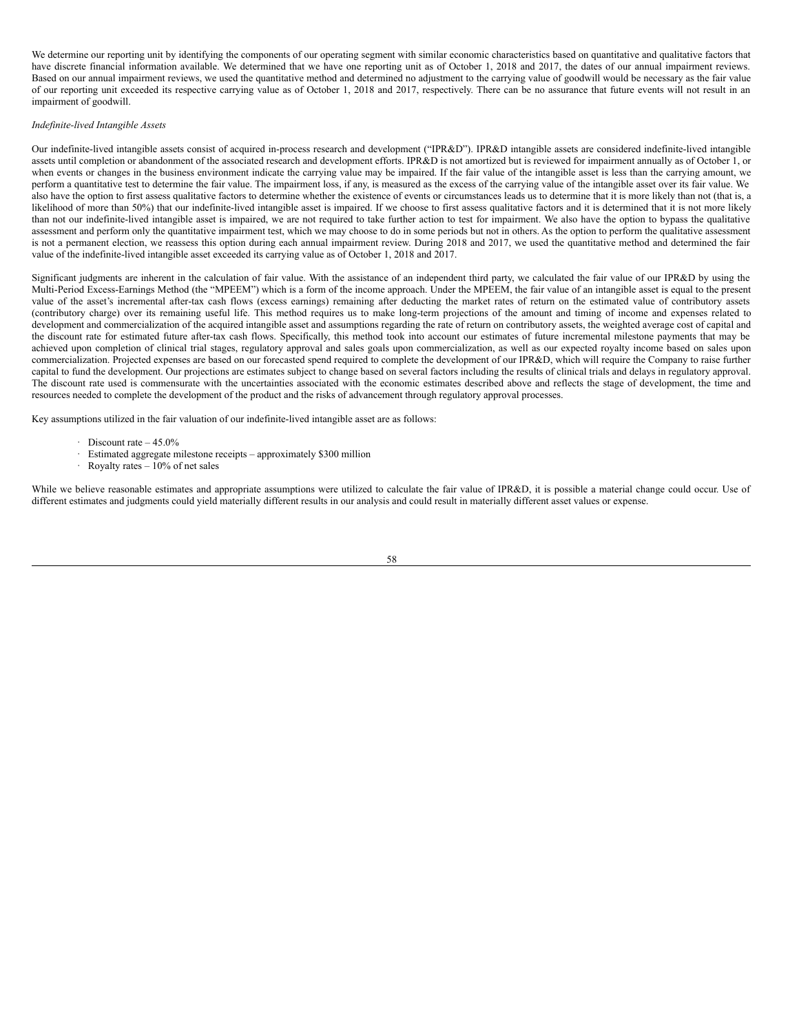We determine our reporting unit by identifying the components of our operating segment with similar economic characteristics based on quantitative and qualitative factors that have discrete financial information available. We determined that we have one reporting unit as of October 1, 2018 and 2017, the dates of our annual impairment reviews. Based on our annual impairment reviews, we used the quantitative method and determined no adjustment to the carrying value of goodwill would be necessary as the fair value of our reporting unit exceeded its respective carrying value as of October 1, 2018 and 2017, respectively. There can be no assurance that future events will not result in an impairment of goodwill.

#### *Indefinite-lived Intangible Assets*

Our indefinite-lived intangible assets consist of acquired in-process research and development ("IPR&D"). IPR&D intangible assets are considered indefinite-lived intangible assets until completion or abandonment of the associated research and development efforts. IPR&D is not amortized but is reviewed for impairment annually as of October 1, or when events or changes in the business environment indicate the carrying value may be impaired. If the fair value of the intangible asset is less than the carrying amount, we perform a quantitative test to determine the fair value. The impairment loss, if any, is measured as the excess of the carrying value of the intangible asset over its fair value. We also have the option to first assess qualitative factors to determine whether the existence of events or circumstances leads us to determine that it is more likely than not (that is, a likelihood of more than 50%) that our indefinite-lived intangible asset is impaired. If we choose to first assess qualitative factors and it is determined that it is not more likely than not our indefinite-lived intangible asset is impaired, we are not required to take further action to test for impairment. We also have the option to bypass the qualitative assessment and perform only the quantitative impairment test, which we may choose to do in some periods but not in others. As the option to perform the qualitative assessment is not a permanent election, we reassess this option during each annual impairment review. During 2018 and 2017, we used the quantitative method and determined the fair value of the indefinite-lived intangible asset exceeded its carrying value as of October 1, 2018 and 2017.

Significant judgments are inherent in the calculation of fair value. With the assistance of an independent third party, we calculated the fair value of our IPR&D by using the Multi-Period Excess-Earnings Method (the "MPEEM") which is a form of the income approach. Under the MPEEM, the fair value of an intangible asset is equal to the present value of the asset's incremental after-tax cash flows (excess earnings) remaining after deducting the market rates of return on the estimated value of contributory assets (contributory charge) over its remaining useful life. This method requires us to make long-term projections of the amount and timing of income and expenses related to development and commercialization of the acquired intangible asset and assumptions regarding the rate of return on contributory assets, the weighted average cost of capital and the discount rate for estimated future after-tax cash flows. Specifically, this method took into account our estimates of future incremental milestone payments that may be achieved upon completion of clinical trial stages, regulatory approval and sales goals upon commercialization, as well as our expected royalty income based on sales upon commercialization. Projected expenses are based on our forecasted spend required to complete the development of our IPR&D, which will require the Company to raise further capital to fund the development. Our projections are estimates subject to change based on several factors including the results of clinical trials and delays in regulatory approval. The discount rate used is commensurate with the uncertainties associated with the economic estimates described above and reflects the stage of development, the time and resources needed to complete the development of the product and the risks of advancement through regulatory approval processes.

Key assumptions utilized in the fair valuation of our indefinite-lived intangible asset are as follows:

- $\cdot$  Discount rate  $-45.0\%$
- Estimated aggregate milestone receipts approximately \$300 million
- Royalty rates  $-10\%$  of net sales

While we believe reasonable estimates and appropriate assumptions were utilized to calculate the fair value of IPR&D, it is possible a material change could occur. Use of different estimates and judgments could yield materially different results in our analysis and could result in materially different asset values or expense.

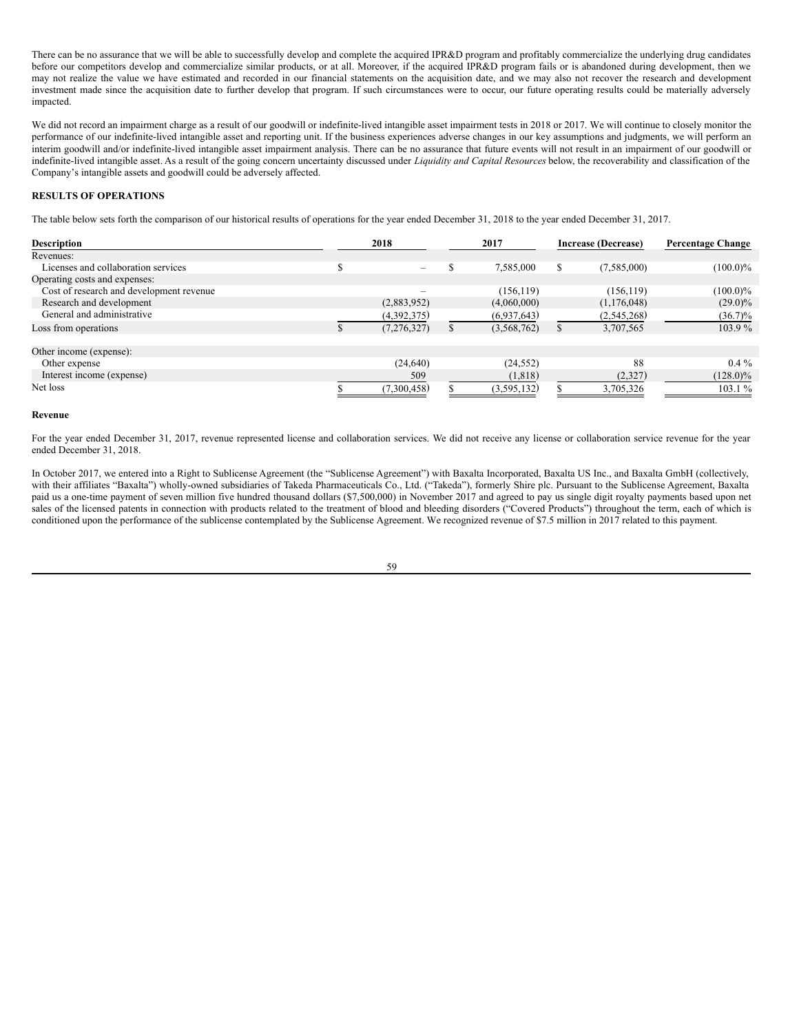There can be no assurance that we will be able to successfully develop and complete the acquired IPR&D program and profitably commercialize the underlying drug candidates before our competitors develop and commercialize similar products, or at all. Moreover, if the acquired IPR&D program fails or is abandoned during development, then we may not realize the value we have estimated and recorded in our financial statements on the acquisition date, and we may also not recover the research and development investment made since the acquisition date to further develop that program. If such circumstances were to occur, our future operating results could be materially adversely impacted.

We did not record an impairment charge as a result of our goodwill or indefinite-lived intangible asset impairment tests in 2018 or 2017. We will continue to closely monitor the performance of our indefinite-lived intangible asset and reporting unit. If the business experiences adverse changes in our key assumptions and judgments, we will perform an interim goodwill and/or indefinite-lived intangible asset impairment analysis. There can be no assurance that future events will not result in an impairment of our goodwill or indefinite-lived intangible asset. As a result of the going concern uncertainty discussed under *Liquidity and Capital Resources* below, the recoverability and classification of the Company's intangible assets and goodwill could be adversely affected.

# **RESULTS OF OPERATIONS**

The table below sets forth the comparison of our historical results of operations for the year ended December 31, 2018 to the year ended December 31, 2017.

| <b>Description</b>                       | 2018 |                          | 2017 | Increase (Decrease) | <b>Percentage Change</b> |             |  |
|------------------------------------------|------|--------------------------|------|---------------------|--------------------------|-------------|--|
| Revenues:                                |      |                          |      |                     |                          |             |  |
| Licenses and collaboration services      |      | $\overline{\phantom{a}}$ |      | 7,585,000           | \$<br>(7,585,000)        | $(100.0)\%$ |  |
| Operating costs and expenses:            |      |                          |      |                     |                          |             |  |
| Cost of research and development revenue |      |                          |      | (156, 119)          | (156, 119)               | $(100.0)\%$ |  |
| Research and development                 |      | (2,883,952)              |      | (4,060,000)         | (1,176,048)              | $(29.0)\%$  |  |
| General and administrative               |      | (4,392,375)              |      | (6,937,643)         | (2,545,268)              | $(36.7)\%$  |  |
| Loss from operations                     |      | (7,276,327)              |      | (3,568,762)         | 3,707,565                | $103.9\%$   |  |
| Other income (expense):                  |      |                          |      |                     |                          |             |  |
| Other expense                            |      | (24, 640)                |      | (24, 552)           | 88                       | $0.4\%$     |  |
| Interest income (expense)                |      | 509                      |      | (1,818)             | (2,327)                  | $(128.0)\%$ |  |
| Net loss                                 |      | (7,300,458)              |      | (3, 595, 132)       | 3,705,326                | 103.1%      |  |

#### **Revenue**

For the year ended December 31, 2017, revenue represented license and collaboration services. We did not receive any license or collaboration service revenue for the year ended December 31, 2018.

In October 2017, we entered into a Right to Sublicense Agreement (the "Sublicense Agreement") with Baxalta Incorporated, Baxalta US Inc., and Baxalta GmbH (collectively, with their affiliates "Baxalta") wholly-owned subsidiaries of Takeda Pharmaceuticals Co., Ltd. ("Takeda"), formerly Shire plc. Pursuant to the Sublicense Agreement, Baxalta paid us a one-time payment of seven million five hundred thousand dollars (\$7,500,000) in November 2017 and agreed to pay us single digit royalty payments based upon net sales of the licensed patents in connection with products related to the treatment of blood and bleeding disorders ("Covered Products") throughout the term, each of which is conditioned upon the performance of the sublicense contemplated by the Sublicense Agreement. We recognized revenue of \$7.5 million in 2017 related to this payment.

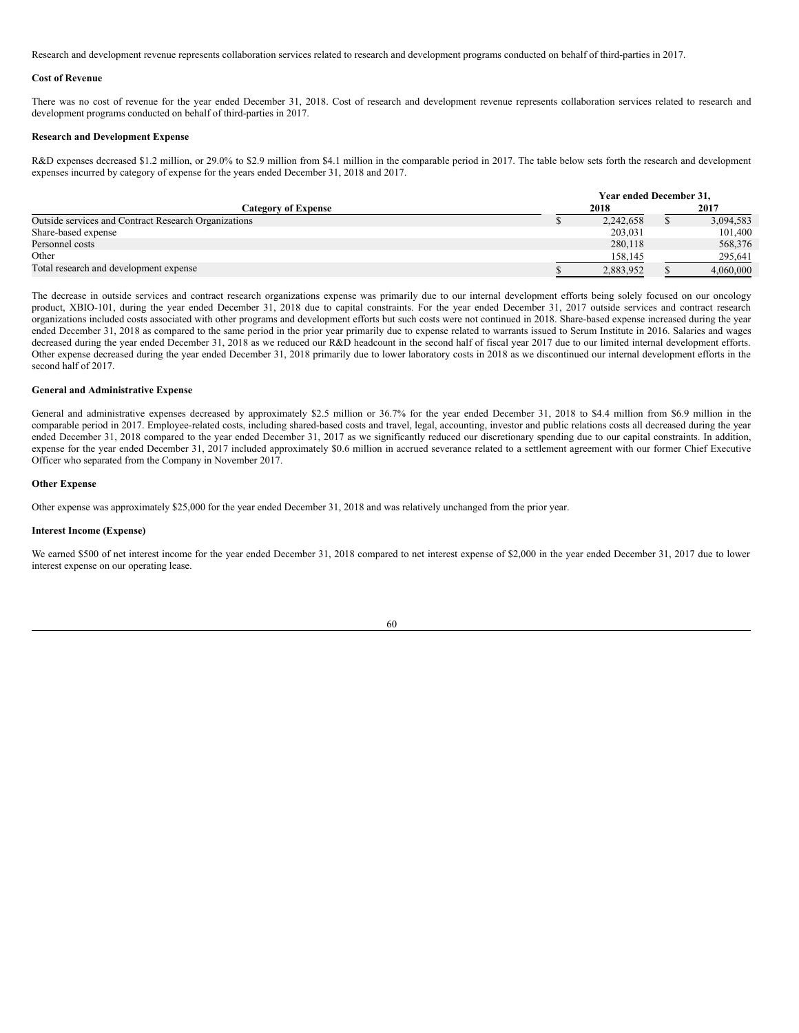Research and development revenue represents collaboration services related to research and development programs conducted on behalf of third-parties in 2017.

#### **Cost of Revenue**

There was no cost of revenue for the year ended December 31, 2018. Cost of research and development revenue represents collaboration services related to research and development programs conducted on behalf of third-parties in 2017.

## **Research and Development Expense**

R&D expenses decreased \$1.2 million, or 29.0% to \$2.9 million from \$4.1 million in the comparable period in 2017. The table below sets forth the research and development expenses incurred by category of expense for the years ended December 31, 2018 and 2017.

|                                                             | Year ended December 31, |           |  |           |  |  |  |  |
|-------------------------------------------------------------|-------------------------|-----------|--|-----------|--|--|--|--|
| Category of Expense                                         |                         | 2018      |  | 2017      |  |  |  |  |
| <b>Outside services and Contract Research Organizations</b> |                         | 2.242,658 |  | 3,094,583 |  |  |  |  |
| Share-based expense                                         |                         | 203,031   |  | 101,400   |  |  |  |  |
| Personnel costs                                             |                         | 280,118   |  | 568,376   |  |  |  |  |
| Other                                                       |                         | 158,145   |  | 295.641   |  |  |  |  |
| Total research and development expense                      |                         | 2,883,952 |  | 4,060,000 |  |  |  |  |

The decrease in outside services and contract research organizations expense was primarily due to our internal development efforts being solely focused on our oncology product, XBIO-101, during the year ended December 31, 2018 due to capital constraints. For the year ended December 31, 2017 outside services and contract research organizations included costs associated with other programs and development efforts but such costs were not continued in 2018. Share-based expense increased during the year ended December 31, 2018 as compared to the same period in the prior year primarily due to expense related to warrants issued to Serum Institute in 2016. Salaries and wages decreased during the year ended December 31, 2018 as we reduced our R&D headcount in the second half of fiscal year 2017 due to our limited internal development efforts. Other expense decreased during the year ended December 31, 2018 primarily due to lower laboratory costs in 2018 as we discontinued our internal development efforts in the second half of 2017.

### **General and Administrative Expense**

General and administrative expenses decreased by approximately \$2.5 million or 36.7% for the year ended December 31, 2018 to \$4.4 million from \$6.9 million in the comparable period in 2017. Employee-related costs, including shared-based costs and travel, legal, accounting, investor and public relations costs all decreased during the year ended December 31, 2018 compared to the year ended December 31, 2017 as we significantly reduced our discretionary spending due to our capital constraints. In addition, expense for the year ended December 31, 2017 included approximately \$0.6 million in accrued severance related to a settlement agreement with our former Chief Executive Officer who separated from the Company in November 2017.

#### **Other Expense**

Other expense was approximately \$25,000 for the year ended December 31, 2018 and was relatively unchanged from the prior year.

#### **Interest Income (Expense)**

We earned \$500 of net interest income for the year ended December 31, 2018 compared to net interest expense of \$2,000 in the year ended December 31, 2017 due to lower interest expense on our operating lease.

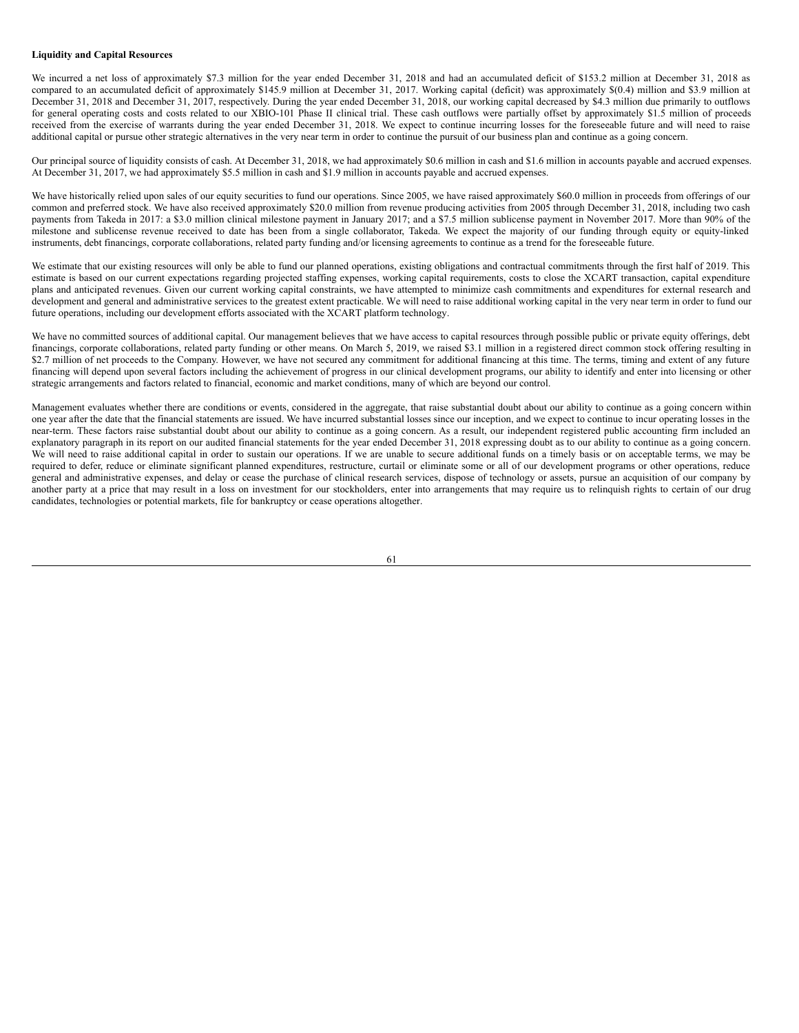## **Liquidity and Capital Resources**

We incurred a net loss of approximately \$7.3 million for the year ended December 31, 2018 and had an accumulated deficit of \$153.2 million at December 31, 2018 as compared to an accumulated deficit of approximately \$145.9 million at December 31, 2017. Working capital (deficit) was approximately \$(0.4) million and \$3.9 million at December 31, 2018 and December 31, 2017, respectively. During the year ended December 31, 2018, our working capital decreased by \$4.3 million due primarily to outflows for general operating costs and costs related to our XBIO-101 Phase II clinical trial. These cash outflows were partially offset by approximately \$1.5 million of proceeds received from the exercise of warrants during the year ended December 31, 2018. We expect to continue incurring losses for the foreseeable future and will need to raise additional capital or pursue other strategic alternatives in the very near term in order to continue the pursuit of our business plan and continue as a going concern.

Our principal source of liquidity consists of cash. At December 31, 2018, we had approximately \$0.6 million in cash and \$1.6 million in accounts payable and accrued expenses. At December 31, 2017, we had approximately \$5.5 million in cash and \$1.9 million in accounts payable and accrued expenses.

We have historically relied upon sales of our equity securities to fund our operations. Since 2005, we have raised approximately \$60.0 million in proceeds from offerings of our common and preferred stock. We have also received approximately \$20.0 million from revenue producing activities from 2005 through December 31, 2018, including two cash payments from Takeda in 2017: a \$3.0 million clinical milestone payment in January 2017; and a \$7.5 million sublicense payment in November 2017. More than 90% of the milestone and sublicense revenue received to date has been from a single collaborator, Takeda. We expect the majority of our funding through equity or equity-linked instruments, debt financings, corporate collaborations, related party funding and/or licensing agreements to continue as a trend for the foreseeable future.

We estimate that our existing resources will only be able to fund our planned operations, existing obligations and contractual commitments through the first half of 2019. This estimate is based on our current expectations regarding projected staffing expenses, working capital requirements, costs to close the XCART transaction, capital expenditure plans and anticipated revenues. Given our current working capital constraints, we have attempted to minimize cash commitments and expenditures for external research and development and general and administrative services to the greatest extent practicable. We will need to raise additional working capital in the very near term in order to fund our future operations, including our development efforts associated with the XCART platform technology.

We have no committed sources of additional capital. Our management believes that we have access to capital resources through possible public or private equity offerings, debt financings, corporate collaborations, related party funding or other means. On March 5, 2019, we raised \$3.1 million in a registered direct common stock offering resulting in \$2.7 million of net proceeds to the Company. However, we have not secured any commitment for additional financing at this time. The terms, timing and extent of any future financing will depend upon several factors including the achievement of progress in our clinical development programs, our ability to identify and enter into licensing or other strategic arrangements and factors related to financial, economic and market conditions, many of which are beyond our control.

Management evaluates whether there are conditions or events, considered in the aggregate, that raise substantial doubt about our ability to continue as a going concern within one year after the date that the financial statements are issued. We have incurred substantial losses since our inception, and we expect to continue to incur operating losses in the near-term. These factors raise substantial doubt about our ability to continue as a going concern. As a result, our independent registered public accounting firm included an explanatory paragraph in its report on our audited financial statements for the year ended December 31, 2018 expressing doubt as to our ability to continue as a going concern. We will need to raise additional capital in order to sustain our operations. If we are unable to secure additional funds on a timely basis or on acceptable terms, we may be required to defer, reduce or eliminate significant planned expenditures, restructure, curtail or eliminate some or all of our development programs or other operations, reduce general and administrative expenses, and delay or cease the purchase of clinical research services, dispose of technology or assets, pursue an acquisition of our company by another party at a price that may result in a loss on investment for our stockholders, enter into arrangements that may require us to relinquish rights to certain of our drug candidates, technologies or potential markets, file for bankruptcy or cease operations altogether.

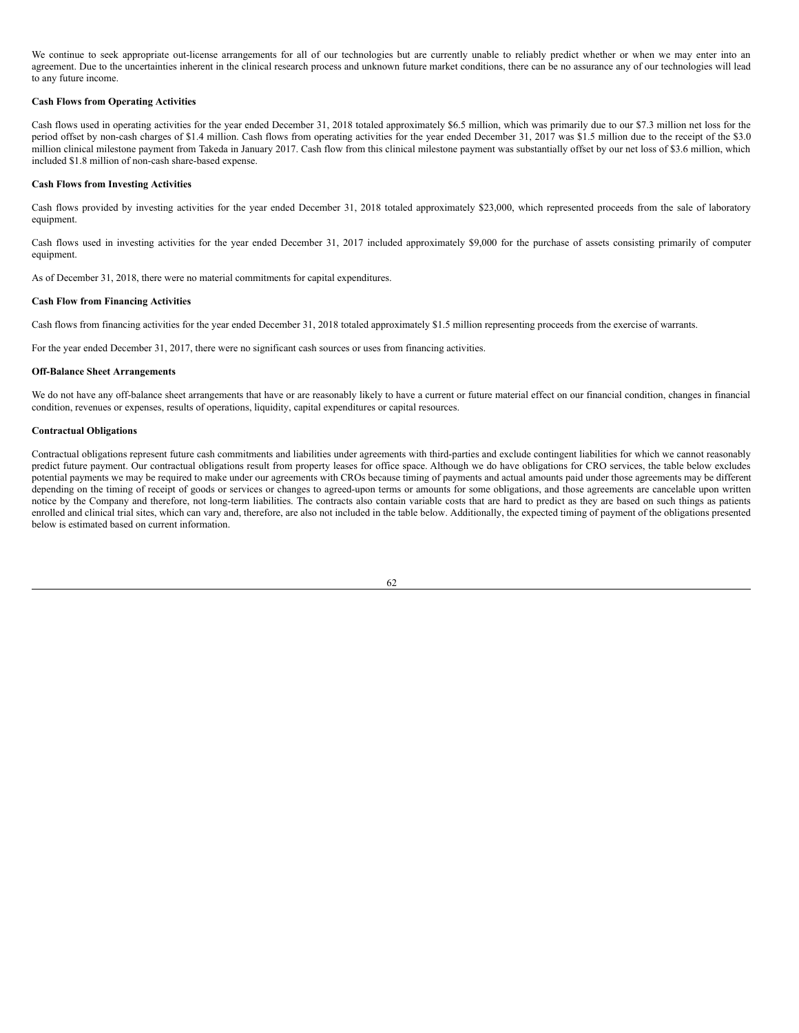We continue to seek appropriate out-license arrangements for all of our technologies but are currently unable to reliably predict whether or when we may enter into an agreement. Due to the uncertainties inherent in the clinical research process and unknown future market conditions, there can be no assurance any of our technologies will lead to any future income.

### **Cash Flows from Operating Activities**

Cash flows used in operating activities for the year ended December 31, 2018 totaled approximately \$6.5 million, which was primarily due to our \$7.3 million net loss for the period offset by non-cash charges of \$1.4 million. Cash flows from operating activities for the year ended December 31, 2017 was \$1.5 million due to the receipt of the \$3.0 million clinical milestone payment from Takeda in January 2017. Cash flow from this clinical milestone payment was substantially offset by our net loss of \$3.6 million, which included \$1.8 million of non-cash share-based expense.

#### **Cash Flows from Investing Activities**

Cash flows provided by investing activities for the year ended December 31, 2018 totaled approximately \$23,000, which represented proceeds from the sale of laboratory equipment.

Cash flows used in investing activities for the year ended December 31, 2017 included approximately \$9,000 for the purchase of assets consisting primarily of computer equipment.

As of December 31, 2018, there were no material commitments for capital expenditures.

#### **Cash Flow from Financing Activities**

Cash flows from financing activities for the year ended December 31, 2018 totaled approximately \$1.5 million representing proceeds from the exercise of warrants.

For the year ended December 31, 2017, there were no significant cash sources or uses from financing activities.

# **Off-Balance Sheet Arrangements**

We do not have any off-balance sheet arrangements that have or are reasonably likely to have a current or future material effect on our financial condition, changes in financial condition, revenues or expenses, results of operations, liquidity, capital expenditures or capital resources.

# **Contractual Obligations**

Contractual obligations represent future cash commitments and liabilities under agreements with third-parties and exclude contingent liabilities for which we cannot reasonably predict future payment. Our contractual obligations result from property leases for office space. Although we do have obligations for CRO services, the table below excludes potential payments we may be required to make under our agreements with CROs because timing of payments and actual amounts paid under those agreements may be different depending on the timing of receipt of goods or services or changes to agreed-upon terms or amounts for some obligations, and those agreements are cancelable upon written notice by the Company and therefore, not long-term liabilities. The contracts also contain variable costs that are hard to predict as they are based on such things as patients enrolled and clinical trial sites, which can vary and, therefore, are also not included in the table below. Additionally, the expected timing of payment of the obligations presented below is estimated based on current information.

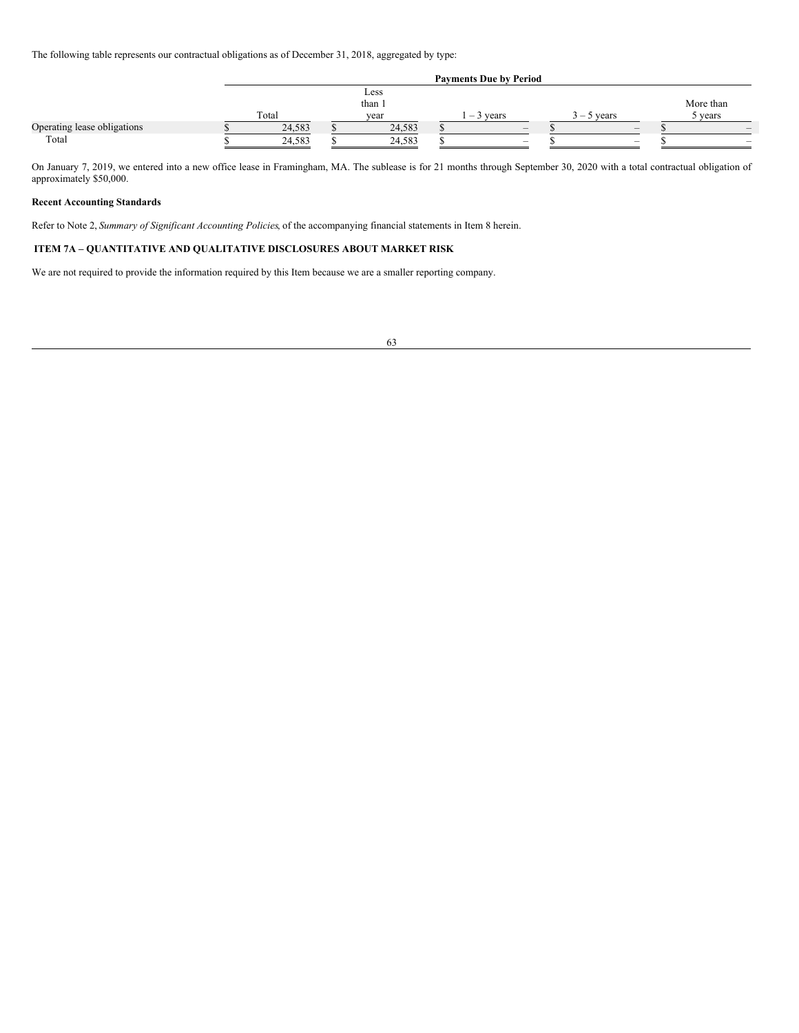The following table represents our contractual obligations as of December 31, 2018, aggregated by type:

|                             | <b>Payments Due by Period</b> |      |                |            |                              |  |                                 |  |           |  |  |  |  |
|-----------------------------|-------------------------------|------|----------------|------------|------------------------------|--|---------------------------------|--|-----------|--|--|--|--|
|                             |                               |      | Less<br>than . |            |                              |  |                                 |  | More than |  |  |  |  |
|                             | Total                         | year |                | $-3$ years |                              |  | vears<br>$-$                    |  | 5 years   |  |  |  |  |
| Operating lease obligations | 24,583                        |      | 24,583         |            | $\qquad \qquad \blacksquare$ |  | $\hspace{0.1mm}-\hspace{0.1mm}$ |  | $\sim$    |  |  |  |  |
| Total                       | 24,583                        |      | 24,583         |            | $\sim$                       |  | $\overline{\phantom{a}}$        |  | $\sim$    |  |  |  |  |

On January 7, 2019, we entered into a new office lease in Framingham, MA. The sublease is for 21 months through September 30, 2020 with a total contractual obligation of approximately \$50,000.

# **Recent Accounting Standards**

Refer to Note 2, *Summary of Significant Accounting Policies*, of the accompanying financial statements in Item 8 herein.

# **ITEM 7A – QUANTITATIVE AND QUALITATIVE DISCLOSURES ABOUT MARKET RISK**

We are not required to provide the information required by this Item because we are a smaller reporting company.

63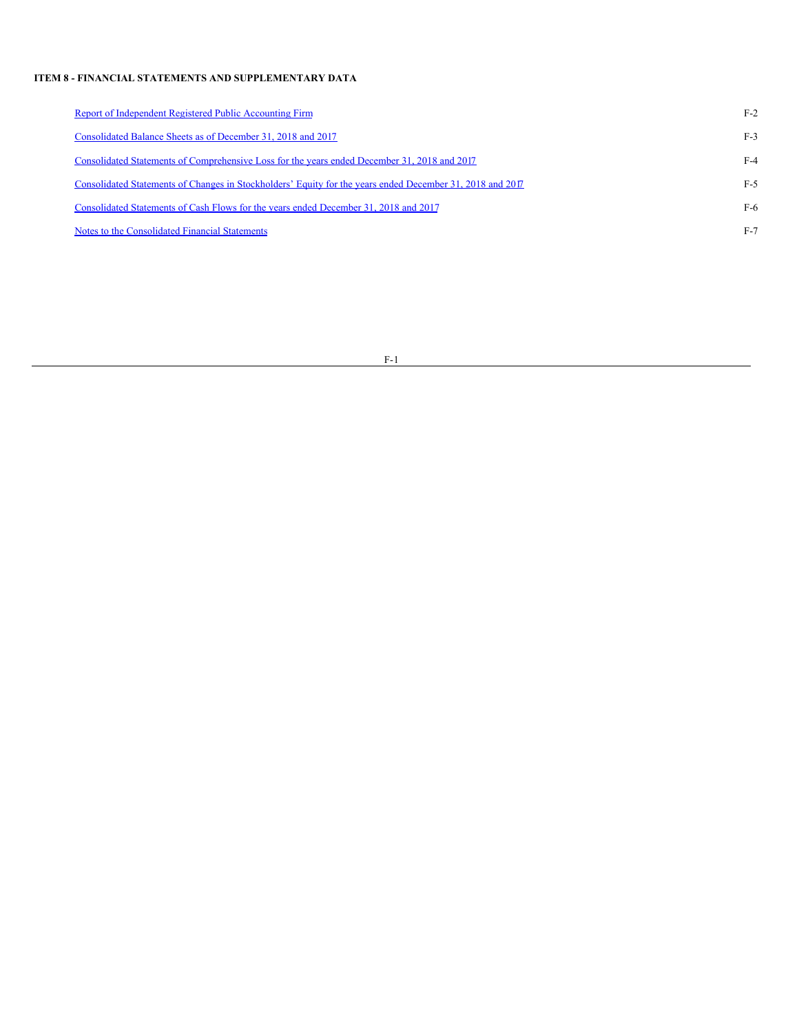# **ITEM 8 - FINANCIAL STATEMENTS AND SUPPLEMENTARY DATA**

| Report of Independent Registered Public Accounting Firm                                                   | $F-2$ |
|-----------------------------------------------------------------------------------------------------------|-------|
| Consolidated Balance Sheets as of December 31, 2018 and 2017                                              | $F-3$ |
| Consolidated Statements of Comprehensive Loss for the years ended December 31, 2018 and 2017              | $F-4$ |
| Consolidated Statements of Changes in Stockholders' Equity for the years ended December 31, 2018 and 2017 | $F-5$ |
| Consolidated Statements of Cash Flows for the years ended December 31, 2018 and 2017                      | F-6   |
| Notes to the Consolidated Financial Statements                                                            | $F-7$ |

| _ |  |
|---|--|
|   |  |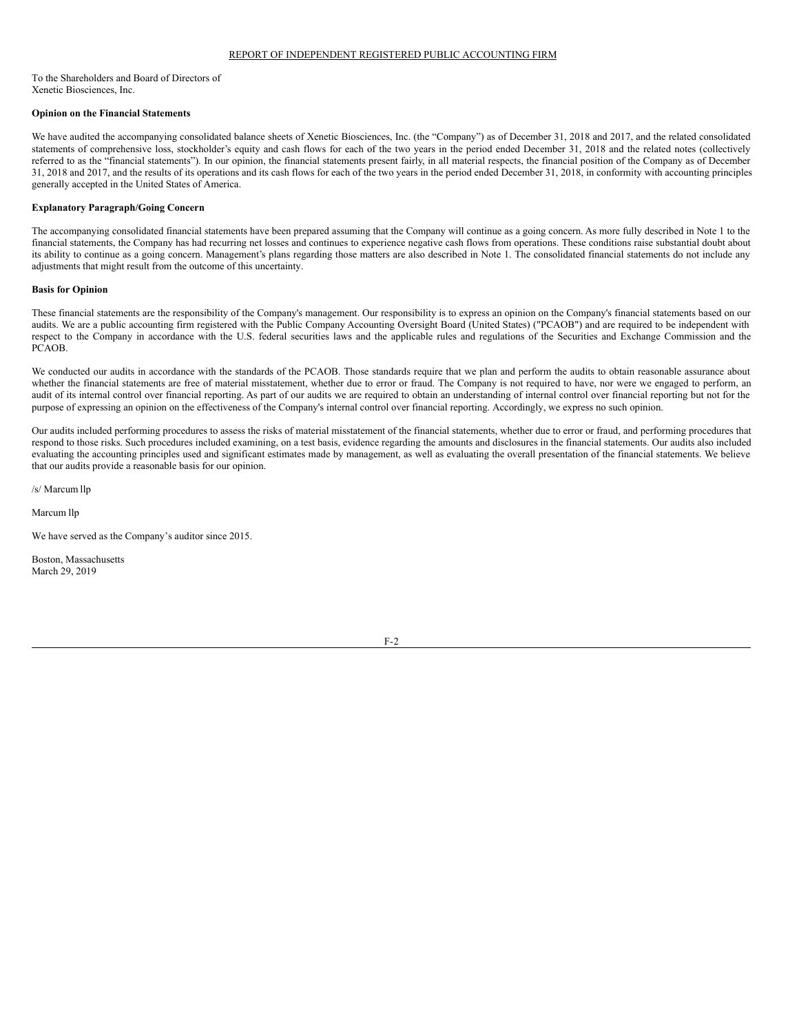#### <span id="page-65-0"></span>REPORT OF INDEPENDENT REGISTERED PUBLIC ACCOUNTING FIRM

To the Shareholders and Board of Directors of Xenetic Biosciences, Inc.

### **Opinion on the Financial Statements**

We have audited the accompanying consolidated balance sheets of Xenetic Biosciences, Inc. (the "Company") as of December 31, 2018 and 2017, and the related consolidated statements of comprehensive loss, stockholder's equity and cash flows for each of the two years in the period ended December 31, 2018 and the related notes (collectively referred to as the "financial statements"). In our opinion, the financial statements present fairly, in all material respects, the financial position of the Company as of December 31, 2018 and 2017, and the results of its operations and its cash flows for each of the two years in the period ended December 31, 2018, in conformity with accounting principles generally accepted in the United States of America.

# **Explanatory Paragraph/Going Concern**

The accompanying consolidated financial statements have been prepared assuming that the Company will continue as a going concern. As more fully described in Note 1 to the financial statements, the Company has had recurring net losses and continues to experience negative cash flows from operations. These conditions raise substantial doubt about its ability to continue as a going concern. Management's plans regarding those matters are also described in Note 1. The consolidated financial statements do not include any adjustments that might result from the outcome of this uncertainty.

#### **Basis for Opinion**

These financial statements are the responsibility of the Company's management. Our responsibility is to express an opinion on the Company's financial statements based on our audits. We are a public accounting firm registered with the Public Company Accounting Oversight Board (United States) ("PCAOB") and are required to be independent with respect to the Company in accordance with the U.S. federal securities laws and the applicable rules and regulations of the Securities and Exchange Commission and the PCAOB.

We conducted our audits in accordance with the standards of the PCAOB. Those standards require that we plan and perform the audits to obtain reasonable assurance about whether the financial statements are free of material misstatement, whether due to error or fraud. The Company is not required to have, nor were we engaged to perform, an audit of its internal control over financial reporting. As part of our audits we are required to obtain an understanding of internal control over financial reporting but not for the purpose of expressing an opinion on the effectiveness of the Company's internal control over financial reporting. Accordingly, we express no such opinion.

Our audits included performing procedures to assess the risks of material misstatement of the financial statements, whether due to error or fraud, and performing procedures that respond to those risks. Such procedures included examining, on a test basis, evidence regarding the amounts and disclosures in the financial statements. Our audits also included evaluating the accounting principles used and significant estimates made by management, as well as evaluating the overall presentation of the financial statements. We believe that our audits provide a reasonable basis for our opinion.

/s/ Marcum llp

Marcum llp

We have served as the Company's auditor since 2015.

Boston, Massachusetts March 29, 2019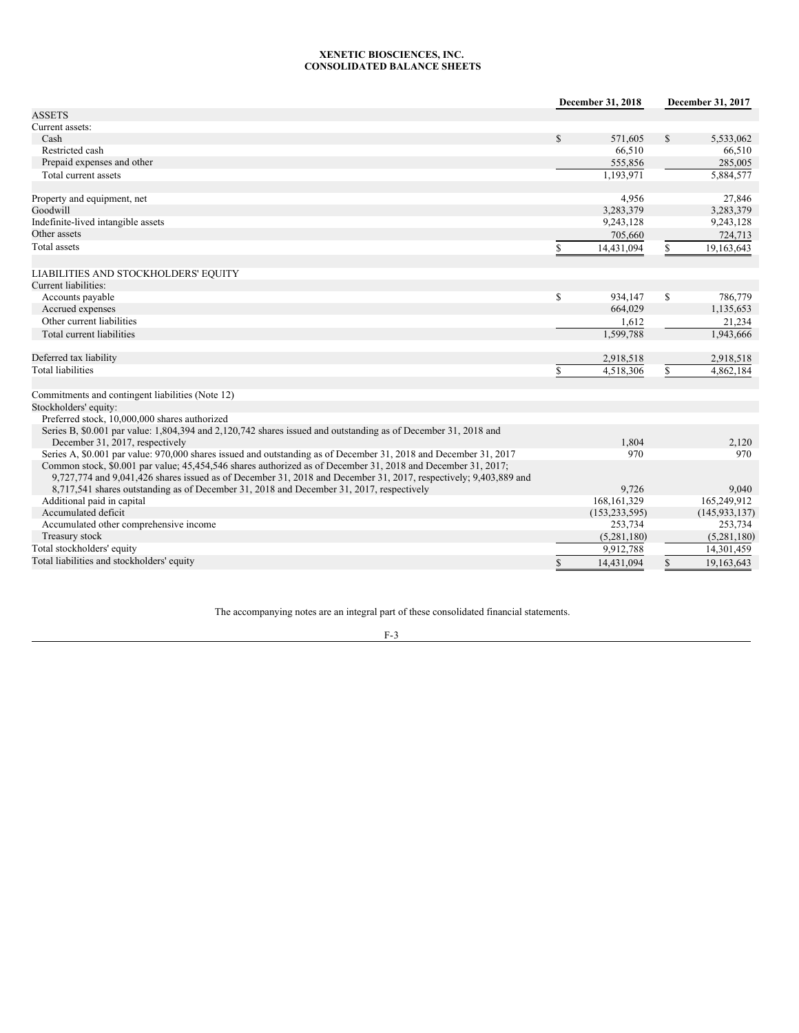# <span id="page-66-0"></span>**XENETIC BIOSCIENCES, INC. CONSOLIDATED BALANCE SHEETS**

|                                                                                                                                                                                                                                  |              | December 31, 2018 | December 31, 2017 |                 |  |
|----------------------------------------------------------------------------------------------------------------------------------------------------------------------------------------------------------------------------------|--------------|-------------------|-------------------|-----------------|--|
| <b>ASSETS</b>                                                                                                                                                                                                                    |              |                   |                   |                 |  |
| Current assets:                                                                                                                                                                                                                  |              |                   |                   |                 |  |
| Cash                                                                                                                                                                                                                             | $\mathbb{S}$ | 571,605           | $\mathbb{S}$      | 5,533,062       |  |
| Restricted cash                                                                                                                                                                                                                  |              | 66,510            |                   | 66,510          |  |
| Prepaid expenses and other                                                                                                                                                                                                       |              | 555,856           |                   | 285,005         |  |
| Total current assets                                                                                                                                                                                                             |              | 1,193,971         |                   | 5,884,577       |  |
| Property and equipment, net                                                                                                                                                                                                      |              | 4,956             |                   | 27.846          |  |
| Goodwill                                                                                                                                                                                                                         |              | 3,283,379         |                   | 3,283,379       |  |
| Indefinite-lived intangible assets                                                                                                                                                                                               |              | 9,243,128         |                   | 9,243,128       |  |
| Other assets                                                                                                                                                                                                                     |              | 705,660           |                   | 724,713         |  |
| Total assets                                                                                                                                                                                                                     | \$           | 14,431,094        | \$                | 19,163,643      |  |
|                                                                                                                                                                                                                                  |              |                   |                   |                 |  |
| LIABILITIES AND STOCKHOLDERS' EQUITY                                                                                                                                                                                             |              |                   |                   |                 |  |
| Current liabilities:                                                                                                                                                                                                             |              |                   |                   |                 |  |
| Accounts payable                                                                                                                                                                                                                 | \$           | 934,147           | \$                | 786,779         |  |
| Accrued expenses                                                                                                                                                                                                                 |              | 664,029           |                   | 1,135,653       |  |
| Other current liabilities                                                                                                                                                                                                        |              | 1,612             |                   | 21,234          |  |
| Total current liabilities                                                                                                                                                                                                        |              | 1,599,788         |                   | 1,943,666       |  |
| Deferred tax liability                                                                                                                                                                                                           |              | 2,918,518         |                   | 2,918,518       |  |
| <b>Total liabilities</b>                                                                                                                                                                                                         | \$           | 4,518,306         | \$                | 4,862,184       |  |
|                                                                                                                                                                                                                                  |              |                   |                   |                 |  |
| Commitments and contingent liabilities (Note 12)                                                                                                                                                                                 |              |                   |                   |                 |  |
| Stockholders' equity:                                                                                                                                                                                                            |              |                   |                   |                 |  |
| Preferred stock, 10,000,000 shares authorized                                                                                                                                                                                    |              |                   |                   |                 |  |
| Series B, \$0.001 par value: 1,804,394 and 2,120,742 shares issued and outstanding as of December 31, 2018 and                                                                                                                   |              |                   |                   |                 |  |
| December 31, 2017, respectively                                                                                                                                                                                                  |              | 1,804             |                   | 2,120           |  |
| Series A, \$0.001 par value: 970,000 shares issued and outstanding as of December 31, 2018 and December 31, 2017                                                                                                                 |              | 970               |                   | 970             |  |
| Common stock, \$0.001 par value; 45,454,546 shares authorized as of December 31, 2018 and December 31, 2017;<br>9,727,774 and 9,041,426 shares issued as of December 31, 2018 and December 31, 2017, respectively; 9,403,889 and |              |                   |                   |                 |  |
| 8,717,541 shares outstanding as of December 31, 2018 and December 31, 2017, respectively                                                                                                                                         |              | 9.726             |                   | 9.040           |  |
| Additional paid in capital                                                                                                                                                                                                       |              | 168, 161, 329     |                   | 165,249,912     |  |
| Accumulated deficit                                                                                                                                                                                                              |              | (153, 233, 595)   |                   | (145, 933, 137) |  |
| Accumulated other comprehensive income                                                                                                                                                                                           |              | 253,734           |                   | 253,734         |  |
| Treasury stock                                                                                                                                                                                                                   |              | (5,281,180)       |                   | (5,281,180)     |  |
| Total stockholders' equity                                                                                                                                                                                                       |              | 9,912,788         |                   | 14,301,459      |  |
| Total liabilities and stockholders' equity                                                                                                                                                                                       | \$           | 14,431,094        | Ŝ                 | 19,163,643      |  |

The accompanying notes are an integral part of these consolidated financial statements.

# F-3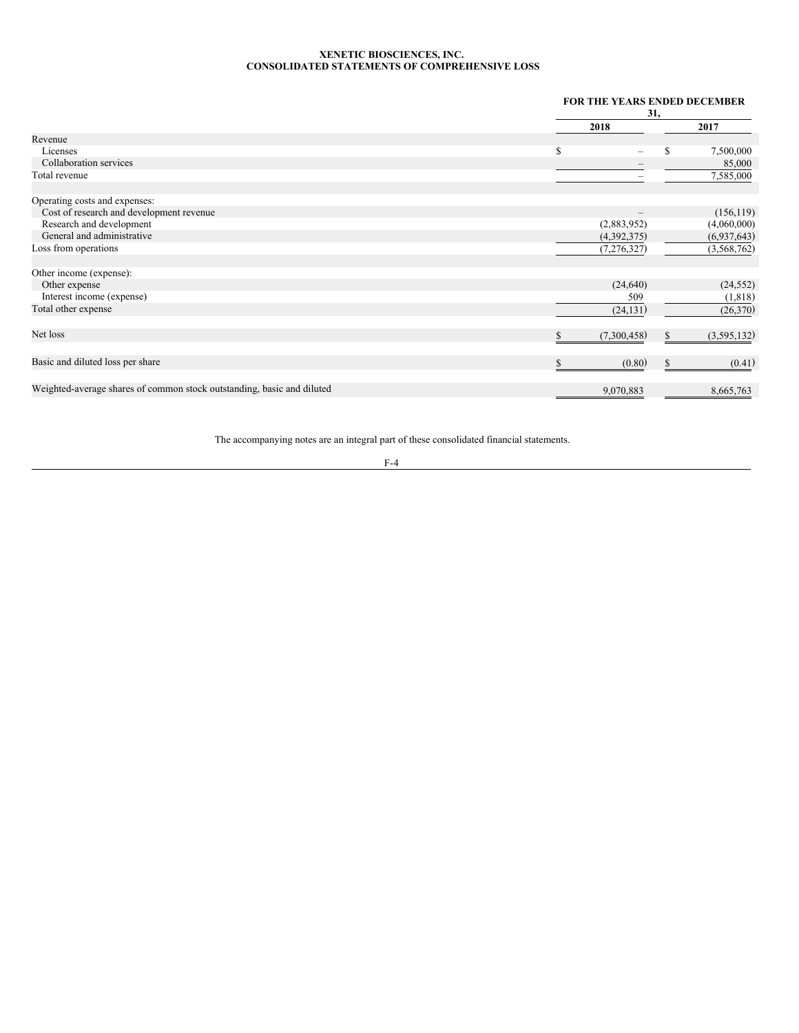# <span id="page-67-0"></span>**XENETIC BIOSCIENCES, INC. CONSOLIDATED STATEMENTS OF COMPREHENSIVE LOSS**

|                                                                        |                         | FOR THE YEARS ENDED DECEMBER |  |  |  |  |  |
|------------------------------------------------------------------------|-------------------------|------------------------------|--|--|--|--|--|
|                                                                        |                         | 31,                          |  |  |  |  |  |
|                                                                        | 2018                    | 2017                         |  |  |  |  |  |
| Revenue                                                                |                         |                              |  |  |  |  |  |
| Licenses                                                               | \$<br>$\qquad \qquad -$ | \$<br>7,500,000              |  |  |  |  |  |
| Collaboration services                                                 |                         | 85,000                       |  |  |  |  |  |
| Total revenue                                                          |                         | 7,585,000                    |  |  |  |  |  |
| Operating costs and expenses:                                          |                         |                              |  |  |  |  |  |
| Cost of research and development revenue                               |                         | (156, 119)                   |  |  |  |  |  |
| Research and development                                               | (2,883,952)             | (4,060,000)                  |  |  |  |  |  |
| General and administrative                                             | (4,392,375)             | (6,937,643)                  |  |  |  |  |  |
| Loss from operations                                                   | (7,276,327)             | (3,568,762)                  |  |  |  |  |  |
| Other income (expense):                                                |                         |                              |  |  |  |  |  |
| Other expense                                                          | (24, 640)               | (24, 552)                    |  |  |  |  |  |
| Interest income (expense)                                              | 509                     | (1,818)                      |  |  |  |  |  |
| Total other expense                                                    | (24, 131)               | (26, 370)                    |  |  |  |  |  |
| Net loss                                                               | (7,300,458)             | (3, 595, 132)<br>\$          |  |  |  |  |  |
| Basic and diluted loss per share                                       | (0.80)<br>\$            | (0.41)<br>\$                 |  |  |  |  |  |
| Weighted-average shares of common stock outstanding, basic and diluted | 9,070,883               | 8,665,763                    |  |  |  |  |  |

The accompanying notes are an integral part of these consolidated financial statements.

# F-4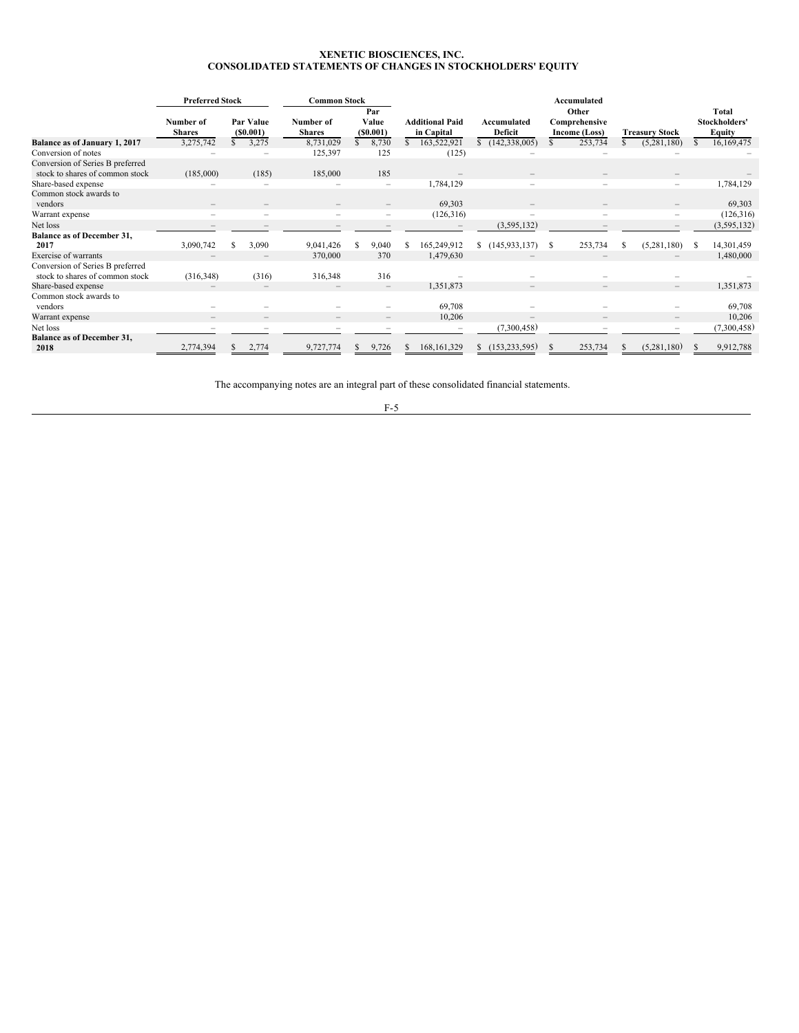### <span id="page-68-0"></span>**XENETIC BIOSCIENCES, INC. CONSOLIDATED STATEMENTS OF CHANGES IN STOCKHOLDERS' EQUITY**

|                                                                     | <b>Preferred Stock</b><br><b>Common Stock</b> |                          |                            |   |                          | Accumulated |                                      |                        |                                       |                                         |   |                          |    |                                                       |
|---------------------------------------------------------------------|-----------------------------------------------|--------------------------|----------------------------|---|--------------------------|-------------|--------------------------------------|------------------------|---------------------------------------|-----------------------------------------|---|--------------------------|----|-------------------------------------------------------|
|                                                                     | Number of<br><b>Shares</b>                    | Par Value<br>(S0.001)    | Number of<br><b>Shares</b> |   | Par<br>Value<br>(S0.001) |             | <b>Additional Paid</b><br>in Capital | Accumulated<br>Deficit |                                       | Other<br>Comprehensive<br>Income (Loss) |   | <b>Treasury Stock</b>    |    | <b>Total</b><br><b>Stockholders'</b><br><b>Equity</b> |
| Balance as of January 1, 2017                                       | 3,275,742                                     | 3,275                    | 8,731,029                  |   | 8,730                    |             | 163,522,921                          | (142, 338, 005)<br>S.  |                                       | 253,734                                 |   | (5,281,180)              |    | 16,169,475                                            |
| Conversion of notes                                                 |                                               |                          | 125,397                    |   | 125                      |             | (125)                                |                        |                                       |                                         |   |                          |    |                                                       |
| Conversion of Series B preferred<br>stock to shares of common stock | (185,000)                                     | (185)                    | 185,000                    |   | 185                      |             |                                      |                        |                                       |                                         |   |                          |    |                                                       |
| Share-based expense                                                 |                                               | $\overline{\phantom{0}}$ |                            |   | $\overline{\phantom{0}}$ |             | 1,784,129                            |                        |                                       |                                         |   |                          |    | 1,784,129                                             |
| Common stock awards to<br>vendors                                   |                                               |                          |                            |   |                          |             | 69,303                               |                        |                                       |                                         |   |                          |    | 69,303                                                |
| Warrant expense                                                     | $\hspace{1.0cm} \rule{1.5cm}{0.15cm}$         | -                        | ۰                          |   | $\overline{\phantom{0}}$ |             | (126,316)                            |                        | $\hspace{1.0cm} \rule{1.5cm}{0.15cm}$ | $\overline{\phantom{m}}$                |   | $\overline{\phantom{a}}$ |    | (126,316)                                             |
| Net loss                                                            |                                               |                          |                            |   |                          |             |                                      | (3,595,132)            |                                       |                                         |   |                          |    | (3, 595, 132)                                         |
| <b>Balance as of December 31,</b><br>2017                           | 3,090,742                                     | 3,090                    | 9,041,426                  | S | 9,040                    |             | 165,249,912                          | (145, 933, 137)        | - S                                   | 253,734                                 | S | (5,281,180)              | -S | 14,301,459                                            |
| <b>Exercise of warrants</b>                                         |                                               |                          | 370,000                    |   | 370                      |             | 1,479,630                            |                        |                                       |                                         |   |                          |    | 1,480,000                                             |
| Conversion of Series B preferred<br>stock to shares of common stock | (316,348)                                     | (316)                    | 316,348                    |   | 316                      |             |                                      |                        |                                       |                                         |   |                          |    |                                                       |
| Share-based expense                                                 |                                               |                          |                            |   |                          |             | 1,351,873                            |                        |                                       |                                         |   |                          |    | 1,351,873                                             |
| Common stock awards to                                              |                                               |                          |                            |   |                          |             |                                      |                        |                                       |                                         |   |                          |    |                                                       |
| vendors                                                             |                                               |                          |                            |   |                          |             | 69,708                               |                        |                                       |                                         |   |                          |    | 69,708                                                |
| Warrant expense                                                     |                                               |                          |                            |   |                          |             | 10,206                               |                        |                                       |                                         |   |                          |    | 10,206                                                |
| Net loss                                                            |                                               |                          |                            |   |                          |             | $\qquad \qquad =\qquad$              | (7,300,458)            |                                       |                                         |   |                          |    | (7,300,458)                                           |
| <b>Balance as of December 31,</b><br>2018                           | 2,774,394                                     | 2,774                    | 9,727,774                  |   | 9,726                    |             | 168, 161, 329                        | (153, 233, 595)<br>S.  |                                       | 253,734                                 |   | (5,281,180)              |    | 9,912,788                                             |

The accompanying notes are an integral part of these consolidated financial statements.

$$
F-5
$$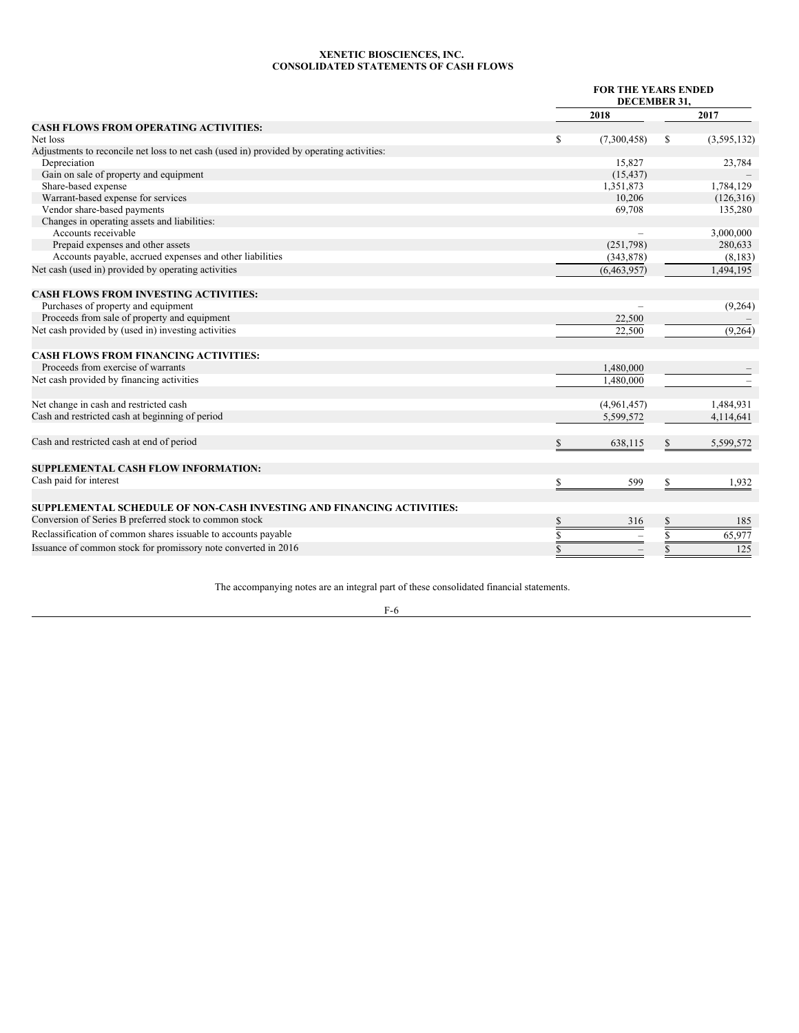# <span id="page-69-0"></span>**XENETIC BIOSCIENCES, INC. CONSOLIDATED STATEMENTS OF CASH FLOWS**

|                                                                                           |    | <b>FOR THE YEARS ENDED</b><br>DECEMBER 31, |    |             |  |  |
|-------------------------------------------------------------------------------------------|----|--------------------------------------------|----|-------------|--|--|
|                                                                                           |    | 2018                                       |    | 2017        |  |  |
| <b>CASH FLOWS FROM OPERATING ACTIVITIES:</b>                                              |    |                                            |    |             |  |  |
| Net loss                                                                                  | \$ | (7,300,458)                                | S  | (3,595,132) |  |  |
| Adjustments to reconcile net loss to net cash (used in) provided by operating activities: |    |                                            |    |             |  |  |
| Depreciation                                                                              |    | 15,827                                     |    | 23,784      |  |  |
| Gain on sale of property and equipment                                                    |    | (15, 437)                                  |    |             |  |  |
| Share-based expense                                                                       |    | 1,351,873                                  |    | 1,784,129   |  |  |
| Warrant-based expense for services                                                        |    | 10,206                                     |    | (126,316)   |  |  |
| Vendor share-based payments                                                               |    | 69,708                                     |    | 135,280     |  |  |
| Changes in operating assets and liabilities:                                              |    |                                            |    |             |  |  |
| Accounts receivable                                                                       |    |                                            |    | 3,000,000   |  |  |
| Prepaid expenses and other assets                                                         |    | (251,798)                                  |    | 280,633     |  |  |
| Accounts payable, accrued expenses and other liabilities                                  |    | (343,878)                                  |    | (8,183)     |  |  |
| Net cash (used in) provided by operating activities                                       |    | (6, 463, 957)                              |    | 1,494,195   |  |  |
| <b>CASH FLOWS FROM INVESTING ACTIVITIES:</b>                                              |    |                                            |    |             |  |  |
| Purchases of property and equipment                                                       |    |                                            |    | (9,264)     |  |  |
| Proceeds from sale of property and equipment                                              |    | 22,500                                     |    |             |  |  |
| Net cash provided by (used in) investing activities                                       |    | 22,500                                     |    | (9,264)     |  |  |
| <b>CASH FLOWS FROM FINANCING ACTIVITIES:</b>                                              |    |                                            |    |             |  |  |
| Proceeds from exercise of warrants                                                        |    | 1,480,000                                  |    |             |  |  |
| Net cash provided by financing activities                                                 |    | 1,480,000                                  |    |             |  |  |
| Net change in cash and restricted cash                                                    |    | (4,961,457)                                |    | 1,484,931   |  |  |
| Cash and restricted cash at beginning of period                                           |    | 5,599,572                                  |    | 4,114,641   |  |  |
|                                                                                           |    |                                            |    |             |  |  |
| Cash and restricted cash at end of period                                                 |    | 638,115                                    | \$ | 5,599,572   |  |  |
| SUPPLEMENTAL CASH FLOW INFORMATION:                                                       |    |                                            |    |             |  |  |
| Cash paid for interest                                                                    | S  | 599                                        | \$ | 1,932       |  |  |
|                                                                                           |    |                                            |    |             |  |  |
| SUPPLEMENTAL SCHEDULE OF NON-CASH INVESTING AND FINANCING ACTIVITIES:                     |    |                                            |    |             |  |  |
| Conversion of Series B preferred stock to common stock                                    | \$ | 316                                        | \$ | 185         |  |  |
| Reclassification of common shares issuable to accounts payable                            |    |                                            | S  | 65,977      |  |  |
| Issuance of common stock for promissory note converted in 2016                            | \$ |                                            | S  | 125         |  |  |

The accompanying notes are an integral part of these consolidated financial statements.

F-6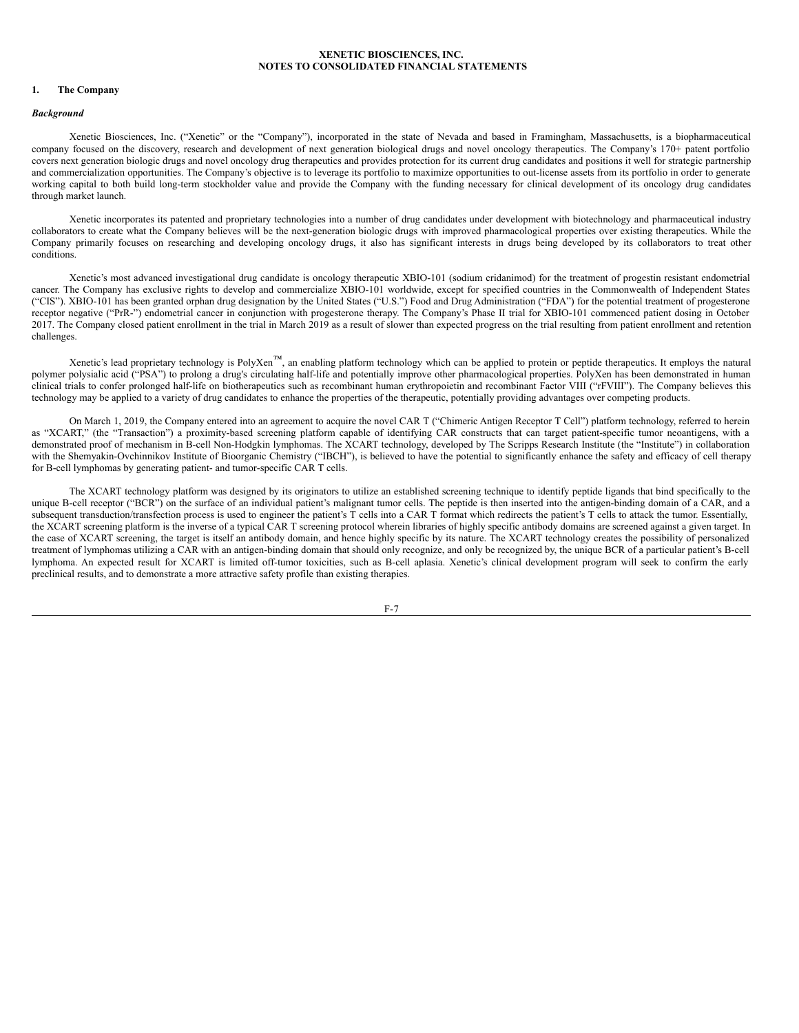### <span id="page-70-0"></span>**XENETIC BIOSCIENCES, INC. NOTES TO CONSOLIDATED FINANCIAL STATEMENTS**

#### **1. The Company**

### *Background*

Xenetic Biosciences, Inc. ("Xenetic" or the "Company"), incorporated in the state of Nevada and based in Framingham, Massachusetts, is a biopharmaceutical company focused on the discovery, research and development of next generation biological drugs and novel oncology therapeutics. The Company's 170+ patent portfolio covers next generation biologic drugs and novel oncology drug therapeutics and provides protection for its current drug candidates and positions it well for strategic partnership and commercialization opportunities. The Company's objective is to leverage its portfolio to maximize opportunities to out-license assets from its portfolio in order to generate working capital to both build long-term stockholder value and provide the Company with the funding necessary for clinical development of its oncology drug candidates through market launch.

Xenetic incorporates its patented and proprietary technologies into a number of drug candidates under development with biotechnology and pharmaceutical industry collaborators to create what the Company believes will be the next-generation biologic drugs with improved pharmacological properties over existing therapeutics. While the Company primarily focuses on researching and developing oncology drugs, it also has significant interests in drugs being developed by its collaborators to treat other conditions.

Xenetic's most advanced investigational drug candidate is oncology therapeutic XBIO-101 (sodium cridanimod) for the treatment of progestin resistant endometrial cancer. The Company has exclusive rights to develop and commercialize XBIO-101 worldwide, except for specified countries in the Commonwealth of Independent States ("CIS"). XBIO-101 has been granted orphan drug designation by the United States ("U.S.") Food and Drug Administration ("FDA") for the potential treatment of progesterone receptor negative ("PrR-") endometrial cancer in conjunction with progesterone therapy. The Company's Phase II trial for XBIO-101 commenced patient dosing in October 2017. The Company closed patient enrollment in the trial in March 2019 as a result of slower than expected progress on the trial resulting from patient enrollment and retention challenges.

Xenetic's lead proprietary technology is PolyXen<sup>™</sup>, an enabling platform technology which can be applied to protein or peptide therapeutics. It employs the natural polymer polysialic acid ("PSA") to prolong a drug's circulating half-life and potentially improve other pharmacological properties. PolyXen has been demonstrated in human clinical trials to confer prolonged half-life on biotherapeutics such as recombinant human erythropoietin and recombinant Factor VIII ("rFVIII"). The Company believes this technology may be applied to a variety of drug candidates to enhance the properties of the therapeutic, potentially providing advantages over competing products.

On March 1, 2019, the Company entered into an agreement to acquire the novel CAR T ("Chimeric Antigen Receptor T Cell") platform technology, referred to herein as "XCART," (the "Transaction") a proximity-based screening platform capable of identifying CAR constructs that can target patient-specific tumor neoantigens, with a demonstrated proof of mechanism in B-cell Non-Hodgkin lymphomas. The XCART technology, developed by The Scripps Research Institute (the "Institute") in collaboration with the Shemyakin-Ovchinnikov Institute of Bioorganic Chemistry ("IBCH"), is believed to have the potential to significantly enhance the safety and efficacy of cell therapy for B-cell lymphomas by generating patient- and tumor-specific CAR T cells.

The XCART technology platform was designed by its originators to utilize an established screening technique to identify peptide ligands that bind specifically to the unique B-cell receptor ("BCR") on the surface of an individual patient's malignant tumor cells. The peptide is then inserted into the antigen-binding domain of a CAR, and a subsequent transduction/transfection process is used to engineer the patient's T cells into a CAR T format which redirects the patient's T cells to attack the tumor. Essentially, the XCART screening platform is the inverse of a typical CART screening protocol wherein libraries of highly specific antibody domains are screened against a given target. In the case of XCART screening, the target is itself an antibody domain, and hence highly specific by its nature. The XCART technology creates the possibility of personalized treatment of lymphomas utilizing a CAR with an antigen-binding domain that should only recognize, and only be recognized by, the unique BCR of a particular patient's B-cell lymphoma. An expected result for XCART is limited off-tumor toxicities, such as B-cell aplasia. Xenetic's clinical development program will seek to confirm the early preclinical results, and to demonstrate a more attractive safety profile than existing therapies.

F-7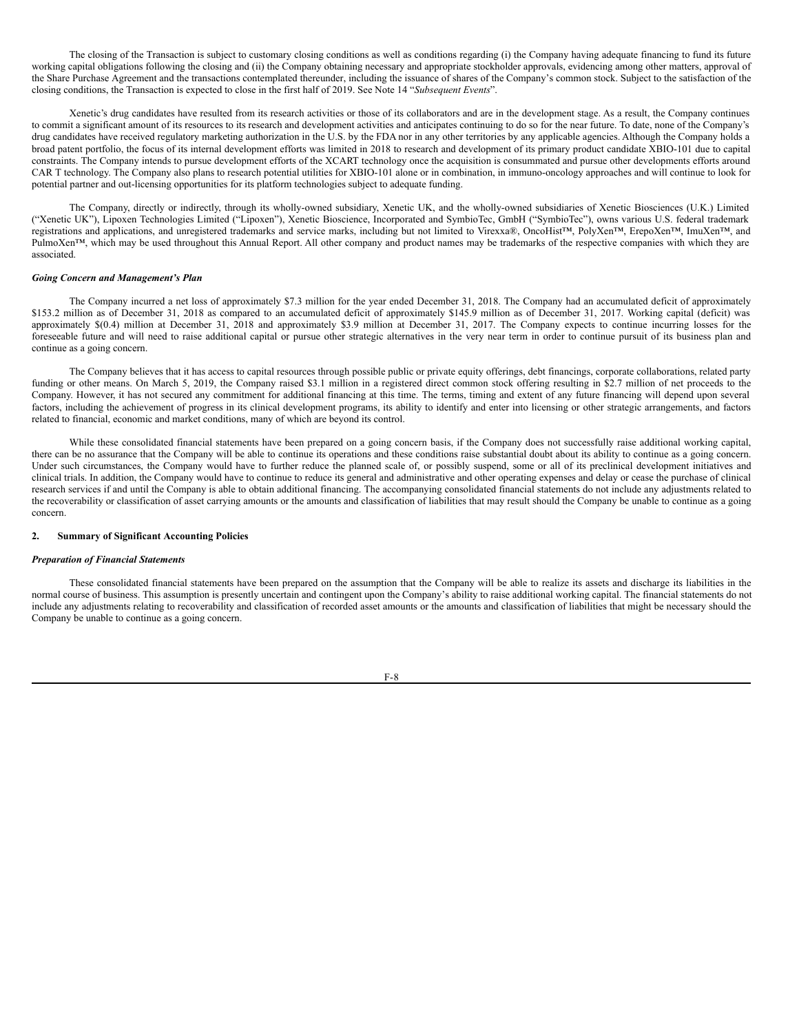The closing of the Transaction is subject to customary closing conditions as well as conditions regarding (i) the Company having adequate financing to fund its future working capital obligations following the closing and (ii) the Company obtaining necessary and appropriate stockholder approvals, evidencing among other matters, approval of the Share Purchase Agreement and the transactions contemplated thereunder, including the issuance of shares of the Company's common stock. Subject to the satisfaction of the closing conditions, the Transaction is expected to close in the first half of 2019. See Note 14 "*Subsequent Events*".

Xenetic's drug candidates have resulted from its research activities or those of its collaborators and are in the development stage. As a result, the Company continues to commit a significant amount of its resources to its research and development activities and anticipates continuing to do so for the near future. To date, none of the Company's drug candidates have received regulatory marketing authorization in the U.S. by the FDA nor in any other territories by any applicable agencies. Although the Company holds a broad patent portfolio, the focus of its internal development efforts was limited in 2018 to research and development of its primary product candidate XBIO-101 due to capital constraints. The Company intends to pursue development efforts of the XCART technology once the acquisition is consummated and pursue other developments efforts around CAR T technology. The Company also plans to research potential utilities for XBIO-101 alone or in combination, in immuno-oncology approaches and will continue to look for potential partner and out-licensing opportunities for its platform technologies subject to adequate funding.

The Company, directly or indirectly, through its wholly-owned subsidiary, Xenetic UK, and the wholly-owned subsidiaries of Xenetic Biosciences (U.K.) Limited ("Xenetic UK"), Lipoxen Technologies Limited ("Lipoxen"), Xenetic Bioscience, Incorporated and SymbioTec, GmbH ("SymbioTec"), owns various U.S. federal trademark registrations and applications, and unregistered trademarks and service marks, including but not limited to Virexxa®, OncoHist™, PolyXen™M, ErepoXen™M, ImuXen™M, and PulmoXen™, which may be used throughout this Annual Report. All other company and product names may be trademarks of the respective companies with which they are associated.

#### *Going Concern and Management's Plan*

The Company incurred a net loss of approximately \$7.3 million for the year ended December 31, 2018. The Company had an accumulated deficit of approximately \$153.2 million as of December 31, 2018 as compared to an accumulated deficit of approximately \$145.9 million as of December 31, 2017. Working capital (deficit) was approximately \$(0.4) million at December 31, 2018 and approximately \$3.9 million at December 31, 2017. The Company expects to continue incurring losses for the foreseeable future and will need to raise additional capital or pursue other strategic alternatives in the very near term in order to continue pursuit of its business plan and continue as a going concern.

The Company believes that it has access to capital resources through possible public or private equity offerings, debt financings, corporate collaborations, related party funding or other means. On March 5, 2019, the Company raised \$3.1 million in a registered direct common stock offering resulting in \$2.7 million of net proceeds to the Company. However, it has not secured any commitment for additional financing at this time. The terms, timing and extent of any future financing will depend upon several factors, including the achievement of progress in its clinical development programs, its ability to identify and enter into licensing or other strategic arrangements, and factors related to financial, economic and market conditions, many of which are beyond its control.

While these consolidated financial statements have been prepared on a going concern basis, if the Company does not successfully raise additional working capital, there can be no assurance that the Company will be able to continue its operations and these conditions raise substantial doubt about its ability to continue as a going concern. Under such circumstances, the Company would have to further reduce the planned scale of, or possibly suspend, some or all of its preclinical development initiatives and clinical trials. In addition, the Company would have to continue to reduce its general and administrative and other operating expenses and delay or cease the purchase of clinical research services if and until the Company is able to obtain additional financing. The accompanying consolidated financial statements do not include any adjustments related to the recoverability or classification of asset carrying amounts or the amounts and classification of liabilities that may result should the Company be unable to continue as a going concern.

### **2. Summary of Significant Accounting Policies**

#### *Preparation of Financial Statements*

These consolidated financial statements have been prepared on the assumption that the Company will be able to realize its assets and discharge its liabilities in the normal course of business. This assumption is presently uncertain and contingent upon the Company's ability to raise additional working capital. The financial statements do not include any adjustments relating to recoverability and classification of recorded asset amounts or the amounts and classification of liabilities that might be necessary should the Company be unable to continue as a going concern.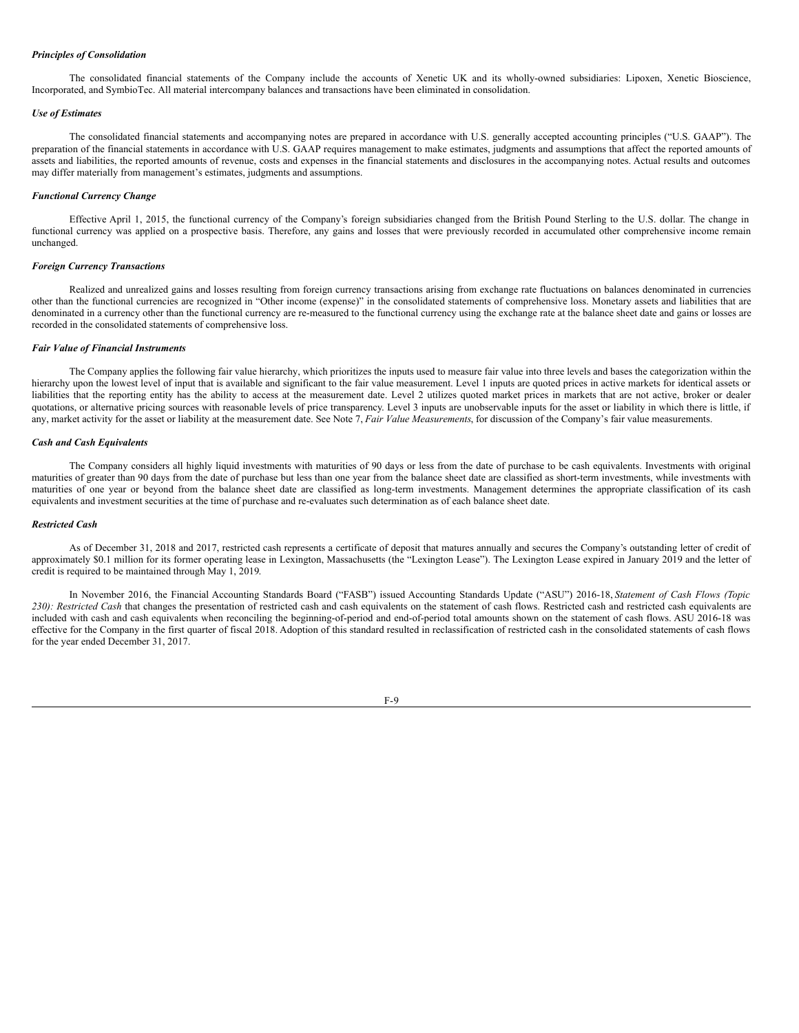## *Principles of Consolidation*

The consolidated financial statements of the Company include the accounts of Xenetic UK and its wholly-owned subsidiaries: Lipoxen, Xenetic Bioscience, Incorporated, and SymbioTec. All material intercompany balances and transactions have been eliminated in consolidation.

## *Use of Estimates*

The consolidated financial statements and accompanying notes are prepared in accordance with U.S. generally accepted accounting principles ("U.S. GAAP"). The preparation of the financial statements in accordance with U.S. GAAP requires management to make estimates, judgments and assumptions that affect the reported amounts of assets and liabilities, the reported amounts of revenue, costs and expenses in the financial statements and disclosures in the accompanying notes. Actual results and outcomes may differ materially from management's estimates, judgments and assumptions.

#### *Functional Currency Change*

Effective April 1, 2015, the functional currency of the Company's foreign subsidiaries changed from the British Pound Sterling to the U.S. dollar. The change in functional currency was applied on a prospective basis. Therefore, any gains and losses that were previously recorded in accumulated other comprehensive income remain unchanged.

#### *Foreign Currency Transactions*

Realized and unrealized gains and losses resulting from foreign currency transactions arising from exchange rate fluctuations on balances denominated in currencies other than the functional currencies are recognized in "Other income (expense)" in the consolidated statements of comprehensive loss. Monetary assets and liabilities that are denominated in a currency other than the functional currency are re-measured to the functional currency using the exchange rate at the balance sheet date and gains or losses are recorded in the consolidated statements of comprehensive loss.

#### *Fair Value of Financial Instruments*

The Company applies the following fair value hierarchy, which prioritizes the inputs used to measure fair value into three levels and bases the categorization within the hierarchy upon the lowest level of input that is available and significant to the fair value measurement. Level 1 inputs are quoted prices in active markets for identical assets or liabilities that the reporting entity has the ability to access at the measurement date. Level 2 utilizes quoted market prices in markets that are not active, broker or dealer quotations, or alternative pricing sources with reasonable levels of price transparency. Level 3 inputs are unobservable inputs for the asset or liability in which there is little, if any, market activity for the asset or liability at the measurement date. See Note 7, *Fair Value Measurements*, for discussion of the Company's fair value measurements.

#### *Cash and Cash Equivalents*

The Company considers all highly liquid investments with maturities of 90 days or less from the date of purchase to be cash equivalents. Investments with original maturities of greater than 90 days from the date of purchase but less than one year from the balance sheet date are classified as short-term investments, while investments with maturities of one year or beyond from the balance sheet date are classified as long-term investments. Management determines the appropriate classification of its cash equivalents and investment securities at the time of purchase and re-evaluates such determination as of each balance sheet date.

#### *Restricted Cash*

As of December 31, 2018 and 2017, restricted cash represents a certificate of deposit that matures annually and secures the Company's outstanding letter of credit of approximately \$0.1 million for its former operating lease in Lexington, Massachusetts (the "Lexington Lease"). The Lexington Lease expired in January 2019 and the letter of credit is required to be maintained through May 1, 2019.

In November 2016, the Financial Accounting Standards Board ("FASB") issued Accounting Standards Update ("ASU") 2016-18, *Statement of Cash Flows (Topic 230): Restricted Cash* that changes the presentation of restricted cash and cash equivalents on the statement of cash flows. Restricted cash and restricted cash equivalents are included with cash and cash equivalents when reconciling the beginning-of-period and end-of-period total amounts shown on the statement of cash flows. ASU 2016-18 was effective for the Company in the first quarter of fiscal 2018. Adoption of this standard resulted in reclassification of restricted cash in the consolidated statements of cash flows for the year ended December 31, 2017.

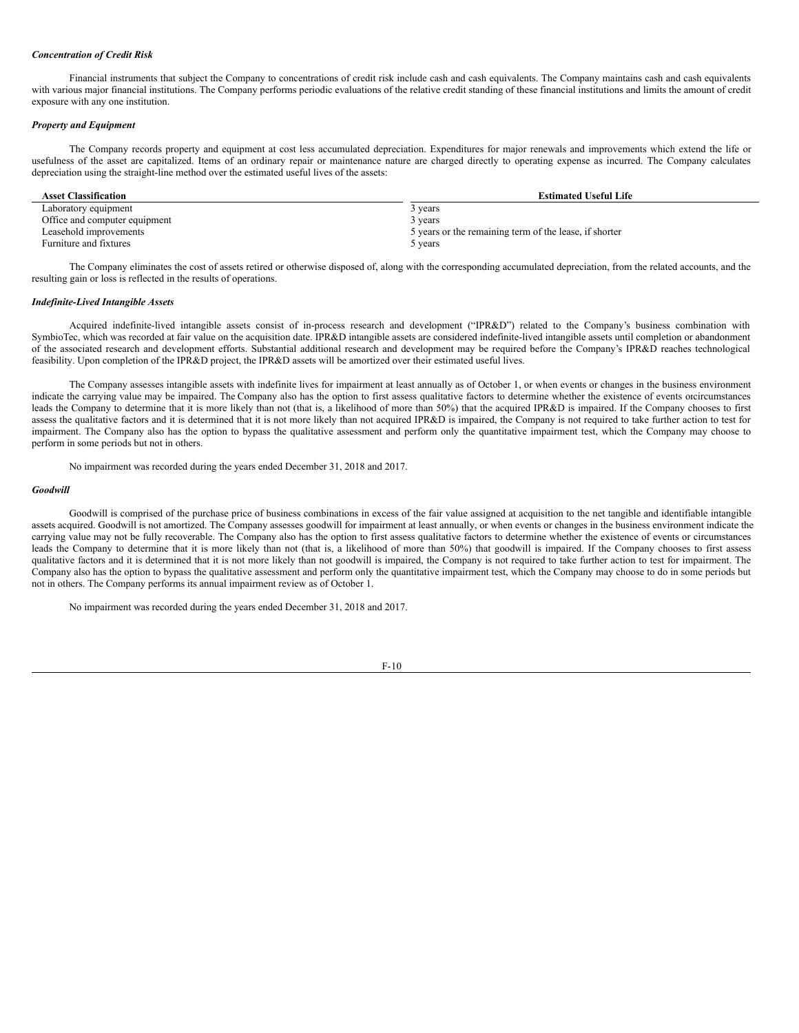## *Concentration of Credit Risk*

Financial instruments that subject the Company to concentrations of credit risk include cash and cash equivalents. The Company maintains cash and cash equivalents with various major financial institutions. The Company performs periodic evaluations of the relative credit standing of these financial institutions and limits the amount of credit exposure with any one institution.

#### *Property and Equipment*

The Company records property and equipment at cost less accumulated depreciation. Expenditures for major renewals and improvements which extend the life or usefulness of the asset are capitalized. Items of an ordinary repair or maintenance nature are charged directly to operating expense as incurred. The Company calculates depreciation using the straight-line method over the estimated useful lives of the assets:

| <b>Asset Classification</b>   | <b>Estimated Useful Life</b>                           |
|-------------------------------|--------------------------------------------------------|
| Laboratory equipment          | 3 years                                                |
| Office and computer equipment | 3 vears                                                |
| Leasehold improvements        | 5 years or the remaining term of the lease, if shorter |
| Furniture and fixtures        | 5 vears                                                |

The Company eliminates the cost of assets retired or otherwise disposed of, along with the corresponding accumulated depreciation, from the related accounts, and the resulting gain or loss is reflected in the results of operations.

#### *Indefinite-Lived Intangible Assets*

Acquired indefinite-lived intangible assets consist of in-process research and development ("IPR&D") related to the Company's business combination with SymbioTec, which was recorded at fair value on the acquisition date. IPR&D intangible assets are considered indefinite-lived intangible assets until completion or abandonment of the associated research and development efforts. Substantial additional research and development may be required before the Company's IPR&D reaches technological feasibility. Upon completion of the IPR&D project, the IPR&D assets will be amortized over their estimated useful lives.

The Company assesses intangible assets with indefinite lives for impairment at least annually as of October 1, or when events or changes in the business environment indicate the carrying value may be impaired. The Company also has the option to first assess qualitative factors to determine whether the existence of events orcircumstances leads the Company to determine that it is more likely than not (that is, a likelihood of more than 50%) that the acquired IPR&D is impaired. If the Company chooses to first assess the qualitative factors and it is determined that it is not more likely than not acquired IPR&D is impaired, the Company is not required to take further action to test for impairment. The Company also has the option to bypass the qualitative assessment and perform only the quantitative impairment test, which the Company may choose to perform in some periods but not in others.

No impairment was recorded during the years ended December 31, 2018 and 2017.

#### *Goodwill*

Goodwill is comprised of the purchase price of business combinations in excess of the fair value assigned at acquisition to the net tangible and identifiable intangible assets acquired. Goodwill is not amortized. The Company assesses goodwill for impairment at least annually, or when events or changes in the business environment indicate the carrying value may not be fully recoverable. The Company also has the option to first assess qualitative factors to determine whether the existence of events or circumstances leads the Company to determine that it is more likely than not (that is, a likelihood of more than 50%) that goodwill is impaired. If the Company chooses to first assess qualitative factors and it is determined that it is not more likely than not goodwill is impaired, the Company is not required to take further action to test for impairment. The Company also has the option to bypass the qualitative assessment and perform only the quantitative impairment test, which the Company may choose to do in some periods but not in others. The Company performs its annual impairment review as of October 1.

No impairment was recorded during the years ended December 31, 2018 and 2017.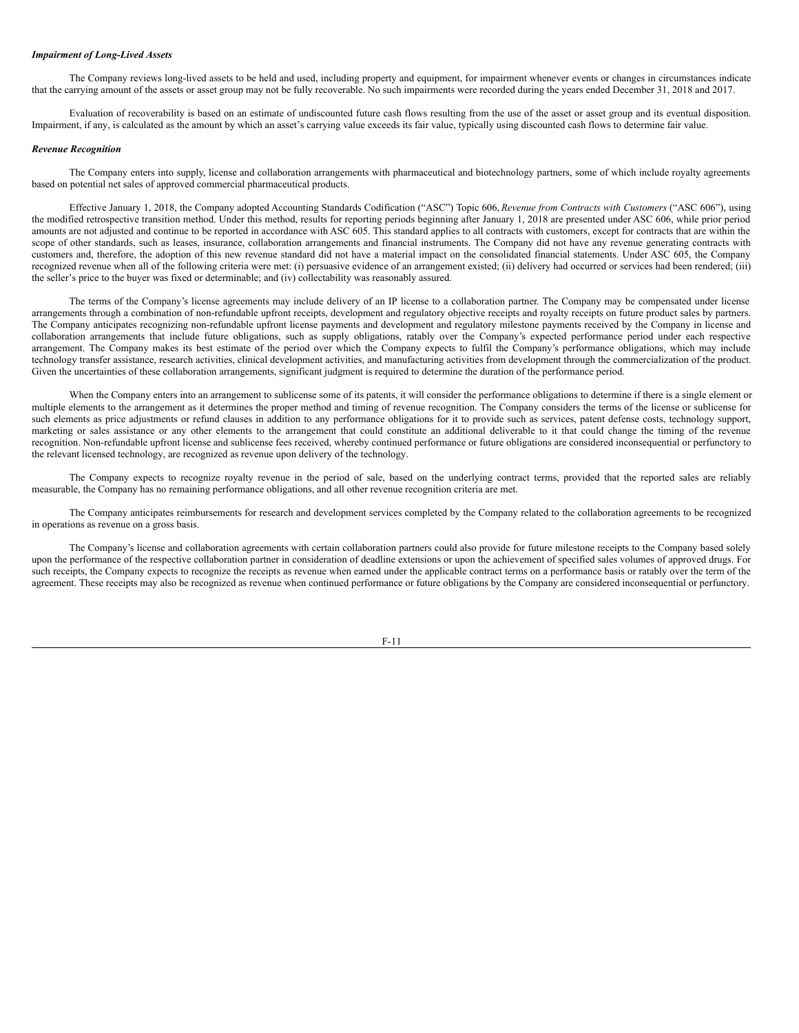### *Impairment of Long-Lived Assets*

The Company reviews long-lived assets to be held and used, including property and equipment, for impairment whenever events or changes in circumstances indicate that the carrying amount of the assets or asset group may not be fully recoverable. No such impairments were recorded during the years ended December 31, 2018 and 2017.

Evaluation of recoverability is based on an estimate of undiscounted future cash flows resulting from the use of the asset or asset group and its eventual disposition. Impairment, if any, is calculated as the amount by which an asset's carrying value exceeds its fair value, typically using discounted cash flows to determine fair value.

#### *Revenue Recognition*

The Company enters into supply, license and collaboration arrangements with pharmaceutical and biotechnology partners, some of which include royalty agreements based on potential net sales of approved commercial pharmaceutical products.

Effective January 1, 2018, the Company adopted Accounting Standards Codification ("ASC") Topic 606, *Revenue from Contracts with Customers* ("ASC 606"), using the modified retrospective transition method. Under this method, results for reporting periods beginning after January 1, 2018 are presented under ASC 606, while prior period amounts are not adjusted and continue to be reported in accordance with ASC 605. This standard applies to all contracts with customers, except for contracts that are within the scope of other standards, such as leases, insurance, collaboration arrangements and financial instruments. The Company did not have any revenue generating contracts with customers and, therefore, the adoption of this new revenue standard did not have a material impact on the consolidated financial statements. Under ASC 605, the Company recognized revenue when all of the following criteria were met: (i) persuasive evidence of an arrangement existed; (ii) delivery had occurred or services had been rendered; (iii) the seller's price to the buyer was fixed or determinable; and (iv) collectability was reasonably assured.

The terms of the Company's license agreements may include delivery of an IP license to a collaboration partner. The Company may be compensated under license arrangements through a combination of non-refundable upfront receipts, development and regulatory objective receipts and royalty receipts on future product sales by partners. The Company anticipates recognizing non-refundable upfront license payments and development and regulatory milestone payments received by the Company in license and collaboration arrangements that include future obligations, such as supply obligations, ratably over the Company's expected performance period under each respective arrangement. The Company makes its best estimate of the period over which the Company expects to fulfil the Company's performance obligations, which may include technology transfer assistance, research activities, clinical development activities, and manufacturing activities from development through the commercialization of the product. Given the uncertainties of these collaboration arrangements, significant judgment is required to determine the duration of the performance period.

When the Company enters into an arrangement to sublicense some of its patents, it will consider the performance obligations to determine if there is a single element or multiple elements to the arrangement as it determines the proper method and timing of revenue recognition. The Company considers the terms of the license or sublicense for such elements as price adjustments or refund clauses in addition to any performance obligations for it to provide such as services, patent defense costs, technology support, marketing or sales assistance or any other elements to the arrangement that could constitute an additional deliverable to it that could change the timing of the revenue recognition. Non-refundable upfront license and sublicense fees received, whereby continued performance or future obligations are considered inconsequential or perfunctory to the relevant licensed technology, are recognized as revenue upon delivery of the technology.

The Company expects to recognize royalty revenue in the period of sale, based on the underlying contract terms, provided that the reported sales are reliably measurable, the Company has no remaining performance obligations, and all other revenue recognition criteria are met.

The Company anticipates reimbursements for research and development services completed by the Company related to the collaboration agreements to be recognized in operations as revenue on a gross basis.

The Company's license and collaboration agreements with certain collaboration partners could also provide for future milestone receipts to the Company based solely upon the performance of the respective collaboration partner in consideration of deadline extensions or upon the achievement of specified sales volumes of approved drugs. For such receipts, the Company expects to recognize the receipts as revenue when earned under the applicable contract terms on a performance basis or ratably over the term of the agreement. These receipts may also be recognized as revenue when continued performance or future obligations by the Company are considered inconsequential or perfunctory.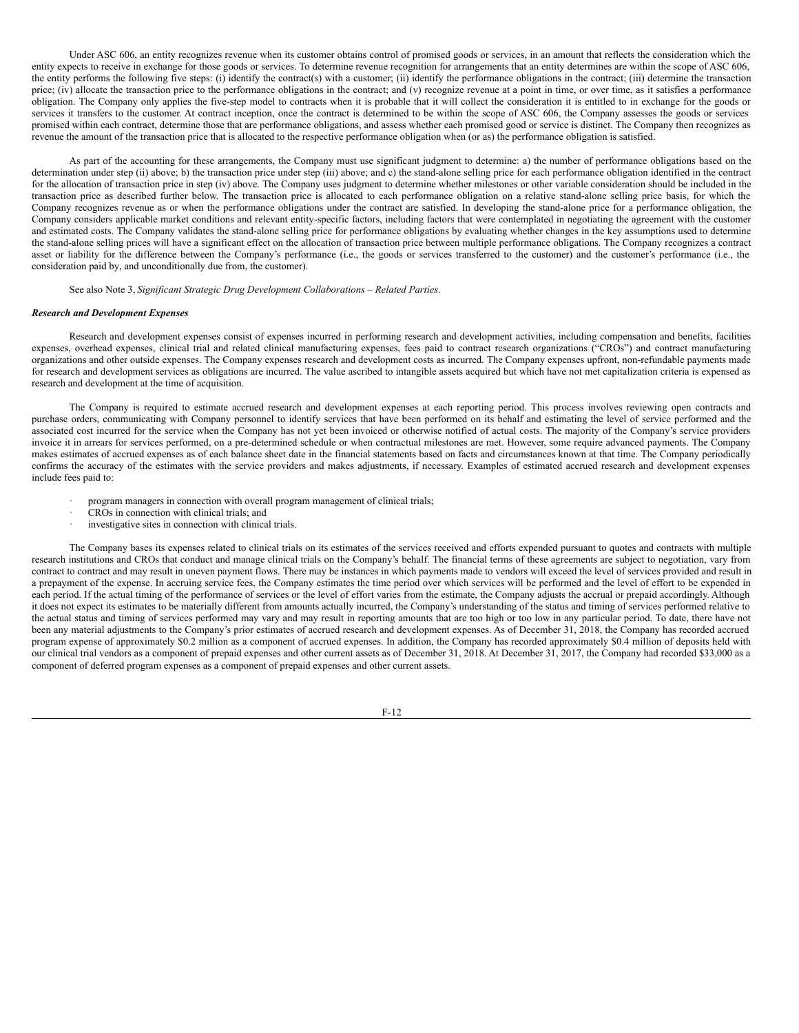Under ASC 606, an entity recognizes revenue when its customer obtains control of promised goods or services, in an amount that reflects the consideration which the entity expects to receive in exchange for those goods or services. To determine revenue recognition for arrangements that an entity determines are within the scope of ASC 606, the entity performs the following five steps: (i) identify the contract(s) with a customer; (ii) identify the performance obligations in the contract; (iii) determine the transaction price; (iv) allocate the transaction price to the performance obligations in the contract; and (v) recognize revenue at a point in time, or over time, as it satisfies a performance obligation. The Company only applies the five-step model to contracts when it is probable that it will collect the consideration it is entitled to in exchange for the goods or services it transfers to the customer. At contract inception, once the contract is determined to be within the scope of ASC 606, the Company assesses the goods or services promised within each contract, determine those that are performance obligations, and assess whether each promised good or service is distinct. The Company then recognizes as revenue the amount of the transaction price that is allocated to the respective performance obligation when (or as) the performance obligation is satisfied.

As part of the accounting for these arrangements, the Company must use significant judgment to determine: a) the number of performance obligations based on the determination under step (ii) above; b) the transaction price under step (iii) above; and c) the stand-alone selling price for each performance obligation identified in the contract for the allocation of transaction price in step (iv) above. The Company uses judgment to determine whether milestones or other variable consideration should be included in the transaction price as described further below. The transaction price is allocated to each performance obligation on a relative stand-alone selling price basis, for which the Company recognizes revenue as or when the performance obligations under the contract are satisfied. In developing the stand-alone price for a performance obligation, the Company considers applicable market conditions and relevant entity-specific factors, including factors that were contemplated in negotiating the agreement with the customer and estimated costs. The Company validates the stand-alone selling price for performance obligations by evaluating whether changes in the key assumptions used to determine the stand-alone selling prices will have a significant effect on the allocation of transaction price between multiple performance obligations. The Company recognizes a contract asset or liability for the difference between the Company's performance (i.e., the goods or services transferred to the customer) and the customer's performance (i.e., the consideration paid by, and unconditionally due from, the customer).

See also Note 3, *Significant Strategic Drug Development Collaborations – Related Parties*.

## *Research and Development Expenses*

Research and development expenses consist of expenses incurred in performing research and development activities, including compensation and benefits, facilities expenses, overhead expenses, clinical trial and related clinical manufacturing expenses, fees paid to contract research organizations ("CROs") and contract manufacturing organizations and other outside expenses. The Company expenses research and development costs as incurred. The Company expenses upfront, non-refundable payments made for research and development services as obligations are incurred. The value ascribed to intangible assets acquired but which have not met capitalization criteria is expensed as research and development at the time of acquisition.

The Company is required to estimate accrued research and development expenses at each reporting period. This process involves reviewing open contracts and purchase orders, communicating with Company personnel to identify services that have been performed on its behalf and estimating the level of service performed and the associated cost incurred for the service when the Company has not yet been invoiced or otherwise notified of actual costs. The majority of the Company's service providers invoice it in arrears for services performed, on a pre-determined schedule or when contractual milestones are met. However, some require advanced payments. The Company makes estimates of accrued expenses as of each balance sheet date in the financial statements based on facts and circumstances known at that time. The Company periodically confirms the accuracy of the estimates with the service providers and makes adjustments, if necessary. Examples of estimated accrued research and development expenses include fees paid to:

- program managers in connection with overall program management of clinical trials;
- · CROs in connection with clinical trials; and
- · investigative sites in connection with clinical trials.

The Company bases its expenses related to clinical trials on its estimates of the services received and efforts expended pursuant to quotes and contracts with multiple research institutions and CROs that conduct and manage clinical trials on the Company's behalf. The financial terms of these agreements are subject to negotiation, vary from contract to contract and may result in uneven payment flows. There may be instances in which payments made to vendors will exceed the level of services provided and result in a prepayment of the expense. In accruing service fees, the Company estimates the time period over which services will be performed and the level of effort to be expended in each period. If the actual timing of the performance of services or the level of effort varies from the estimate, the Company adjusts the accrual or prepaid accordingly. Although it does not expect its estimates to be materially different from amounts actually incurred, the Company's understanding of the status and timing of services performed relative to the actual status and timing of services performed may vary and may result in reporting amounts that are too high or too low in any particular period. To date, there have not been any material adjustments to the Company's prior estimates of accrued research and development expenses. As of December 31, 2018, the Company has recorded accrued program expense of approximately \$0.2 million as a component of accrued expenses. In addition, the Company has recorded approximately \$0.4 million of deposits held with our clinical trial vendors as a component of prepaid expenses and other current assets as of December 31, 2018. At December 31, 2017, the Company had recorded \$33,000 as a component of deferred program expenses as a component of prepaid expenses and other current assets.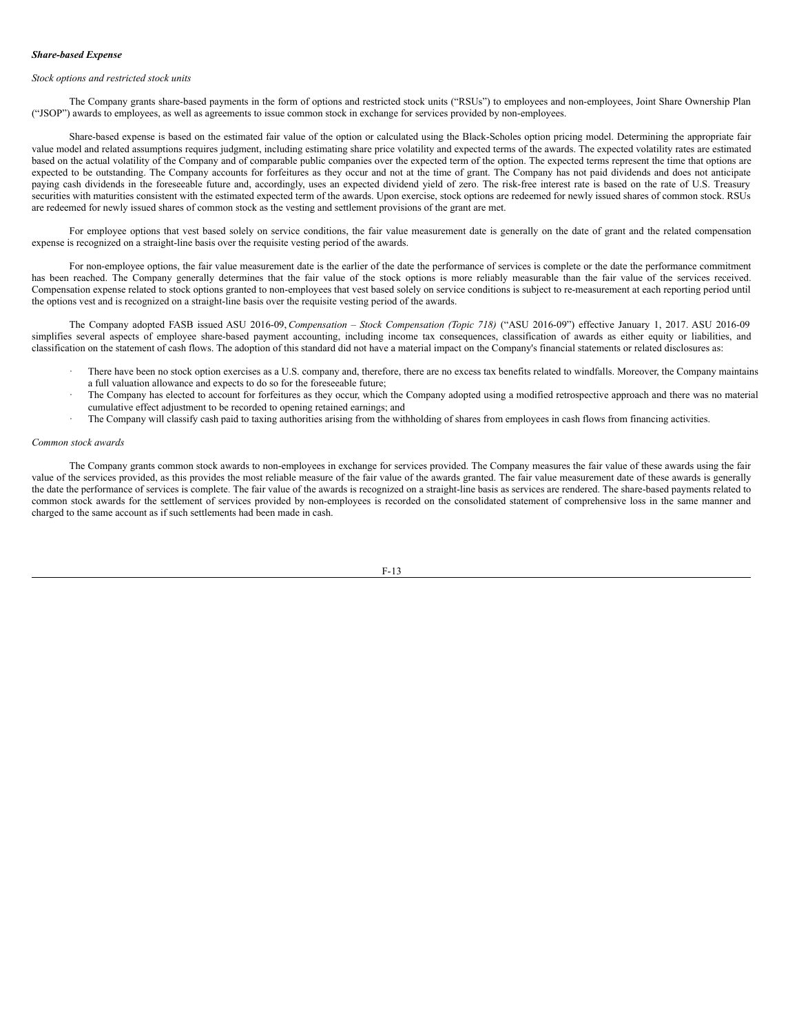## *Share-based Expense*

#### *Stock options and restricted stock units*

The Company grants share-based payments in the form of options and restricted stock units ("RSUs") to employees and non-employees, Joint Share Ownership Plan ("JSOP") awards to employees, as well as agreements to issue common stock in exchange for services provided by non-employees.

Share-based expense is based on the estimated fair value of the option or calculated using the Black-Scholes option pricing model. Determining the appropriate fair value model and related assumptions requires judgment, including estimating share price volatility and expected terms of the awards. The expected volatility rates are estimated based on the actual volatility of the Company and of comparable public companies over the expected term of the option. The expected terms represent the time that options are expected to be outstanding. The Company accounts for forfeitures as they occur and not at the time of grant. The Company has not paid dividends and does not anticipate paying cash dividends in the foreseeable future and, accordingly, uses an expected dividend yield of zero. The risk-free interest rate is based on the rate of U.S. Treasury securities with maturities consistent with the estimated expected term of the awards. Upon exercise, stock options are redeemed for newly issued shares of common stock. RSUs are redeemed for newly issued shares of common stock as the vesting and settlement provisions of the grant are met.

For employee options that vest based solely on service conditions, the fair value measurement date is generally on the date of grant and the related compensation expense is recognized on a straight-line basis over the requisite vesting period of the awards.

For non-employee options, the fair value measurement date is the earlier of the date the performance of services is complete or the date the performance commitment has been reached. The Company generally determines that the fair value of the stock options is more reliably measurable than the fair value of the services received. Compensation expense related to stock options granted to non-employees that vest based solely on service conditions is subject to re-measurement at each reporting period until the options vest and is recognized on a straight-line basis over the requisite vesting period of the awards.

The Company adopted FASB issued ASU 2016-09, *Compensation – Stock Compensation (Topic 718)* ("ASU 2016-09") effective January 1, 2017. ASU 2016-09 simplifies several aspects of employee share-based payment accounting, including income tax consequences, classification of awards as either equity or liabilities, and classification on the statement of cash flows. The adoption of this standard did not have a material impact on the Company's financial statements or related disclosures as:

- There have been no stock option exercises as a U.S. company and, therefore, there are no excess tax benefits related to windfalls. Moreover, the Company maintains a full valuation allowance and expects to do so for the foreseeable future;
- The Company has elected to account for forfeitures as they occur, which the Company adopted using a modified retrospective approach and there was no material cumulative effect adjustment to be recorded to opening retained earnings; and
- · The Company will classify cash paid to taxing authorities arising from the withholding of shares from employees in cash flows from financing activities.

## *Common stock awards*

The Company grants common stock awards to non-employees in exchange for services provided. The Company measures the fair value of these awards using the fair value of the services provided, as this provides the most reliable measure of the fair value of the awards granted. The fair value measurement date of these awards is generally the date the performance of services is complete. The fair value of the awards is recognized on a straight-line basis as services are rendered. The share-based payments related to common stock awards for the settlement of services provided by non-employees is recorded on the consolidated statement of comprehensive loss in the same manner and charged to the same account as if such settlements had been made in cash.

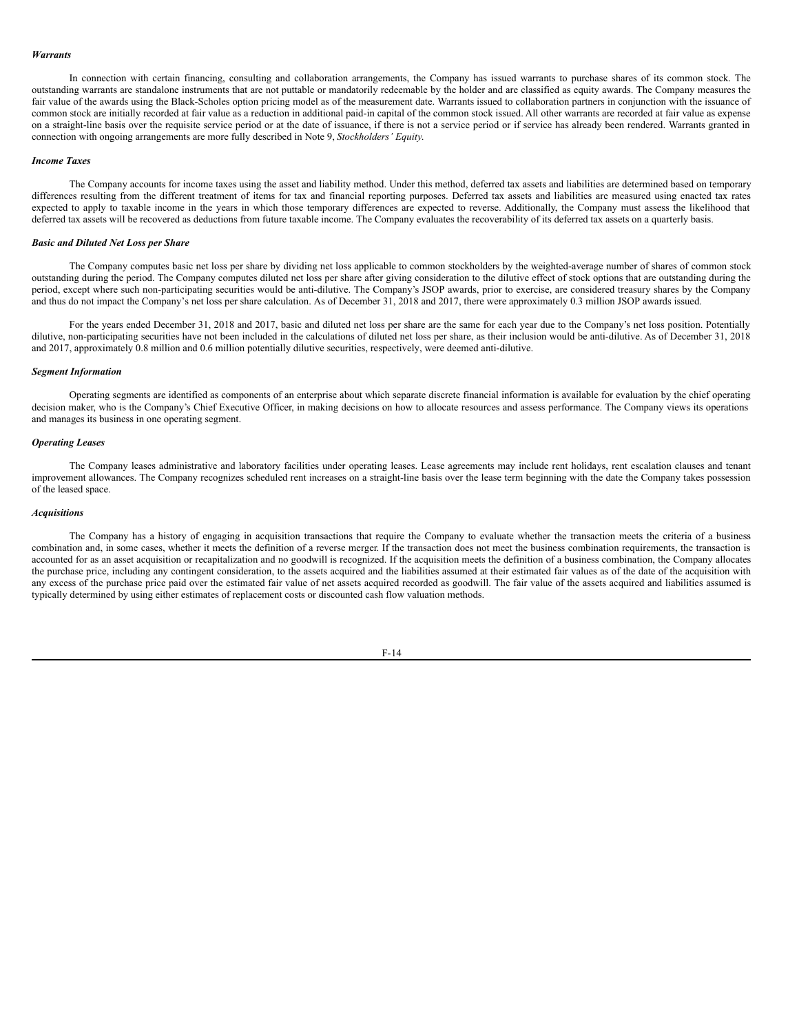#### *Warrants*

In connection with certain financing, consulting and collaboration arrangements, the Company has issued warrants to purchase shares of its common stock. The outstanding warrants are standalone instruments that are not puttable or mandatorily redeemable by the holder and are classified as equity awards. The Company measures the fair value of the awards using the Black-Scholes option pricing model as of the measurement date. Warrants issued to collaboration partners in conjunction with the issuance of common stock are initially recorded at fair value as a reduction in additional paid-in capital of the common stock issued. All other warrants are recorded at fair value as expense on a straight-line basis over the requisite service period or at the date of issuance, if there is not a service period or if service has already been rendered. Warrants granted in connection with ongoing arrangements are more fully described in Note 9, *Stockholders' Equity*.

#### *Income Taxes*

The Company accounts for income taxes using the asset and liability method. Under this method, deferred tax assets and liabilities are determined based on temporary differences resulting from the different treatment of items for tax and financial reporting purposes. Deferred tax assets and liabilities are measured using enacted tax rates expected to apply to taxable income in the years in which those temporary differences are expected to reverse. Additionally, the Company must assess the likelihood that deferred tax assets will be recovered as deductions from future taxable income. The Company evaluates the recoverability of its deferred tax assets on a quarterly basis.

## *Basic and Diluted Net Loss per Share*

The Company computes basic net loss per share by dividing net loss applicable to common stockholders by the weighted-average number of shares of common stock outstanding during the period. The Company computes diluted net loss per share after giving consideration to the dilutive effect of stock options that are outstanding during the period, except where such non-participating securities would be anti-dilutive. The Company's JSOP awards, prior to exercise, are considered treasury shares by the Company and thus do not impact the Company's net loss per share calculation. As of December 31, 2018 and 2017, there were approximately 0.3 million JSOP awards issued.

For the years ended December 31, 2018 and 2017, basic and diluted net loss per share are the same for each year due to the Company's net loss position. Potentially dilutive, non-participating securities have not been included in the calculations of diluted net loss per share, as their inclusion would be anti-dilutive. As of December 31, 2018 and 2017, approximately 0.8 million and 0.6 million potentially dilutive securities, respectively, were deemed anti-dilutive.

# *Segment Information*

Operating segments are identified as components of an enterprise about which separate discrete financial information is available for evaluation by the chief operating decision maker, who is the Company's Chief Executive Officer, in making decisions on how to allocate resources and assess performance. The Company views its operations and manages its business in one operating segment.

#### *Operating Leases*

The Company leases administrative and laboratory facilities under operating leases. Lease agreements may include rent holidays, rent escalation clauses and tenant improvement allowances. The Company recognizes scheduled rent increases on a straight-line basis over the lease term beginning with the date the Company takes possession of the leased space.

#### *Acquisitions*

The Company has a history of engaging in acquisition transactions that require the Company to evaluate whether the transaction meets the criteria of a business combination and, in some cases, whether it meets the definition of a reverse merger. If the transaction does not meet the business combination requirements, the transaction is accounted for as an asset acquisition or recapitalization and no goodwill is recognized. If the acquisition meets the definition of a business combination, the Company allocates the purchase price, including any contingent consideration, to the assets acquired and the liabilities assumed at their estimated fair values as of the date of the acquisition with any excess of the purchase price paid over the estimated fair value of net assets acquired recorded as goodwill. The fair value of the assets acquired and liabilities assumed is typically determined by using either estimates of replacement costs or discounted cash flow valuation methods.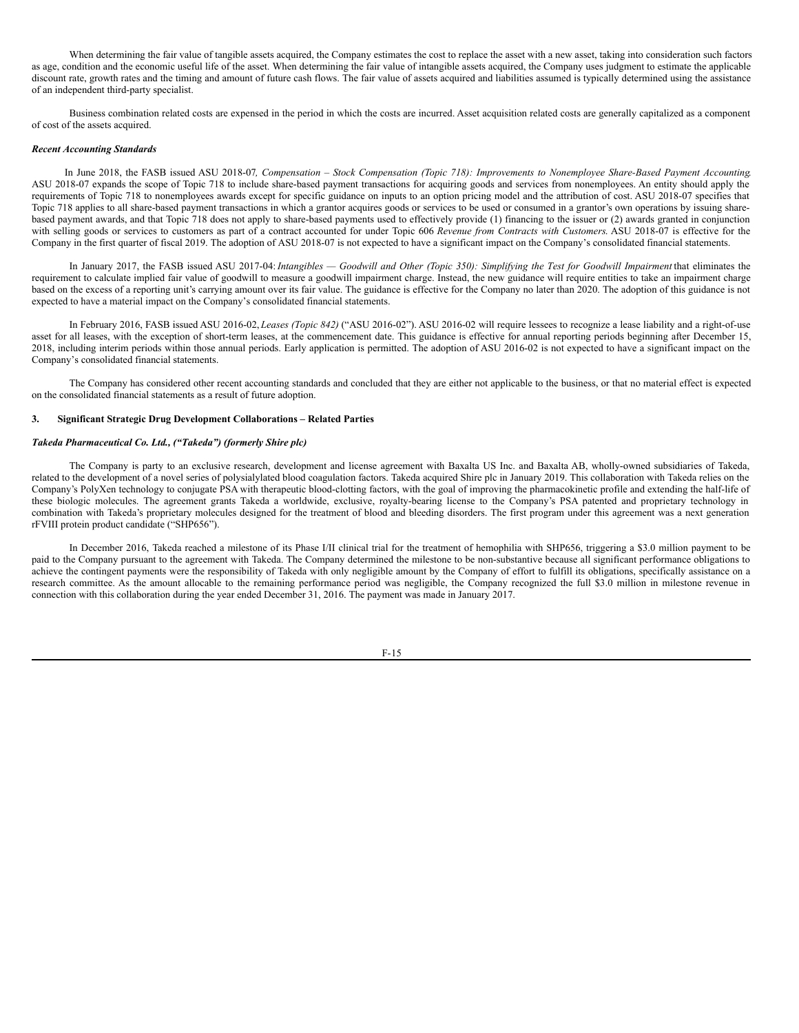When determining the fair value of tangible assets acquired, the Company estimates the cost to replace the asset with a new asset, taking into consideration such factors as age, condition and the economic useful life of the asset. When determining the fair value of intangible assets acquired, the Company uses judgment to estimate the applicable discount rate, growth rates and the timing and amount of future cash flows. The fair value of assets acquired and liabilities assumed is typically determined using the assistance of an independent third-party specialist.

Business combination related costs are expensed in the period in which the costs are incurred. Asset acquisition related costs are generally capitalized as a component of cost of the assets acquired.

### *Recent Accounting Standards*

In June 2018, the FASB issued ASU 2018-07, Compensation - Stock Compensation (Topic 718): Improvements to Nonemployee Share-Based Payment Accounting. ASU 2018-07 expands the scope of Topic 718 to include share-based payment transactions for acquiring goods and services from nonemployees. An entity should apply the requirements of Topic 718 to nonemployees awards except for specific guidance on inputs to an option pricing model and the attribution of cost. ASU 2018-07 specifies that Topic 718 applies to all share-based payment transactions in which a grantor acquires goods or services to be used or consumed in a grantor's own operations by issuing sharebased payment awards, and that Topic 718 does not apply to share-based payments used to effectively provide (1) financing to the issuer or (2) awards granted in conjunction with selling goods or services to customers as part of a contract accounted for under Topic 606 *Revenue from Contracts with Customers*. ASU 2018-07 is effective for the Company in the first quarter of fiscal 2019. The adoption of ASU 2018-07 is not expected to have a significant impact on the Company's consolidated financial statements.

In January 2017, the FASB issued ASU 2017-04: Intangibles - Goodwill and Other (Topic 350): Simplifying the Test for Goodwill Impairment that eliminates the requirement to calculate implied fair value of goodwill to measure a goodwill impairment charge. Instead, the new guidance will require entities to take an impairment charge based on the excess of a reporting unit's carrying amount over its fair value. The guidance is effective for the Company no later than 2020. The adoption of this guidance is not expected to have a material impact on the Company's consolidated financial statements.

In February 2016, FASB issued ASU 2016-02, *Leases (Topic 842)* ("ASU 2016-02"). ASU 2016-02 will require lessees to recognize a lease liability and a right-of-use asset for all leases, with the exception of short-term leases, at the commencement date. This guidance is effective for annual reporting periods beginning after December 15, 2018, including interim periods within those annual periods. Early application is permitted. The adoption of ASU 2016-02 is not expected to have a significant impact on the Company's consolidated financial statements.

The Company has considered other recent accounting standards and concluded that they are either not applicable to the business, or that no material effect is expected on the consolidated financial statements as a result of future adoption.

#### **3. Significant Strategic Drug Development Collaborations – Related Parties**

## *Takeda Pharmaceutical Co. Ltd., ("Takeda") (formerly Shire plc)*

The Company is party to an exclusive research, development and license agreement with Baxalta US Inc. and Baxalta AB, wholly-owned subsidiaries of Takeda, related to the development of a novel series of polysialylated blood coagulation factors. Takeda acquired Shire plc in January 2019. This collaboration with Takeda relies on the Company's PolyXen technology to conjugate PSA with therapeutic blood-clotting factors, with the goal of improving the pharmacokinetic profile and extending the half-life of these biologic molecules. The agreement grants Takeda a worldwide, exclusive, royalty-bearing license to the Company's PSA patented and proprietary technology in combination with Takeda's proprietary molecules designed for the treatment of blood and bleeding disorders. The first program under this agreement was a next generation rFVIII protein product candidate ("SHP656").

In December 2016, Takeda reached a milestone of its Phase I/II clinical trial for the treatment of hemophilia with SHP656, triggering a \$3.0 million payment to be paid to the Company pursuant to the agreement with Takeda. The Company determined the milestone to be non-substantive because all significant performance obligations to achieve the contingent payments were the responsibility of Takeda with only negligible amount by the Company of effort to fulfill its obligations, specifically assistance on a research committee. As the amount allocable to the remaining performance period was negligible, the Company recognized the full \$3.0 million in milestone revenue in connection with this collaboration during the year ended December 31, 2016. The payment was made in January 2017.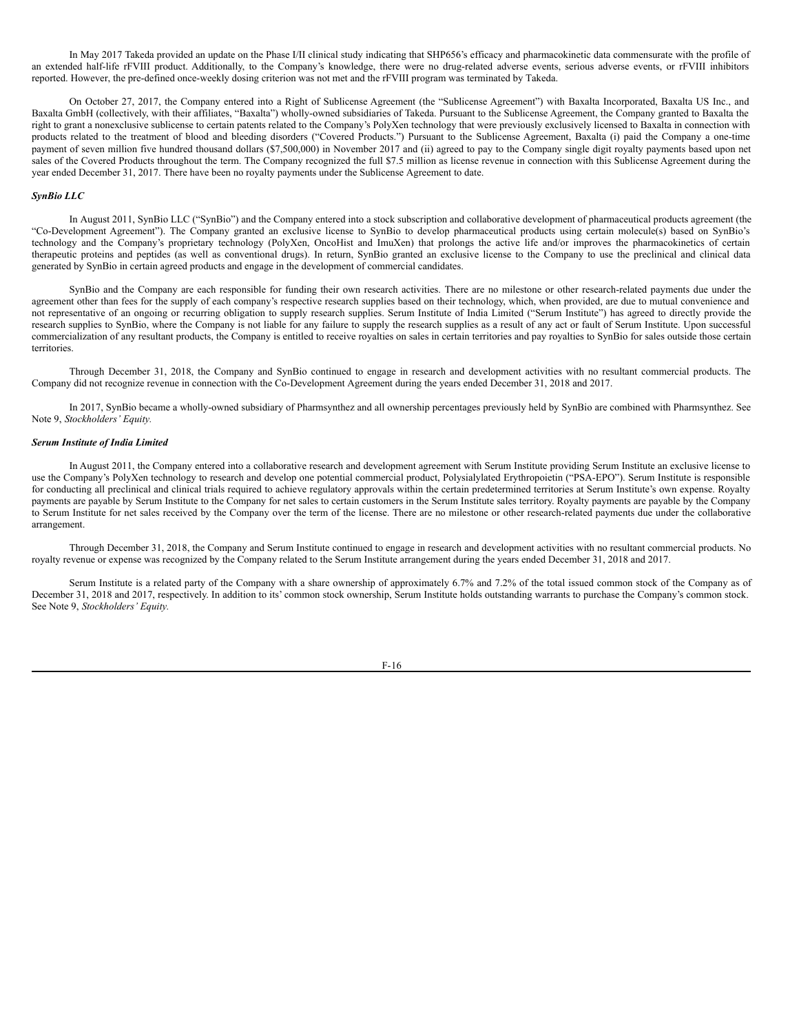In May 2017 Takeda provided an update on the Phase I/II clinical study indicating that SHP656's efficacy and pharmacokinetic data commensurate with the profile of an extended half-life rFVIII product. Additionally, to the Company's knowledge, there were no drug-related adverse events, serious adverse events, or rFVIII inhibitors reported. However, the pre-defined once-weekly dosing criterion was not met and the rFVIII program was terminated by Takeda.

On October 27, 2017, the Company entered into a Right of Sublicense Agreement (the "Sublicense Agreement") with Baxalta Incorporated, Baxalta US Inc., and Baxalta GmbH (collectively, with their affiliates, "Baxalta") wholly-owned subsidiaries of Takeda. Pursuant to the Sublicense Agreement, the Company granted to Baxalta the right to grant a nonexclusive sublicense to certain patents related to the Company's PolyXen technology that were previously exclusively licensed to Baxalta in connection with products related to the treatment of blood and bleeding disorders ("Covered Products.") Pursuant to the Sublicense Agreement, Baxalta (i) paid the Company a one-time payment of seven million five hundred thousand dollars (\$7,500,000) in November 2017 and (ii) agreed to pay to the Company single digit royalty payments based upon net sales of the Covered Products throughout the term. The Company recognized the full \$7.5 million as license revenue in connection with this Sublicense Agreement during the year ended December 31, 2017. There have been no royalty payments under the Sublicense Agreement to date.

#### *SynBio LLC*

In August 2011, SynBio LLC ("SynBio") and the Company entered into a stock subscription and collaborative development of pharmaceutical products agreement (the "Co-Development Agreement"). The Company granted an exclusive license to SynBio to develop pharmaceutical products using certain molecule(s) based on SynBio's technology and the Company's proprietary technology (PolyXen, OncoHist and ImuXen) that prolongs the active life and/or improves the pharmacokinetics of certain therapeutic proteins and peptides (as well as conventional drugs). In return, SynBio granted an exclusive license to the Company to use the preclinical and clinical data generated by SynBio in certain agreed products and engage in the development of commercial candidates.

SynBio and the Company are each responsible for funding their own research activities. There are no milestone or other research-related payments due under the agreement other than fees for the supply of each company's respective research supplies based on their technology, which, when provided, are due to mutual convenience and not representative of an ongoing or recurring obligation to supply research supplies. Serum Institute of India Limited ("Serum Institute") has agreed to directly provide the research supplies to SynBio, where the Company is not liable for any failure to supply the research supplies as a result of any act or fault of Serum Institute. Upon successful commercialization of any resultant products, the Company is entitled to receive royalties on sales in certain territories and pay royalties to SynBio for sales outside those certain territories.

Through December 31, 2018, the Company and SynBio continued to engage in research and development activities with no resultant commercial products. The Company did not recognize revenue in connection with the Co-Development Agreement during the years ended December 31, 2018 and 2017.

In 2017, SynBio became a wholly-owned subsidiary of Pharmsynthez and all ownership percentages previously held by SynBio are combined with Pharmsynthez. See Note 9, *Stockholders' Equity.*

### *Serum Institute of India Limited*

In August 2011, the Company entered into a collaborative research and development agreement with Serum Institute providing Serum Institute an exclusive license to use the Company's PolyXen technology to research and develop one potential commercial product, Polysialylated Erythropoietin ("PSA-EPO"). Serum Institute is responsible for conducting all preclinical and clinical trials required to achieve regulatory approvals within the certain predetermined territories at Serum Institute's own expense. Royalty payments are payable by Serum Institute to the Company for net sales to certain customers in the Serum Institute sales territory. Royalty payments are payable by the Company to Serum Institute for net sales received by the Company over the term of the license. There are no milestone or other research-related payments due under the collaborative arrangement.

Through December 31, 2018, the Company and Serum Institute continued to engage in research and development activities with no resultant commercial products. No royalty revenue or expense was recognized by the Company related to the Serum Institute arrangement during the years ended December 31, 2018 and 2017.

Serum Institute is a related party of the Company with a share ownership of approximately 6.7% and 7.2% of the total issued common stock of the Company as of December 31, 2018 and 2017, respectively. In addition to its' common stock ownership, Serum Institute holds outstanding warrants to purchase the Company's common stock. See Note 9, *Stockholders' Equity.*

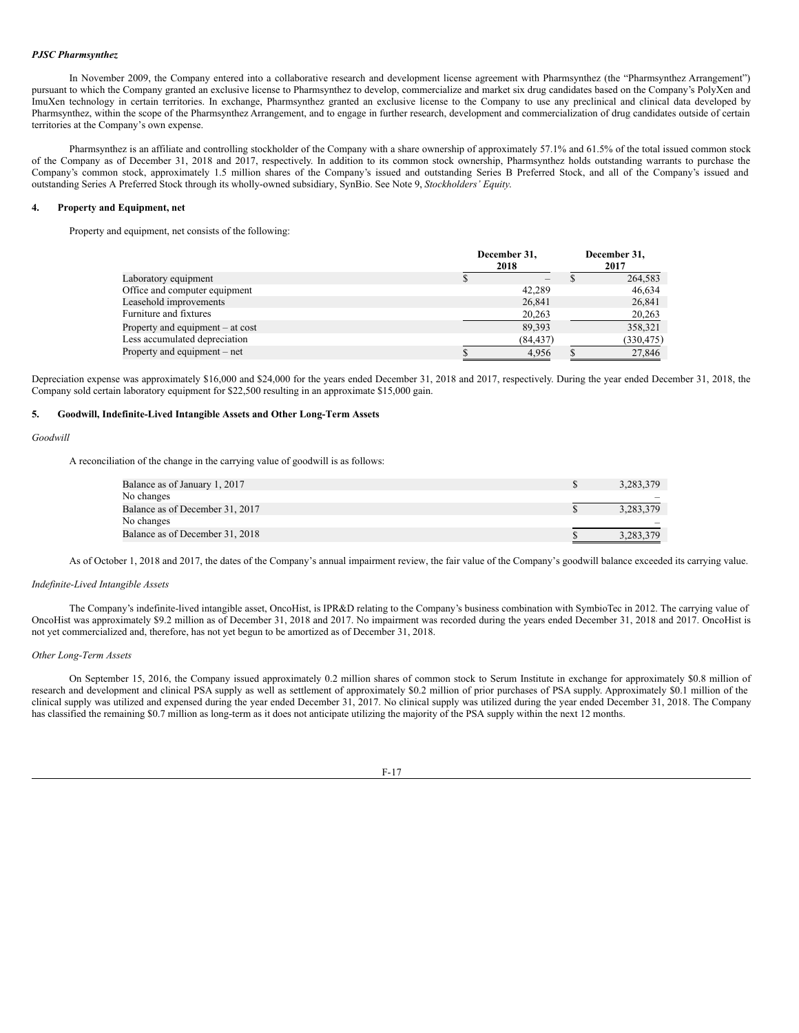## *PJSC Pharmsynthez*

In November 2009, the Company entered into a collaborative research and development license agreement with Pharmsynthez (the "Pharmsynthez Arrangement") pursuant to which the Company granted an exclusive license to Pharmsynthez to develop, commercialize and market six drug candidates based on the Company's PolyXen and ImuXen technology in certain territories. In exchange, Pharmsynthez granted an exclusive license to the Company to use any preclinical and clinical data developed by Pharmsynthez, within the scope of the Pharmsynthez Arrangement, and to engage in further research, development and commercialization of drug candidates outside of certain territories at the Company's own expense.

Pharmsynthez is an affiliate and controlling stockholder of the Company with a share ownership of approximately 57.1% and 61.5% of the total issued common stock of the Company as of December 31, 2018 and 2017, respectively. In addition to its common stock ownership, Pharmsynthez holds outstanding warrants to purchase the Company's common stock, approximately 1.5 million shares of the Company's issued and outstanding Series B Preferred Stock, and all of the Company's issued and outstanding Series A Preferred Stock through its wholly-owned subsidiary, SynBio. See Note 9, *Stockholders' Equity*.

# **4. Property and Equipment, net**

Property and equipment, net consists of the following:

|                                    | December 31,<br>2018 |   | December 31,<br>2017 |  |  |
|------------------------------------|----------------------|---|----------------------|--|--|
| Laboratory equipment               |                      | - | 264,583              |  |  |
| Office and computer equipment      | 42.289               |   | 46,634               |  |  |
| Leasehold improvements             | 26,841               |   | 26,841               |  |  |
| Furniture and fixtures             | 20,263               |   | 20,263               |  |  |
| Property and equipment $-$ at cost | 89.393               |   | 358,321              |  |  |
| Less accumulated depreciation      | (84, 437)            |   | (330, 475)           |  |  |
| Property and equipment – net       | 4,956                |   | 27,846               |  |  |

Depreciation expense was approximately \$16,000 and \$24,000 for the years ended December 31, 2018 and 2017, respectively. During the year ended December 31, 2018, the Company sold certain laboratory equipment for \$22,500 resulting in an approximate \$15,000 gain.

## **5. Goodwill, Indefinite-Lived Intangible Assets and Other Long-Term Assets**

#### *Goodwill*

A reconciliation of the change in the carrying value of goodwill is as follows:

| Balance as of January 1, 2017   | 3,283,379 |
|---------------------------------|-----------|
| No changes                      |           |
| Balance as of December 31, 2017 | 3.283.379 |
| No changes                      |           |
| Balance as of December 31, 2018 | 3,283,379 |

As of October 1, 2018 and 2017, the dates of the Company's annual impairment review, the fair value of the Company's goodwill balance exceeded its carrying value.

#### *Indefinite-Lived Intangible Assets*

The Company's indefinite-lived intangible asset, OncoHist, is IPR&D relating to the Company's business combination with SymbioTec in 2012. The carrying value of OncoHist was approximately \$9.2 million as of December 31, 2018 and 2017. No impairment was recorded during the years ended December 31, 2018 and 2017. OncoHist is not yet commercialized and, therefore, has not yet begun to be amortized as of December 31, 2018.

# *Other Long-Term Assets*

On September 15, 2016, the Company issued approximately 0.2 million shares of common stock to Serum Institute in exchange for approximately \$0.8 million of research and development and clinical PSA supply as well as settlement of approximately \$0.2 million of prior purchases of PSA supply. Approximately \$0.1 million of the clinical supply was utilized and expensed during the year ended December 31, 2017. No clinical supply was utilized during the year ended December 31, 2018. The Company has classified the remaining \$0.7 million as long-term as it does not anticipate utilizing the majority of the PSA supply within the next 12 months.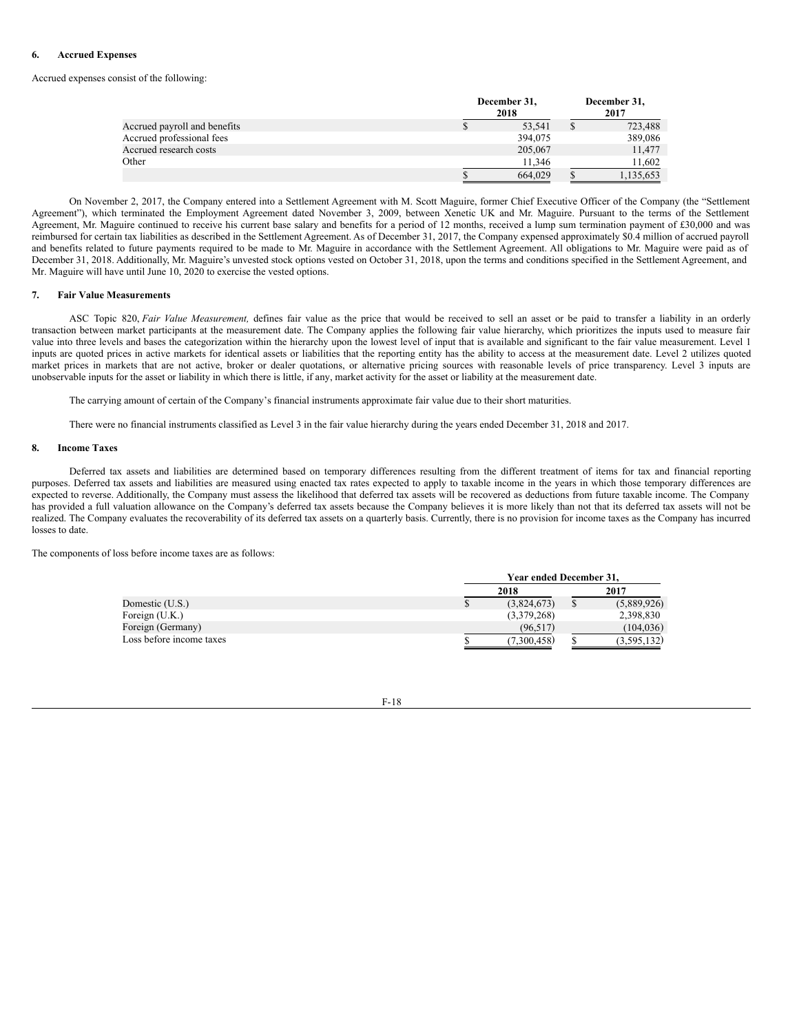# **6. Accrued Expenses**

Accrued expenses consist of the following:

|                              | December 31,<br>2018 |  |           |
|------------------------------|----------------------|--|-----------|
| Accrued payroll and benefits | 53.541               |  | 723,488   |
| Accrued professional fees    | 394,075              |  | 389,086   |
| Accrued research costs       | 205,067              |  | 11,477    |
| Other                        | 11.346               |  | 11,602    |
|                              | 664,029              |  | 1,135,653 |

On November 2, 2017, the Company entered into a Settlement Agreement with M. Scott Maguire, former Chief Executive Officer of the Company (the "Settlement Agreement"), which terminated the Employment Agreement dated November 3, 2009, between Xenetic UK and Mr. Maguire. Pursuant to the terms of the Settlement Agreement, Mr. Maguire continued to receive his current base salary and benefits for a period of 12 months, received a lump sum termination payment of £30,000 and was reimbursed for certain tax liabilities as described in the Settlement Agreement. As of December 31, 2017, the Company expensed approximately \$0.4 million of accrued payroll and benefits related to future payments required to be made to Mr. Maguire in accordance with the Settlement Agreement. All obligations to Mr. Maguire were paid as of December 31, 2018. Additionally, Mr. Maguire's unvested stock options vested on October 31, 2018, upon the terms and conditions specified in the Settlement Agreement, and Mr. Maguire will have until June 10, 2020 to exercise the vested options.

#### **7. Fair Value Measurements**

ASC Topic 820, *Fair Value Measurement,* defines fair value as the price that would be received to sell an asset or be paid to transfer a liability in an orderly transaction between market participants at the measurement date. The Company applies the following fair value hierarchy, which prioritizes the inputs used to measure fair value into three levels and bases the categorization within the hierarchy upon the lowest level of input that is available and significant to the fair value measurement. Level 1 inputs are quoted prices in active markets for identical assets or liabilities that the reporting entity has the ability to access at the measurement date. Level 2 utilizes quoted market prices in markets that are not active, broker or dealer quotations, or alternative pricing sources with reasonable levels of price transparency. Level 3 inputs are unobservable inputs for the asset or liability in which there is little, if any, market activity for the asset or liability at the measurement date.

The carrying amount of certain of the Company's financial instruments approximate fair value due to their short maturities.

There were no financial instruments classified as Level 3 in the fair value hierarchy during the years ended December 31, 2018 and 2017.

#### **8. Income Taxes**

Deferred tax assets and liabilities are determined based on temporary differences resulting from the different treatment of items for tax and financial reporting purposes. Deferred tax assets and liabilities are measured using enacted tax rates expected to apply to taxable income in the years in which those temporary differences are expected to reverse. Additionally, the Company must assess the likelihood that deferred tax assets will be recovered as deductions from future taxable income. The Company has provided a full valuation allowance on the Company's deferred tax assets because the Company believes it is more likely than not that its deferred tax assets will not be realized. The Company evaluates the recoverability of its deferred tax assets on a quarterly basis. Currently, there is no provision for income taxes as the Company has incurred losses to date.

The components of loss before income taxes are as follows:

|                          |   | Year ended December 31. |    |             |  |
|--------------------------|---|-------------------------|----|-------------|--|
|                          |   | 2018                    |    | 2017        |  |
| Domestic (U.S.)          | ъ | (3,824,673)             | \$ | (5,889,926) |  |
| Foreign $(U.K.)$         |   | (3,379,268)             |    | 2,398,830   |  |
| Foreign (Germany)        |   | (96.517)                |    | (104, 036)  |  |
| Loss before income taxes |   | (7,300,458)             |    | (3,595,132) |  |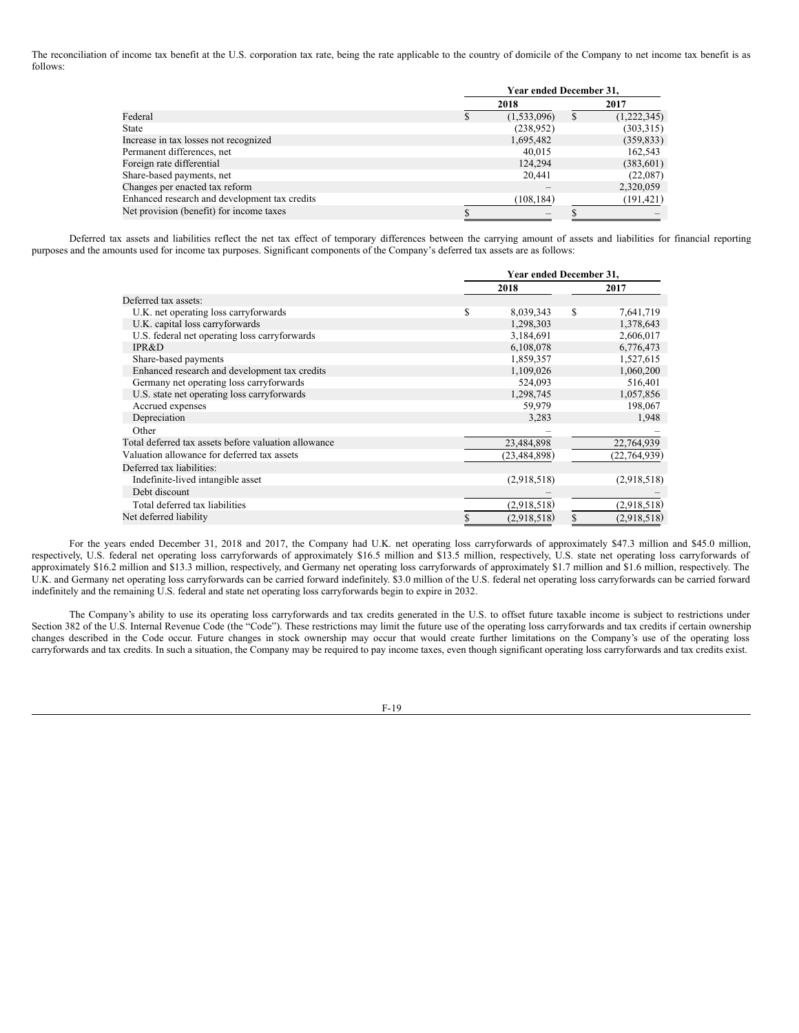The reconciliation of income tax benefit at the U.S. corporation tax rate, being the rate applicable to the country of domicile of the Company to net income tax benefit is as follows:

|                                               | Year ended December 31, |   |             |
|-----------------------------------------------|-------------------------|---|-------------|
|                                               | 2018                    |   | 2017        |
| Federal                                       | (1,533,096)             | S | (1,222,345) |
| <b>State</b>                                  | (238,952)               |   | (303, 315)  |
| Increase in tax losses not recognized         | 1,695,482               |   | (359, 833)  |
| Permanent differences, net                    | 40,015                  |   | 162,543     |
| Foreign rate differential                     | 124.294                 |   | (383,601)   |
| Share-based payments, net                     | 20,441                  |   | (22,087)    |
| Changes per enacted tax reform                |                         |   | 2,320,059   |
| Enhanced research and development tax credits | (108, 184)              |   | (191, 421)  |
| Net provision (benefit) for income taxes      |                         |   |             |

Deferred tax assets and liabilities reflect the net tax effect of temporary differences between the carrying amount of assets and liabilities for financial reporting purposes and the amounts used for income tax purposes. Significant components of the Company's deferred tax assets are as follows:

|                                                      | Year ended December 31, |                |    |                |
|------------------------------------------------------|-------------------------|----------------|----|----------------|
|                                                      | 2018                    |                |    | 2017           |
| Deferred tax assets:                                 |                         |                |    |                |
| U.K. net operating loss carryforwards                | S                       | 8,039,343      | \$ | 7,641,719      |
| U.K. capital loss carryforwards                      |                         | 1,298,303      |    | 1,378,643      |
| U.S. federal net operating loss carryforwards        |                         | 3,184,691      |    | 2,606,017      |
| IPR&D                                                |                         | 6,108,078      |    | 6,776,473      |
| Share-based payments                                 |                         | 1,859,357      |    | 1,527,615      |
| Enhanced research and development tax credits        |                         | 1,109,026      |    | 1,060,200      |
| Germany net operating loss carryforwards             |                         | 524,093        |    | 516,401        |
| U.S. state net operating loss carryforwards          |                         | 1,298,745      |    | 1,057,856      |
| Accrued expenses                                     |                         | 59,979         |    | 198,067        |
| Depreciation                                         |                         | 3,283          |    | 1,948          |
| Other                                                |                         |                |    |                |
| Total deferred tax assets before valuation allowance |                         | 23,484,898     |    | 22,764,939     |
| Valuation allowance for deferred tax assets          |                         | (23, 484, 898) |    | (22, 764, 939) |
| Deferred tax liabilities:                            |                         |                |    |                |
| Indefinite-lived intangible asset                    |                         | (2,918,518)    |    | (2,918,518)    |
| Debt discount                                        |                         |                |    |                |
| Total deferred tax liabilities                       |                         | (2,918,518)    |    | (2,918,518)    |
| Net deferred liability                               |                         | (2,918,518)    | \$ | (2,918,518)    |

For the years ended December 31, 2018 and 2017, the Company had U.K. net operating loss carryforwards of approximately \$47.3 million and \$45.0 million, respectively, U.S. federal net operating loss carryforwards of approximately \$16.5 million and \$13.5 million, respectively, U.S. state net operating loss carryforwards of approximately \$16.2 million and \$13.3 million, respectively, and Germany net operating loss carryforwards of approximately \$1.7 million and \$1.6 million, respectively. The U.K. and Germany net operating loss carryforwards can be carried forward indefinitely. \$3.0 million of the U.S. federal net operating loss carryforwards can be carried forward indefinitely and the remaining U.S. federal and state net operating loss carryforwards begin to expire in 2032.

The Company's ability to use its operating loss carryforwards and tax credits generated in the U.S. to offset future taxable income is subject to restrictions under Section 382 of the U.S. Internal Revenue Code (the "Code"). These restrictions may limit the future use of the operating loss carryforwards and tax credits if certain ownership changes described in the Code occur. Future changes in stock ownership may occur that would create further limitations on the Company's use of the operating loss carryforwards and tax credits. In such a situation, the Company may be required to pay income taxes, even though significant operating loss carryforwards and tax credits exist.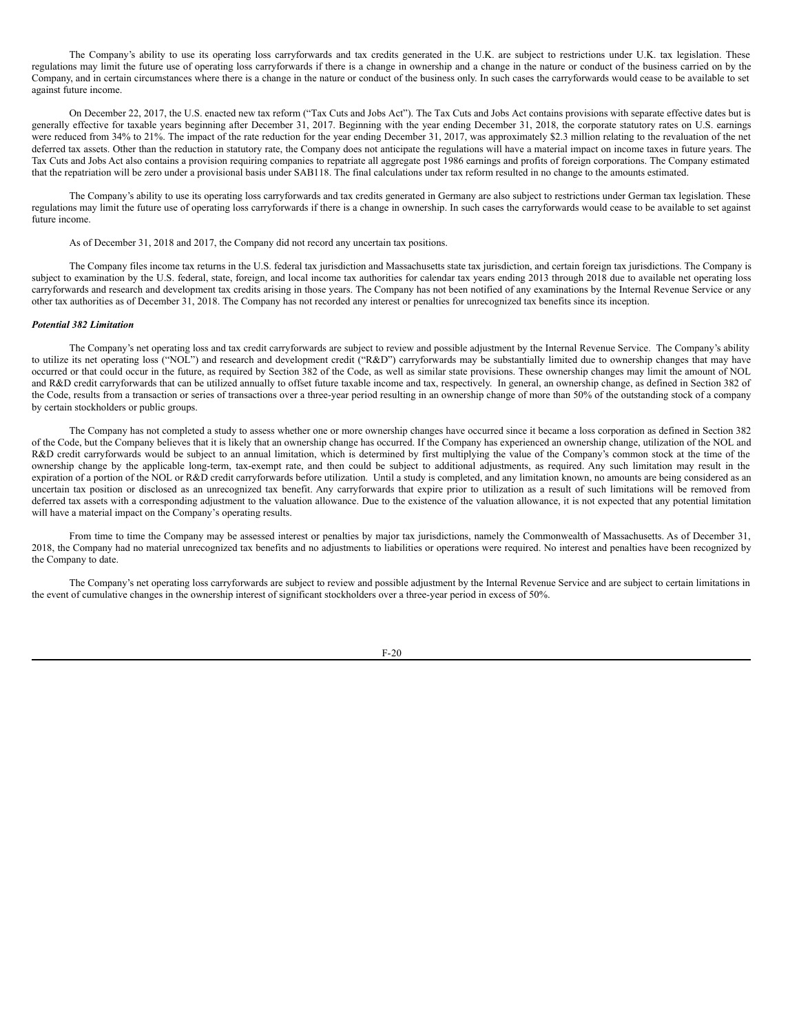The Company's ability to use its operating loss carryforwards and tax credits generated in the U.K. are subject to restrictions under U.K. tax legislation. These regulations may limit the future use of operating loss carryforwards if there is a change in ownership and a change in the nature or conduct of the business carried on by the Company, and in certain circumstances where there is a change in the nature or conduct of the business only. In such cases the carryforwards would cease to be available to set against future income.

On December 22, 2017, the U.S. enacted new tax reform ("Tax Cuts and Jobs Act"). The Tax Cuts and Jobs Act contains provisions with separate effective dates but is generally effective for taxable years beginning after December 31, 2017. Beginning with the year ending December 31, 2018, the corporate statutory rates on U.S. earnings were reduced from 34% to 21%. The impact of the rate reduction for the year ending December 31, 2017, was approximately \$2.3 million relating to the revaluation of the net deferred tax assets. Other than the reduction in statutory rate, the Company does not anticipate the regulations will have a material impact on income taxes in future years. The Tax Cuts and Jobs Act also contains a provision requiring companies to repatriate all aggregate post 1986 earnings and profits of foreign corporations. The Company estimated that the repatriation will be zero under a provisional basis under SAB118. The final calculations under tax reform resulted in no change to the amounts estimated.

The Company's ability to use its operating loss carryforwards and tax credits generated in Germany are also subject to restrictions under German tax legislation. These regulations may limit the future use of operating loss carryforwards if there is a change in ownership. In such cases the carryforwards would cease to be available to set against future income.

As of December 31, 2018 and 2017, the Company did not record any uncertain tax positions.

The Company files income tax returns in the U.S. federal tax jurisdiction and Massachusetts state tax jurisdiction, and certain foreign tax jurisdictions. The Company is subject to examination by the U.S. federal, state, foreign, and local income tax authorities for calendar tax years ending 2013 through 2018 due to available net operating loss carryforwards and research and development tax credits arising in those years. The Company has not been notified of any examinations by the Internal Revenue Service or any other tax authorities as of December 31, 2018. The Company has not recorded any interest or penalties for unrecognized tax benefits since its inception.

## *Potential 382 Limitation*

The Company's net operating loss and tax credit carryforwards are subject to review and possible adjustment by the Internal Revenue Service. The Company's ability to utilize its net operating loss ("NOL") and research and development credit ("R&D") carryforwards may be substantially limited due to ownership changes that may have occurred or that could occur in the future, as required by Section 382 of the Code, as well as similar state provisions. These ownership changes may limit the amount of NOL and R&D credit carryforwards that can be utilized annually to offset future taxable income and tax, respectively. In general, an ownership change, as defined in Section 382 of the Code, results from a transaction or series of transactions over a three-year period resulting in an ownership change of more than 50% of the outstanding stock of a company by certain stockholders or public groups.

The Company has not completed a study to assess whether one or more ownership changes have occurred since it became a loss corporation as defined in Section 382 of the Code, but the Company believes that it is likely that an ownership change has occurred. If the Company has experienced an ownership change, utilization of the NOL and R&D credit carryforwards would be subject to an annual limitation, which is determined by first multiplying the value of the Company's common stock at the time of the ownership change by the applicable long-term, tax-exempt rate, and then could be subject to additional adjustments, as required. Any such limitation may result in the expiration of a portion of the NOL or R&D credit carryforwards before utilization. Until a study is completed, and any limitation known, no amounts are being considered as an uncertain tax position or disclosed as an unrecognized tax benefit. Any carryforwards that expire prior to utilization as a result of such limitations will be removed from deferred tax assets with a corresponding adjustment to the valuation allowance. Due to the existence of the valuation allowance, it is not expected that any potential limitation will have a material impact on the Company's operating results.

From time to time the Company may be assessed interest or penalties by major tax jurisdictions, namely the Commonwealth of Massachusetts. As of December 31, 2018, the Company had no material unrecognized tax benefits and no adjustments to liabilities or operations were required. No interest and penalties have been recognized by the Company to date.

The Company's net operating loss carryforwards are subject to review and possible adjustment by the Internal Revenue Service and are subject to certain limitations in the event of cumulative changes in the ownership interest of significant stockholders over a three-year period in excess of 50%.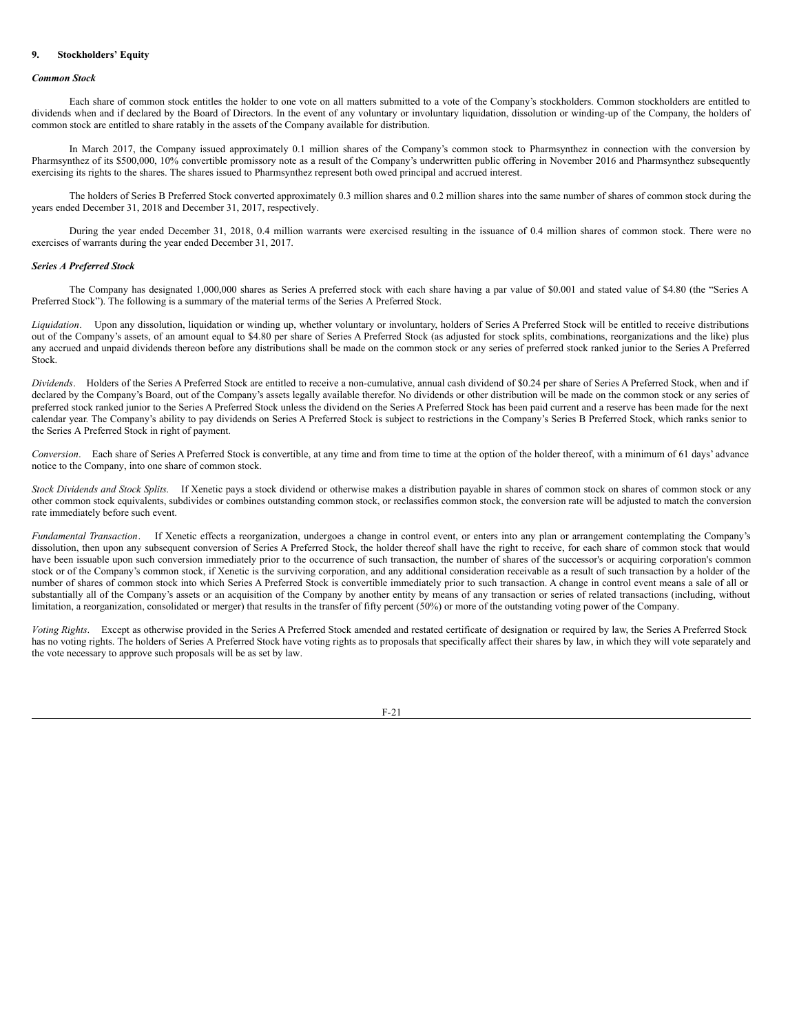# **9. Stockholders' Equity**

## *Common Stock*

Each share of common stock entitles the holder to one vote on all matters submitted to a vote of the Company's stockholders. Common stockholders are entitled to dividends when and if declared by the Board of Directors. In the event of any voluntary or involuntary liquidation, dissolution or winding-up of the Company, the holders of common stock are entitled to share ratably in the assets of the Company available for distribution.

In March 2017, the Company issued approximately 0.1 million shares of the Company's common stock to Pharmsynthez in connection with the conversion by Pharmsynthez of its \$500,000, 10% convertible promissory note as a result of the Company's underwritten public offering in November 2016 and Pharmsynthez subsequently exercising its rights to the shares. The shares issued to Pharmsynthez represent both owed principal and accrued interest.

The holders of Series B Preferred Stock converted approximately 0.3 million shares and 0.2 million shares into the same number of shares of common stock during the years ended December 31, 2018 and December 31, 2017, respectively.

During the year ended December 31, 2018, 0.4 million warrants were exercised resulting in the issuance of 0.4 million shares of common stock. There were no exercises of warrants during the year ended December 31, 2017.

#### *Series A Preferred Stock*

The Company has designated 1,000,000 shares as Series A preferred stock with each share having a par value of \$0.001 and stated value of \$4.80 (the "Series A Preferred Stock"). The following is a summary of the material terms of the Series A Preferred Stock.

*Liquidation*. Upon any dissolution, liquidation or winding up, whether voluntary or involuntary, holders of Series A Preferred Stock will be entitled to receive distributions out of the Company's assets, of an amount equal to \$4.80 per share of Series A Preferred Stock (as adjusted for stock splits, combinations, reorganizations and the like) plus any accrued and unpaid dividends thereon before any distributions shall be made on the common stock or any series of preferred stock ranked junior to the Series A Preferred Stock.

*Dividends*. Holders of the Series A Preferred Stock are entitled to receive a non-cumulative, annual cash dividend of \$0.24 per share of Series A Preferred Stock, when and if declared by the Company's Board, out of the Company's assets legally available therefor. No dividends or other distribution will be made on the common stock or any series of preferred stock ranked junior to the Series A Preferred Stock unless the dividend on the Series A Preferred Stock has been paid current and a reserve has been made for the next calendar year. The Company's ability to pay dividends on Series A Preferred Stock is subject to restrictions in the Company's Series B Preferred Stock, which ranks senior to the Series A Preferred Stock in right of payment.

*Conversion*. Each share of Series A Preferred Stock is convertible, at any time and from time to time at the option of the holder thereof, with a minimum of 61 days' advance notice to the Company, into one share of common stock.

*Stock Dividends and Stock Splits*. If Xenetic pays a stock dividend or otherwise makes a distribution payable in shares of common stock on shares of common stock or any other common stock equivalents, subdivides or combines outstanding common stock, or reclassifies common stock, the conversion rate will be adjusted to match the conversion rate immediately before such event.

*Fundamental Transaction*. If Xenetic effects a reorganization, undergoes a change in control event, or enters into any plan or arrangement contemplating the Company's dissolution, then upon any subsequent conversion of Series A Preferred Stock, the holder thereof shall have the right to receive, for each share of common stock that would have been issuable upon such conversion immediately prior to the occurrence of such transaction, the number of shares of the successor's or acquiring corporation's common stock or of the Company's common stock, if Xenetic is the surviving corporation, and any additional consideration receivable as a result of such transaction by a holder of the number of shares of common stock into which Series A Preferred Stock is convertible immediately prior to such transaction. A change in control event means a sale of all or substantially all of the Company's assets or an acquisition of the Company by another entity by means of any transaction or series of related transactions (including, without limitation, a reorganization, consolidated or merger) that results in the transfer of fifty percent (50%) or more of the outstanding voting power of the Company.

*Voting Rights*. Except as otherwise provided in the Series A Preferred Stock amended and restated certificate of designation or required by law, the Series A Preferred Stock has no voting rights. The holders of Series A Preferred Stock have voting rights as to proposals that specifically affect their shares by law, in which they will vote separately and the vote necessary to approve such proposals will be as set by law.

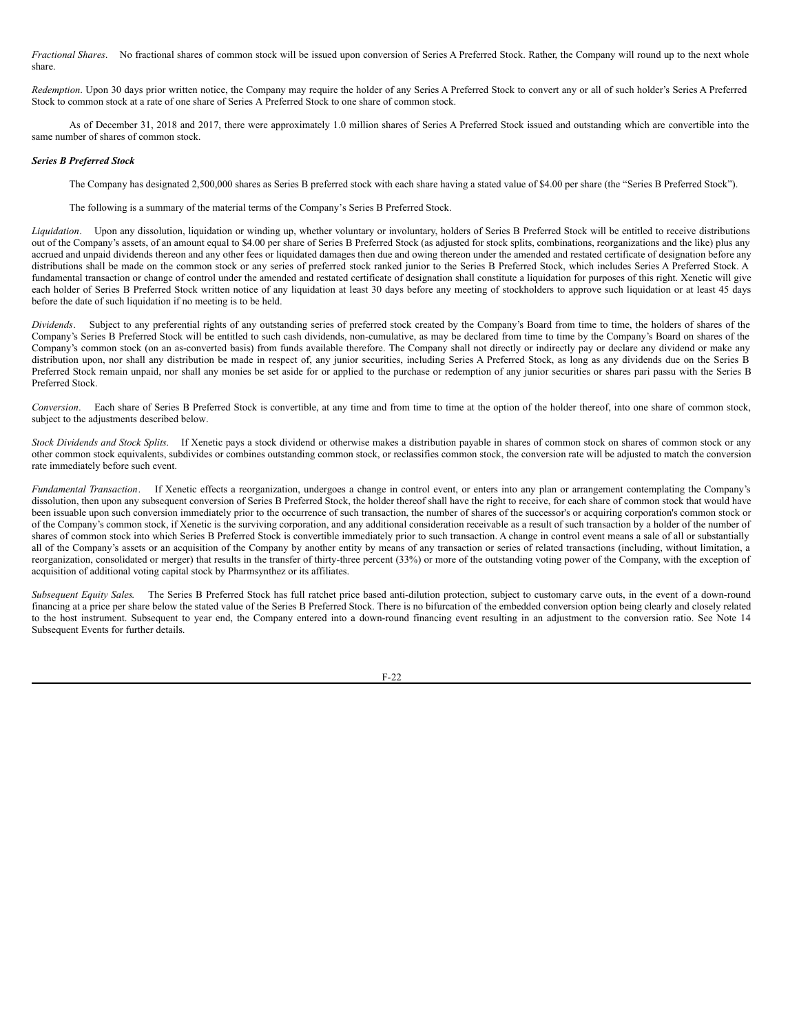*Fractional Shares*. No fractional shares of common stock will be issued upon conversion of Series A Preferred Stock. Rather, the Company will round up to the next whole share.

*Redemption*. Upon 30 days prior written notice, the Company may require the holder of any Series A Preferred Stock to convert any or all of such holder's Series A Preferred Stock to common stock at a rate of one share of Series A Preferred Stock to one share of common stock.

As of December 31, 2018 and 2017, there were approximately 1.0 million shares of Series A Preferred Stock issued and outstanding which are convertible into the same number of shares of common stock.

## *Series B Preferred Stock*

The Company has designated 2,500,000 shares as Series B preferred stock with each share having a stated value of \$4.00 per share (the "Series B Preferred Stock").

The following is a summary of the material terms of the Company's Series B Preferred Stock.

*Liquidation*. Upon any dissolution, liquidation or winding up, whether voluntary or involuntary, holders of Series B Preferred Stock will be entitled to receive distributions out of the Company's assets, of an amount equal to \$4.00 per share of Series B Preferred Stock (as adjusted for stock splits, combinations, reorganizations and the like) plus any accrued and unpaid dividends thereon and any other fees or liquidated damages then due and owing thereon under the amended and restated certificate of designation before any distributions shall be made on the common stock or any series of preferred stock ranked junior to the Series B Preferred Stock, which includes Series A Preferred Stock. A fundamental transaction or change of control under the amended and restated certificate of designation shall constitute a liquidation for purposes of this right. Xenetic will give each holder of Series B Preferred Stock written notice of any liquidation at least 30 days before any meeting of stockholders to approve such liquidation or at least 45 days before the date of such liquidation if no meeting is to be held.

*Dividends*. Subject to any preferential rights of any outstanding series of preferred stock created by the Company's Board from time to time, the holders of shares of the Company's Series B Preferred Stock will be entitled to such cash dividends, non-cumulative, as may be declared from time to time by the Company's Board on shares of the Company's common stock (on an as-converted basis) from funds available therefore. The Company shall not directly or indirectly pay or declare any dividend or make any distribution upon, nor shall any distribution be made in respect of, any junior securities, including Series A Preferred Stock, as long as any dividends due on the Series B Preferred Stock remain unpaid, nor shall any monies be set aside for or applied to the purchase or redemption of any junior securities or shares pari passu with the Series B Preferred Stock.

*Conversion*. Each share of Series B Preferred Stock is convertible, at any time and from time to time at the option of the holder thereof, into one share of common stock, subject to the adjustments described below.

*Stock Dividends and Stock Splits*. If Xenetic pays a stock dividend or otherwise makes a distribution payable in shares of common stock on shares of common stock or any other common stock equivalents, subdivides or combines outstanding common stock, or reclassifies common stock, the conversion rate will be adjusted to match the conversion rate immediately before such event.

*Fundamental Transaction*. If Xenetic effects a reorganization, undergoes a change in control event, or enters into any plan or arrangement contemplating the Company's dissolution, then upon any subsequent conversion of Series B Preferred Stock, the holder thereof shall have the right to receive, for each share of common stock that would have been issuable upon such conversion immediately prior to the occurrence of such transaction, the number of shares of the successor's or acquiring corporation's common stock or of the Company's common stock, if Xenetic is the surviving corporation, and any additional consideration receivable as a result of such transaction by a holder of the number of shares of common stock into which Series B Preferred Stock is convertible immediately prior to such transaction. A change in control event means a sale of all or substantially all of the Company's assets or an acquisition of the Company by another entity by means of any transaction or series of related transactions (including, without limitation, a reorganization, consolidated or merger) that results in the transfer of thirty-three percent (33%) or more of the outstanding voting power of the Company, with the exception of acquisition of additional voting capital stock by Pharmsynthez or its affiliates.

*Subsequent Equity Sales*. The Series B Preferred Stock has full ratchet price based anti-dilution protection, subject to customary carve outs, in the event of a down-round financing at a price per share below the stated value of the Series B Preferred Stock. There is no bifurcation of the embedded conversion option being clearly and closely related to the host instrument. Subsequent to year end, the Company entered into a down-round financing event resulting in an adjustment to the conversion ratio. See Note 14 Subsequent Events for further details.

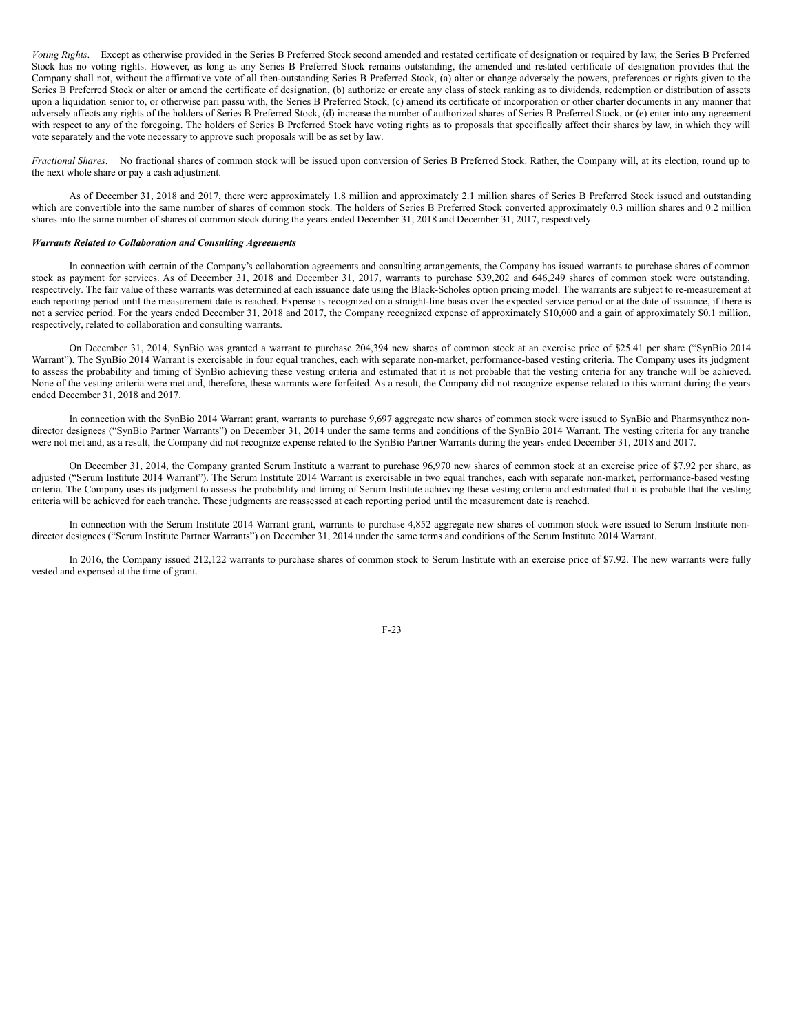*Voting Rights*. Except as otherwise provided in the Series B Preferred Stock second amended and restated certificate of designation or required by law, the Series B Preferred Stock has no voting rights. However, as long as any Series B Preferred Stock remains outstanding, the amended and restated certificate of designation provides that the Company shall not, without the affirmative vote of all then-outstanding Series B Preferred Stock, (a) alter or change adversely the powers, preferences or rights given to the Series B Preferred Stock or alter or amend the certificate of designation, (b) authorize or create any class of stock ranking as to dividends, redemption or distribution of assets upon a liquidation senior to, or otherwise pari passu with, the Series B Preferred Stock, (c) amend its certificate of incorporation or other charter documents in any manner that adversely affects any rights of the holders of Series B Preferred Stock, (d) increase the number of authorized shares of Series B Preferred Stock, or (e) enter into any agreement with respect to any of the foregoing. The holders of Series B Preferred Stock have voting rights as to proposals that specifically affect their shares by law, in which they will vote separately and the vote necessary to approve such proposals will be as set by law.

*Fractional Shares*. No fractional shares of common stock will be issued upon conversion of Series B Preferred Stock. Rather, the Company will, at its election, round up to the next whole share or pay a cash adjustment.

As of December 31, 2018 and 2017, there were approximately 1.8 million and approximately 2.1 million shares of Series B Preferred Stock issued and outstanding which are convertible into the same number of shares of common stock. The holders of Series B Preferred Stock converted approximately 0.3 million shares and 0.2 million shares into the same number of shares of common stock during the years ended December 31, 2018 and December 31, 2017, respectively.

## *Warrants Related to Collaboration and Consulting Agreements*

In connection with certain of the Company's collaboration agreements and consulting arrangements, the Company has issued warrants to purchase shares of common stock as payment for services. As of December 31, 2018 and December 31, 2017, warrants to purchase 539,202 and 646,249 shares of common stock were outstanding, respectively. The fair value of these warrants was determined at each issuance date using the Black-Scholes option pricing model. The warrants are subject to re-measurement at each reporting period until the measurement date is reached. Expense is recognized on a straight-line basis over the expected service period or at the date of issuance, if there is not a service period. For the years ended December 31, 2018 and 2017, the Company recognized expense of approximately \$10,000 and a gain of approximately \$0.1 million, respectively, related to collaboration and consulting warrants.

On December 31, 2014, SynBio was granted a warrant to purchase 204,394 new shares of common stock at an exercise price of \$25.41 per share ("SynBio 2014 Warrant"). The SynBio 2014 Warrant is exercisable in four equal tranches, each with separate non-market, performance-based vesting criteria. The Company uses its judgment to assess the probability and timing of SynBio achieving these vesting criteria and estimated that it is not probable that the vesting criteria for any tranche will be achieved. None of the vesting criteria were met and, therefore, these warrants were forfeited. As a result, the Company did not recognize expense related to this warrant during the years ended December 31, 2018 and 2017.

In connection with the SynBio 2014 Warrant grant, warrants to purchase 9,697 aggregate new shares of common stock were issued to SynBio and Pharmsynthez nondirector designees ("SynBio Partner Warrants") on December 31, 2014 under the same terms and conditions of the SynBio 2014 Warrant. The vesting criteria for any tranche were not met and, as a result, the Company did not recognize expense related to the SynBio Partner Warrants during the years ended December 31, 2018 and 2017.

On December 31, 2014, the Company granted Serum Institute a warrant to purchase 96,970 new shares of common stock at an exercise price of \$7.92 per share, as adjusted ("Serum Institute 2014 Warrant"). The Serum Institute 2014 Warrant is exercisable in two equal tranches, each with separate non-market, performance-based vesting criteria. The Company uses its judgment to assess the probability and timing of Serum Institute achieving these vesting criteria and estimated that it is probable that the vesting criteria will be achieved for each tranche. These judgments are reassessed at each reporting period until the measurement date is reached.

In connection with the Serum Institute 2014 Warrant grant, warrants to purchase 4,852 aggregate new shares of common stock were issued to Serum Institute nondirector designees ("Serum Institute Partner Warrants") on December 31, 2014 under the same terms and conditions of the Serum Institute 2014 Warrant.

In 2016, the Company issued 212,122 warrants to purchase shares of common stock to Serum Institute with an exercise price of \$7.92. The new warrants were fully vested and expensed at the time of grant.

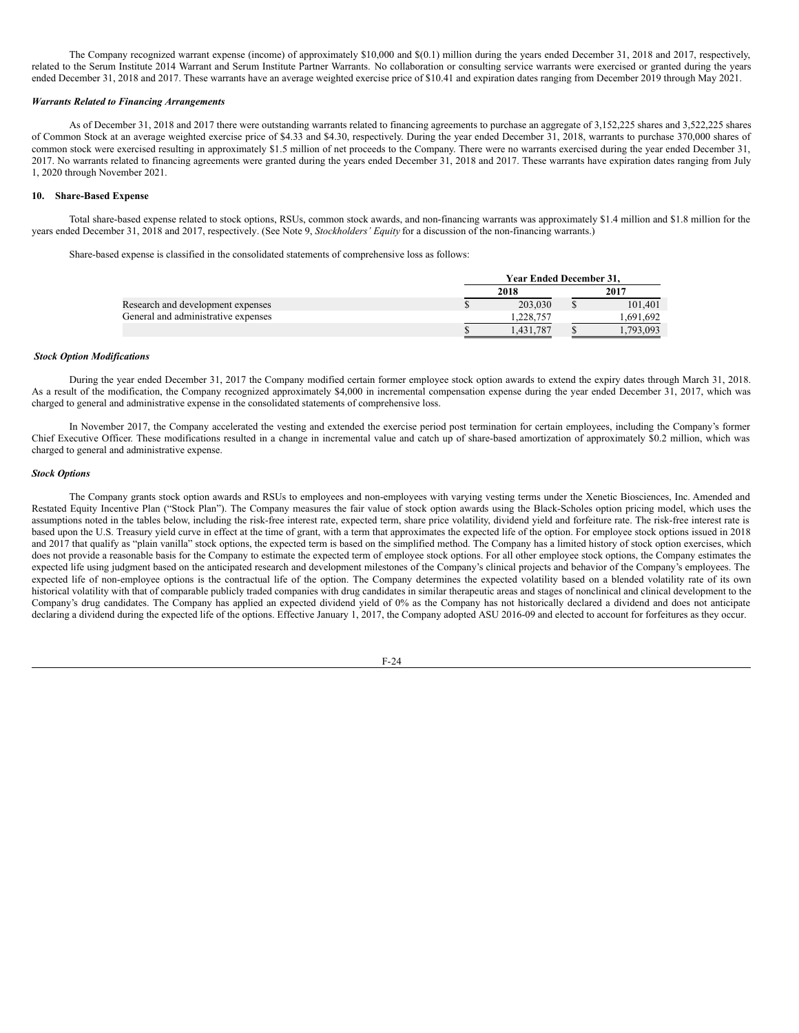The Company recognized warrant expense (income) of approximately \$10,000 and \$(0.1) million during the years ended December 31, 2018 and 2017, respectively, related to the Serum Institute 2014 Warrant and Serum Institute Partner Warrants. No collaboration or consulting service warrants were exercised or granted during the years ended December 31, 2018 and 2017. These warrants have an average weighted exercise price of \$10.41 and expiration dates ranging from December 2019 through May 2021.

#### *Warrants Related to Financing Arrangements*

As of December 31, 2018 and 2017 there were outstanding warrants related to financing agreements to purchase an aggregate of 3,152,225 shares and 3,522,225 shares of Common Stock at an average weighted exercise price of \$4.33 and \$4.30, respectively. During the year ended December 31, 2018, warrants to purchase 370,000 shares of common stock were exercised resulting in approximately \$1.5 million of net proceeds to the Company. There were no warrants exercised during the year ended December 31, 2017. No warrants related to financing agreements were granted during the years ended December 31, 2018 and 2017. These warrants have expiration dates ranging from July 1, 2020 through November 2021.

# **10. Share-Based Expense**

Total share-based expense related to stock options, RSUs, common stock awards, and non-financing warrants was approximately \$1.4 million and \$1.8 million for the years ended December 31, 2018 and 2017, respectively. (See Note 9, *Stockholders' Equity* for a discussion of the non-financing warrants.)

Share-based expense is classified in the consolidated statements of comprehensive loss as follows:

|                                     | <b>Year Ended December 31.</b> |             |           |  |
|-------------------------------------|--------------------------------|-------------|-----------|--|
|                                     | 2018                           |             | 2017      |  |
| Research and development expenses   | 203,030                        | $\triangle$ | 101.401   |  |
| General and administrative expenses | .228.757                       |             | 1.691.692 |  |
|                                     | 431.787                        |             | .793.093  |  |

#### *Stock Option Modifications*

During the year ended December 31, 2017 the Company modified certain former employee stock option awards to extend the expiry dates through March 31, 2018. As a result of the modification, the Company recognized approximately \$4,000 in incremental compensation expense during the year ended December 31, 2017, which was charged to general and administrative expense in the consolidated statements of comprehensive loss.

In November 2017, the Company accelerated the vesting and extended the exercise period post termination for certain employees, including the Company's former Chief Executive Officer. These modifications resulted in a change in incremental value and catch up of share-based amortization of approximately \$0.2 million, which was charged to general and administrative expense.

## *Stock Options*

The Company grants stock option awards and RSUs to employees and non-employees with varying vesting terms under the Xenetic Biosciences, Inc. Amended and Restated Equity Incentive Plan ("Stock Plan"). The Company measures the fair value of stock option awards using the Black-Scholes option pricing model, which uses the assumptions noted in the tables below, including the risk-free interest rate, expected term, share price volatility, dividend yield and forfeiture rate. The risk-free interest rate is based upon the U.S. Treasury yield curve in effect at the time of grant, with a term that approximates the expected life of the option. For employee stock options issued in 2018 and 2017 that qualify as "plain vanilla" stock options, the expected term is based on the simplified method. The Company has a limited history of stock option exercises, which does not provide a reasonable basis for the Company to estimate the expected term of employee stock options. For all other employee stock options, the Company estimates the expected life using judgment based on the anticipated research and development milestones of the Company's clinical projects and behavior of the Company's employees. The expected life of non-employee options is the contractual life of the option. The Company determines the expected volatility based on a blended volatility rate of its own historical volatility with that of comparable publicly traded companies with drug candidates in similar therapeutic areas and stages of nonclinical and clinical development to the Company's drug candidates. The Company has applied an expected dividend yield of 0% as the Company has not historically declared a dividend and does not anticipate declaring a dividend during the expected life of the options. Effective January 1, 2017, the Company adopted ASU 2016-09 and elected to account for forfeitures as they occur.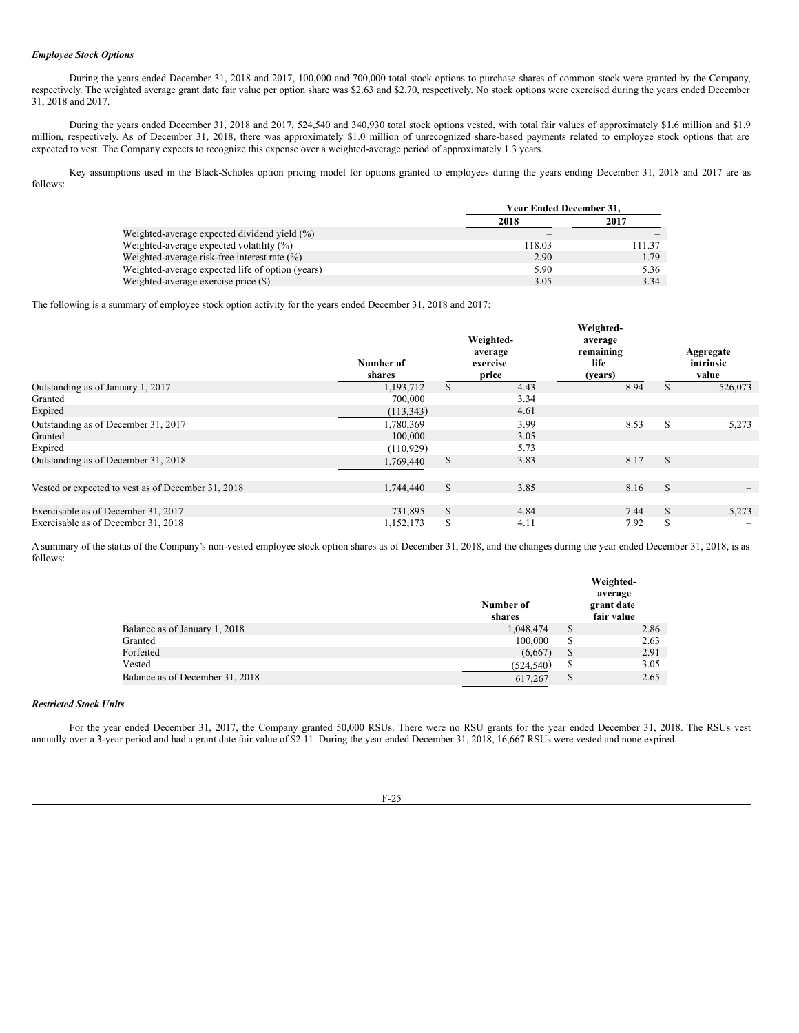## *Employee Stock Options*

During the years ended December 31, 2018 and 2017, 100,000 and 700,000 total stock options to purchase shares of common stock were granted by the Company, respectively. The weighted average grant date fair value per option share was \$2.63 and \$2.70, respectively. No stock options were exercised during the years ended December 31, 2018 and 2017.

During the years ended December 31, 2018 and 2017, 524,540 and 340,930 total stock options vested, with total fair values of approximately \$1.6 million and \$1.9 million, respectively. As of December 31, 2018, there was approximately \$1.0 million of unrecognized share-based payments related to employee stock options that are expected to vest. The Company expects to recognize this expense over a weighted-average period of approximately 1.3 years.

Key assumptions used in the Black-Scholes option pricing model for options granted to employees during the years ending December 31, 2018 and 2017 are as follows:

|                                                  | <b>Year Ended December 31,</b> |        |
|--------------------------------------------------|--------------------------------|--------|
|                                                  | 2018                           | 2017   |
| Weighted-average expected dividend yield (%)     |                                |        |
| Weighted-average expected volatility $(\%)$      | 118.03                         | 111.37 |
| Weighted-average risk-free interest rate $(\%)$  | 2.90                           | 1.79   |
| Weighted-average expected life of option (years) | 5.90                           | 5.36   |
| Weighted-average exercise price (\$)             | 3.05                           | 3.34   |

The following is a summary of employee stock option activity for the years ended December 31, 2018 and 2017:

|                                                    | Number of<br>shares |    | Weighted-<br>average<br>exercise<br>price | Weighted-<br>average<br>remaining<br>life<br>(years) |               | Aggregate<br>intrinsic<br>value |
|----------------------------------------------------|---------------------|----|-------------------------------------------|------------------------------------------------------|---------------|---------------------------------|
| Outstanding as of January 1, 2017                  | 1,193,712           | S. | 4.43                                      | 8.94                                                 |               | 526,073                         |
| Granted                                            | 700,000             |    | 3.34                                      |                                                      |               |                                 |
| Expired                                            | (113, 343)          |    | 4.61                                      |                                                      |               |                                 |
| Outstanding as of December 31, 2017                | 1,780,369           |    | 3.99                                      | 8.53                                                 | S             | 5,273                           |
| Granted                                            | 100,000             |    | 3.05                                      |                                                      |               |                                 |
| Expired                                            | (110, 929)          |    | 5.73                                      |                                                      |               |                                 |
| Outstanding as of December 31, 2018                | 1,769,440           | \$ | 3.83                                      | 8.17                                                 | <sup>\$</sup> |                                 |
|                                                    |                     |    |                                           |                                                      |               |                                 |
| Vested or expected to vest as of December 31, 2018 | 1,744,440           | S. | 3.85                                      | 8.16                                                 | <sup>\$</sup> |                                 |
|                                                    |                     |    |                                           |                                                      |               |                                 |
| Exercisable as of December 31, 2017                | 731.895             | S. | 4.84                                      | 7.44                                                 | S             | 5,273                           |
| Exercisable as of December 31, 2018                | 1,152,173           | S  | 4.11                                      | 7.92                                                 | S             |                                 |

A summary of the status of the Company's non-vested employee stock option shares as of December 31, 2018, and the changes during the year ended December 31, 2018, is as follows:

|                                 | Number of<br>shares |               | Weighted-<br>average<br>grant date<br>fair value |
|---------------------------------|---------------------|---------------|--------------------------------------------------|
| Balance as of January 1, 2018   | 1,048,474           | \$            | 2.86                                             |
| Granted                         | 100,000             | \$            | 2.63                                             |
| Forfeited                       | (6,667)             | <sup>\$</sup> | 2.91                                             |
| Vested                          | (524, 540)          | \$            | 3.05                                             |
| Balance as of December 31, 2018 | 617,267             | \$            | 2.65                                             |

#### *Restricted Stock Units*

For the year ended December 31, 2017, the Company granted 50,000 RSUs. There were no RSU grants for the year ended December 31, 2018. The RSUs vest annually over a 3-year period and had a grant date fair value of \$2.11. During the year ended December 31, 2018, 16,667 RSUs were vested and none expired.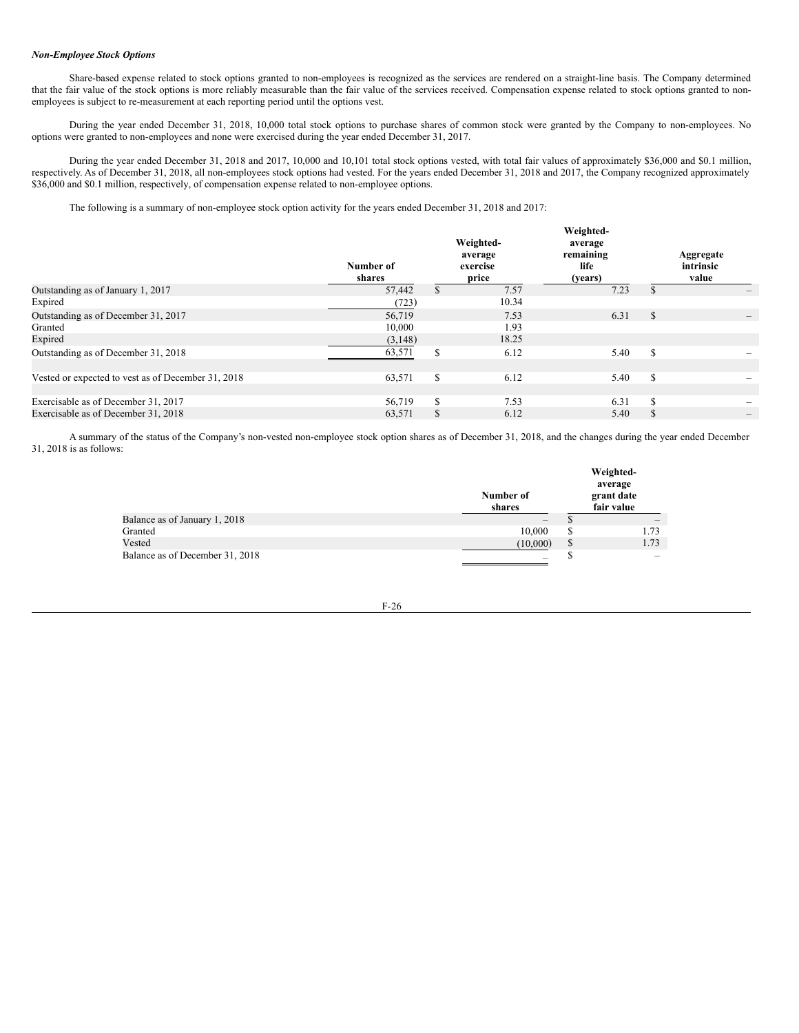### *Non-Employee Stock Options*

Share-based expense related to stock options granted to non-employees is recognized as the services are rendered on a straight-line basis. The Company determined that the fair value of the stock options is more reliably measurable than the fair value of the services received. Compensation expense related to stock options granted to nonemployees is subject to re-measurement at each reporting period until the options vest.

During the year ended December 31, 2018, 10,000 total stock options to purchase shares of common stock were granted by the Company to non-employees. No options were granted to non-employees and none were exercised during the year ended December 31, 2017.

During the year ended December 31, 2018 and 2017, 10,000 and 10,101 total stock options vested, with total fair values of approximately \$36,000 and \$0.1 million, respectively. As of December 31, 2018, all non-employees stock options had vested. For the years ended December 31, 2018 and 2017, the Company recognized approximately \$36,000 and \$0.1 million, respectively, of compensation expense related to non-employee options.

The following is a summary of non-employee stock option activity for the years ended December 31, 2018 and 2017:

|                                                    | Number of<br>shares |               | Weighted-<br>average<br>exercise<br>price | Weighted-<br>average<br>remaining<br>life<br>(years) |    | Aggregate<br>intrinsic<br>value |                   |
|----------------------------------------------------|---------------------|---------------|-------------------------------------------|------------------------------------------------------|----|---------------------------------|-------------------|
| Outstanding as of January 1, 2017                  | 57,442              |               | 7.57                                      | 7.23                                                 | \$ |                                 |                   |
| Expired                                            | (723)               |               | 10.34                                     |                                                      |    |                                 |                   |
| Outstanding as of December 31, 2017                | 56,719              |               | 7.53                                      | 6.31                                                 | \$ |                                 |                   |
| Granted                                            | 10,000              |               | 1.93                                      |                                                      |    |                                 |                   |
| Expired                                            | (3, 148)            |               | 18.25                                     |                                                      |    |                                 |                   |
| Outstanding as of December 31, 2018                | 63,571              | <sup>\$</sup> | 6.12                                      | 5.40                                                 | S  |                                 |                   |
| Vested or expected to vest as of December 31, 2018 | 63,571              | <sup>\$</sup> | 6.12                                      | 5.40                                                 | S  |                                 |                   |
| Exercisable as of December 31, 2017                | 56,719              | \$.           | 7.53                                      | 6.31                                                 | \$ |                                 |                   |
| Exercisable as of December 31, 2018                | 63,571              | \$            | 6.12                                      | 5.40                                                 | \$ |                                 | $\qquad \qquad -$ |

A summary of the status of the Company's non-vested non-employee stock option shares as of December 31, 2018, and the changes during the year ended December 31, 2018 is as follows:

|                                 | Number of<br>shares             |   | Weighted-<br>average<br>grant date<br>fair value |
|---------------------------------|---------------------------------|---|--------------------------------------------------|
| Balance as of January 1, 2018   | $\hspace{0.1mm}-\hspace{0.1mm}$ |   | $\sim$                                           |
| Granted                         | 10,000                          | S | 1.73                                             |
| Vested                          | (10,000)                        | S | 1.73                                             |
| Balance as of December 31, 2018 |                                 |   | $\sim$                                           |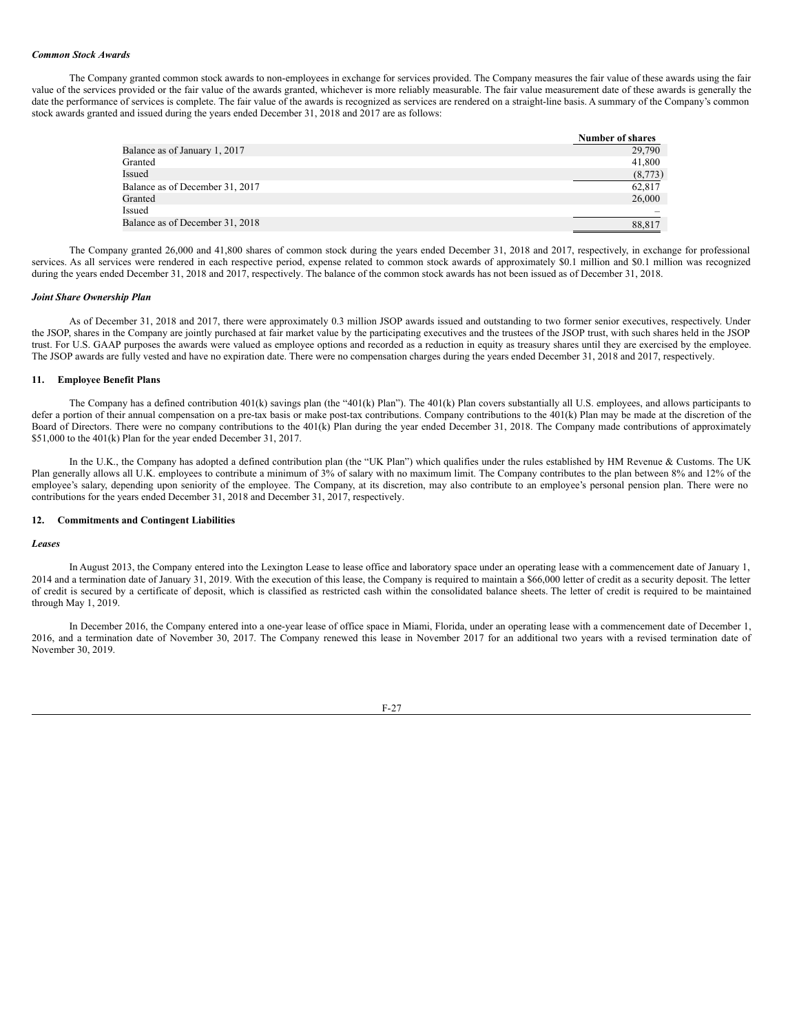## *Common Stock Awards*

The Company granted common stock awards to non-employees in exchange for services provided. The Company measures the fair value of these awards using the fair value of the services provided or the fair value of the awards granted, whichever is more reliably measurable. The fair value measurement date of these awards is generally the date the performance of services is complete. The fair value of the awards is recognized as services are rendered on a straight-line basis. A summary of the Company's common stock awards granted and issued during the years ended December 31, 2018 and 2017 are as follows:

|                                 | Number of shares |
|---------------------------------|------------------|
| Balance as of January 1, 2017   | 29,790           |
| Granted                         | 41,800           |
| Issued                          | (8,773)          |
| Balance as of December 31, 2017 | 62,817           |
| Granted                         | 26,000           |
| Issued                          |                  |
| Balance as of December 31, 2018 | 88.817           |

The Company granted 26,000 and 41,800 shares of common stock during the years ended December 31, 2018 and 2017, respectively, in exchange for professional services. As all services were rendered in each respective period, expense related to common stock awards of approximately \$0.1 million and \$0.1 million was recognized during the years ended December 31, 2018 and 2017, respectively. The balance of the common stock awards has not been issued as of December 31, 2018.

### *Joint Share Ownership Plan*

As of December 31, 2018 and 2017, there were approximately 0.3 million JSOP awards issued and outstanding to two former senior executives, respectively. Under the JSOP, shares in the Company are jointly purchased at fair market value by the participating executives and the trustees of the JSOP trust, with such shares held in the JSOP trust. For U.S. GAAP purposes the awards were valued as employee options and recorded as a reduction in equity as treasury shares until they are exercised by the employee. The JSOP awards are fully vested and have no expiration date. There were no compensation charges during the years ended December 31, 2018 and 2017, respectively.

# **11. Employee Benefit Plans**

The Company has a defined contribution 401(k) savings plan (the "401(k) Plan"). The 401(k) Plan covers substantially all U.S. employees, and allows participants to defer a portion of their annual compensation on a pre-tax basis or make post-tax contributions. Company contributions to the 401(k) Plan may be made at the discretion of the Board of Directors. There were no company contributions to the 401(k) Plan during the year ended December 31, 2018. The Company made contributions of approximately \$51,000 to the 401(k) Plan for the year ended December 31, 2017.

In the U.K., the Company has adopted a defined contribution plan (the "UK Plan") which qualifies under the rules established by HM Revenue & Customs. The UK Plan generally allows all U.K. employees to contribute a minimum of 3% of salary with no maximum limit. The Company contributes to the plan between 8% and 12% of the employee's salary, depending upon seniority of the employee. The Company, at its discretion, may also contribute to an employee's personal pension plan. There were no contributions for the years ended December 31, 2018 and December 31, 2017, respectively.

# **12. Commitments and Contingent Liabilities**

# *Leases*

In August 2013, the Company entered into the Lexington Lease to lease office and laboratory space under an operating lease with a commencement date of January 1, 2014 and a termination date of January 31, 2019. With the execution of this lease, the Company is required to maintain a \$66,000 letter of credit as a security deposit. The letter of credit is secured by a certificate of deposit, which is classified as restricted cash within the consolidated balance sheets. The letter of credit is required to be maintained through May 1, 2019.

In December 2016, the Company entered into a one-year lease of office space in Miami, Florida, under an operating lease with a commencement date of December 1, 2016, and a termination date of November 30, 2017. The Company renewed this lease in November 2017 for an additional two years with a revised termination date of November 30, 2019.

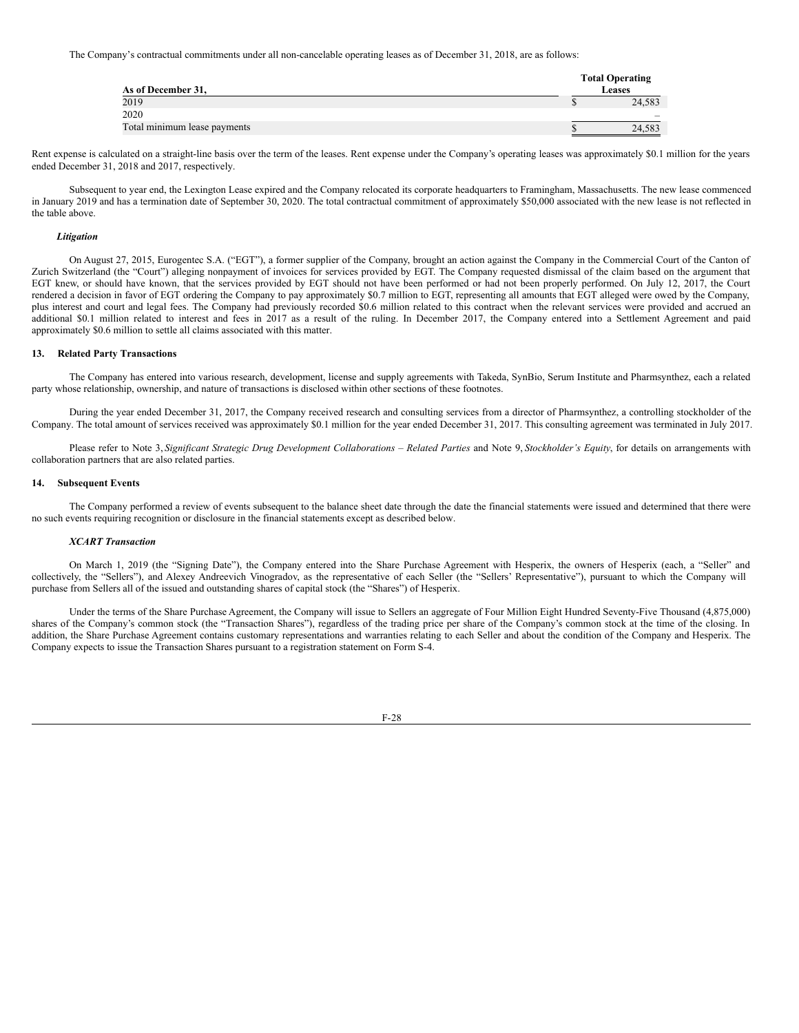The Company's contractual commitments under all non-cancelable operating leases as of December 31, 2018, are as follows:

| <b>Total Operating</b> |        |
|------------------------|--------|
| <b>Leases</b>          |        |
|                        | 24,583 |
|                        |        |
|                        | 24.583 |
|                        |        |

Rent expense is calculated on a straight-line basis over the term of the leases. Rent expense under the Company's operating leases was approximately \$0.1 million for the years ended December 31, 2018 and 2017, respectively.

Subsequent to year end, the Lexington Lease expired and the Company relocated its corporate headquarters to Framingham, Massachusetts. The new lease commenced in January 2019 and has a termination date of September 30, 2020. The total contractual commitment of approximately \$50,000 associated with the new lease is not reflected in the table above.

#### *Litigation*

On August 27, 2015, Eurogentec S.A. ("EGT"), a former supplier of the Company, brought an action against the Company in the Commercial Court of the Canton of Zurich Switzerland (the "Court") alleging nonpayment of invoices for services provided by EGT. The Company requested dismissal of the claim based on the argument that EGT knew, or should have known, that the services provided by EGT should not have been performed or had not been properly performed. On July 12, 2017, the Court rendered a decision in favor of EGT ordering the Company to pay approximately \$0.7 million to EGT, representing all amounts that EGT alleged were owed by the Company, plus interest and court and legal fees. The Company had previously recorded \$0.6 million related to this contract when the relevant services were provided and accrued an additional \$0.1 million related to interest and fees in 2017 as a result of the ruling. In December 2017, the Company entered into a Settlement Agreement and paid approximately \$0.6 million to settle all claims associated with this matter.

#### **13. Related Party Transactions**

The Company has entered into various research, development, license and supply agreements with Takeda, SynBio, Serum Institute and Pharmsynthez, each a related party whose relationship, ownership, and nature of transactions is disclosed within other sections of these footnotes.

During the year ended December 31, 2017, the Company received research and consulting services from a director of Pharmsynthez, a controlling stockholder of the Company. The total amount of services received was approximately \$0.1 million for the year ended December 31, 2017. This consulting agreement was terminated in July 2017.

Please refer to Note 3, Significant Strategic Drug Development Collaborations - Related Parties and Note 9, Stockholder's Equity, for details on arrangements with collaboration partners that are also related parties.

## **14. Subsequent Events**

The Company performed a review of events subsequent to the balance sheet date through the date the financial statements were issued and determined that there were no such events requiring recognition or disclosure in the financial statements except as described below.

#### *XCART Transaction*

On March 1, 2019 (the "Signing Date"), the Company entered into the Share Purchase Agreement with Hesperix, the owners of Hesperix (each, a "Seller" and collectively, the "Sellers"), and Alexey Andreevich Vinogradov, as the representative of each Seller (the "Sellers' Representative"), pursuant to which the Company will purchase from Sellers all of the issued and outstanding shares of capital stock (the "Shares") of Hesperix.

Under the terms of the Share Purchase Agreement, the Company will issue to Sellers an aggregate of Four Million Eight Hundred Seventy-Five Thousand (4,875,000) shares of the Company's common stock (the "Transaction Shares"), regardless of the trading price per share of the Company's common stock at the time of the closing. In addition, the Share Purchase Agreement contains customary representations and warranties relating to each Seller and about the condition of the Company and Hesperix. The Company expects to issue the Transaction Shares pursuant to a registration statement on Form S-4.

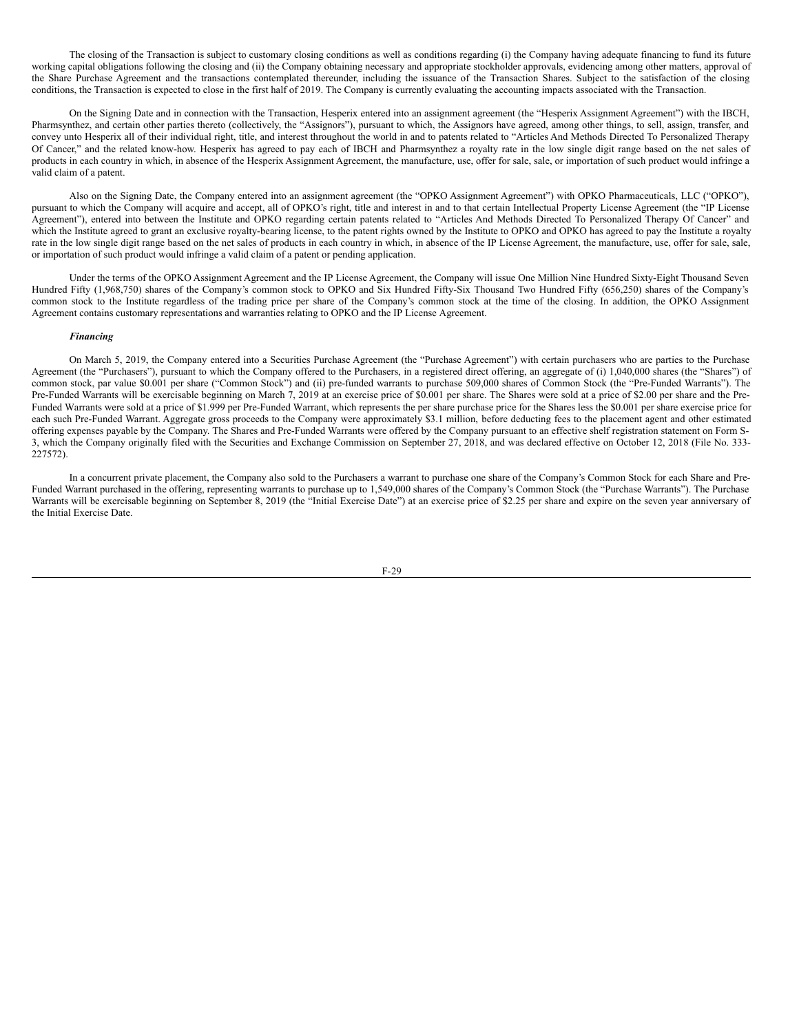The closing of the Transaction is subject to customary closing conditions as well as conditions regarding (i) the Company having adequate financing to fund its future working capital obligations following the closing and (ii) the Company obtaining necessary and appropriate stockholder approvals, evidencing among other matters, approval of the Share Purchase Agreement and the transactions contemplated thereunder, including the issuance of the Transaction Shares. Subject to the satisfaction of the closing conditions, the Transaction is expected to close in the first half of 2019. The Company is currently evaluating the accounting impacts associated with the Transaction.

On the Signing Date and in connection with the Transaction, Hesperix entered into an assignment agreement (the "Hesperix Assignment Agreement") with the IBCH, Pharmsynthez, and certain other parties thereto (collectively, the "Assignors"), pursuant to which, the Assignors have agreed, among other things, to sell, assign, transfer, and convey unto Hesperix all of their individual right, title, and interest throughout the world in and to patents related to "Articles And Methods Directed To Personalized Therapy Of Cancer," and the related know-how. Hesperix has agreed to pay each of IBCH and Pharmsynthez a royalty rate in the low single digit range based on the net sales of products in each country in which, in absence of the Hesperix Assignment Agreement, the manufacture, use, offer for sale, sale, or importation of such product would infringe a valid claim of a patent.

Also on the Signing Date, the Company entered into an assignment agreement (the "OPKO Assignment Agreement") with OPKO Pharmaceuticals, LLC ("OPKO"), pursuant to which the Company will acquire and accept, all of OPKO's right, title and interest in and to that certain Intellectual Property License Agreement (the "IP License Agreement"), entered into between the Institute and OPKO regarding certain patents related to "Articles And Methods Directed To Personalized Therapy Of Cancer" and which the Institute agreed to grant an exclusive royalty-bearing license, to the patent rights owned by the Institute to OPKO and OPKO has agreed to pay the Institute a royalty rate in the low single digit range based on the net sales of products in each country in which, in absence of the IP License Agreement, the manufacture, use, offer for sale, sale, or importation of such product would infringe a valid claim of a patent or pending application.

Under the terms of the OPKO Assignment Agreement and the IP License Agreement, the Company will issue One Million Nine Hundred Sixty-Eight Thousand Seven Hundred Fifty (1,968,750) shares of the Company's common stock to OPKO and Six Hundred Fifty-Six Thousand Two Hundred Fifty (656,250) shares of the Company's common stock to the Institute regardless of the trading price per share of the Company's common stock at the time of the closing. In addition, the OPKO Assignment Agreement contains customary representations and warranties relating to OPKO and the IP License Agreement.

## *Financing*

On March 5, 2019, the Company entered into a Securities Purchase Agreement (the "Purchase Agreement") with certain purchasers who are parties to the Purchase Agreement (the "Purchasers"), pursuant to which the Company offered to the Purchasers, in a registered direct offering, an aggregate of (i) 1,040,000 shares (the "Shares") of common stock, par value \$0.001 per share ("Common Stock") and (ii) pre-funded warrants to purchase 509,000 shares of Common Stock (the "Pre-Funded Warrants"). The Pre-Funded Warrants will be exercisable beginning on March 7, 2019 at an exercise price of \$0.001 per share. The Shares were sold at a price of \$2.00 per share and the Pre-Funded Warrants were sold at a price of \$1.999 per Pre-Funded Warrant, which represents the per share purchase price for the Shares less the \$0.001 per share exercise price for each such Pre-Funded Warrant. Aggregate gross proceeds to the Company were approximately \$3.1 million, before deducting fees to the placement agent and other estimated offering expenses payable by the Company. The Shares and Pre-Funded Warrants were offered by the Company pursuant to an effective shelf registration statement on Form S-3, which the Company originally filed with the Securities and Exchange Commission on September 27, 2018, and was declared effective on October 12, 2018 (File No. 333- 227572).

In a concurrent private placement, the Company also sold to the Purchasers a warrant to purchase one share of the Company's Common Stock for each Share and Pre-Funded Warrant purchased in the offering, representing warrants to purchase up to 1,549,000 shares of the Company's Common Stock (the "Purchase Warrants"). The Purchase Warrants will be exercisable beginning on September 8, 2019 (the "Initial Exercise Date") at an exercise price of \$2.25 per share and expire on the seven year anniversary of the Initial Exercise Date.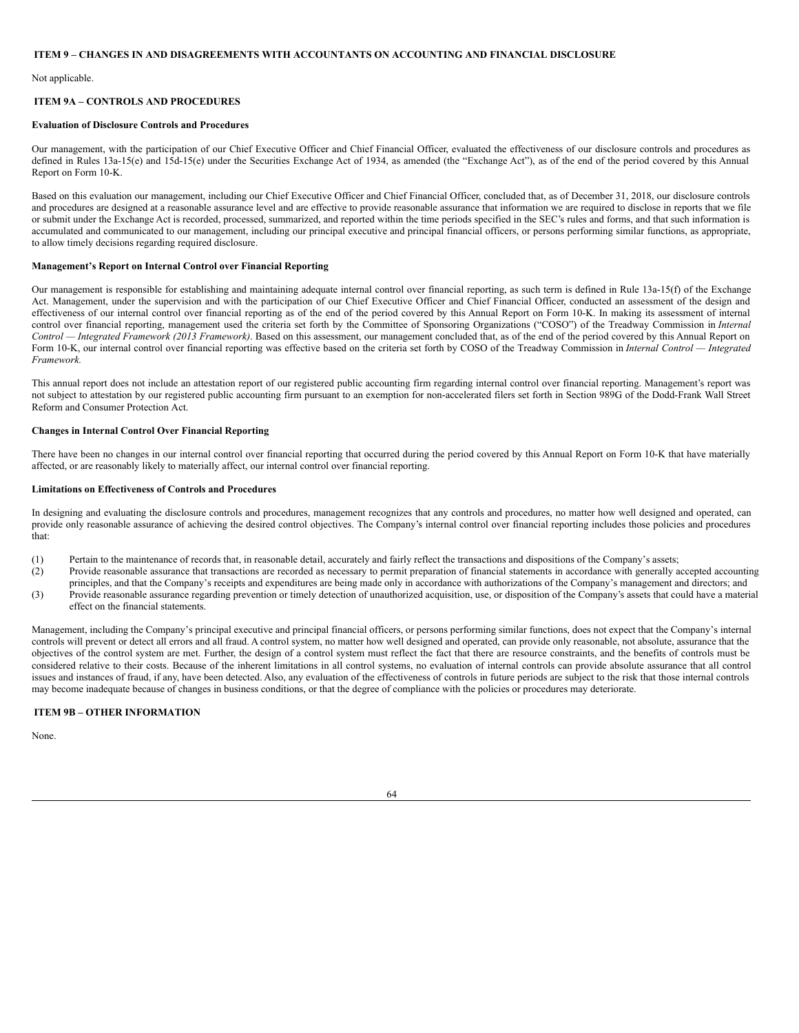## **ITEM 9 – CHANGES IN AND DISAGREEMENTS WITH ACCOUNTANTS ON ACCOUNTING AND FINANCIAL DISCLOSURE**

Not applicable.

# **ITEM 9A – CONTROLS AND PROCEDURES**

#### **Evaluation of Disclosure Controls and Procedures**

Our management, with the participation of our Chief Executive Officer and Chief Financial Officer, evaluated the effectiveness of our disclosure controls and procedures as defined in Rules 13a-15(e) and 15d-15(e) under the Securities Exchange Act of 1934, as amended (the "Exchange Act"), as of the end of the period covered by this Annual Report on Form 10-K.

Based on this evaluation our management, including our Chief Executive Officer and Chief Financial Officer, concluded that, as of December 31, 2018, our disclosure controls and procedures are designed at a reasonable assurance level and are effective to provide reasonable assurance that information we are required to disclose in reports that we file or submit under the Exchange Act is recorded, processed, summarized, and reported within the time periods specified in the SEC's rules and forms, and that such information is accumulated and communicated to our management, including our principal executive and principal financial officers, or persons performing similar functions, as appropriate, to allow timely decisions regarding required disclosure.

# **Management's Report on Internal Control over Financial Reporting**

Our management is responsible for establishing and maintaining adequate internal control over financial reporting, as such term is defined in Rule 13a-15(f) of the Exchange Act. Management, under the supervision and with the participation of our Chief Executive Officer and Chief Financial Officer, conducted an assessment of the design and effectiveness of our internal control over financial reporting as of the end of the period covered by this Annual Report on Form 10-K. In making its assessment of internal control over financial reporting, management used the criteria set forth by the Committee of Sponsoring Organizations ("COSO") of the Treadway Commission in *Internal Control — Integrated Framework (2013 Framework)*. Based on this assessment, our management concluded that, as of the end of the period covered by this Annual Report on Form 10-K, our internal control over financial reporting was effective based on the criteria set forth by COSO of the Treadway Commission in *Internal Control — Integrated Framework.*

This annual report does not include an attestation report of our registered public accounting firm regarding internal control over financial reporting. Management's report was not subject to attestation by our registered public accounting firm pursuant to an exemption for non-accelerated filers set forth in Section 989G of the Dodd-Frank Wall Street Reform and Consumer Protection Act.

# **Changes in Internal Control Over Financial Reporting**

There have been no changes in our internal control over financial reporting that occurred during the period covered by this Annual Report on Form 10-K that have materially affected, or are reasonably likely to materially affect, our internal control over financial reporting.

## **Limitations on Effectiveness of Controls and Procedures**

In designing and evaluating the disclosure controls and procedures, management recognizes that any controls and procedures, no matter how well designed and operated, can provide only reasonable assurance of achieving the desired control objectives. The Company's internal control over financial reporting includes those policies and procedures that:

- (1) Pertain to the maintenance of records that, in reasonable detail, accurately and fairly reflect the transactions and dispositions of the Company's assets;
- (2) Provide reasonable assurance that transactions are recorded as necessary to permit preparation of financial statements in accordance with generally accepted accounting
- principles, and that the Company's receipts and expenditures are being made only in accordance with authorizations of the Company's management and directors; and
- (3) Provide reasonable assurance regarding prevention or timely detection of unauthorized acquisition, use, or disposition of the Company's assets that could have a material effect on the financial statements.

Management, including the Company's principal executive and principal financial officers, or persons performing similar functions, does not expect that the Company's internal controls will prevent or detect all errors and all fraud. A control system, no matter how well designed and operated, can provide only reasonable, not absolute, assurance that the objectives of the control system are met. Further, the design of a control system must reflect the fact that there are resource constraints, and the benefits of controls must be considered relative to their costs. Because of the inherent limitations in all control systems, no evaluation of internal controls can provide absolute assurance that all control issues and instances of fraud, if any, have been detected. Also, any evaluation of the effectiveness of controls in future periods are subject to the risk that those internal controls may become inadequate because of changes in business conditions, or that the degree of compliance with the policies or procedures may deteriorate.

# **ITEM 9B – OTHER INFORMATION**

None.

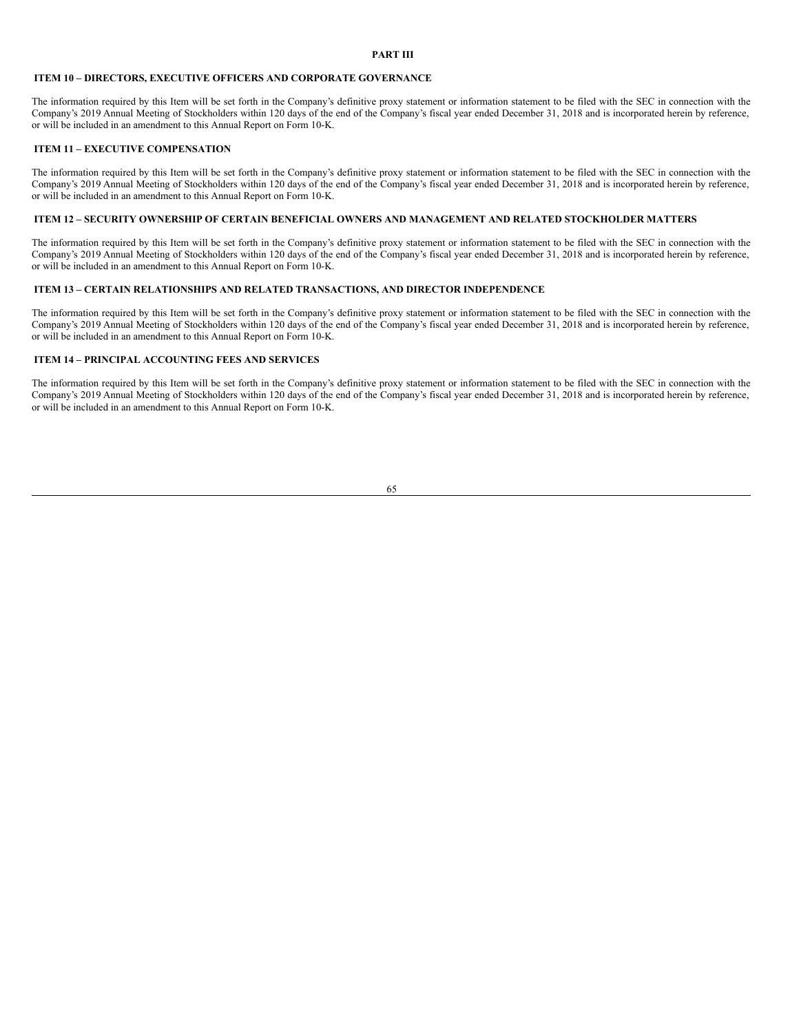#### **PART III**

## **ITEM 10 – DIRECTORS, EXECUTIVE OFFICERS AND CORPORATE GOVERNANCE**

The information required by this Item will be set forth in the Company's definitive proxy statement or information statement to be filed with the SEC in connection with the Company's 2019 Annual Meeting of Stockholders within 120 days of the end of the Company's fiscal year ended December 31, 2018 and is incorporated herein by reference, or will be included in an amendment to this Annual Report on Form 10-K.

# **ITEM 11 – EXECUTIVE COMPENSATION**

The information required by this Item will be set forth in the Company's definitive proxy statement or information statement to be filed with the SEC in connection with the Company's 2019 Annual Meeting of Stockholders within 120 days of the end of the Company's fiscal year ended December 31, 2018 and is incorporated herein by reference, or will be included in an amendment to this Annual Report on Form 10-K.

### **ITEM 12 – SECURITY OWNERSHIP OF CERTAIN BENEFICIAL OWNERS AND MANAGEMENT AND RELATED STOCKHOLDER MATTERS**

The information required by this Item will be set forth in the Company's definitive proxy statement or information statement to be filed with the SEC in connection with the Company's 2019 Annual Meeting of Stockholders within 120 days of the end of the Company's fiscal year ended December 31, 2018 and is incorporated herein by reference, or will be included in an amendment to this Annual Report on Form 10-K.

# **ITEM 13 – CERTAIN RELATIONSHIPS AND RELATED TRANSACTIONS, AND DIRECTOR INDEPENDENCE**

The information required by this Item will be set forth in the Company's definitive proxy statement or information statement to be filed with the SEC in connection with the Company's 2019 Annual Meeting of Stockholders within 120 days of the end of the Company's fiscal year ended December 31, 2018 and is incorporated herein by reference, or will be included in an amendment to this Annual Report on Form 10-K.

## **ITEM 14 – PRINCIPAL ACCOUNTING FEES AND SERVICES**

The information required by this Item will be set forth in the Company's definitive proxy statement or information statement to be filed with the SEC in connection with the Company's 2019 Annual Meeting of Stockholders within 120 days of the end of the Company's fiscal year ended December 31, 2018 and is incorporated herein by reference, or will be included in an amendment to this Annual Report on Form 10-K.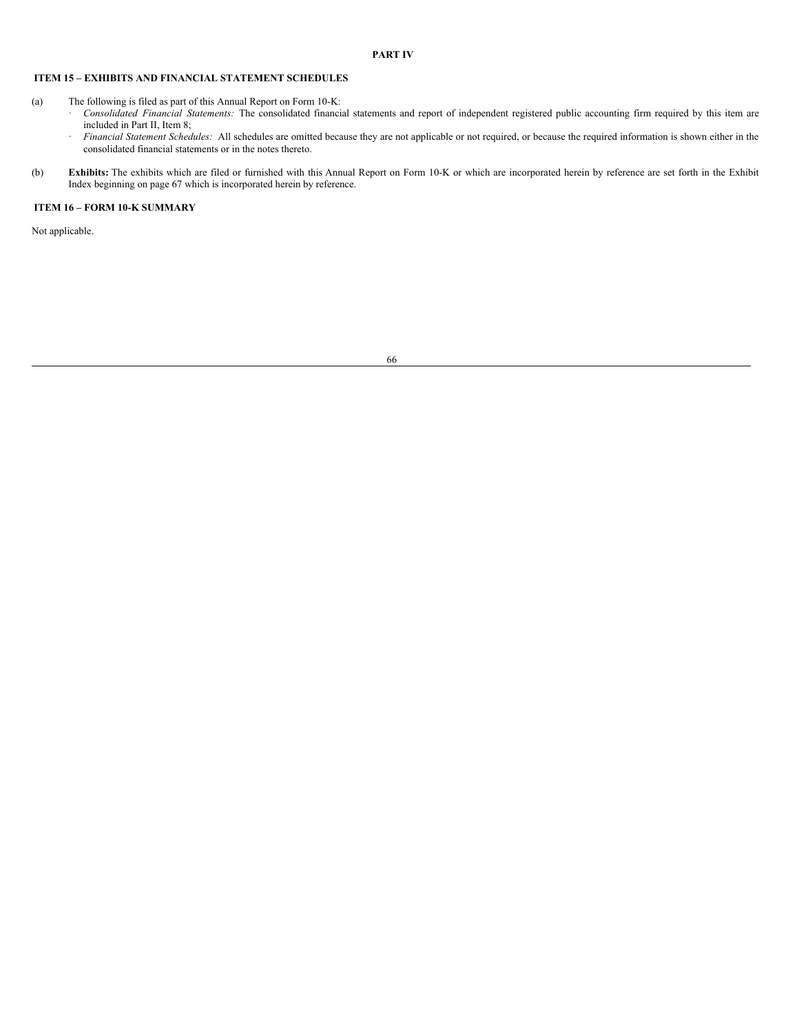# **ITEM 15 – EXHIBITS AND FINANCIAL STATEMENT SCHEDULES**

- (a) The following is filed as part of this Annual Report on Form 10-K:
	- · *Consolidated Financial Statements:* The consolidated financial statements and report of independent registered public accounting firm required by this item are included in Part II, Item 8;
	- · *Financial Statement Schedules:* All schedules are omitted because they are not applicable or not required, or because the required information is shown either in the consolidated financial statements or in the notes thereto.
- (b) **Exhibits:** The exhibits which are filed or furnished with this Annual Report on Form 10-K or which are incorporated herein by reference are set forth in the Exhibit Index beginning on page 67 which is incorporated herein by reference.

# **ITEM 16 – FORM 10-K SUMMARY**

Not applicable.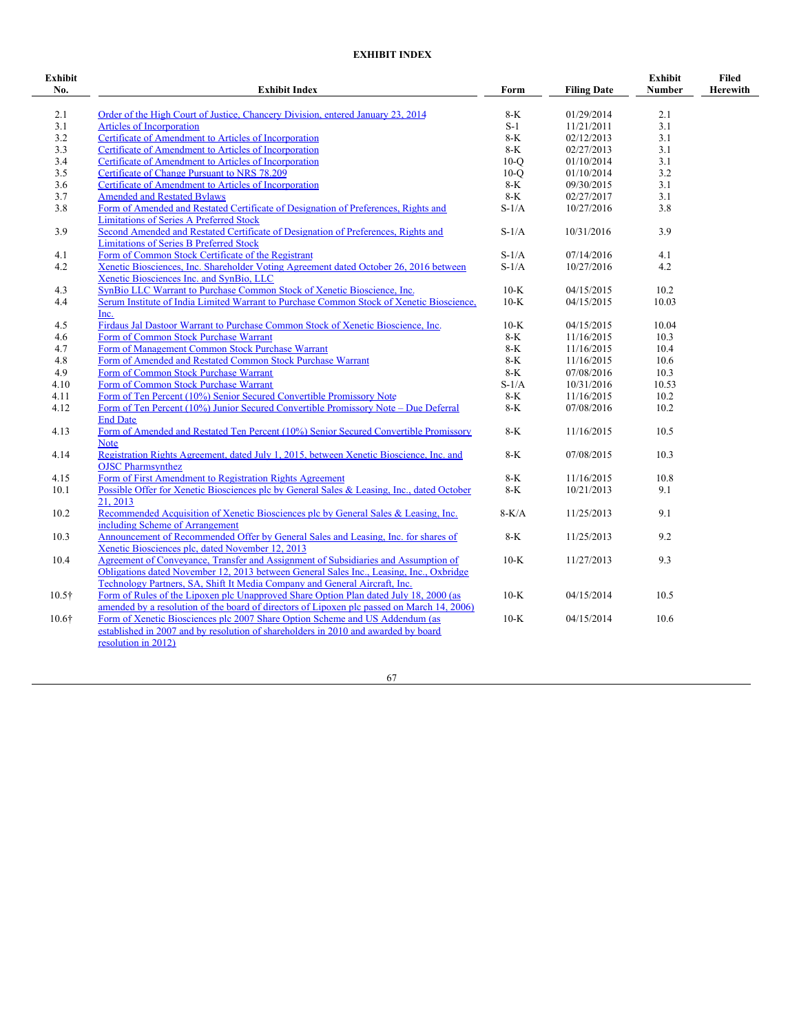# **EXHIBIT INDEX**

| <b>Exhibit</b> |                                                                                                                                      |         |                    | <b>Exhibit</b> | <b>Filed</b> |
|----------------|--------------------------------------------------------------------------------------------------------------------------------------|---------|--------------------|----------------|--------------|
| No.            | <b>Exhibit Index</b>                                                                                                                 | Form    | <b>Filing Date</b> | Number         | Herewith     |
|                |                                                                                                                                      |         |                    |                |              |
| 2.1            | Order of the High Court of Justice, Chancery Division, entered January 23, 2014                                                      | 8-K     | 01/29/2014         | 2.1            |              |
| 3.1            | <b>Articles of Incorporation</b>                                                                                                     | $S-1$   | 11/21/2011         | 3.1            |              |
| 3.2            | Certificate of Amendment to Articles of Incorporation                                                                                | $8-K$   | 02/12/2013         | 3.1            |              |
| 3.3            | Certificate of Amendment to Articles of Incorporation                                                                                | $8-K$   | 02/27/2013         | 3.1            |              |
| 3.4            | Certificate of Amendment to Articles of Incorporation                                                                                | $10-o$  | 01/10/2014         | 3.1            |              |
| 3.5            | Certificate of Change Pursuant to NRS 78.209                                                                                         | $10-o$  | 01/10/2014         | 3.2            |              |
| 3.6            | Certificate of Amendment to Articles of Incorporation                                                                                | $8-K$   | 09/30/2015         | 3.1            |              |
| 3.7            | <b>Amended and Restated Bylaws</b>                                                                                                   | $8-K$   | 02/27/2017         | 3.1            |              |
| 3.8            | Form of Amended and Restated Certificate of Designation of Preferences. Rights and<br><b>Limitations of Series A Preferred Stock</b> | $S-1/A$ | 10/27/2016         | 3.8            |              |
| 3.9            | Second Amended and Restated Certificate of Designation of Preferences, Rights and<br><b>Limitations of Series B Preferred Stock</b>  | $S-1/A$ | 10/31/2016         | 3.9            |              |
| 4.1            | Form of Common Stock Certificate of the Registrant                                                                                   | $S-1/A$ | 07/14/2016         | 4.1            |              |
| 4.2            | Xenetic Biosciences, Inc. Shareholder Voting Agreement dated October 26, 2016 between                                                | $S-1/A$ | 10/27/2016         | 4.2            |              |
|                | Xenetic Biosciences Inc. and SynBio, LLC                                                                                             |         |                    |                |              |
| 4.3            | SynBio LLC Warrant to Purchase Common Stock of Xenetic Bioscience, Inc.                                                              | $10-K$  | 04/15/2015         | 10.2           |              |
| 4.4            | Serum Institute of India Limited Warrant to Purchase Common Stock of Xenetic Bioscience.                                             | $10-K$  | 04/15/2015         | 10.03          |              |
|                | Inc.                                                                                                                                 |         |                    |                |              |
| 4.5            | Firdaus Jal Dastoor Warrant to Purchase Common Stock of Xenetic Bioscience, Inc.                                                     | $10-K$  | 04/15/2015         | 10.04          |              |
| 4.6            | Form of Common Stock Purchase Warrant                                                                                                | $8-K$   | 11/16/2015         | 10.3           |              |
| 4.7            | Form of Management Common Stock Purchase Warrant                                                                                     | $8-K$   | 11/16/2015         | 10.4           |              |
| 4.8            | Form of Amended and Restated Common Stock Purchase Warrant                                                                           | $8-K$   | 11/16/2015         | 10.6           |              |
| 4.9            | Form of Common Stock Purchase Warrant                                                                                                | $8-K$   | 07/08/2016         | 10.3           |              |
| 4.10           | Form of Common Stock Purchase Warrant                                                                                                | $S-1/A$ | 10/31/2016         | 10.53          |              |
| 4.11           | Form of Ten Percent (10%) Senior Secured Convertible Promissory Note                                                                 | $8-K$   | 11/16/2015         | 10.2           |              |
| 4.12           | Form of Ten Percent (10%) Junior Secured Convertible Promissory Note – Due Deferral                                                  | $8-K$   | 07/08/2016         | 10.2           |              |
|                | <b>End Date</b>                                                                                                                      |         |                    |                |              |
| 4.13           | Form of Amended and Restated Ten Percent (10%) Senior Secured Convertible Promissory<br><b>Note</b>                                  | $8-K$   | 11/16/2015         | 10.5           |              |
| 4.14           | Registration Rights Agreement, dated July 1, 2015, between Xenetic Bioscience, Inc. and<br><b>OJSC</b> Pharmsvnthez                  | $8-K$   | 07/08/2015         | 10.3           |              |
| 4.15           | Form of First Amendment to Registration Rights Agreement                                                                             | 8-K     | 11/16/2015         | 10.8           |              |
| 10.1           | Possible Offer for Xenetic Biosciences plc by General Sales & Leasing, Inc., dated October                                           | $8-K$   | 10/21/2013         | 9.1            |              |
|                | 21, 2013                                                                                                                             |         |                    |                |              |
| 10.2           | Recommended Acquisition of Xenetic Biosciences plc by General Sales & Leasing, Inc.<br>including Scheme of Arrangement               | $8-K/A$ | 11/25/2013         | 9.1            |              |
| 10.3           | Announcement of Recommended Offer by General Sales and Leasing, Inc. for shares of                                                   | 8-K     | 11/25/2013         | 9.2            |              |
|                | Xenetic Biosciences plc, dated November 12, 2013                                                                                     |         |                    |                |              |
| 10.4           | Agreement of Conveyance, Transfer and Assignment of Subsidiaries and Assumption of                                                   | $10-K$  | 11/27/2013         | 9.3            |              |
|                | Obligations dated November 12, 2013 between General Sales Inc., Leasing, Inc., Oxbridge                                              |         |                    |                |              |
|                | Technology Partners, SA, Shift It Media Company and General Aircraft, Inc.                                                           |         |                    |                |              |
| $10.5\dagger$  | Form of Rules of the Lipoxen plc Unapproved Share Option Plan dated July 18, 2000 (as                                                | $10-K$  | 04/15/2014         | 10.5           |              |
|                | amended by a resolution of the board of directors of Lipoxen plc passed on March 14, 2006)                                           |         |                    |                |              |
| $10.6\dagger$  | Form of Xenetic Biosciences plc 2007 Share Option Scheme and US Addendum (as                                                         | $10-K$  | 04/15/2014         | 10.6           |              |
|                | established in 2007 and by resolution of shareholders in 2010 and awarded by board                                                   |         |                    |                |              |
|                | resolution in 2012)                                                                                                                  |         |                    |                |              |

67

<u> 1989 - Johann Stoff, deutscher Stoffen und der Stoffen und der Stoffen und der Stoffen und der Stoffen und der</u>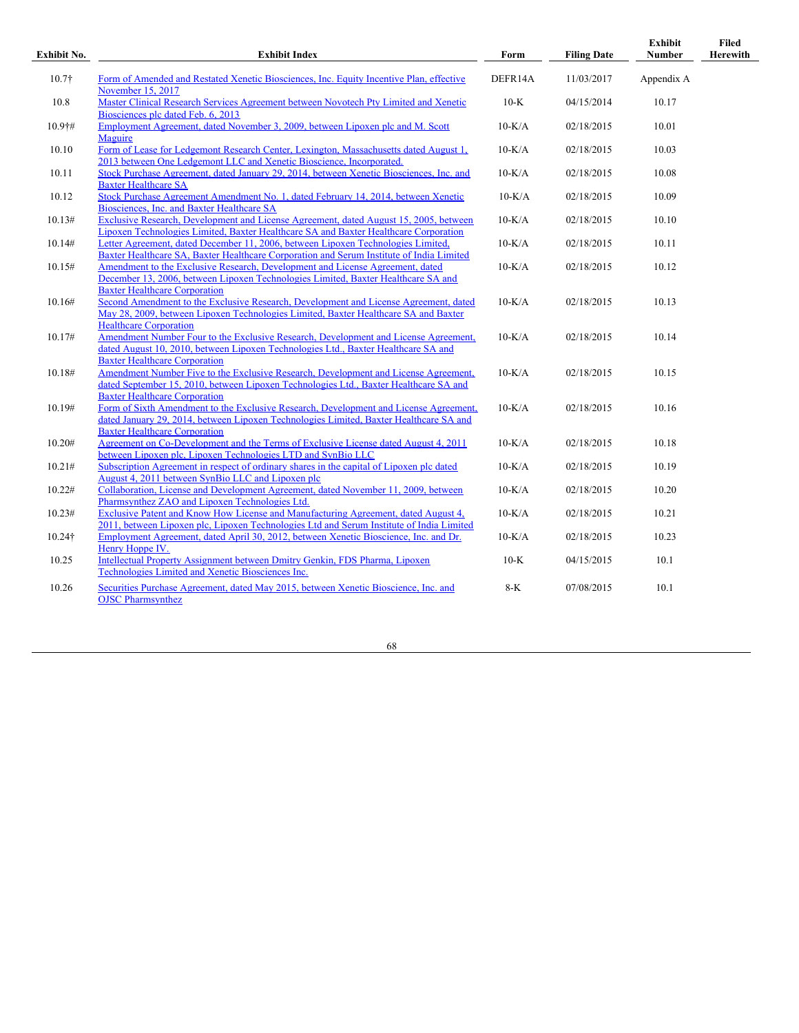| Exhibit No.       | <b>Exhibit Index</b>                                                                                                                                                                                                    | Form     | <b>Filing Date</b> | <b>Exhibit</b><br>Number | Filed<br>Herewith |
|-------------------|-------------------------------------------------------------------------------------------------------------------------------------------------------------------------------------------------------------------------|----------|--------------------|--------------------------|-------------------|
| 10.7 <sup>†</sup> | Form of Amended and Restated Xenetic Biosciences, Inc. Equity Incentive Plan, effective<br>November 15, 2017                                                                                                            | DEFR14A  | 11/03/2017         | Appendix A               |                   |
| 10.8              | Master Clinical Research Services Agreement between Novotech Pty Limited and Xenetic<br>Biosciences plc dated Feb. 6, 2013                                                                                              | $10-K$   | 04/15/2014         | 10.17                    |                   |
| 10.9†#            | Employment Agreement, dated November 3, 2009, between Lipoxen plc and M. Scott<br>Maguire                                                                                                                               | $10-K/A$ | 02/18/2015         | 10.01                    |                   |
| 10.10             | Form of Lease for Ledgemont Research Center, Lexington, Massachusetts dated August 1,<br>2013 between One Ledgemont LLC and Xenetic Bioscience, Incorporated.                                                           | $10-K/A$ | 02/18/2015         | 10.03                    |                   |
| 10.11             | Stock Purchase Agreement, dated January 29, 2014, between Xenetic Biosciences, Inc. and<br><b>Baxter Healthcare SA</b>                                                                                                  | $10-K/A$ | 02/18/2015         | 10.08                    |                   |
| 10.12             | Stock Purchase Agreement Amendment No. 1, dated February 14, 2014, between Xenetic<br>Biosciences, Inc. and Baxter Healthcare SA                                                                                        | $10-K/A$ | 02/18/2015         | 10.09                    |                   |
| 10.13#            | Exclusive Research, Development and License Agreement, dated August 15, 2005, between<br>Lipoxen Technologies Limited, Baxter Healthcare SA and Baxter Healthcare Corporation                                           | $10-K/A$ | 02/18/2015         | 10.10                    |                   |
| 10.14#            | Letter Agreement, dated December 11, 2006, between Lipoxen Technologies Limited,<br>Baxter Healthcare SA, Baxter Healthcare Corporation and Serum Institute of India Limited                                            | $10-K/A$ | 02/18/2015         | 10.11                    |                   |
| 10.15#            | Amendment to the Exclusive Research, Development and License Agreement, dated<br>December 13, 2006, between Lipoxen Technologies Limited, Baxter Healthcare SA and                                                      | $10-K/A$ | 02/18/2015         | 10.12                    |                   |
| 10.16#            | <b>Baxter Healthcare Corporation</b><br>Second Amendment to the Exclusive Research, Development and License Agreement, dated<br>May 28, 2009, between Lipoxen Technologies Limited, Baxter Healthcare SA and Baxter     | $10-K/A$ | 02/18/2015         | 10.13                    |                   |
| 10.17#            | <b>Healthcare Corporation</b><br>Amendment Number Four to the Exclusive Research, Development and License Agreement,<br>dated August 10, 2010, between Lipoxen Technologies Ltd., Baxter Healthcare SA and              | $10-K/A$ | 02/18/2015         | 10.14                    |                   |
| 10.18#            | <b>Baxter Healthcare Corporation</b><br>Amendment Number Five to the Exclusive Research, Development and License Agreement,<br>dated September 15, 2010, between Lipoxen Technologies Ltd., Baxter Healthcare SA and    | $10-K/A$ | 02/18/2015         | 10.15                    |                   |
| 10.19#            | <b>Baxter Healthcare Corporation</b><br>Form of Sixth Amendment to the Exclusive Research, Development and License Agreement,<br>dated January 29, 2014, between Lipoxen Technologies Limited. Baxter Healthcare SA and | $10-K/A$ | 02/18/2015         | 10.16                    |                   |
| 10.20#            | <b>Baxter Healthcare Corporation</b><br>Agreement on Co-Development and the Terms of Exclusive License dated August 4, 2011<br>between Lipoxen plc, Lipoxen Technologies LTD and SynBio LLC                             | $10-K/A$ | 02/18/2015         | 10.18                    |                   |
| 10.21#            | Subscription Agreement in respect of ordinary shares in the capital of Lipoxen plc dated<br>August 4, 2011 between SynBio LLC and Lipoxen plc                                                                           | $10-K/A$ | 02/18/2015         | 10.19                    |                   |
| 10.22#            | Collaboration, License and Development Agreement, dated November 11, 2009, between<br>Pharmsynthez ZAO and Lipoxen Technologies Ltd.                                                                                    | $10-K/A$ | 02/18/2015         | 10.20                    |                   |
| 10.23#            | Exclusive Patent and Know How License and Manufacturing Agreement, dated August 4,<br>2011, between Lipoxen plc, Lipoxen Technologies Ltd and Serum Institute of India Limited                                          | $10-K/A$ | 02/18/2015         | 10.21                    |                   |
| 10.24†            | Employment Agreement, dated April 30, 2012, between Xenetic Bioscience, Inc. and Dr.<br>Henry Hoppe IV.                                                                                                                 | $10-K/A$ | 02/18/2015         | 10.23                    |                   |
| 10.25             | Intellectual Property Assignment between Dmitry Genkin, FDS Pharma, Lipoxen<br>Technologies Limited and Xenetic Biosciences Inc.                                                                                        | $10-K$   | 04/15/2015         | 10.1                     |                   |
| 10.26             | Securities Purchase Agreement, dated May 2015, between Xenetic Bioscience, Inc. and<br><b>OJSC Pharmsynthez</b>                                                                                                         | $8-K$    | 07/08/2015         | 10.1                     |                   |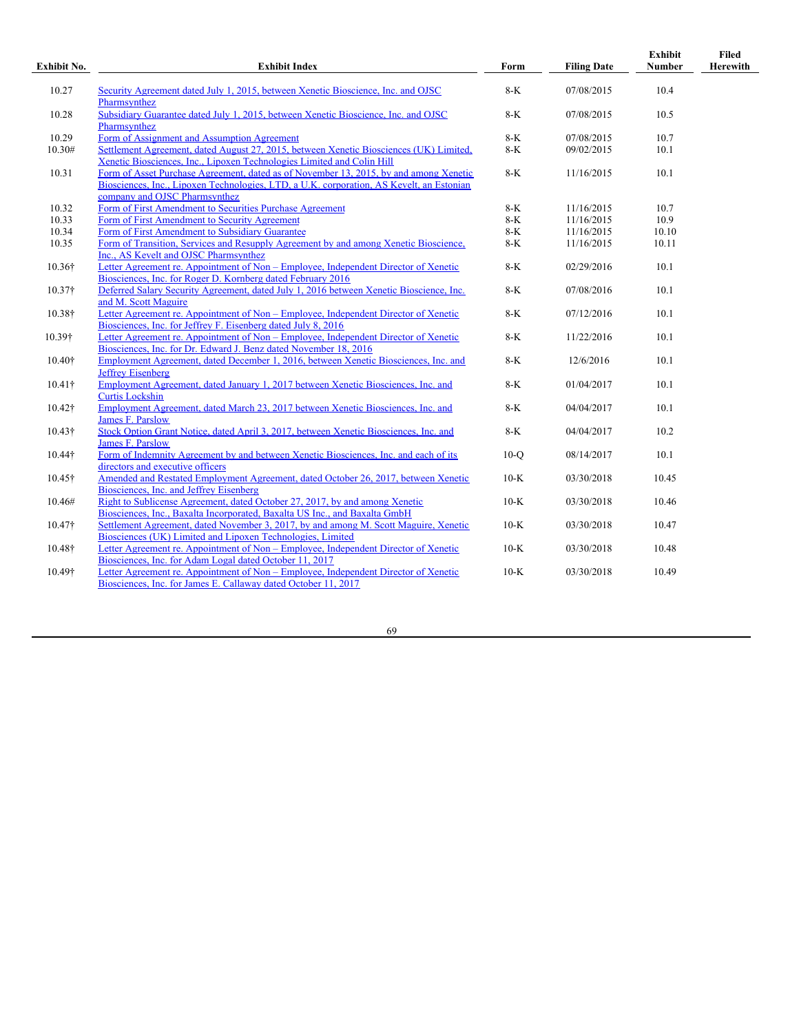| Exhibit No.    | <b>Exhibit Index</b>                                                                                                                                                                                               | Form   | <b>Filing Date</b>       | Exhibit<br>Number | Filed<br>Herewith |
|----------------|--------------------------------------------------------------------------------------------------------------------------------------------------------------------------------------------------------------------|--------|--------------------------|-------------------|-------------------|
| 10.27          | Security Agreement dated July 1, 2015, between Xenetic Bioscience, Inc. and OJSC<br>Pharmsynthez                                                                                                                   | $8-K$  | 07/08/2015               | 10.4              |                   |
| 10.28          | Subsidiary Guarantee dated July 1, 2015, between Xenetic Bioscience, Inc. and OJSC<br>Pharmsvnthez                                                                                                                 | $8-K$  | 07/08/2015               | 10.5              |                   |
| 10.29          | Form of Assignment and Assumption Agreement                                                                                                                                                                        | $8-K$  | 07/08/2015               | 10.7              |                   |
| 10.30#         | Settlement Agreement, dated August 27, 2015, between Xenetic Biosciences (UK) Limited,                                                                                                                             | $8-K$  | 09/02/2015               | 10.1              |                   |
|                | Xenetic Biosciences, Inc., Lipoxen Technologies Limited and Colin Hill                                                                                                                                             |        |                          |                   |                   |
| 10.31          | Form of Asset Purchase Agreement, dated as of November 13, 2015, by and among Xenetic<br>Biosciences, Inc., Lipoxen Technologies, LTD, a U.K. corporation, AS Kevelt, an Estonian<br>company and OJSC Pharmsvnthez | $8-K$  | 11/16/2015               | 10.1              |                   |
| 10.32          | Form of First Amendment to Securities Purchase Agreement                                                                                                                                                           | $8-K$  |                          | 10.7              |                   |
| 10.33          | Form of First Amendment to Security Agreement                                                                                                                                                                      | $8-K$  | 11/16/2015<br>11/16/2015 | 10.9              |                   |
|                | Form of First Amendment to Subsidiary Guarantee                                                                                                                                                                    | $8-K$  |                          |                   |                   |
| 10.34          |                                                                                                                                                                                                                    |        | 11/16/2015               | 10.10             |                   |
| 10.35          | Form of Transition, Services and Resupply Agreement by and among Xenetic Bioscience,<br>Inc., AS Kevelt and OJSC Pharmsynthez                                                                                      | $8-K$  | 11/16/2015               | 10.11             |                   |
| 10.36†         | Letter Agreement re. Appointment of Non – Employee, Independent Director of Xenetic<br>Biosciences, Inc. for Roger D. Kornberg dated February 2016                                                                 | $8-K$  | 02/29/2016               | 10.1              |                   |
| $10.37\dagger$ | Deferred Salary Security Agreement, dated July 1, 2016 between Xenetic Bioscience, Inc.<br>and M. Scott Maguire                                                                                                    | $8-K$  | 07/08/2016               | 10.1              |                   |
| 10.38†         | Letter Agreement re. Appointment of Non – Employee, Independent Director of Xenetic                                                                                                                                | $8-K$  | 07/12/2016               | 10.1              |                   |
| 10.39†         | Biosciences, Inc. for Jeffrey F. Eisenberg dated July 8, 2016<br>Letter Agreement re. Appointment of Non – Employee, Independent Director of Xenetic                                                               | $8-K$  | 11/22/2016               | 10.1              |                   |
|                | Biosciences, Inc. for Dr. Edward J. Benz dated November 18, 2016                                                                                                                                                   |        |                          |                   |                   |
| 10.40†         | Employment Agreement, dated December 1, 2016, between Xenetic Biosciences, Inc. and<br><b>Jeffrey Eisenberg</b>                                                                                                    | $8-K$  | 12/6/2016                | 10.1              |                   |
| $10.41\dagger$ | Employment Agreement, dated January 1, 2017 between Xenetic Biosciences, Inc. and<br><b>Curtis Lockshin</b>                                                                                                        | $8-K$  | 01/04/2017               | 10.1              |                   |
| $10.42\dagger$ | Employment Agreement, dated March 23, 2017 between Xenetic Biosciences, Inc. and                                                                                                                                   | $8-K$  | 04/04/2017               | 10.1              |                   |
| $10.43\dagger$ | <b>James F. Parslow</b><br>Stock Option Grant Notice, dated April 3, 2017, between Xenetic Biosciences, Inc. and                                                                                                   | $8-K$  | 04/04/2017               | 10.2              |                   |
| 10.44†         | <b>James F. Parslow</b><br>Form of Indemnity Agreement by and between Xenetic Biosciences, Inc. and each of its                                                                                                    | $10-Q$ | 08/14/2017               | 10.1              |                   |
|                | directors and executive officers                                                                                                                                                                                   |        |                          |                   |                   |
| 10.45†         | Amended and Restated Employment Agreement, dated October 26, 2017, between Xenetic<br>Biosciences, Inc. and Jeffrey Eisenberg                                                                                      | $10-K$ | 03/30/2018               | 10.45             |                   |
| 10.46#         | Right to Sublicense Agreement, dated October 27, 2017, by and among Xenetic<br>Biosciences, Inc., Baxalta Incorporated, Baxalta US Inc., and Baxalta GmbH                                                          | $10-K$ | 03/30/2018               | 10.46             |                   |
| 10.47†         | Settlement Agreement, dated November 3, 2017, by and among M. Scott Maguire, Xenetic                                                                                                                               | $10-K$ | 03/30/2018               | 10.47             |                   |
| 10.48†         | Biosciences (UK) Limited and Lipoxen Technologies, Limited<br>Letter Agreement re. Appointment of Non – Employee, Independent Director of Xenetic                                                                  | $10-K$ | 03/30/2018               | 10.48             |                   |
|                | Biosciences, Inc. for Adam Logal dated October 11, 2017                                                                                                                                                            |        |                          |                   |                   |
| 10.49†         | Letter Agreement re. Appointment of Non – Employee, Independent Director of Xenetic<br>Biosciences, Inc. for James E. Callaway dated October 11, 2017                                                              | $10-K$ | 03/30/2018               | 10.49             |                   |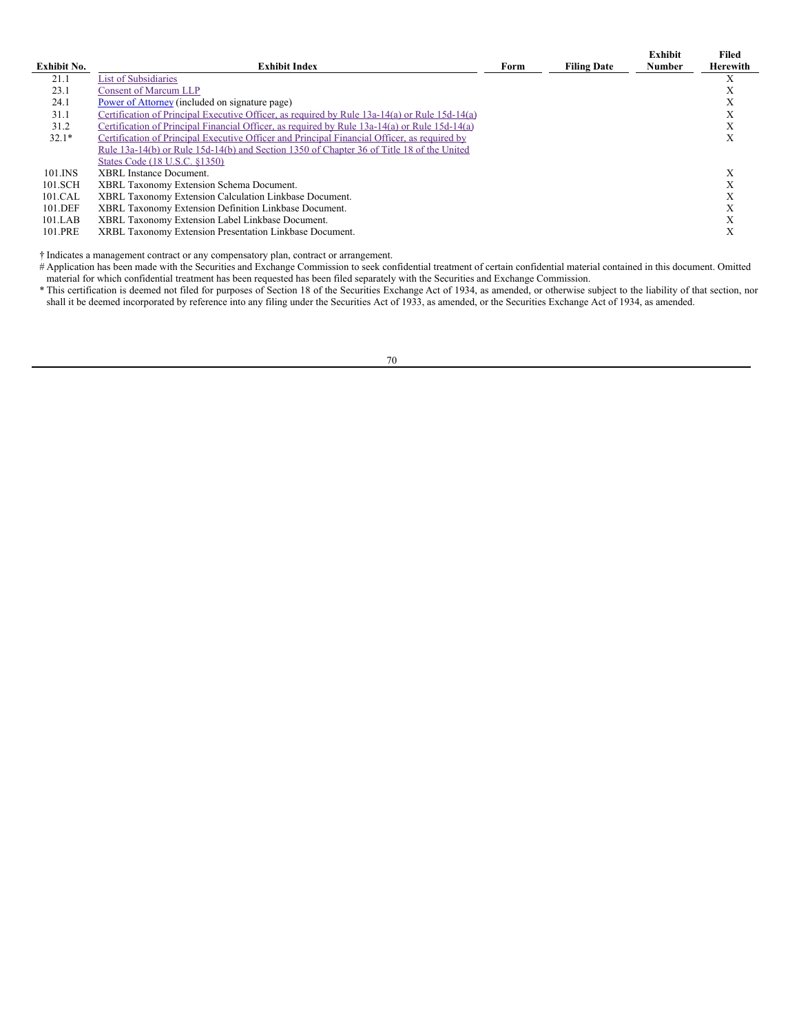|                    |                                                                                               |      |                    | Exhibit       | Filed           |
|--------------------|-----------------------------------------------------------------------------------------------|------|--------------------|---------------|-----------------|
| <b>Exhibit No.</b> | <b>Exhibit Index</b>                                                                          | Form | <b>Filing Date</b> | <b>Number</b> | <b>Herewith</b> |
| 21.1               | List of Subsidiaries                                                                          |      |                    |               |                 |
| 23.1               | <b>Consent of Marcum LLP</b>                                                                  |      |                    |               |                 |
| 24.1               | Power of Attorney (included on signature page)                                                |      |                    |               |                 |
| 31.1               | Certification of Principal Executive Officer, as required by Rule 13a-14(a) or Rule 15d-14(a) |      |                    |               |                 |
| 31.2               | Certification of Principal Financial Officer, as required by Rule 13a-14(a) or Rule 15d-14(a) |      |                    |               |                 |
| $32.1*$            | Certification of Principal Executive Officer and Principal Financial Officer, as required by  |      |                    |               |                 |
|                    | Rule 13a-14(b) or Rule 15d-14(b) and Section 1350 of Chapter 36 of Title 18 of the United     |      |                    |               |                 |
|                    | States Code (18 U.S.C. §1350)                                                                 |      |                    |               |                 |
| 101.INS            | <b>XBRL</b> Instance Document.                                                                |      |                    |               | X               |
| 101.SCH            | XBRL Taxonomy Extension Schema Document.                                                      |      |                    |               |                 |
| 101.CAL            | XBRL Taxonomy Extension Calculation Linkbase Document.                                        |      |                    |               |                 |
| 101.DEF            | XBRL Taxonomy Extension Definition Linkbase Document.                                         |      |                    |               |                 |
| 101.LAB            | XBRL Taxonomy Extension Label Linkbase Document.                                              |      |                    |               |                 |
| 101.PRE            | XRBL Taxonomy Extension Presentation Linkbase Document.                                       |      |                    |               | л               |
|                    |                                                                                               |      |                    |               |                 |

† Indicates a management contract or any compensatory plan, contract or arrangement.

# Application has been made with the Securities and Exchange Commission to seek confidential treatment of certain confidential material contained in this document. Omitted material for which confidential treatment has been requested has been filed separately with the Securities and Exchange Commission.

\* This certification is deemed not filed for purposes of Section 18 of the Securities Exchange Act of 1934, as amended, or otherwise subject to the liability of that section, nor shall it be deemed incorporated by reference into any filing under the Securities Act of 1933, as amended, or the Securities Exchange Act of 1934, as amended.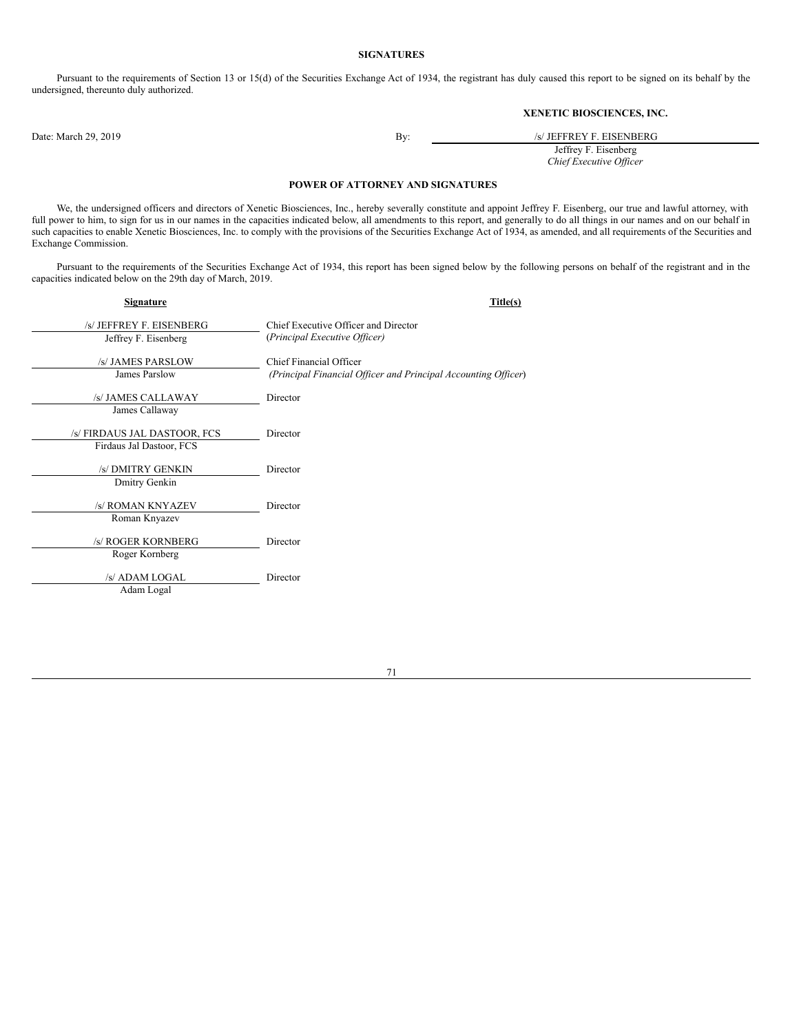### **SIGNATURES**

Pursuant to the requirements of Section 13 or 15(d) of the Securities Exchange Act of 1934, the registrant has duly caused this report to be signed on its behalf by the undersigned, thereunto duly authorized.

|                      |     | XENETIC BIOSCIENCES, INC. |
|----------------------|-----|---------------------------|
| Date: March 29, 2019 | By: | /s/ JEFFREY F. EISENBERG  |
|                      |     | Jeffrey F. Eisenberg      |
|                      |     | Chief Executive Officer   |

## <span id="page-100-0"></span>**POWER OF ATTORNEY AND SIGNATURES**

We, the undersigned officers and directors of Xenetic Biosciences, Inc., hereby severally constitute and appoint Jeffrey F. Eisenberg, our true and lawful attorney, with full power to him, to sign for us in our names in the capacities indicated below, all amendments to this report, and generally to do all things in our names and on our behalf in such capacities to enable Xenetic Biosciences, Inc. to comply with the provisions of the Securities Exchange Act of 1934, as amended, and all requirements of the Securities and Exchange Commission.

Pursuant to the requirements of the Securities Exchange Act of 1934, this report has been signed below by the following persons on behalf of the registrant and in the capacities indicated below on the 29th day of March, 2019.

| <b>Signature</b>             | Title(s)                                                       |
|------------------------------|----------------------------------------------------------------|
| /s/ JEFFREY F. EISENBERG     | Chief Executive Officer and Director                           |
| Jeffrey F. Eisenberg         | (Principal Executive Officer)                                  |
| /s/ JAMES PARSLOW            | Chief Financial Officer                                        |
| James Parslow                | (Principal Financial Officer and Principal Accounting Officer) |
| /s/ JAMES CALLAWAY           | Director                                                       |
| James Callaway               |                                                                |
| /s/ FIRDAUS JAL DASTOOR, FCS | Director                                                       |
| Firdaus Jal Dastoor, FCS     |                                                                |
| /s/ DMITRY GENKIN            | Director                                                       |
| Dmitry Genkin                |                                                                |
| /s/ ROMAN KNYAZEV            | Director                                                       |
| Roman Knyazev                |                                                                |
| /s/ ROGER KORNBERG           | Director                                                       |
| Roger Kornberg               |                                                                |
| /s/ ADAM LOGAL               | Director                                                       |
| Adam Logal                   |                                                                |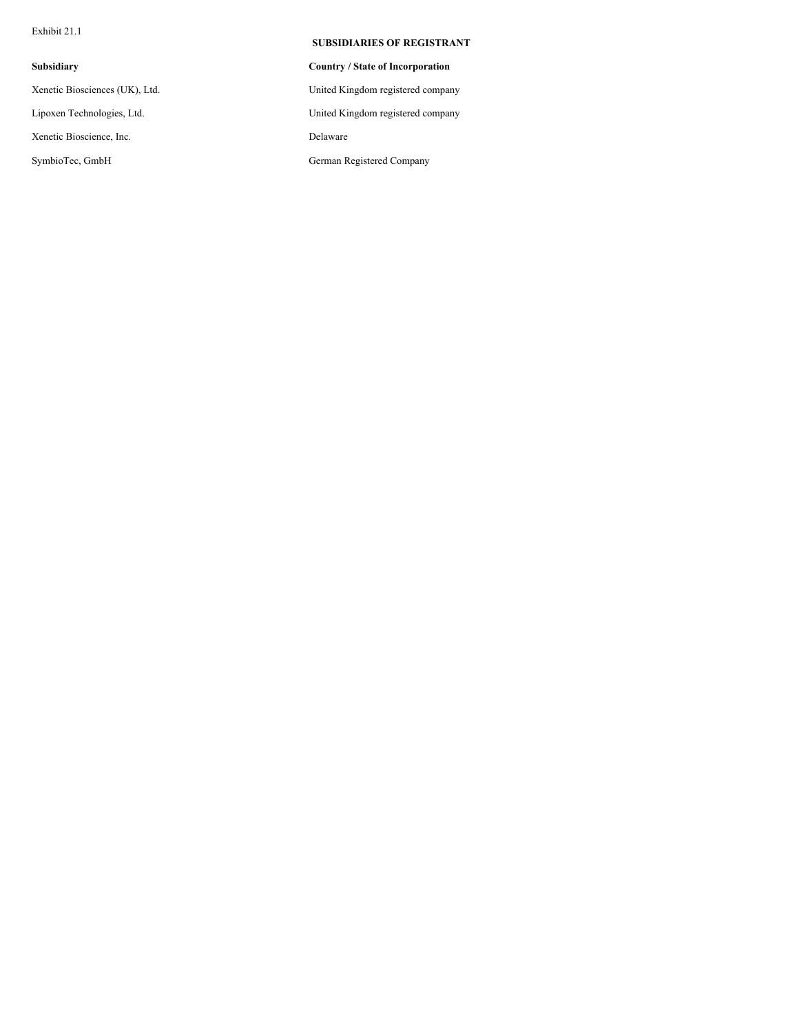# <span id="page-101-0"></span>Exhibit 21.1

# **SUBSIDIARIES OF REGISTRANT**

| Subsidiary                     | Country / State of Incorporation  |
|--------------------------------|-----------------------------------|
| Xenetic Biosciences (UK), Ltd. | United Kingdom registered company |
| Lipoxen Technologies, Ltd.     | United Kingdom registered company |
| Xenetic Bioscience, Inc.       | Delaware                          |
| SymbioTec, GmbH                | German Registered Company         |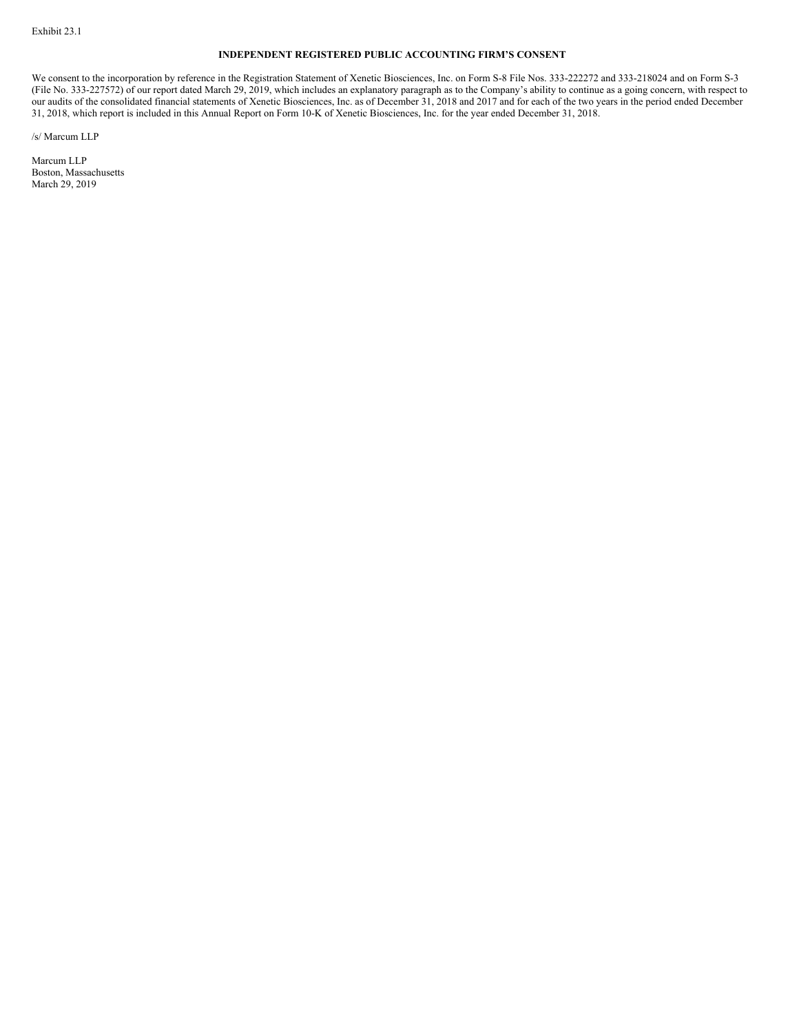## **INDEPENDENT REGISTERED PUBLIC ACCOUNTING FIRM'S CONSENT**

<span id="page-102-0"></span>We consent to the incorporation by reference in the Registration Statement of Xenetic Biosciences, Inc. on Form S-8 File Nos. 333-222272 and 333-218024 and on Form S-3 (File No. 333-227572) of our report dated March 29, 2019, which includes an explanatory paragraph as to the Company's ability to continue as a going concern, with respect to our audits of the consolidated financial statements of Xenetic Biosciences, Inc. as of December 31, 2018 and 2017 and for each of the two years in the period ended December 31, 2018, which report is included in this Annual Report on Form 10-K of Xenetic Biosciences, Inc. for the year ended December 31, 2018.

/s/ Marcum LLP

Marcum LLP Boston, Massachusetts March 29, 2019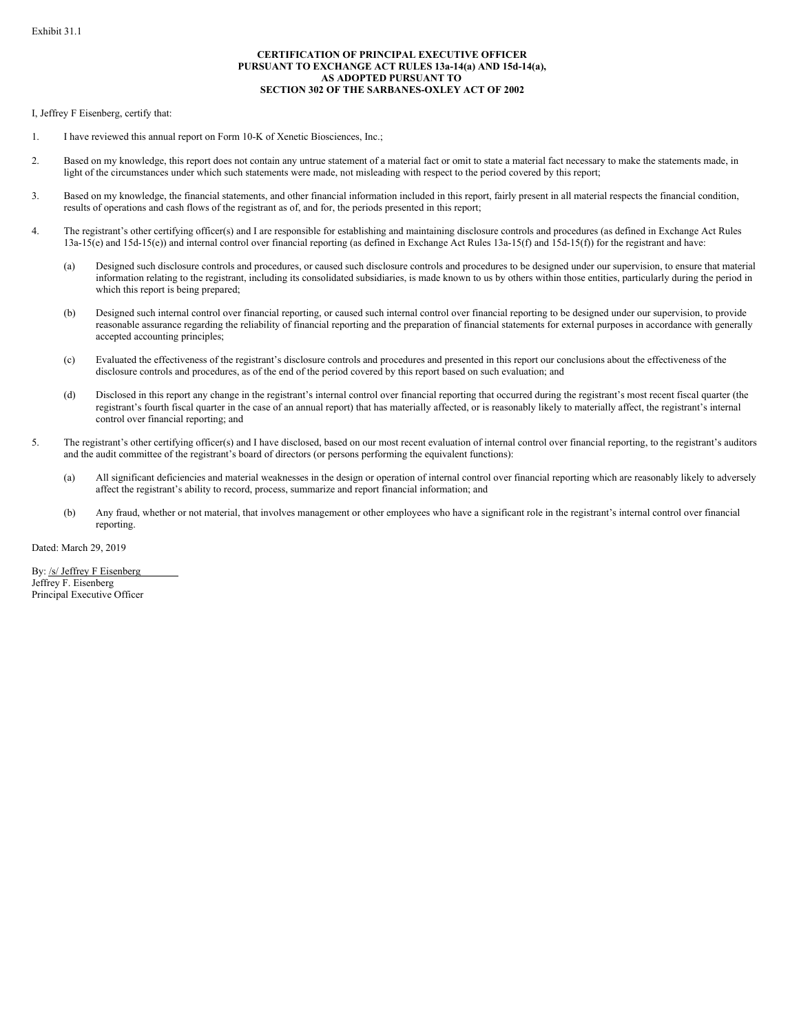# **CERTIFICATION OF PRINCIPAL EXECUTIVE OFFICER PURSUANT TO EXCHANGE ACT RULES 13a-14(a) AND 15d-14(a), AS ADOPTED PURSUANT TO SECTION 302 OF THE SARBANES-OXLEY ACT OF 2002**

<span id="page-103-0"></span>I, Jeffrey F Eisenberg, certify that:

- 1. I have reviewed this annual report on Form 10-K of Xenetic Biosciences, Inc.;
- 2. Based on my knowledge, this report does not contain any untrue statement of a material fact or omit to state a material fact necessary to make the statements made, in light of the circumstances under which such statements were made, not misleading with respect to the period covered by this report;
- 3. Based on my knowledge, the financial statements, and other financial information included in this report, fairly present in all material respects the financial condition, results of operations and cash flows of the registrant as of, and for, the periods presented in this report;
- 4. The registrant's other certifying officer(s) and I are responsible for establishing and maintaining disclosure controls and procedures (as defined in Exchange Act Rules 13a-15(e) and 15d-15(e)) and internal control over financial reporting (as defined in Exchange Act Rules 13a-15(f) and 15d-15(f)) for the registrant and have:
	- (a) Designed such disclosure controls and procedures, or caused such disclosure controls and procedures to be designed under our supervision, to ensure that material information relating to the registrant, including its consolidated subsidiaries, is made known to us by others within those entities, particularly during the period in which this report is being prepared;
	- (b) Designed such internal control over financial reporting, or caused such internal control over financial reporting to be designed under our supervision, to provide reasonable assurance regarding the reliability of financial reporting and the preparation of financial statements for external purposes in accordance with generally accepted accounting principles;
	- (c) Evaluated the effectiveness of the registrant's disclosure controls and procedures and presented in this report our conclusions about the effectiveness of the disclosure controls and procedures, as of the end of the period covered by this report based on such evaluation; and
	- (d) Disclosed in this report any change in the registrant's internal control over financial reporting that occurred during the registrant's most recent fiscal quarter (the registrant's fourth fiscal quarter in the case of an annual report) that has materially affected, or is reasonably likely to materially affect, the registrant's internal control over financial reporting; and
- 5. The registrant's other certifying officer(s) and I have disclosed, based on our most recent evaluation of internal control over financial reporting, to the registrant's auditors and the audit committee of the registrant's board of directors (or persons performing the equivalent functions):
	- (a) All significant deficiencies and material weaknesses in the design or operation of internal control over financial reporting which are reasonably likely to adversely affect the registrant's ability to record, process, summarize and report financial information; and
	- (b) Any fraud, whether or not material, that involves management or other employees who have a significant role in the registrant's internal control over financial reporting.

Dated: March 29, 2019

By: /s/ Jeffrey F Eisenberg Jeffrey F. Eisenberg Principal Executive Officer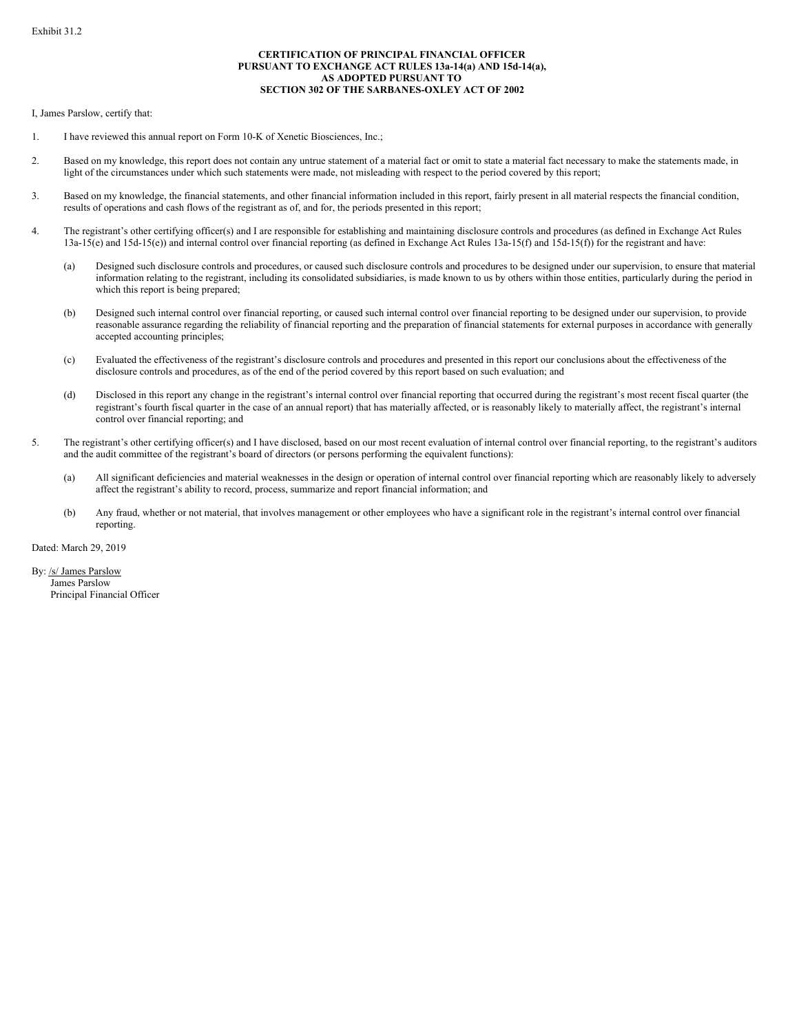# **CERTIFICATION OF PRINCIPAL FINANCIAL OFFICER PURSUANT TO EXCHANGE ACT RULES 13a-14(a) AND 15d-14(a), AS ADOPTED PURSUANT TO SECTION 302 OF THE SARBANES-OXLEY ACT OF 2002**

<span id="page-104-0"></span>I, James Parslow, certify that:

- 1. I have reviewed this annual report on Form 10-K of Xenetic Biosciences, Inc.;
- 2. Based on my knowledge, this report does not contain any untrue statement of a material fact or omit to state a material fact necessary to make the statements made, in light of the circumstances under which such statements were made, not misleading with respect to the period covered by this report;
- 3. Based on my knowledge, the financial statements, and other financial information included in this report, fairly present in all material respects the financial condition, results of operations and cash flows of the registrant as of, and for, the periods presented in this report;
- 4. The registrant's other certifying officer(s) and I are responsible for establishing and maintaining disclosure controls and procedures (as defined in Exchange Act Rules 13a-15(e) and 15d-15(e)) and internal control over financial reporting (as defined in Exchange Act Rules 13a-15(f) and 15d-15(f)) for the registrant and have:
	- (a) Designed such disclosure controls and procedures, or caused such disclosure controls and procedures to be designed under our supervision, to ensure that material information relating to the registrant, including its consolidated subsidiaries, is made known to us by others within those entities, particularly during the period in which this report is being prepared;
	- (b) Designed such internal control over financial reporting, or caused such internal control over financial reporting to be designed under our supervision, to provide reasonable assurance regarding the reliability of financial reporting and the preparation of financial statements for external purposes in accordance with generally accepted accounting principles;
	- (c) Evaluated the effectiveness of the registrant's disclosure controls and procedures and presented in this report our conclusions about the effectiveness of the disclosure controls and procedures, as of the end of the period covered by this report based on such evaluation; and
	- (d) Disclosed in this report any change in the registrant's internal control over financial reporting that occurred during the registrant's most recent fiscal quarter (the registrant's fourth fiscal quarter in the case of an annual report) that has materially affected, or is reasonably likely to materially affect, the registrant's internal control over financial reporting; and
- 5. The registrant's other certifying officer(s) and I have disclosed, based on our most recent evaluation of internal control over financial reporting, to the registrant's auditors and the audit committee of the registrant's board of directors (or persons performing the equivalent functions):
	- (a) All significant deficiencies and material weaknesses in the design or operation of internal control over financial reporting which are reasonably likely to adversely affect the registrant's ability to record, process, summarize and report financial information; and
	- (b) Any fraud, whether or not material, that involves management or other employees who have a significant role in the registrant's internal control over financial reporting.

Dated: March 29, 2019

By: /s/ James Parslow James Parslow Principal Financial Officer